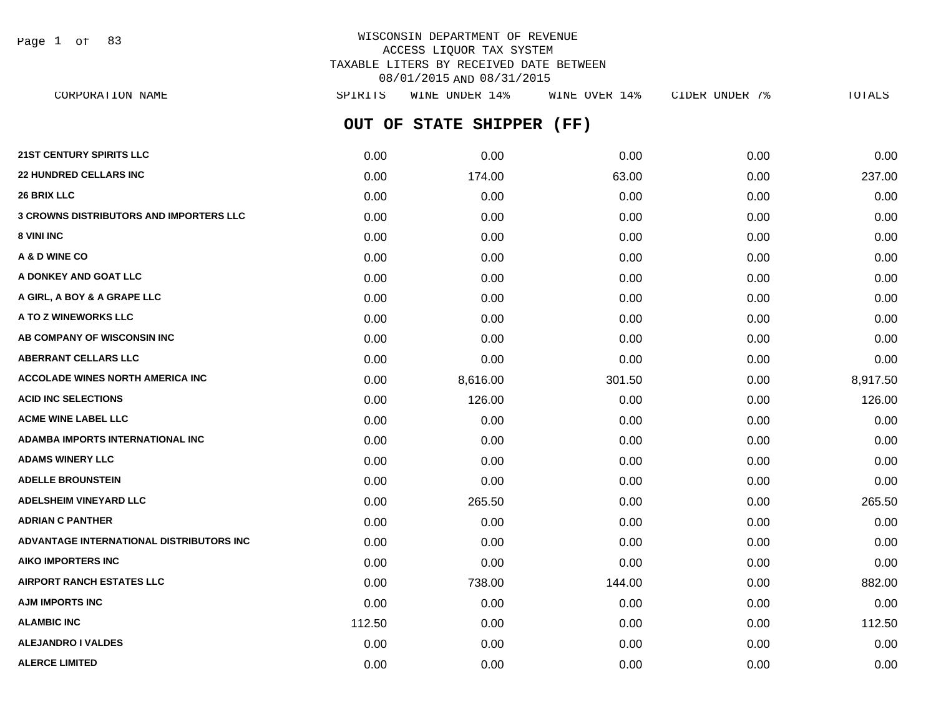Page 1 of 83

# WISCONSIN DEPARTMENT OF REVENUE ACCESS LIQUOR TAX SYSTEM TAXABLE LITERS BY RECEIVED DATE BETWEEN 08/01/2015 AND 08/31/2015

| CORPORATION NAME                         | SPIRITS | WINE UNDER 14%     | WINE OVER 14% | CIDER UNDER 7% | TOTALS   |
|------------------------------------------|---------|--------------------|---------------|----------------|----------|
|                                          | OUT OF  | STATE SHIPPER (FF) |               |                |          |
| <b>21ST CENTURY SPIRITS LLC</b>          | 0.00    | 0.00               | 0.00          | 0.00           | 0.00     |
| <b>22 HUNDRED CELLARS INC</b>            | 0.00    | 174.00             | 63.00         | 0.00           | 237.00   |
| <b>26 BRIX LLC</b>                       | 0.00    | 0.00               | 0.00          | 0.00           | 0.00     |
| 3 CROWNS DISTRIBUTORS AND IMPORTERS LLC  | 0.00    | 0.00               | 0.00          | 0.00           | 0.00     |
| 8 VINI INC                               | 0.00    | 0.00               | 0.00          | 0.00           | 0.00     |
| A & D WINE CO                            | 0.00    | 0.00               | 0.00          | 0.00           | 0.00     |
| A DONKEY AND GOAT LLC                    | 0.00    | 0.00               | 0.00          | 0.00           | 0.00     |
| A GIRL, A BOY & A GRAPE LLC              | 0.00    | 0.00               | 0.00          | 0.00           | 0.00     |
| <b>A TO Z WINEWORKS LLC</b>              | 0.00    | 0.00               | 0.00          | 0.00           | 0.00     |
| AB COMPANY OF WISCONSIN INC              | 0.00    | 0.00               | 0.00          | 0.00           | 0.00     |
| <b>ABERRANT CELLARS LLC</b>              | 0.00    | 0.00               | 0.00          | 0.00           | 0.00     |
| <b>ACCOLADE WINES NORTH AMERICA INC</b>  | 0.00    | 8,616.00           | 301.50        | 0.00           | 8,917.50 |
| <b>ACID INC SELECTIONS</b>               | 0.00    | 126.00             | 0.00          | 0.00           | 126.00   |
| <b>ACME WINE LABEL LLC</b>               | 0.00    | 0.00               | 0.00          | 0.00           | 0.00     |
| ADAMBA IMPORTS INTERNATIONAL INC         | 0.00    | 0.00               | 0.00          | 0.00           | 0.00     |
| <b>ADAMS WINERY LLC</b>                  | 0.00    | 0.00               | 0.00          | 0.00           | 0.00     |
| <b>ADELLE BROUNSTEIN</b>                 | 0.00    | 0.00               | 0.00          | 0.00           | 0.00     |
| <b>ADELSHEIM VINEYARD LLC</b>            | 0.00    | 265.50             | 0.00          | 0.00           | 265.50   |
| ADRIAN C PANTHER                         | 0.00    | 0.00               | 0.00          | 0.00           | 0.00     |
| ADVANTAGE INTERNATIONAL DISTRIBUTORS INC | 0.00    | 0.00               | 0.00          | 0.00           | 0.00     |
| AIKO IMPORTERS INC                       | 0.00    | 0.00               | 0.00          | 0.00           | 0.00     |
| <b>AIRPORT RANCH ESTATES LLC</b>         | 0.00    | 738.00             | 144.00        | 0.00           | 882.00   |
| AJM IMPORTS INC                          | 0.00    | 0.00               | 0.00          | 0.00           | 0.00     |
| <b>ALAMBIC INC</b>                       | 112.50  | 0.00               | 0.00          | 0.00           | 112.50   |
| <b>ALEJANDRO I VALDES</b>                | 0.00    | 0.00               | 0.00          | 0.00           | 0.00     |

**ALERCE LIMITED** 0.00 0.00 0.00 0.00 0.00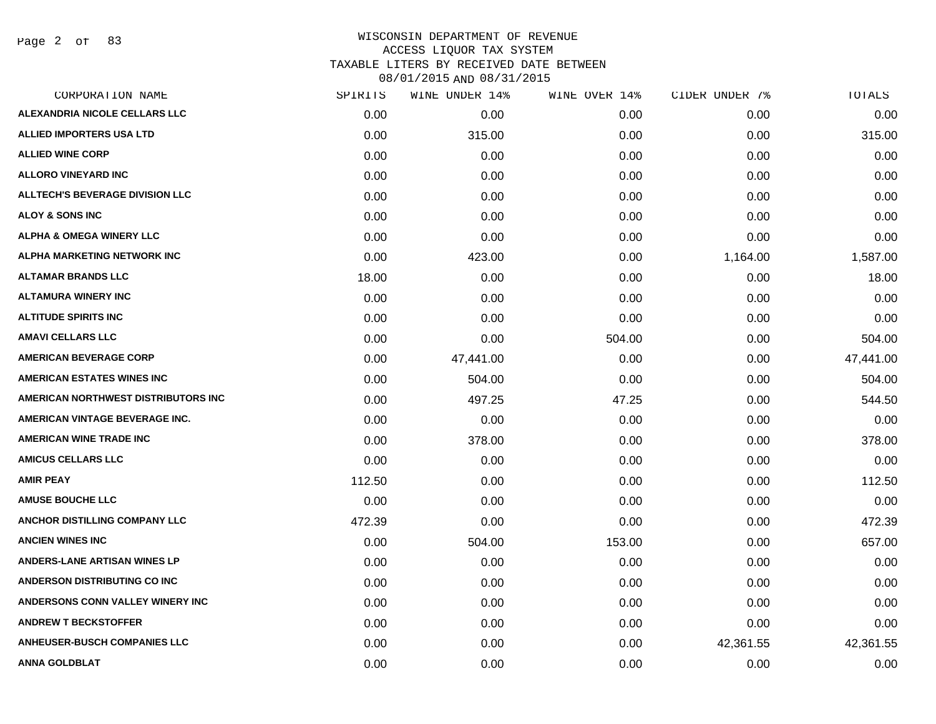Page 2 of 83

### WISCONSIN DEPARTMENT OF REVENUE ACCESS LIQUOR TAX SYSTEM TAXABLE LITERS BY RECEIVED DATE BETWEEN

| CORPORATION NAME                       | SPIRITS | WINE UNDER 14% | WINE OVER 14% | CIDER UNDER 7% | TOTALS    |
|----------------------------------------|---------|----------------|---------------|----------------|-----------|
| ALEXANDRIA NICOLE CELLARS LLC          | 0.00    | 0.00           | 0.00          | 0.00           | 0.00      |
| <b>ALLIED IMPORTERS USA LTD</b>        | 0.00    | 315.00         | 0.00          | 0.00           | 315.00    |
| <b>ALLIED WINE CORP</b>                | 0.00    | 0.00           | 0.00          | 0.00           | 0.00      |
| <b>ALLORO VINEYARD INC</b>             | 0.00    | 0.00           | 0.00          | 0.00           | 0.00      |
| <b>ALLTECH'S BEVERAGE DIVISION LLC</b> | 0.00    | 0.00           | 0.00          | 0.00           | 0.00      |
| ALOY & SONS INC                        | 0.00    | 0.00           | 0.00          | 0.00           | 0.00      |
| <b>ALPHA &amp; OMEGA WINERY LLC</b>    | 0.00    | 0.00           | 0.00          | 0.00           | 0.00      |
| <b>ALPHA MARKETING NETWORK INC</b>     | 0.00    | 423.00         | 0.00          | 1,164.00       | 1,587.00  |
| <b>ALTAMAR BRANDS LLC</b>              | 18.00   | 0.00           | 0.00          | 0.00           | 18.00     |
| <b>ALTAMURA WINERY INC</b>             | 0.00    | 0.00           | 0.00          | 0.00           | 0.00      |
| <b>ALTITUDE SPIRITS INC</b>            | 0.00    | 0.00           | 0.00          | 0.00           | 0.00      |
| <b>AMAVI CELLARS LLC</b>               | 0.00    | 0.00           | 504.00        | 0.00           | 504.00    |
| <b>AMERICAN BEVERAGE CORP</b>          | 0.00    | 47,441.00      | 0.00          | 0.00           | 47,441.00 |
| <b>AMERICAN ESTATES WINES INC</b>      | 0.00    | 504.00         | 0.00          | 0.00           | 504.00    |
| AMERICAN NORTHWEST DISTRIBUTORS INC    | 0.00    | 497.25         | 47.25         | 0.00           | 544.50    |
| AMERICAN VINTAGE BEVERAGE INC.         | 0.00    | 0.00           | 0.00          | 0.00           | 0.00      |
| <b>AMERICAN WINE TRADE INC</b>         | 0.00    | 378.00         | 0.00          | 0.00           | 378.00    |
| <b>AMICUS CELLARS LLC</b>              | 0.00    | 0.00           | 0.00          | 0.00           | 0.00      |
| <b>AMIR PEAY</b>                       | 112.50  | 0.00           | 0.00          | 0.00           | 112.50    |
| <b>AMUSE BOUCHE LLC</b>                | 0.00    | 0.00           | 0.00          | 0.00           | 0.00      |
| ANCHOR DISTILLING COMPANY LLC          | 472.39  | 0.00           | 0.00          | 0.00           | 472.39    |
| <b>ANCIEN WINES INC</b>                | 0.00    | 504.00         | 153.00        | 0.00           | 657.00    |
| <b>ANDERS-LANE ARTISAN WINES LP</b>    | 0.00    | 0.00           | 0.00          | 0.00           | 0.00      |
| ANDERSON DISTRIBUTING CO INC           | 0.00    | 0.00           | 0.00          | 0.00           | 0.00      |
| ANDERSONS CONN VALLEY WINERY INC       | 0.00    | 0.00           | 0.00          | 0.00           | 0.00      |
| <b>ANDREW T BECKSTOFFER</b>            | 0.00    | 0.00           | 0.00          | 0.00           | 0.00      |
| <b>ANHEUSER-BUSCH COMPANIES LLC</b>    | 0.00    | 0.00           | 0.00          | 42,361.55      | 42,361.55 |
| <b>ANNA GOLDBLAT</b>                   | 0.00    | 0.00           | 0.00          | 0.00           | 0.00      |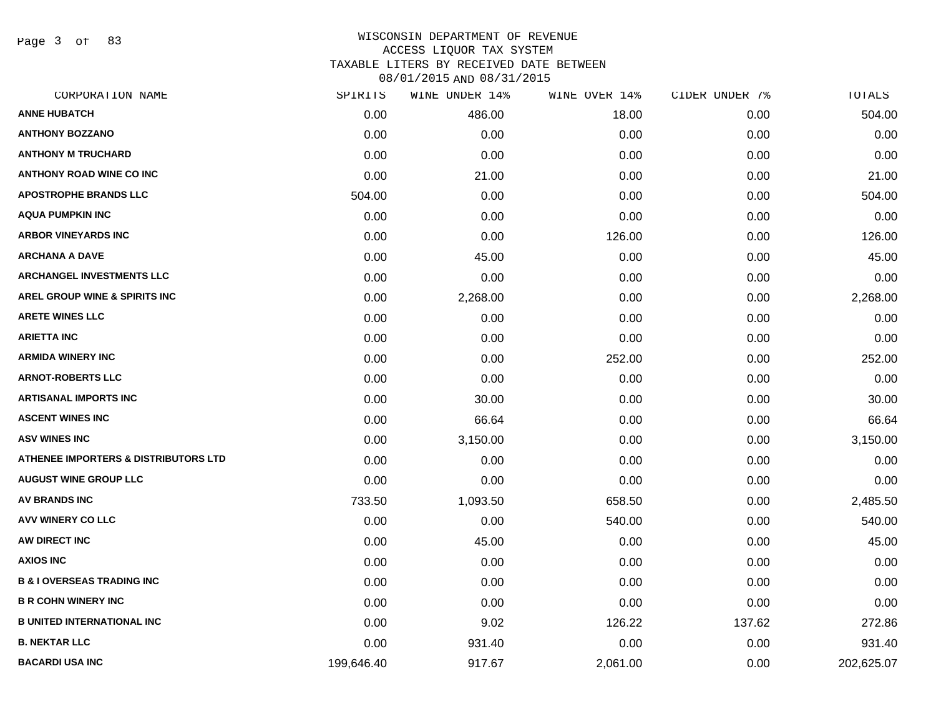Page 3 of 83

# WISCONSIN DEPARTMENT OF REVENUE ACCESS LIQUOR TAX SYSTEM TAXABLE LITERS BY RECEIVED DATE BETWEEN

| CORPORATION NAME                                | SPIRITS    | WINE UNDER 14% | WINE OVER 14% | CIDER UNDER 7% | TOTALS     |
|-------------------------------------------------|------------|----------------|---------------|----------------|------------|
| <b>ANNE HUBATCH</b>                             | 0.00       | 486.00         | 18.00         | 0.00           | 504.00     |
| <b>ANTHONY BOZZANO</b>                          | 0.00       | 0.00           | 0.00          | 0.00           | 0.00       |
| <b>ANTHONY M TRUCHARD</b>                       | 0.00       | 0.00           | 0.00          | 0.00           | 0.00       |
| <b>ANTHONY ROAD WINE CO INC</b>                 | 0.00       | 21.00          | 0.00          | 0.00           | 21.00      |
| <b>APOSTROPHE BRANDS LLC</b>                    | 504.00     | 0.00           | 0.00          | 0.00           | 504.00     |
| <b>AQUA PUMPKIN INC</b>                         | 0.00       | 0.00           | 0.00          | 0.00           | 0.00       |
| <b>ARBOR VINEYARDS INC</b>                      | 0.00       | 0.00           | 126.00        | 0.00           | 126.00     |
| <b>ARCHANA A DAVE</b>                           | 0.00       | 45.00          | 0.00          | 0.00           | 45.00      |
| <b>ARCHANGEL INVESTMENTS LLC</b>                | 0.00       | 0.00           | 0.00          | 0.00           | 0.00       |
| AREL GROUP WINE & SPIRITS INC                   | 0.00       | 2,268.00       | 0.00          | 0.00           | 2,268.00   |
| <b>ARETE WINES LLC</b>                          | 0.00       | 0.00           | 0.00          | 0.00           | 0.00       |
| <b>ARIETTA INC</b>                              | 0.00       | 0.00           | 0.00          | 0.00           | 0.00       |
| <b>ARMIDA WINERY INC</b>                        | 0.00       | 0.00           | 252.00        | 0.00           | 252.00     |
| <b>ARNOT-ROBERTS LLC</b>                        | 0.00       | 0.00           | 0.00          | 0.00           | 0.00       |
| <b>ARTISANAL IMPORTS INC</b>                    | 0.00       | 30.00          | 0.00          | 0.00           | 30.00      |
| <b>ASCENT WINES INC</b>                         | 0.00       | 66.64          | 0.00          | 0.00           | 66.64      |
| <b>ASV WINES INC</b>                            | 0.00       | 3,150.00       | 0.00          | 0.00           | 3,150.00   |
| <b>ATHENEE IMPORTERS &amp; DISTRIBUTORS LTD</b> | 0.00       | 0.00           | 0.00          | 0.00           | 0.00       |
| <b>AUGUST WINE GROUP LLC</b>                    | 0.00       | 0.00           | 0.00          | 0.00           | 0.00       |
| <b>AV BRANDS INC</b>                            | 733.50     | 1,093.50       | 658.50        | 0.00           | 2,485.50   |
| AVV WINERY CO LLC                               | 0.00       | 0.00           | 540.00        | 0.00           | 540.00     |
| AW DIRECT INC                                   | 0.00       | 45.00          | 0.00          | 0.00           | 45.00      |
| <b>AXIOS INC</b>                                | 0.00       | 0.00           | 0.00          | 0.00           | 0.00       |
| <b>B &amp; I OVERSEAS TRADING INC</b>           | 0.00       | 0.00           | 0.00          | 0.00           | 0.00       |
| <b>B R COHN WINERY INC</b>                      | 0.00       | 0.00           | 0.00          | 0.00           | 0.00       |
| <b>B UNITED INTERNATIONAL INC</b>               | 0.00       | 9.02           | 126.22        | 137.62         | 272.86     |
| <b>B. NEKTAR LLC</b>                            | 0.00       | 931.40         | 0.00          | 0.00           | 931.40     |
| <b>BACARDI USA INC</b>                          | 199,646.40 | 917.67         | 2,061.00      | 0.00           | 202,625.07 |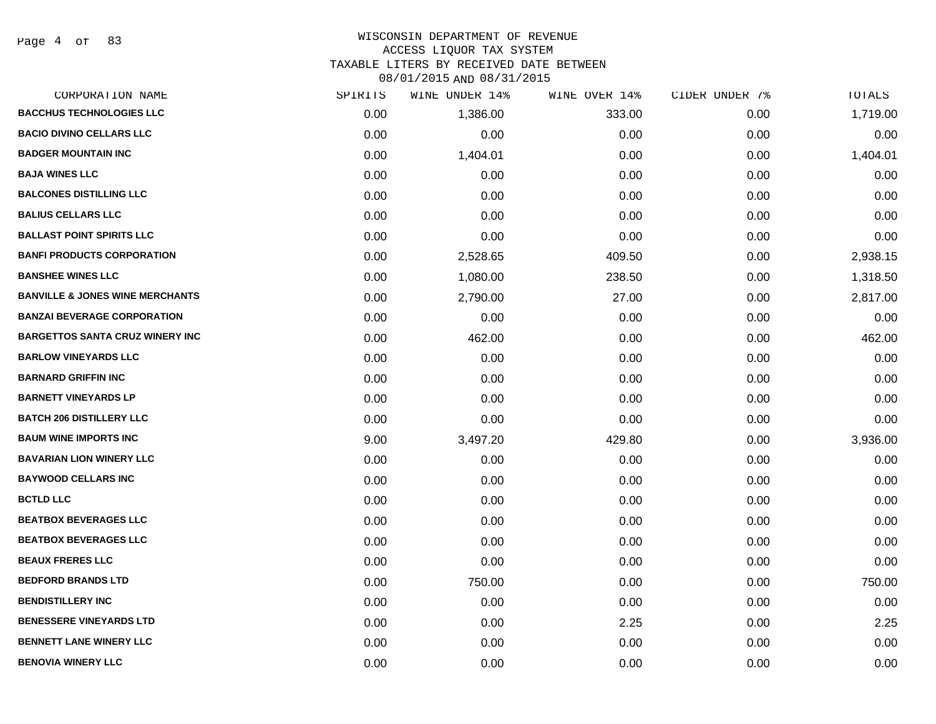# WISCONSIN DEPARTMENT OF REVENUE

ACCESS LIQUOR TAX SYSTEM

TAXABLE LITERS BY RECEIVED DATE BETWEEN

| CORPORATION NAME                           | SPIRITS | WINE UNDER 14% | WINE OVER 14% | CIDER UNDER 7% | TOTALS   |
|--------------------------------------------|---------|----------------|---------------|----------------|----------|
| <b>BACCHUS TECHNOLOGIES LLC</b>            | 0.00    | 1,386.00       | 333.00        | 0.00           | 1,719.00 |
| <b>BACIO DIVINO CELLARS LLC</b>            | 0.00    | 0.00           | 0.00          | 0.00           | 0.00     |
| <b>BADGER MOUNTAIN INC</b>                 | 0.00    | 1,404.01       | 0.00          | 0.00           | 1,404.01 |
| <b>BAJA WINES LLC</b>                      | 0.00    | 0.00           | 0.00          | 0.00           | 0.00     |
| <b>BALCONES DISTILLING LLC</b>             | 0.00    | 0.00           | 0.00          | 0.00           | 0.00     |
| <b>BALIUS CELLARS LLC</b>                  | 0.00    | 0.00           | 0.00          | 0.00           | 0.00     |
| <b>BALLAST POINT SPIRITS LLC</b>           | 0.00    | 0.00           | 0.00          | 0.00           | 0.00     |
| <b>BANFI PRODUCTS CORPORATION</b>          | 0.00    | 2,528.65       | 409.50        | 0.00           | 2,938.15 |
| <b>BANSHEE WINES LLC</b>                   | 0.00    | 1,080.00       | 238.50        | 0.00           | 1,318.50 |
| <b>BANVILLE &amp; JONES WINE MERCHANTS</b> | 0.00    | 2,790.00       | 27.00         | 0.00           | 2,817.00 |
| <b>BANZAI BEVERAGE CORPORATION</b>         | 0.00    | 0.00           | 0.00          | 0.00           | 0.00     |
| <b>BARGETTOS SANTA CRUZ WINERY INC</b>     | 0.00    | 462.00         | 0.00          | 0.00           | 462.00   |
| <b>BARLOW VINEYARDS LLC</b>                | 0.00    | 0.00           | 0.00          | 0.00           | 0.00     |
| <b>BARNARD GRIFFIN INC</b>                 | 0.00    | 0.00           | 0.00          | 0.00           | 0.00     |
| <b>BARNETT VINEYARDS LP</b>                | 0.00    | 0.00           | 0.00          | 0.00           | 0.00     |
| <b>BATCH 206 DISTILLERY LLC</b>            | 0.00    | 0.00           | 0.00          | 0.00           | 0.00     |
| <b>BAUM WINE IMPORTS INC</b>               | 9.00    | 3,497.20       | 429.80        | 0.00           | 3,936.00 |
| <b>BAVARIAN LION WINERY LLC</b>            | 0.00    | 0.00           | 0.00          | 0.00           | 0.00     |
| <b>BAYWOOD CELLARS INC</b>                 | 0.00    | 0.00           | 0.00          | 0.00           | 0.00     |
| <b>BCTLD LLC</b>                           | 0.00    | 0.00           | 0.00          | 0.00           | 0.00     |
| <b>BEATBOX BEVERAGES LLC</b>               | 0.00    | 0.00           | 0.00          | 0.00           | 0.00     |
| <b>BEATBOX BEVERAGES LLC</b>               | 0.00    | 0.00           | 0.00          | 0.00           | 0.00     |
| <b>BEAUX FRERES LLC</b>                    | 0.00    | 0.00           | 0.00          | 0.00           | 0.00     |
| <b>BEDFORD BRANDS LTD</b>                  | 0.00    | 750.00         | 0.00          | 0.00           | 750.00   |
| <b>BENDISTILLERY INC</b>                   | 0.00    | 0.00           | 0.00          | 0.00           | 0.00     |
| <b>BENESSERE VINEYARDS LTD</b>             | 0.00    | 0.00           | 2.25          | 0.00           | 2.25     |
| <b>BENNETT LANE WINERY LLC</b>             | 0.00    | 0.00           | 0.00          | 0.00           | 0.00     |
| <b>BENOVIA WINERY LLC</b>                  | 0.00    | 0.00           | 0.00          | 0.00           | 0.00     |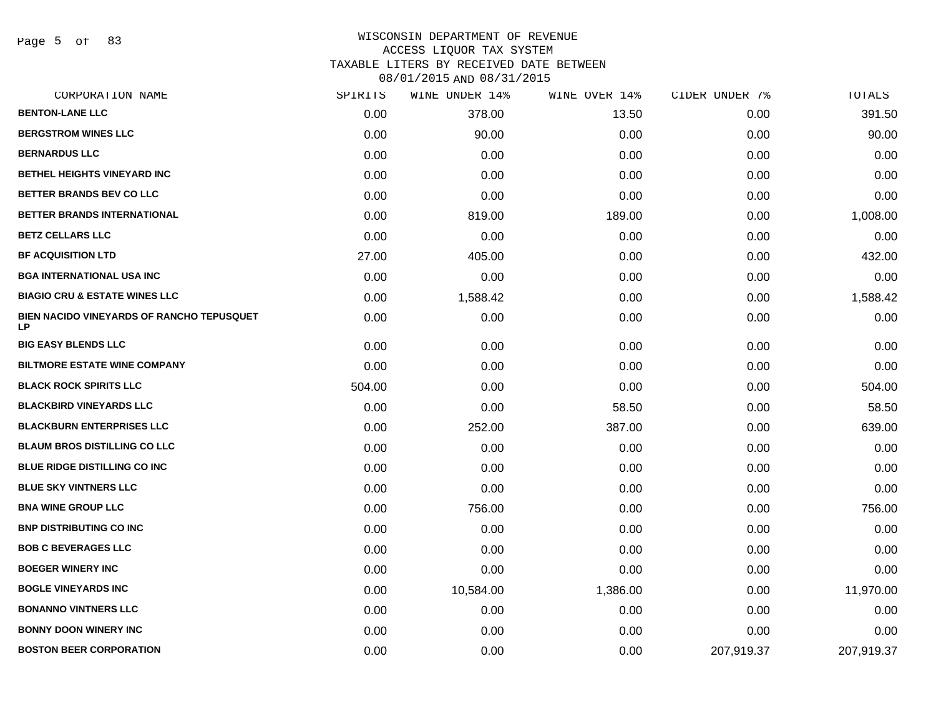Page 5 of 83

#### WISCONSIN DEPARTMENT OF REVENUE ACCESS LIQUOR TAX SYSTEM

TAXABLE LITERS BY RECEIVED DATE BETWEEN

| CORPORATION NAME                                       | SPIRITS | WINE UNDER 14% | WINE OVER 14% | CIDER UNDER 7% | TOTALS     |
|--------------------------------------------------------|---------|----------------|---------------|----------------|------------|
| <b>BENTON-LANE LLC</b>                                 | 0.00    | 378.00         | 13.50         | 0.00           | 391.50     |
| <b>BERGSTROM WINES LLC</b>                             | 0.00    | 90.00          | 0.00          | 0.00           | 90.00      |
| <b>BERNARDUS LLC</b>                                   | 0.00    | 0.00           | 0.00          | 0.00           | 0.00       |
| BETHEL HEIGHTS VINEYARD INC                            | 0.00    | 0.00           | 0.00          | 0.00           | 0.00       |
| BETTER BRANDS BEV CO LLC                               | 0.00    | 0.00           | 0.00          | 0.00           | 0.00       |
| BETTER BRANDS INTERNATIONAL                            | 0.00    | 819.00         | 189.00        | 0.00           | 1,008.00   |
| <b>BETZ CELLARS LLC</b>                                | 0.00    | 0.00           | 0.00          | 0.00           | 0.00       |
| <b>BF ACQUISITION LTD</b>                              | 27.00   | 405.00         | 0.00          | 0.00           | 432.00     |
| <b>BGA INTERNATIONAL USA INC</b>                       | 0.00    | 0.00           | 0.00          | 0.00           | 0.00       |
| <b>BIAGIO CRU &amp; ESTATE WINES LLC</b>               | 0.00    | 1,588.42       | 0.00          | 0.00           | 1,588.42   |
| BIEN NACIDO VINEYARDS OF RANCHO TEPUSQUET<br><b>LP</b> | 0.00    | 0.00           | 0.00          | 0.00           | 0.00       |
| <b>BIG EASY BLENDS LLC</b>                             | 0.00    | 0.00           | 0.00          | 0.00           | 0.00       |
| <b>BILTMORE ESTATE WINE COMPANY</b>                    | 0.00    | 0.00           | 0.00          | 0.00           | 0.00       |
| <b>BLACK ROCK SPIRITS LLC</b>                          | 504.00  | 0.00           | 0.00          | 0.00           | 504.00     |
| <b>BLACKBIRD VINEYARDS LLC</b>                         | 0.00    | 0.00           | 58.50         | 0.00           | 58.50      |
| <b>BLACKBURN ENTERPRISES LLC</b>                       | 0.00    | 252.00         | 387.00        | 0.00           | 639.00     |
| <b>BLAUM BROS DISTILLING CO LLC</b>                    | 0.00    | 0.00           | 0.00          | 0.00           | 0.00       |
| BLUE RIDGE DISTILLING CO INC                           | 0.00    | 0.00           | 0.00          | 0.00           | 0.00       |
| <b>BLUE SKY VINTNERS LLC</b>                           | 0.00    | 0.00           | 0.00          | 0.00           | 0.00       |
| <b>BNA WINE GROUP LLC</b>                              | 0.00    | 756.00         | 0.00          | 0.00           | 756.00     |
| <b>BNP DISTRIBUTING CO INC</b>                         | 0.00    | 0.00           | 0.00          | 0.00           | 0.00       |
| <b>BOB C BEVERAGES LLC</b>                             | 0.00    | 0.00           | 0.00          | 0.00           | 0.00       |
| <b>BOEGER WINERY INC</b>                               | 0.00    | 0.00           | 0.00          | 0.00           | 0.00       |
| <b>BOGLE VINEYARDS INC</b>                             | 0.00    | 10,584.00      | 1,386.00      | 0.00           | 11,970.00  |
| <b>BONANNO VINTNERS LLC</b>                            | 0.00    | 0.00           | 0.00          | 0.00           | 0.00       |
| <b>BONNY DOON WINERY INC</b>                           | 0.00    | 0.00           | 0.00          | 0.00           | 0.00       |
| <b>BOSTON BEER CORPORATION</b>                         | 0.00    | 0.00           | 0.00          | 207,919.37     | 207,919.37 |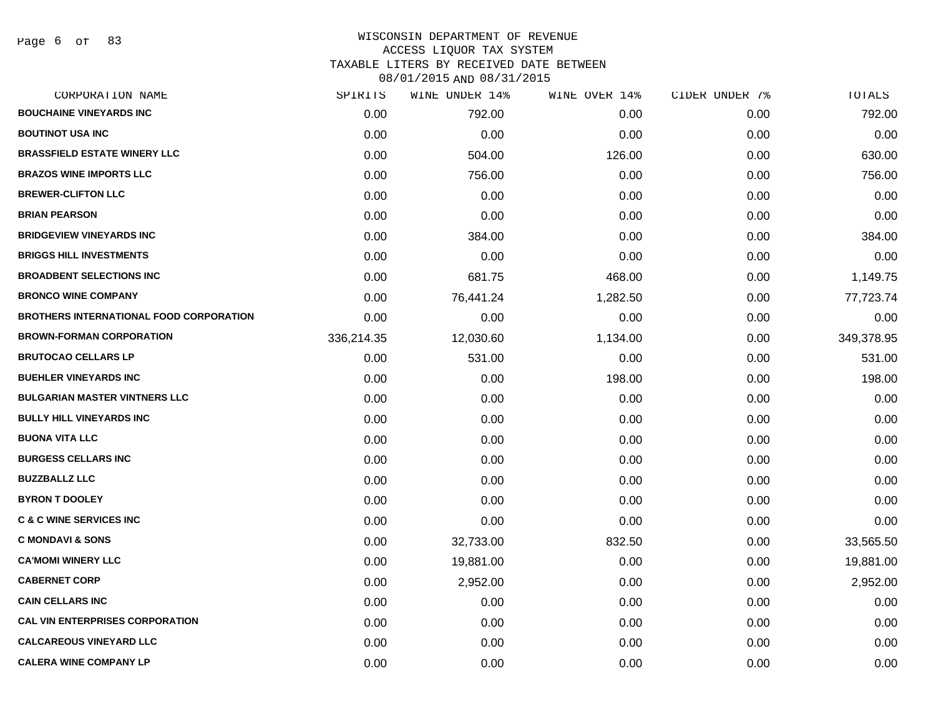Page 6 of 83

## WISCONSIN DEPARTMENT OF REVENUE ACCESS LIQUOR TAX SYSTEM TAXABLE LITERS BY RECEIVED DATE BETWEEN

| CORPORATION NAME                               | SPIRITS    | WINE UNDER 14% | WINE OVER 14% | CIDER UNDER 7% | TOTALS     |
|------------------------------------------------|------------|----------------|---------------|----------------|------------|
| <b>BOUCHAINE VINEYARDS INC</b>                 | 0.00       | 792.00         | 0.00          | 0.00           | 792.00     |
| <b>BOUTINOT USA INC</b>                        | 0.00       | 0.00           | 0.00          | 0.00           | 0.00       |
| <b>BRASSFIELD ESTATE WINERY LLC</b>            | 0.00       | 504.00         | 126.00        | 0.00           | 630.00     |
| <b>BRAZOS WINE IMPORTS LLC</b>                 | 0.00       | 756.00         | 0.00          | 0.00           | 756.00     |
| <b>BREWER-CLIFTON LLC</b>                      | 0.00       | 0.00           | 0.00          | 0.00           | 0.00       |
| <b>BRIAN PEARSON</b>                           | 0.00       | 0.00           | 0.00          | 0.00           | 0.00       |
| <b>BRIDGEVIEW VINEYARDS INC</b>                | 0.00       | 384.00         | 0.00          | 0.00           | 384.00     |
| <b>BRIGGS HILL INVESTMENTS</b>                 | 0.00       | 0.00           | 0.00          | 0.00           | 0.00       |
| <b>BROADBENT SELECTIONS INC</b>                | 0.00       | 681.75         | 468.00        | 0.00           | 1,149.75   |
| <b>BRONCO WINE COMPANY</b>                     | 0.00       | 76,441.24      | 1,282.50      | 0.00           | 77,723.74  |
| <b>BROTHERS INTERNATIONAL FOOD CORPORATION</b> | 0.00       | 0.00           | 0.00          | 0.00           | 0.00       |
| <b>BROWN-FORMAN CORPORATION</b>                | 336,214.35 | 12,030.60      | 1,134.00      | 0.00           | 349,378.95 |
| <b>BRUTOCAO CELLARS LP</b>                     | 0.00       | 531.00         | 0.00          | 0.00           | 531.00     |
| <b>BUEHLER VINEYARDS INC</b>                   | 0.00       | 0.00           | 198.00        | 0.00           | 198.00     |
| <b>BULGARIAN MASTER VINTNERS LLC</b>           | 0.00       | 0.00           | 0.00          | 0.00           | 0.00       |
| <b>BULLY HILL VINEYARDS INC</b>                | 0.00       | 0.00           | 0.00          | 0.00           | 0.00       |
| <b>BUONA VITA LLC</b>                          | 0.00       | 0.00           | 0.00          | 0.00           | 0.00       |
| <b>BURGESS CELLARS INC</b>                     | 0.00       | 0.00           | 0.00          | 0.00           | 0.00       |
| <b>BUZZBALLZ LLC</b>                           | 0.00       | 0.00           | 0.00          | 0.00           | 0.00       |
| <b>BYRON T DOOLEY</b>                          | 0.00       | 0.00           | 0.00          | 0.00           | 0.00       |
| <b>C &amp; C WINE SERVICES INC</b>             | 0.00       | 0.00           | 0.00          | 0.00           | 0.00       |
| <b>C MONDAVI &amp; SONS</b>                    | 0.00       | 32,733.00      | 832.50        | 0.00           | 33,565.50  |
| <b>CA'MOMI WINERY LLC</b>                      | 0.00       | 19,881.00      | 0.00          | 0.00           | 19,881.00  |
| <b>CABERNET CORP</b>                           | 0.00       | 2,952.00       | 0.00          | 0.00           | 2,952.00   |
| <b>CAIN CELLARS INC</b>                        | 0.00       | 0.00           | 0.00          | 0.00           | 0.00       |
| <b>CAL VIN ENTERPRISES CORPORATION</b>         | 0.00       | 0.00           | 0.00          | 0.00           | 0.00       |
| <b>CALCAREOUS VINEYARD LLC</b>                 | 0.00       | 0.00           | 0.00          | 0.00           | 0.00       |
| <b>CALERA WINE COMPANY LP</b>                  | 0.00       | 0.00           | 0.00          | 0.00           | 0.00       |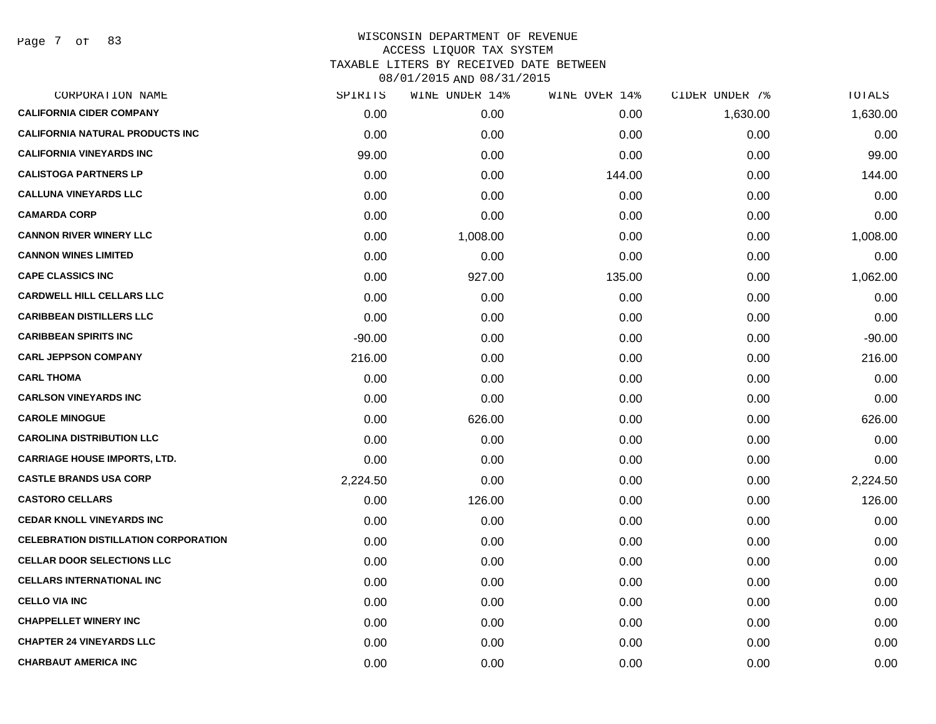Page 7 of 83

| CORPORATION NAME                            | SPIRITS  | WINE UNDER 14% | WINE OVER 14% | CIDER UNDER 7% | TOTALS   |
|---------------------------------------------|----------|----------------|---------------|----------------|----------|
| <b>CALIFORNIA CIDER COMPANY</b>             | 0.00     | 0.00           | 0.00          | 1,630.00       | 1,630.00 |
| <b>CALIFORNIA NATURAL PRODUCTS INC</b>      | 0.00     | 0.00           | 0.00          | 0.00           | 0.00     |
| <b>CALIFORNIA VINEYARDS INC</b>             | 99.00    | 0.00           | 0.00          | 0.00           | 99.00    |
| <b>CALISTOGA PARTNERS LP</b>                | 0.00     | 0.00           | 144.00        | 0.00           | 144.00   |
| <b>CALLUNA VINEYARDS LLC</b>                | 0.00     | 0.00           | 0.00          | 0.00           | 0.00     |
| <b>CAMARDA CORP</b>                         | 0.00     | 0.00           | 0.00          | 0.00           | 0.00     |
| <b>CANNON RIVER WINERY LLC</b>              | 0.00     | 1,008.00       | 0.00          | 0.00           | 1,008.00 |
| <b>CANNON WINES LIMITED</b>                 | 0.00     | 0.00           | 0.00          | 0.00           | 0.00     |
| <b>CAPE CLASSICS INC</b>                    | 0.00     | 927.00         | 135.00        | 0.00           | 1,062.00 |
| <b>CARDWELL HILL CELLARS LLC</b>            | 0.00     | 0.00           | 0.00          | 0.00           | 0.00     |
| <b>CARIBBEAN DISTILLERS LLC</b>             | 0.00     | 0.00           | 0.00          | 0.00           | 0.00     |
| <b>CARIBBEAN SPIRITS INC</b>                | $-90.00$ | 0.00           | 0.00          | 0.00           | $-90.00$ |
| <b>CARL JEPPSON COMPANY</b>                 | 216.00   | 0.00           | 0.00          | 0.00           | 216.00   |
| <b>CARL THOMA</b>                           | 0.00     | 0.00           | 0.00          | 0.00           | 0.00     |
| <b>CARLSON VINEYARDS INC</b>                | 0.00     | 0.00           | 0.00          | 0.00           | 0.00     |
| <b>CAROLE MINOGUE</b>                       | 0.00     | 626.00         | 0.00          | 0.00           | 626.00   |
| <b>CAROLINA DISTRIBUTION LLC</b>            | 0.00     | 0.00           | 0.00          | 0.00           | 0.00     |
| <b>CARRIAGE HOUSE IMPORTS, LTD.</b>         | 0.00     | 0.00           | 0.00          | 0.00           | 0.00     |
| <b>CASTLE BRANDS USA CORP</b>               | 2,224.50 | 0.00           | 0.00          | 0.00           | 2,224.50 |
| <b>CASTORO CELLARS</b>                      | 0.00     | 126.00         | 0.00          | 0.00           | 126.00   |
| <b>CEDAR KNOLL VINEYARDS INC</b>            | 0.00     | 0.00           | 0.00          | 0.00           | 0.00     |
| <b>CELEBRATION DISTILLATION CORPORATION</b> | 0.00     | 0.00           | 0.00          | 0.00           | 0.00     |
| <b>CELLAR DOOR SELECTIONS LLC</b>           | 0.00     | 0.00           | 0.00          | 0.00           | 0.00     |
| <b>CELLARS INTERNATIONAL INC</b>            | 0.00     | 0.00           | 0.00          | 0.00           | 0.00     |
| <b>CELLO VIA INC</b>                        | 0.00     | 0.00           | 0.00          | 0.00           | 0.00     |
| <b>CHAPPELLET WINERY INC</b>                | 0.00     | 0.00           | 0.00          | 0.00           | 0.00     |
| <b>CHAPTER 24 VINEYARDS LLC</b>             | 0.00     | 0.00           | 0.00          | 0.00           | 0.00     |
| <b>CHARBAUT AMERICA INC</b>                 | 0.00     | 0.00           | 0.00          | 0.00           | 0.00     |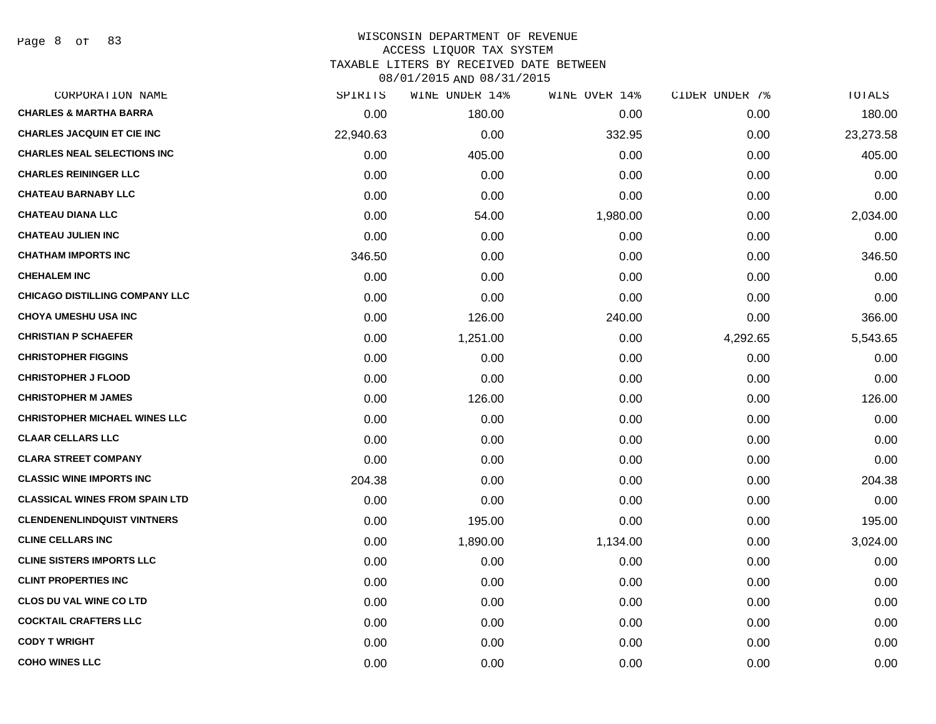Page 8 of 83

# WISCONSIN DEPARTMENT OF REVENUE ACCESS LIQUOR TAX SYSTEM TAXABLE LITERS BY RECEIVED DATE BETWEEN

| CORPORATION NAME                      | SPIRITS   | WINE UNDER 14% | WINE OVER 14% | CIDER UNDER 7% | TOTALS    |
|---------------------------------------|-----------|----------------|---------------|----------------|-----------|
| <b>CHARLES &amp; MARTHA BARRA</b>     | 0.00      | 180.00         | 0.00          | 0.00           | 180.00    |
| <b>CHARLES JACQUIN ET CIE INC</b>     | 22,940.63 | 0.00           | 332.95        | 0.00           | 23,273.58 |
| <b>CHARLES NEAL SELECTIONS INC</b>    | 0.00      | 405.00         | 0.00          | 0.00           | 405.00    |
| <b>CHARLES REININGER LLC</b>          | 0.00      | 0.00           | 0.00          | 0.00           | 0.00      |
| <b>CHATEAU BARNABY LLC</b>            | 0.00      | 0.00           | 0.00          | 0.00           | 0.00      |
| <b>CHATEAU DIANA LLC</b>              | 0.00      | 54.00          | 1,980.00      | 0.00           | 2,034.00  |
| <b>CHATEAU JULIEN INC</b>             | 0.00      | 0.00           | 0.00          | 0.00           | 0.00      |
| <b>CHATHAM IMPORTS INC</b>            | 346.50    | 0.00           | 0.00          | 0.00           | 346.50    |
| <b>CHEHALEM INC</b>                   | 0.00      | 0.00           | 0.00          | 0.00           | 0.00      |
| <b>CHICAGO DISTILLING COMPANY LLC</b> | 0.00      | 0.00           | 0.00          | 0.00           | 0.00      |
| <b>CHOYA UMESHU USA INC</b>           | 0.00      | 126.00         | 240.00        | 0.00           | 366.00    |
| <b>CHRISTIAN P SCHAEFER</b>           | 0.00      | 1,251.00       | 0.00          | 4,292.65       | 5,543.65  |
| <b>CHRISTOPHER FIGGINS</b>            | 0.00      | 0.00           | 0.00          | 0.00           | 0.00      |
| <b>CHRISTOPHER J FLOOD</b>            | 0.00      | 0.00           | 0.00          | 0.00           | 0.00      |
| <b>CHRISTOPHER M JAMES</b>            | 0.00      | 126.00         | 0.00          | 0.00           | 126.00    |
| <b>CHRISTOPHER MICHAEL WINES LLC</b>  | 0.00      | 0.00           | 0.00          | 0.00           | 0.00      |
| <b>CLAAR CELLARS LLC</b>              | 0.00      | 0.00           | 0.00          | 0.00           | 0.00      |
| <b>CLARA STREET COMPANY</b>           | 0.00      | 0.00           | 0.00          | 0.00           | 0.00      |
| <b>CLASSIC WINE IMPORTS INC</b>       | 204.38    | 0.00           | 0.00          | 0.00           | 204.38    |
| <b>CLASSICAL WINES FROM SPAIN LTD</b> | 0.00      | 0.00           | 0.00          | 0.00           | 0.00      |
| <b>CLENDENENLINDQUIST VINTNERS</b>    | 0.00      | 195.00         | 0.00          | 0.00           | 195.00    |
| <b>CLINE CELLARS INC</b>              | 0.00      | 1,890.00       | 1,134.00      | 0.00           | 3,024.00  |
| <b>CLINE SISTERS IMPORTS LLC</b>      | 0.00      | 0.00           | 0.00          | 0.00           | 0.00      |
| <b>CLINT PROPERTIES INC</b>           | 0.00      | 0.00           | 0.00          | 0.00           | 0.00      |
| <b>CLOS DU VAL WINE CO LTD</b>        | 0.00      | 0.00           | 0.00          | 0.00           | 0.00      |
| <b>COCKTAIL CRAFTERS LLC</b>          | 0.00      | 0.00           | 0.00          | 0.00           | 0.00      |
| <b>CODY T WRIGHT</b>                  | 0.00      | 0.00           | 0.00          | 0.00           | 0.00      |
| <b>COHO WINES LLC</b>                 | 0.00      | 0.00           | 0.00          | 0.00           | 0.00      |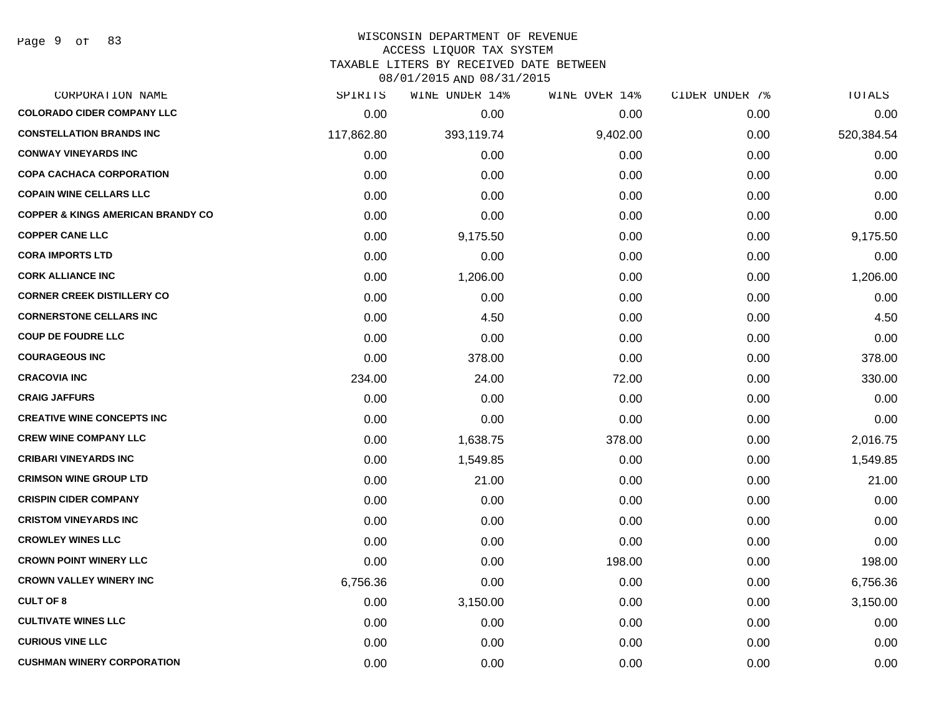#### WISCONSIN DEPARTMENT OF REVENUE

#### ACCESS LIQUOR TAX SYSTEM

TAXABLE LITERS BY RECEIVED DATE BETWEEN

| CORPORATION NAME                             | SPIRITS    | WINE UNDER 14% | WINE OVER 14% | CIDER UNDER 7% | TOTALS     |
|----------------------------------------------|------------|----------------|---------------|----------------|------------|
| <b>COLORADO CIDER COMPANY LLC</b>            | 0.00       | 0.00           | 0.00          | 0.00           | 0.00       |
| <b>CONSTELLATION BRANDS INC</b>              | 117,862.80 | 393,119.74     | 9,402.00      | 0.00           | 520,384.54 |
| <b>CONWAY VINEYARDS INC</b>                  | 0.00       | 0.00           | 0.00          | 0.00           | 0.00       |
| <b>COPA CACHACA CORPORATION</b>              | 0.00       | 0.00           | 0.00          | 0.00           | 0.00       |
| <b>COPAIN WINE CELLARS LLC</b>               | 0.00       | 0.00           | 0.00          | 0.00           | 0.00       |
| <b>COPPER &amp; KINGS AMERICAN BRANDY CO</b> | 0.00       | 0.00           | 0.00          | 0.00           | 0.00       |
| <b>COPPER CANE LLC</b>                       | 0.00       | 9,175.50       | 0.00          | 0.00           | 9,175.50   |
| <b>CORA IMPORTS LTD</b>                      | 0.00       | 0.00           | 0.00          | 0.00           | 0.00       |
| <b>CORK ALLIANCE INC</b>                     | 0.00       | 1,206.00       | 0.00          | 0.00           | 1,206.00   |
| <b>CORNER CREEK DISTILLERY CO</b>            | 0.00       | 0.00           | 0.00          | 0.00           | 0.00       |
| <b>CORNERSTONE CELLARS INC</b>               | 0.00       | 4.50           | 0.00          | 0.00           | 4.50       |
| <b>COUP DE FOUDRE LLC</b>                    | 0.00       | 0.00           | 0.00          | 0.00           | 0.00       |
| <b>COURAGEOUS INC</b>                        | 0.00       | 378.00         | 0.00          | 0.00           | 378.00     |
| <b>CRACOVIA INC</b>                          | 234.00     | 24.00          | 72.00         | 0.00           | 330.00     |
| <b>CRAIG JAFFURS</b>                         | 0.00       | 0.00           | 0.00          | 0.00           | 0.00       |
| <b>CREATIVE WINE CONCEPTS INC</b>            | 0.00       | 0.00           | 0.00          | 0.00           | 0.00       |
| <b>CREW WINE COMPANY LLC</b>                 | 0.00       | 1,638.75       | 378.00        | 0.00           | 2,016.75   |
| <b>CRIBARI VINEYARDS INC</b>                 | 0.00       | 1,549.85       | 0.00          | 0.00           | 1,549.85   |
| <b>CRIMSON WINE GROUP LTD</b>                | 0.00       | 21.00          | 0.00          | 0.00           | 21.00      |
| <b>CRISPIN CIDER COMPANY</b>                 | 0.00       | 0.00           | 0.00          | 0.00           | 0.00       |
| <b>CRISTOM VINEYARDS INC</b>                 | 0.00       | 0.00           | 0.00          | 0.00           | 0.00       |
| <b>CROWLEY WINES LLC</b>                     | 0.00       | 0.00           | 0.00          | 0.00           | 0.00       |
| <b>CROWN POINT WINERY LLC</b>                | 0.00       | 0.00           | 198.00        | 0.00           | 198.00     |
| <b>CROWN VALLEY WINERY INC</b>               | 6,756.36   | 0.00           | 0.00          | 0.00           | 6,756.36   |
| <b>CULT OF 8</b>                             | 0.00       | 3,150.00       | 0.00          | 0.00           | 3,150.00   |
| <b>CULTIVATE WINES LLC</b>                   | 0.00       | 0.00           | 0.00          | 0.00           | 0.00       |
| <b>CURIOUS VINE LLC</b>                      | 0.00       | 0.00           | 0.00          | 0.00           | 0.00       |
| <b>CUSHMAN WINERY CORPORATION</b>            | 0.00       | 0.00           | 0.00          | 0.00           | 0.00       |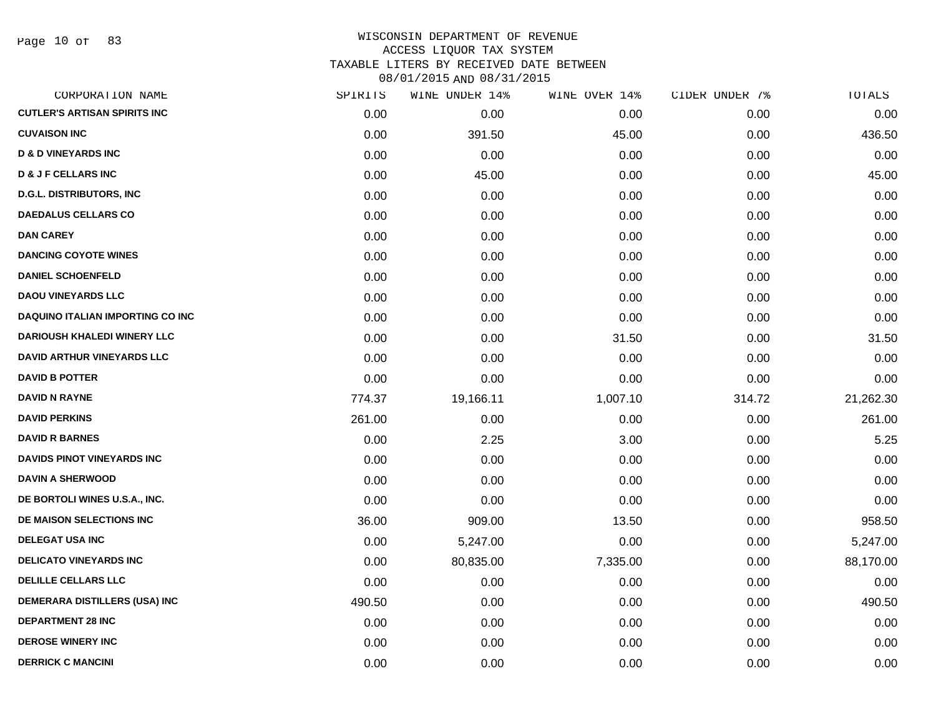# WISCONSIN DEPARTMENT OF REVENUE ACCESS LIQUOR TAX SYSTEM TAXABLE LITERS BY RECEIVED DATE BETWEEN

| CORPORATION NAME                    | SPIRITS | WINE UNDER 14% | WINE OVER 14% | CIDER UNDER 7% | TOTALS    |
|-------------------------------------|---------|----------------|---------------|----------------|-----------|
| <b>CUTLER'S ARTISAN SPIRITS INC</b> | 0.00    | 0.00           | 0.00          | 0.00           | 0.00      |
| <b>CUVAISON INC</b>                 | 0.00    | 391.50         | 45.00         | 0.00           | 436.50    |
| <b>D &amp; D VINEYARDS INC</b>      | 0.00    | 0.00           | 0.00          | 0.00           | 0.00      |
| <b>D &amp; J F CELLARS INC</b>      | 0.00    | 45.00          | 0.00          | 0.00           | 45.00     |
| <b>D.G.L. DISTRIBUTORS, INC</b>     | 0.00    | 0.00           | 0.00          | 0.00           | 0.00      |
| <b>DAEDALUS CELLARS CO</b>          | 0.00    | 0.00           | 0.00          | 0.00           | 0.00      |
| <b>DAN CAREY</b>                    | 0.00    | 0.00           | 0.00          | 0.00           | 0.00      |
| <b>DANCING COYOTE WINES</b>         | 0.00    | 0.00           | 0.00          | 0.00           | 0.00      |
| <b>DANIEL SCHOENFELD</b>            | 0.00    | 0.00           | 0.00          | 0.00           | 0.00      |
| <b>DAOU VINEYARDS LLC</b>           | 0.00    | 0.00           | 0.00          | 0.00           | 0.00      |
| DAQUINO ITALIAN IMPORTING CO INC    | 0.00    | 0.00           | 0.00          | 0.00           | 0.00      |
| <b>DARIOUSH KHALEDI WINERY LLC</b>  | 0.00    | 0.00           | 31.50         | 0.00           | 31.50     |
| <b>DAVID ARTHUR VINEYARDS LLC</b>   | 0.00    | 0.00           | 0.00          | 0.00           | 0.00      |
| <b>DAVID B POTTER</b>               | 0.00    | 0.00           | 0.00          | 0.00           | 0.00      |
| <b>DAVID N RAYNE</b>                | 774.37  | 19,166.11      | 1,007.10      | 314.72         | 21,262.30 |
| <b>DAVID PERKINS</b>                | 261.00  | 0.00           | 0.00          | 0.00           | 261.00    |
| <b>DAVID R BARNES</b>               | 0.00    | 2.25           | 3.00          | 0.00           | 5.25      |
| DAVIDS PINOT VINEYARDS INC          | 0.00    | 0.00           | 0.00          | 0.00           | 0.00      |
| <b>DAVIN A SHERWOOD</b>             | 0.00    | 0.00           | 0.00          | 0.00           | 0.00      |
| DE BORTOLI WINES U.S.A., INC.       | 0.00    | 0.00           | 0.00          | 0.00           | 0.00      |
| DE MAISON SELECTIONS INC            | 36.00   | 909.00         | 13.50         | 0.00           | 958.50    |
| <b>DELEGAT USA INC</b>              | 0.00    | 5,247.00       | 0.00          | 0.00           | 5,247.00  |
| <b>DELICATO VINEYARDS INC</b>       | 0.00    | 80,835.00      | 7,335.00      | 0.00           | 88,170.00 |
| <b>DELILLE CELLARS LLC</b>          | 0.00    | 0.00           | 0.00          | 0.00           | 0.00      |
| DEMERARA DISTILLERS (USA) INC       | 490.50  | 0.00           | 0.00          | 0.00           | 490.50    |
| <b>DEPARTMENT 28 INC</b>            | 0.00    | 0.00           | 0.00          | 0.00           | 0.00      |
| <b>DEROSE WINERY INC</b>            | 0.00    | 0.00           | 0.00          | 0.00           | 0.00      |
| <b>DERRICK C MANCINI</b>            | 0.00    | 0.00           | 0.00          | 0.00           | 0.00      |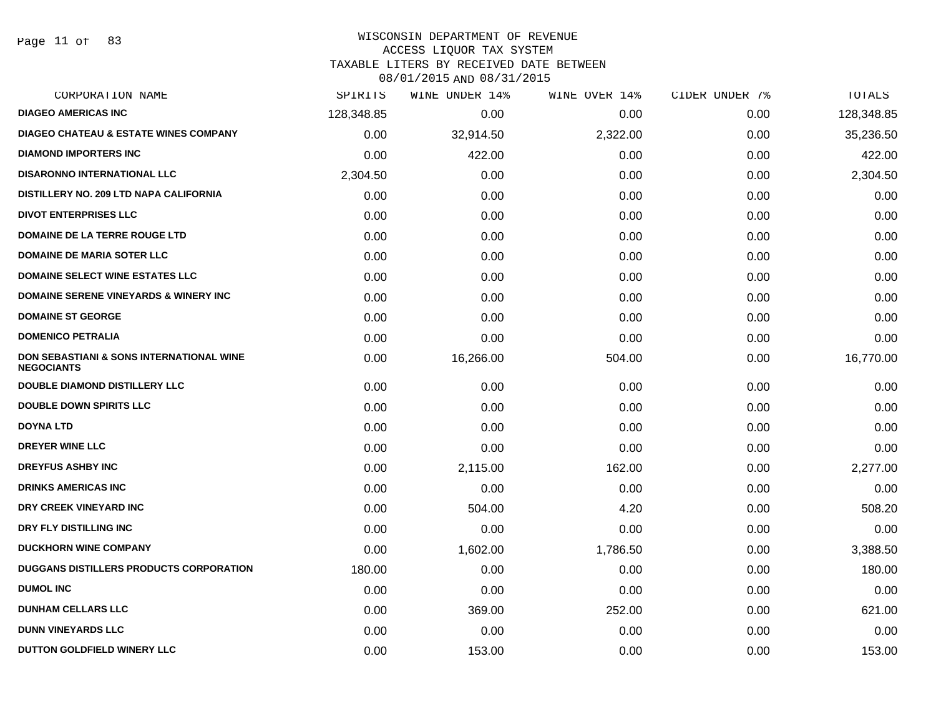# WISCONSIN DEPARTMENT OF REVENUE

ACCESS LIQUOR TAX SYSTEM

TAXABLE LITERS BY RECEIVED DATE BETWEEN

| CORPORATION NAME                                                         | SPIRITS    | WINE UNDER 14% | WINE OVER 14% | CIDER UNDER 7% | TOTALS     |
|--------------------------------------------------------------------------|------------|----------------|---------------|----------------|------------|
| <b>DIAGEO AMERICAS INC</b>                                               | 128,348.85 | 0.00           | 0.00          | 0.00           | 128,348.85 |
| <b>DIAGEO CHATEAU &amp; ESTATE WINES COMPANY</b>                         | 0.00       | 32,914.50      | 2,322.00      | 0.00           | 35,236.50  |
| <b>DIAMOND IMPORTERS INC</b>                                             | 0.00       | 422.00         | 0.00          | 0.00           | 422.00     |
| <b>DISARONNO INTERNATIONAL LLC</b>                                       | 2,304.50   | 0.00           | 0.00          | 0.00           | 2,304.50   |
| DISTILLERY NO. 209 LTD NAPA CALIFORNIA                                   | 0.00       | 0.00           | 0.00          | 0.00           | 0.00       |
| <b>DIVOT ENTERPRISES LLC</b>                                             | 0.00       | 0.00           | 0.00          | 0.00           | 0.00       |
| DOMAINE DE LA TERRE ROUGE LTD                                            | 0.00       | 0.00           | 0.00          | 0.00           | 0.00       |
| <b>DOMAINE DE MARIA SOTER LLC</b>                                        | 0.00       | 0.00           | 0.00          | 0.00           | 0.00       |
| <b>DOMAINE SELECT WINE ESTATES LLC</b>                                   | 0.00       | 0.00           | 0.00          | 0.00           | 0.00       |
| <b>DOMAINE SERENE VINEYARDS &amp; WINERY INC</b>                         | 0.00       | 0.00           | 0.00          | 0.00           | 0.00       |
| <b>DOMAINE ST GEORGE</b>                                                 | 0.00       | 0.00           | 0.00          | 0.00           | 0.00       |
| <b>DOMENICO PETRALIA</b>                                                 | 0.00       | 0.00           | 0.00          | 0.00           | 0.00       |
| <b>DON SEBASTIANI &amp; SONS INTERNATIONAL WINE</b><br><b>NEGOCIANTS</b> | 0.00       | 16,266.00      | 504.00        | 0.00           | 16,770.00  |
| DOUBLE DIAMOND DISTILLERY LLC                                            | 0.00       | 0.00           | 0.00          | 0.00           | 0.00       |
| <b>DOUBLE DOWN SPIRITS LLC</b>                                           | 0.00       | 0.00           | 0.00          | 0.00           | 0.00       |
| <b>DOYNA LTD</b>                                                         | 0.00       | 0.00           | 0.00          | 0.00           | 0.00       |
| DREYER WINE LLC                                                          | 0.00       | 0.00           | 0.00          | 0.00           | 0.00       |
| <b>DREYFUS ASHBY INC</b>                                                 | 0.00       | 2,115.00       | 162.00        | 0.00           | 2,277.00   |
| <b>DRINKS AMERICAS INC</b>                                               | 0.00       | 0.00           | 0.00          | 0.00           | 0.00       |
| DRY CREEK VINEYARD INC                                                   | 0.00       | 504.00         | 4.20          | 0.00           | 508.20     |
| DRY FLY DISTILLING INC                                                   | 0.00       | 0.00           | 0.00          | 0.00           | 0.00       |
| <b>DUCKHORN WINE COMPANY</b>                                             | 0.00       | 1,602.00       | 1,786.50      | 0.00           | 3,388.50   |
| <b>DUGGANS DISTILLERS PRODUCTS CORPORATION</b>                           | 180.00     | 0.00           | 0.00          | 0.00           | 180.00     |
| <b>DUMOL INC</b>                                                         | 0.00       | 0.00           | 0.00          | 0.00           | 0.00       |
| <b>DUNHAM CELLARS LLC</b>                                                | 0.00       | 369.00         | 252.00        | 0.00           | 621.00     |
| <b>DUNN VINEYARDS LLC</b>                                                | 0.00       | 0.00           | 0.00          | 0.00           | 0.00       |
| DUTTON GOLDFIELD WINERY LLC                                              | 0.00       | 153.00         | 0.00          | 0.00           | 153.00     |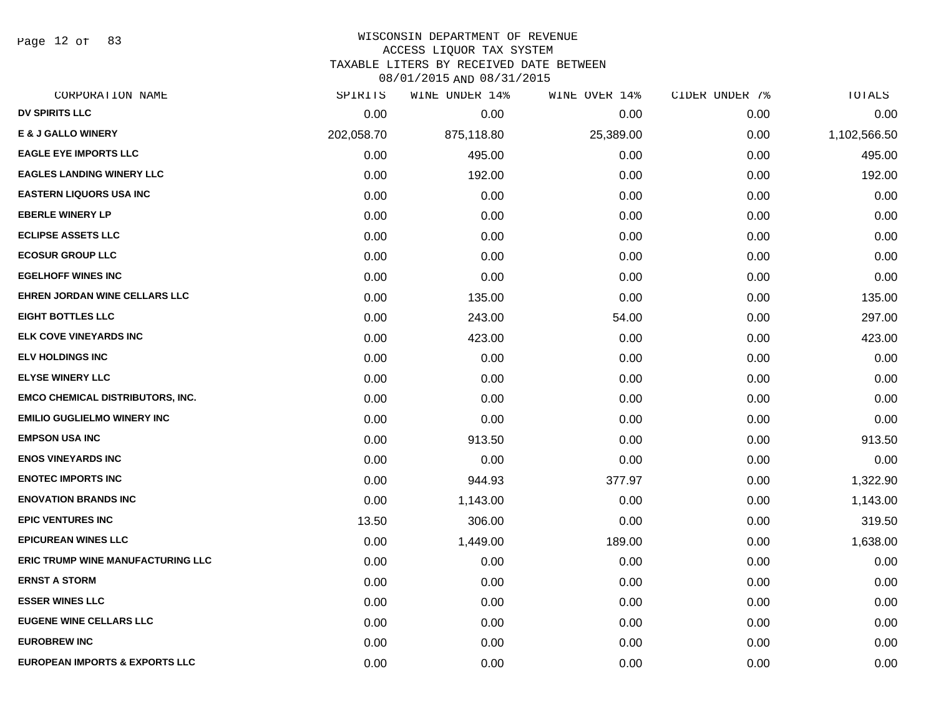Page 12 of 83

### WISCONSIN DEPARTMENT OF REVENUE

#### ACCESS LIQUOR TAX SYSTEM

TAXABLE LITERS BY RECEIVED DATE BETWEEN

| CORPORATION NAME                          | SPIRITS    | WINE UNDER 14% | WINE OVER 14% | CIDER UNDER 7% | TOTALS       |
|-------------------------------------------|------------|----------------|---------------|----------------|--------------|
| DV SPIRITS LLC                            | 0.00       | 0.00           | 0.00          | 0.00           | 0.00         |
| <b>E &amp; J GALLO WINERY</b>             | 202,058.70 | 875,118.80     | 25,389.00     | 0.00           | 1,102,566.50 |
| <b>EAGLE EYE IMPORTS LLC</b>              | 0.00       | 495.00         | 0.00          | 0.00           | 495.00       |
| <b>EAGLES LANDING WINERY LLC</b>          | 0.00       | 192.00         | 0.00          | 0.00           | 192.00       |
| <b>EASTERN LIQUORS USA INC</b>            | 0.00       | 0.00           | 0.00          | 0.00           | 0.00         |
| <b>EBERLE WINERY LP</b>                   | 0.00       | 0.00           | 0.00          | 0.00           | 0.00         |
| <b>ECLIPSE ASSETS LLC</b>                 | 0.00       | 0.00           | 0.00          | 0.00           | 0.00         |
| <b>ECOSUR GROUP LLC</b>                   | 0.00       | 0.00           | 0.00          | 0.00           | 0.00         |
| <b>EGELHOFF WINES INC</b>                 | 0.00       | 0.00           | 0.00          | 0.00           | 0.00         |
| EHREN JORDAN WINE CELLARS LLC             | 0.00       | 135.00         | 0.00          | 0.00           | 135.00       |
| <b>EIGHT BOTTLES LLC</b>                  | 0.00       | 243.00         | 54.00         | 0.00           | 297.00       |
| <b>ELK COVE VINEYARDS INC</b>             | 0.00       | 423.00         | 0.00          | 0.00           | 423.00       |
| <b>ELV HOLDINGS INC</b>                   | 0.00       | 0.00           | 0.00          | 0.00           | 0.00         |
| <b>ELYSE WINERY LLC</b>                   | 0.00       | 0.00           | 0.00          | 0.00           | 0.00         |
| <b>EMCO CHEMICAL DISTRIBUTORS, INC.</b>   | 0.00       | 0.00           | 0.00          | 0.00           | 0.00         |
| <b>EMILIO GUGLIELMO WINERY INC</b>        | 0.00       | 0.00           | 0.00          | 0.00           | 0.00         |
| <b>EMPSON USA INC</b>                     | 0.00       | 913.50         | 0.00          | 0.00           | 913.50       |
| <b>ENOS VINEYARDS INC</b>                 | 0.00       | 0.00           | 0.00          | 0.00           | 0.00         |
| <b>ENOTEC IMPORTS INC</b>                 | 0.00       | 944.93         | 377.97        | 0.00           | 1,322.90     |
| <b>ENOVATION BRANDS INC</b>               | 0.00       | 1,143.00       | 0.00          | 0.00           | 1,143.00     |
| <b>EPIC VENTURES INC</b>                  | 13.50      | 306.00         | 0.00          | 0.00           | 319.50       |
| <b>EPICUREAN WINES LLC</b>                | 0.00       | 1,449.00       | 189.00        | 0.00           | 1,638.00     |
| <b>ERIC TRUMP WINE MANUFACTURING LLC</b>  | 0.00       | 0.00           | 0.00          | 0.00           | 0.00         |
| <b>ERNST A STORM</b>                      | 0.00       | 0.00           | 0.00          | 0.00           | 0.00         |
| <b>ESSER WINES LLC</b>                    | 0.00       | 0.00           | 0.00          | 0.00           | 0.00         |
| <b>EUGENE WINE CELLARS LLC</b>            | 0.00       | 0.00           | 0.00          | 0.00           | 0.00         |
| <b>EUROBREW INC</b>                       | 0.00       | 0.00           | 0.00          | 0.00           | 0.00         |
| <b>EUROPEAN IMPORTS &amp; EXPORTS LLC</b> | 0.00       | 0.00           | 0.00          | 0.00           | 0.00         |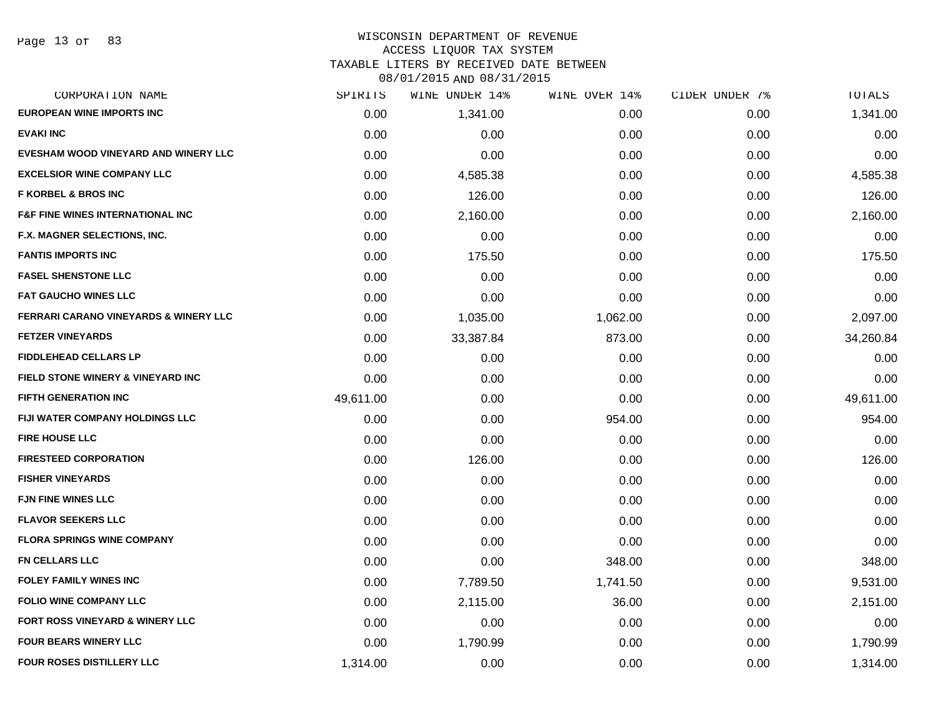#### WISCONSIN DEPARTMENT OF REVENUE ACCESS LIQUOR TAX SYSTEM

TAXABLE LITERS BY RECEIVED DATE BETWEEN

| CORPORATION NAME                             | SPIRITS   | WINE UNDER 14% | WINE OVER 14% | CIDER UNDER 7% | TOTALS    |
|----------------------------------------------|-----------|----------------|---------------|----------------|-----------|
| <b>EUROPEAN WINE IMPORTS INC</b>             | 0.00      | 1,341.00       | 0.00          | 0.00           | 1,341.00  |
| <b>EVAKI INC</b>                             | 0.00      | 0.00           | 0.00          | 0.00           | 0.00      |
| EVESHAM WOOD VINEYARD AND WINERY LLC         | 0.00      | 0.00           | 0.00          | 0.00           | 0.00      |
| <b>EXCELSIOR WINE COMPANY LLC</b>            | 0.00      | 4,585.38       | 0.00          | 0.00           | 4,585.38  |
| <b>F KORBEL &amp; BROS INC</b>               | 0.00      | 126.00         | 0.00          | 0.00           | 126.00    |
| <b>F&amp;F FINE WINES INTERNATIONAL INC</b>  | 0.00      | 2,160.00       | 0.00          | 0.00           | 2,160.00  |
| F.X. MAGNER SELECTIONS, INC.                 | 0.00      | 0.00           | 0.00          | 0.00           | 0.00      |
| <b>FANTIS IMPORTS INC</b>                    | 0.00      | 175.50         | 0.00          | 0.00           | 175.50    |
| <b>FASEL SHENSTONE LLC</b>                   | 0.00      | 0.00           | 0.00          | 0.00           | 0.00      |
| <b>FAT GAUCHO WINES LLC</b>                  | 0.00      | 0.00           | 0.00          | 0.00           | 0.00      |
| FERRARI CARANO VINEYARDS & WINERY LLC        | 0.00      | 1,035.00       | 1,062.00      | 0.00           | 2,097.00  |
| <b>FETZER VINEYARDS</b>                      | 0.00      | 33,387.84      | 873.00        | 0.00           | 34,260.84 |
| <b>FIDDLEHEAD CELLARS LP</b>                 | 0.00      | 0.00           | 0.00          | 0.00           | 0.00      |
| <b>FIELD STONE WINERY &amp; VINEYARD INC</b> | 0.00      | 0.00           | 0.00          | 0.00           | 0.00      |
| <b>FIFTH GENERATION INC</b>                  | 49,611.00 | 0.00           | 0.00          | 0.00           | 49,611.00 |
| FIJI WATER COMPANY HOLDINGS LLC              | 0.00      | 0.00           | 954.00        | 0.00           | 954.00    |
| <b>FIRE HOUSE LLC</b>                        | 0.00      | 0.00           | 0.00          | 0.00           | 0.00      |
| <b>FIRESTEED CORPORATION</b>                 | 0.00      | 126.00         | 0.00          | 0.00           | 126.00    |
| <b>FISHER VINEYARDS</b>                      | 0.00      | 0.00           | 0.00          | 0.00           | 0.00      |
| <b>FJN FINE WINES LLC</b>                    | 0.00      | 0.00           | 0.00          | 0.00           | 0.00      |
| <b>FLAVOR SEEKERS LLC</b>                    | 0.00      | 0.00           | 0.00          | 0.00           | 0.00      |
| <b>FLORA SPRINGS WINE COMPANY</b>            | 0.00      | 0.00           | 0.00          | 0.00           | 0.00      |
| <b>FN CELLARS LLC</b>                        | 0.00      | 0.00           | 348.00        | 0.00           | 348.00    |
| <b>FOLEY FAMILY WINES INC</b>                | 0.00      | 7,789.50       | 1,741.50      | 0.00           | 9,531.00  |
| <b>FOLIO WINE COMPANY LLC</b>                | 0.00      | 2,115.00       | 36.00         | 0.00           | 2,151.00  |
| <b>FORT ROSS VINEYARD &amp; WINERY LLC</b>   | 0.00      | 0.00           | 0.00          | 0.00           | 0.00      |
| FOUR BEARS WINERY LLC                        | 0.00      | 1,790.99       | 0.00          | 0.00           | 1,790.99  |
| <b>FOUR ROSES DISTILLERY LLC</b>             | 1,314.00  | 0.00           | 0.00          | 0.00           | 1,314.00  |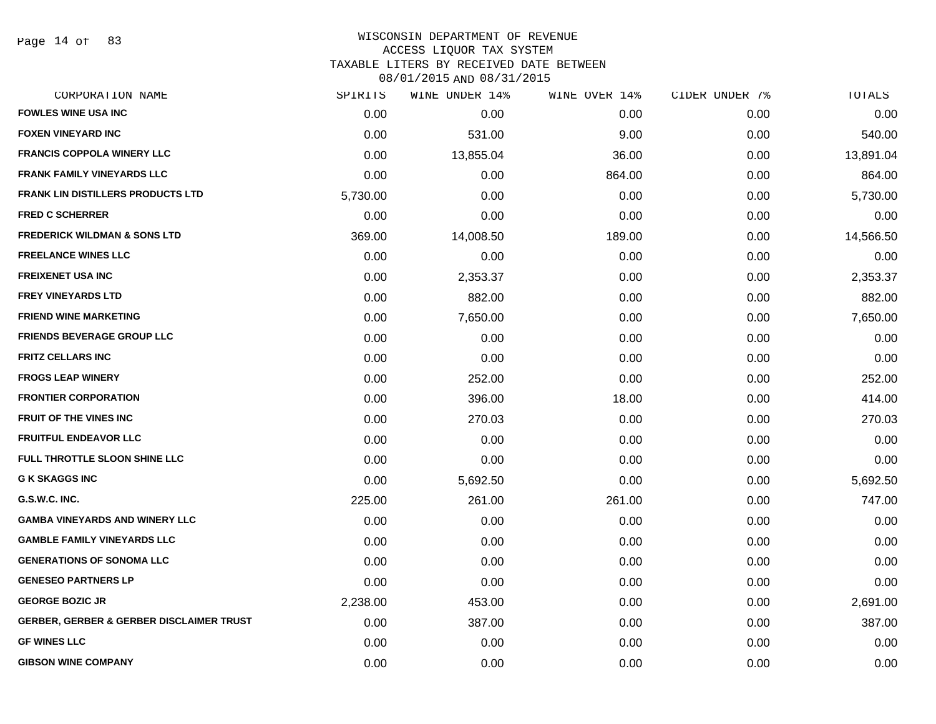Page 14 of 83

#### WISCONSIN DEPARTMENT OF REVENUE ACCESS LIQUOR TAX SYSTEM

TAXABLE LITERS BY RECEIVED DATE BETWEEN

| CORPORATION NAME                                    | SPIRITS  | WINE UNDER 14% | WINE OVER 14% | CIDER UNDER 7% | TOTALS    |
|-----------------------------------------------------|----------|----------------|---------------|----------------|-----------|
| <b>FOWLES WINE USA INC</b>                          | 0.00     | 0.00           | 0.00          | 0.00           | 0.00      |
| <b>FOXEN VINEYARD INC</b>                           | 0.00     | 531.00         | 9.00          | 0.00           | 540.00    |
| <b>FRANCIS COPPOLA WINERY LLC</b>                   | 0.00     | 13,855.04      | 36.00         | 0.00           | 13,891.04 |
| <b>FRANK FAMILY VINEYARDS LLC</b>                   | 0.00     | 0.00           | 864.00        | 0.00           | 864.00    |
| <b>FRANK LIN DISTILLERS PRODUCTS LTD</b>            | 5,730.00 | 0.00           | 0.00          | 0.00           | 5,730.00  |
| <b>FRED C SCHERRER</b>                              | 0.00     | 0.00           | 0.00          | 0.00           | 0.00      |
| <b>FREDERICK WILDMAN &amp; SONS LTD</b>             | 369.00   | 14,008.50      | 189.00        | 0.00           | 14,566.50 |
| <b>FREELANCE WINES LLC</b>                          | 0.00     | 0.00           | 0.00          | 0.00           | 0.00      |
| <b>FREIXENET USA INC</b>                            | 0.00     | 2,353.37       | 0.00          | 0.00           | 2,353.37  |
| <b>FREY VINEYARDS LTD</b>                           | 0.00     | 882.00         | 0.00          | 0.00           | 882.00    |
| <b>FRIEND WINE MARKETING</b>                        | 0.00     | 7,650.00       | 0.00          | 0.00           | 7,650.00  |
| <b>FRIENDS BEVERAGE GROUP LLC</b>                   | 0.00     | 0.00           | 0.00          | 0.00           | 0.00      |
| <b>FRITZ CELLARS INC</b>                            | 0.00     | 0.00           | 0.00          | 0.00           | 0.00      |
| <b>FROGS LEAP WINERY</b>                            | 0.00     | 252.00         | 0.00          | 0.00           | 252.00    |
| <b>FRONTIER CORPORATION</b>                         | 0.00     | 396.00         | 18.00         | 0.00           | 414.00    |
| <b>FRUIT OF THE VINES INC</b>                       | 0.00     | 270.03         | 0.00          | 0.00           | 270.03    |
| <b>FRUITFUL ENDEAVOR LLC</b>                        | 0.00     | 0.00           | 0.00          | 0.00           | 0.00      |
| FULL THROTTLE SLOON SHINE LLC                       | 0.00     | 0.00           | 0.00          | 0.00           | 0.00      |
| <b>G K SKAGGS INC</b>                               | 0.00     | 5,692.50       | 0.00          | 0.00           | 5,692.50  |
| G.S.W.C. INC.                                       | 225.00   | 261.00         | 261.00        | 0.00           | 747.00    |
| <b>GAMBA VINEYARDS AND WINERY LLC</b>               | 0.00     | 0.00           | 0.00          | 0.00           | 0.00      |
| <b>GAMBLE FAMILY VINEYARDS LLC</b>                  | 0.00     | 0.00           | 0.00          | 0.00           | 0.00      |
| <b>GENERATIONS OF SONOMA LLC</b>                    | 0.00     | 0.00           | 0.00          | 0.00           | 0.00      |
| <b>GENESEO PARTNERS LP</b>                          | 0.00     | 0.00           | 0.00          | 0.00           | 0.00      |
| <b>GEORGE BOZIC JR</b>                              | 2,238.00 | 453.00         | 0.00          | 0.00           | 2,691.00  |
| <b>GERBER, GERBER &amp; GERBER DISCLAIMER TRUST</b> | 0.00     | 387.00         | 0.00          | 0.00           | 387.00    |
| <b>GF WINES LLC</b>                                 | 0.00     | 0.00           | 0.00          | 0.00           | 0.00      |
| <b>GIBSON WINE COMPANY</b>                          | 0.00     | 0.00           | 0.00          | 0.00           | 0.00      |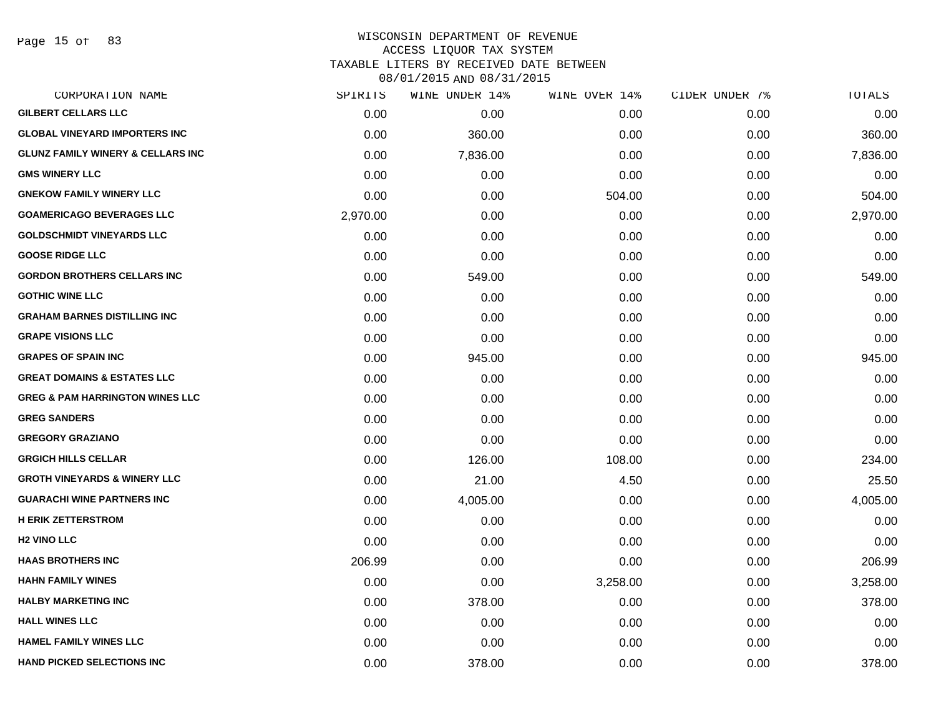Page 15 of 83

## WISCONSIN DEPARTMENT OF REVENUE ACCESS LIQUOR TAX SYSTEM

TAXABLE LITERS BY RECEIVED DATE BETWEEN

| CORPORATION NAME                             | SPIRITS  | WINE UNDER 14% | WINE OVER 14% | CIDER UNDER 7% | TOTALS   |
|----------------------------------------------|----------|----------------|---------------|----------------|----------|
| <b>GILBERT CELLARS LLC</b>                   | 0.00     | 0.00           | 0.00          | 0.00           | 0.00     |
| <b>GLOBAL VINEYARD IMPORTERS INC</b>         | 0.00     | 360.00         | 0.00          | 0.00           | 360.00   |
| <b>GLUNZ FAMILY WINERY &amp; CELLARS INC</b> | 0.00     | 7,836.00       | 0.00          | 0.00           | 7,836.00 |
| <b>GMS WINERY LLC</b>                        | 0.00     | 0.00           | 0.00          | 0.00           | 0.00     |
| <b>GNEKOW FAMILY WINERY LLC</b>              | 0.00     | 0.00           | 504.00        | 0.00           | 504.00   |
| <b>GOAMERICAGO BEVERAGES LLC</b>             | 2,970.00 | 0.00           | 0.00          | 0.00           | 2,970.00 |
| <b>GOLDSCHMIDT VINEYARDS LLC</b>             | 0.00     | 0.00           | 0.00          | 0.00           | 0.00     |
| <b>GOOSE RIDGE LLC</b>                       | 0.00     | 0.00           | 0.00          | 0.00           | 0.00     |
| <b>GORDON BROTHERS CELLARS INC</b>           | 0.00     | 549.00         | 0.00          | 0.00           | 549.00   |
| <b>GOTHIC WINE LLC</b>                       | 0.00     | 0.00           | 0.00          | 0.00           | 0.00     |
| <b>GRAHAM BARNES DISTILLING INC</b>          | 0.00     | 0.00           | 0.00          | 0.00           | 0.00     |
| <b>GRAPE VISIONS LLC</b>                     | 0.00     | 0.00           | 0.00          | 0.00           | 0.00     |
| <b>GRAPES OF SPAIN INC</b>                   | 0.00     | 945.00         | 0.00          | 0.00           | 945.00   |
| <b>GREAT DOMAINS &amp; ESTATES LLC</b>       | 0.00     | 0.00           | 0.00          | 0.00           | 0.00     |
| <b>GREG &amp; PAM HARRINGTON WINES LLC</b>   | 0.00     | 0.00           | 0.00          | 0.00           | 0.00     |
| <b>GREG SANDERS</b>                          | 0.00     | 0.00           | 0.00          | 0.00           | 0.00     |
| <b>GREGORY GRAZIANO</b>                      | 0.00     | 0.00           | 0.00          | 0.00           | 0.00     |
| <b>GRGICH HILLS CELLAR</b>                   | 0.00     | 126.00         | 108.00        | 0.00           | 234.00   |
| <b>GROTH VINEYARDS &amp; WINERY LLC</b>      | 0.00     | 21.00          | 4.50          | 0.00           | 25.50    |
| <b>GUARACHI WINE PARTNERS INC</b>            | 0.00     | 4,005.00       | 0.00          | 0.00           | 4,005.00 |
| <b>H ERIK ZETTERSTROM</b>                    | 0.00     | 0.00           | 0.00          | 0.00           | 0.00     |
| <b>H2 VINO LLC</b>                           | 0.00     | 0.00           | 0.00          | 0.00           | 0.00     |
| <b>HAAS BROTHERS INC</b>                     | 206.99   | 0.00           | 0.00          | 0.00           | 206.99   |
| <b>HAHN FAMILY WINES</b>                     | 0.00     | 0.00           | 3,258.00      | 0.00           | 3,258.00 |
| <b>HALBY MARKETING INC</b>                   | 0.00     | 378.00         | 0.00          | 0.00           | 378.00   |
| <b>HALL WINES LLC</b>                        | 0.00     | 0.00           | 0.00          | 0.00           | 0.00     |
| <b>HAMEL FAMILY WINES LLC</b>                | 0.00     | 0.00           | 0.00          | 0.00           | 0.00     |
| <b>HAND PICKED SELECTIONS INC</b>            | 0.00     | 378.00         | 0.00          | 0.00           | 378.00   |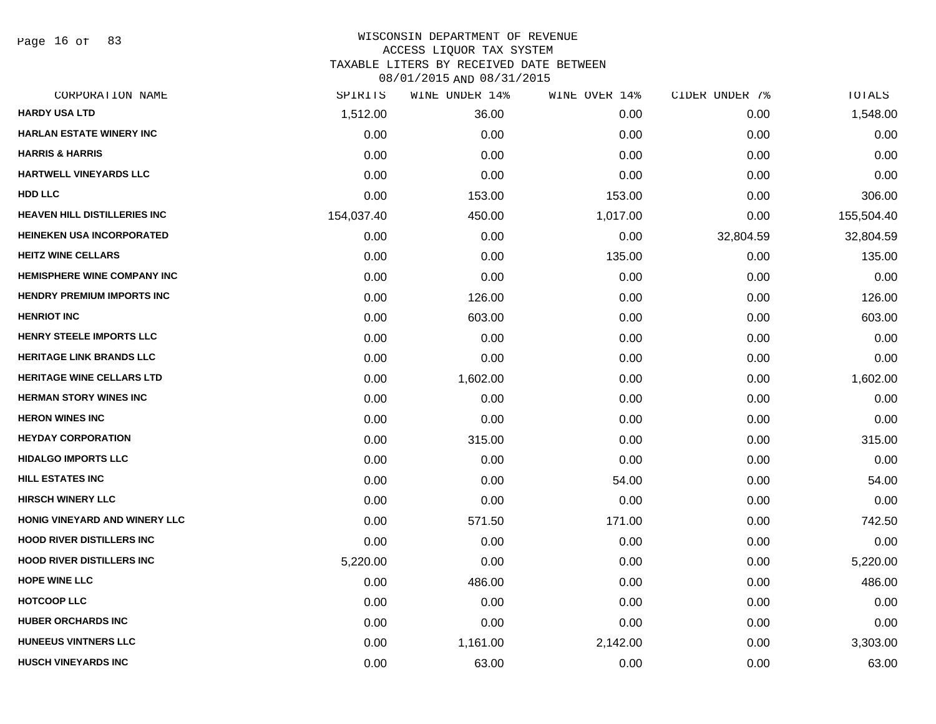Page 16 of 83

# WISCONSIN DEPARTMENT OF REVENUE ACCESS LIQUOR TAX SYSTEM TAXABLE LITERS BY RECEIVED DATE BETWEEN

| CORPORATION NAME                    | SPIRITS    | WINE UNDER 14% | WINE OVER 14% | CIDER UNDER 7% | TOTALS     |
|-------------------------------------|------------|----------------|---------------|----------------|------------|
| <b>HARDY USA LTD</b>                | 1,512.00   | 36.00          | 0.00          | 0.00           | 1,548.00   |
| <b>HARLAN ESTATE WINERY INC</b>     | 0.00       | 0.00           | 0.00          | 0.00           | 0.00       |
| <b>HARRIS &amp; HARRIS</b>          | 0.00       | 0.00           | 0.00          | 0.00           | 0.00       |
| <b>HARTWELL VINEYARDS LLC</b>       | 0.00       | 0.00           | 0.00          | 0.00           | 0.00       |
| <b>HDD LLC</b>                      | 0.00       | 153.00         | 153.00        | 0.00           | 306.00     |
| <b>HEAVEN HILL DISTILLERIES INC</b> | 154,037.40 | 450.00         | 1,017.00      | 0.00           | 155,504.40 |
| <b>HEINEKEN USA INCORPORATED</b>    | 0.00       | 0.00           | 0.00          | 32,804.59      | 32,804.59  |
| <b>HEITZ WINE CELLARS</b>           | 0.00       | 0.00           | 135.00        | 0.00           | 135.00     |
| HEMISPHERE WINE COMPANY INC         | 0.00       | 0.00           | 0.00          | 0.00           | 0.00       |
| <b>HENDRY PREMIUM IMPORTS INC</b>   | 0.00       | 126.00         | 0.00          | 0.00           | 126.00     |
| <b>HENRIOT INC</b>                  | 0.00       | 603.00         | 0.00          | 0.00           | 603.00     |
| <b>HENRY STEELE IMPORTS LLC</b>     | 0.00       | 0.00           | 0.00          | 0.00           | 0.00       |
| <b>HERITAGE LINK BRANDS LLC</b>     | 0.00       | 0.00           | 0.00          | 0.00           | 0.00       |
| <b>HERITAGE WINE CELLARS LTD</b>    | 0.00       | 1,602.00       | 0.00          | 0.00           | 1,602.00   |
| <b>HERMAN STORY WINES INC</b>       | 0.00       | 0.00           | 0.00          | 0.00           | 0.00       |
| <b>HERON WINES INC</b>              | 0.00       | 0.00           | 0.00          | 0.00           | 0.00       |
| <b>HEYDAY CORPORATION</b>           | 0.00       | 315.00         | 0.00          | 0.00           | 315.00     |
| <b>HIDALGO IMPORTS LLC</b>          | 0.00       | 0.00           | 0.00          | 0.00           | 0.00       |
| <b>HILL ESTATES INC</b>             | 0.00       | 0.00           | 54.00         | 0.00           | 54.00      |
| <b>HIRSCH WINERY LLC</b>            | 0.00       | 0.00           | 0.00          | 0.00           | 0.00       |
| HONIG VINEYARD AND WINERY LLC       | 0.00       | 571.50         | 171.00        | 0.00           | 742.50     |
| <b>HOOD RIVER DISTILLERS INC</b>    | 0.00       | 0.00           | 0.00          | 0.00           | 0.00       |
| <b>HOOD RIVER DISTILLERS INC</b>    | 5,220.00   | 0.00           | 0.00          | 0.00           | 5,220.00   |
| <b>HOPE WINE LLC</b>                | 0.00       | 486.00         | 0.00          | 0.00           | 486.00     |
| <b>HOTCOOP LLC</b>                  | 0.00       | 0.00           | 0.00          | 0.00           | 0.00       |
| <b>HUBER ORCHARDS INC</b>           | 0.00       | 0.00           | 0.00          | 0.00           | 0.00       |
| <b>HUNEEUS VINTNERS LLC</b>         | 0.00       | 1,161.00       | 2,142.00      | 0.00           | 3,303.00   |
| <b>HUSCH VINEYARDS INC</b>          | 0.00       | 63.00          | 0.00          | 0.00           | 63.00      |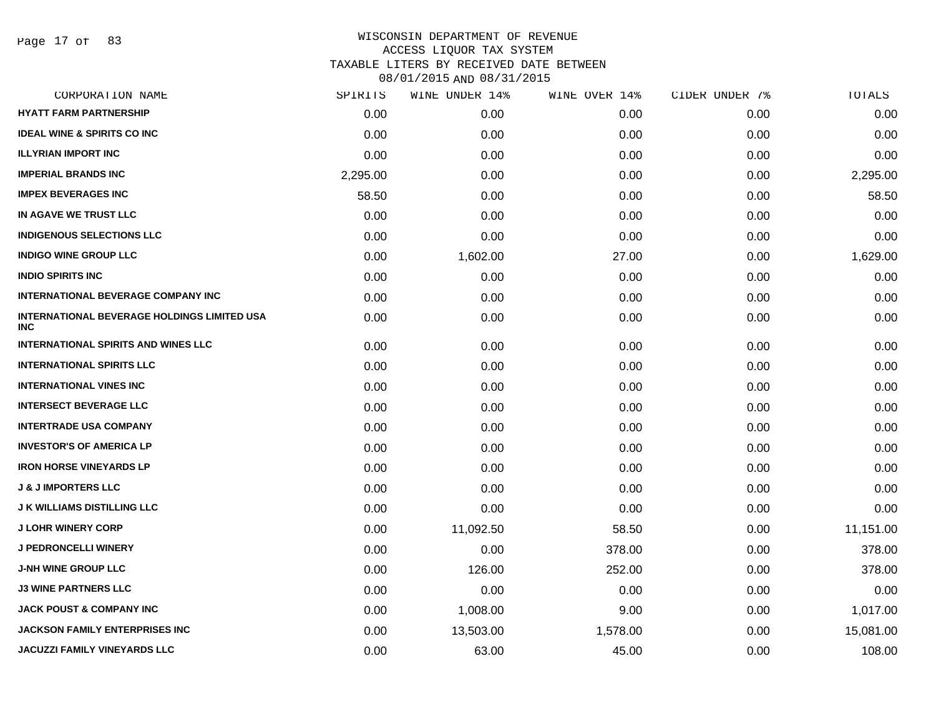Page 17 of 83

# WISCONSIN DEPARTMENT OF REVENUE ACCESS LIQUOR TAX SYSTEM TAXABLE LITERS BY RECEIVED DATE BETWEEN

| CORPORATION NAME                                                 | SPIRITS  | WINE UNDER 14% | WINE OVER 14% | CIDER UNDER 7% | TOTALS    |
|------------------------------------------------------------------|----------|----------------|---------------|----------------|-----------|
| <b>HYATT FARM PARTNERSHIP</b>                                    | 0.00     | 0.00           | 0.00          | 0.00           | 0.00      |
| <b>IDEAL WINE &amp; SPIRITS CO INC</b>                           | 0.00     | 0.00           | 0.00          | 0.00           | 0.00      |
| <b>ILLYRIAN IMPORT INC</b>                                       | 0.00     | 0.00           | 0.00          | 0.00           | 0.00      |
| <b>IMPERIAL BRANDS INC</b>                                       | 2,295.00 | 0.00           | 0.00          | 0.00           | 2,295.00  |
| <b>IMPEX BEVERAGES INC</b>                                       | 58.50    | 0.00           | 0.00          | 0.00           | 58.50     |
| IN AGAVE WE TRUST LLC                                            | 0.00     | 0.00           | 0.00          | 0.00           | 0.00      |
| <b>INDIGENOUS SELECTIONS LLC</b>                                 | 0.00     | 0.00           | 0.00          | 0.00           | 0.00      |
| <b>INDIGO WINE GROUP LLC</b>                                     | 0.00     | 1,602.00       | 27.00         | 0.00           | 1,629.00  |
| <b>INDIO SPIRITS INC</b>                                         | 0.00     | 0.00           | 0.00          | 0.00           | 0.00      |
| <b>INTERNATIONAL BEVERAGE COMPANY INC</b>                        | 0.00     | 0.00           | 0.00          | 0.00           | 0.00      |
| <b>INTERNATIONAL BEVERAGE HOLDINGS LIMITED USA</b><br><b>INC</b> | 0.00     | 0.00           | 0.00          | 0.00           | 0.00      |
| <b>INTERNATIONAL SPIRITS AND WINES LLC</b>                       | 0.00     | 0.00           | 0.00          | 0.00           | 0.00      |
| <b>INTERNATIONAL SPIRITS LLC</b>                                 | 0.00     | 0.00           | 0.00          | 0.00           | 0.00      |
| <b>INTERNATIONAL VINES INC</b>                                   | 0.00     | 0.00           | 0.00          | 0.00           | 0.00      |
| <b>INTERSECT BEVERAGE LLC</b>                                    | 0.00     | 0.00           | 0.00          | 0.00           | 0.00      |
| <b>INTERTRADE USA COMPANY</b>                                    | 0.00     | 0.00           | 0.00          | 0.00           | 0.00      |
| <b>INVESTOR'S OF AMERICA LP</b>                                  | 0.00     | 0.00           | 0.00          | 0.00           | 0.00      |
| <b>IRON HORSE VINEYARDS LP</b>                                   | 0.00     | 0.00           | 0.00          | 0.00           | 0.00      |
| <b>J &amp; J IMPORTERS LLC</b>                                   | 0.00     | 0.00           | 0.00          | 0.00           | 0.00      |
| <b>J K WILLIAMS DISTILLING LLC</b>                               | 0.00     | 0.00           | 0.00          | 0.00           | 0.00      |
| <b>J LOHR WINERY CORP</b>                                        | 0.00     | 11,092.50      | 58.50         | 0.00           | 11,151.00 |
| <b>J PEDRONCELLI WINERY</b>                                      | 0.00     | 0.00           | 378.00        | 0.00           | 378.00    |
| <b>J-NH WINE GROUP LLC</b>                                       | 0.00     | 126.00         | 252.00        | 0.00           | 378.00    |
| <b>J3 WINE PARTNERS LLC</b>                                      | 0.00     | 0.00           | 0.00          | 0.00           | 0.00      |
| <b>JACK POUST &amp; COMPANY INC</b>                              | 0.00     | 1,008.00       | 9.00          | 0.00           | 1,017.00  |
| JACKSON FAMILY ENTERPRISES INC                                   | 0.00     | 13,503.00      | 1,578.00      | 0.00           | 15,081.00 |
| <b>JACUZZI FAMILY VINEYARDS LLC</b>                              | 0.00     | 63.00          | 45.00         | 0.00           | 108.00    |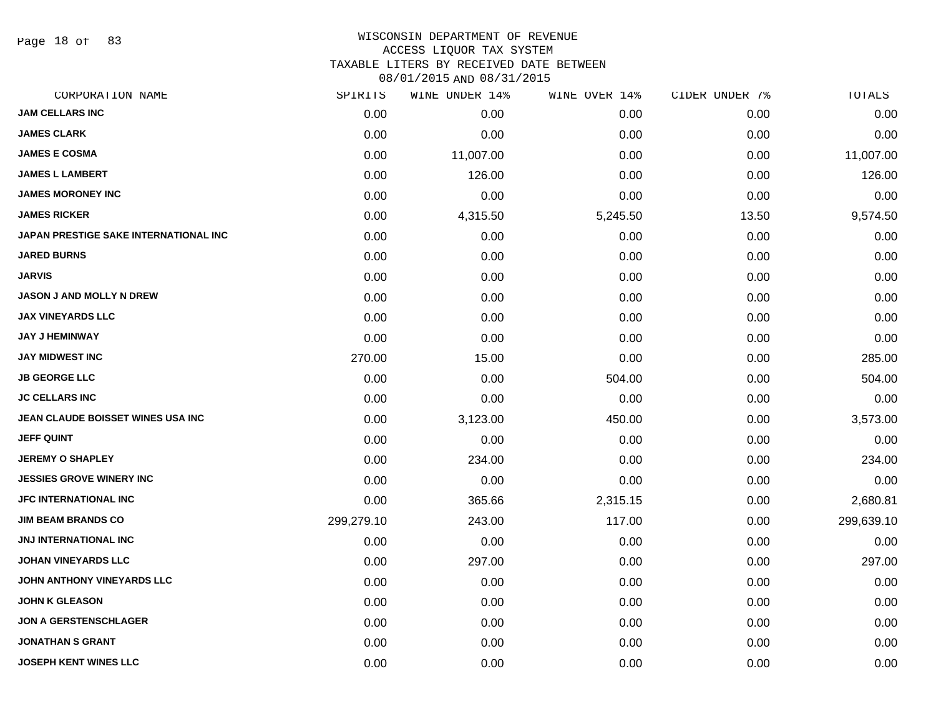Page 18 of 83

# WISCONSIN DEPARTMENT OF REVENUE

# ACCESS LIQUOR TAX SYSTEM

TAXABLE LITERS BY RECEIVED DATE BETWEEN

| CORPORATION NAME                             | SPIRITS    | WINE UNDER 14% | WINE OVER 14% | CIDER UNDER 7% | TOTALS     |
|----------------------------------------------|------------|----------------|---------------|----------------|------------|
| <b>JAM CELLARS INC</b>                       | 0.00       | 0.00           | 0.00          | 0.00           | 0.00       |
| <b>JAMES CLARK</b>                           | 0.00       | 0.00           | 0.00          | 0.00           | 0.00       |
| <b>JAMES E COSMA</b>                         | 0.00       | 11,007.00      | 0.00          | 0.00           | 11,007.00  |
| <b>JAMES L LAMBERT</b>                       | 0.00       | 126.00         | 0.00          | 0.00           | 126.00     |
| <b>JAMES MORONEY INC</b>                     | 0.00       | 0.00           | 0.00          | 0.00           | 0.00       |
| <b>JAMES RICKER</b>                          | 0.00       | 4,315.50       | 5,245.50      | 13.50          | 9,574.50   |
| <b>JAPAN PRESTIGE SAKE INTERNATIONAL INC</b> | 0.00       | 0.00           | 0.00          | 0.00           | 0.00       |
| <b>JARED BURNS</b>                           | 0.00       | 0.00           | 0.00          | 0.00           | 0.00       |
| <b>JARVIS</b>                                | 0.00       | 0.00           | 0.00          | 0.00           | 0.00       |
| JASON J AND MOLLY N DREW                     | 0.00       | 0.00           | 0.00          | 0.00           | 0.00       |
| <b>JAX VINEYARDS LLC</b>                     | 0.00       | 0.00           | 0.00          | 0.00           | 0.00       |
| <b>JAY J HEMINWAY</b>                        | 0.00       | 0.00           | 0.00          | 0.00           | 0.00       |
| <b>JAY MIDWEST INC</b>                       | 270.00     | 15.00          | 0.00          | 0.00           | 285.00     |
| <b>JB GEORGE LLC</b>                         | 0.00       | 0.00           | 504.00        | 0.00           | 504.00     |
| <b>JC CELLARS INC</b>                        | 0.00       | 0.00           | 0.00          | 0.00           | 0.00       |
| JEAN CLAUDE BOISSET WINES USA INC            | 0.00       | 3,123.00       | 450.00        | 0.00           | 3,573.00   |
| <b>JEFF QUINT</b>                            | 0.00       | 0.00           | 0.00          | 0.00           | 0.00       |
| <b>JEREMY O SHAPLEY</b>                      | 0.00       | 234.00         | 0.00          | 0.00           | 234.00     |
| <b>JESSIES GROVE WINERY INC</b>              | 0.00       | 0.00           | 0.00          | 0.00           | 0.00       |
| <b>JFC INTERNATIONAL INC</b>                 | 0.00       | 365.66         | 2,315.15      | 0.00           | 2,680.81   |
| <b>JIM BEAM BRANDS CO</b>                    | 299,279.10 | 243.00         | 117.00        | 0.00           | 299,639.10 |
| JNJ INTERNATIONAL INC                        | 0.00       | 0.00           | 0.00          | 0.00           | 0.00       |
| <b>JOHAN VINEYARDS LLC</b>                   | 0.00       | 297.00         | 0.00          | 0.00           | 297.00     |
| JOHN ANTHONY VINEYARDS LLC                   | 0.00       | 0.00           | 0.00          | 0.00           | 0.00       |
| <b>JOHN K GLEASON</b>                        | 0.00       | 0.00           | 0.00          | 0.00           | 0.00       |
| <b>JON A GERSTENSCHLAGER</b>                 | 0.00       | 0.00           | 0.00          | 0.00           | 0.00       |
| <b>JONATHAN S GRANT</b>                      | 0.00       | 0.00           | 0.00          | 0.00           | 0.00       |
| <b>JOSEPH KENT WINES LLC</b>                 | 0.00       | 0.00           | 0.00          | 0.00           | 0.00       |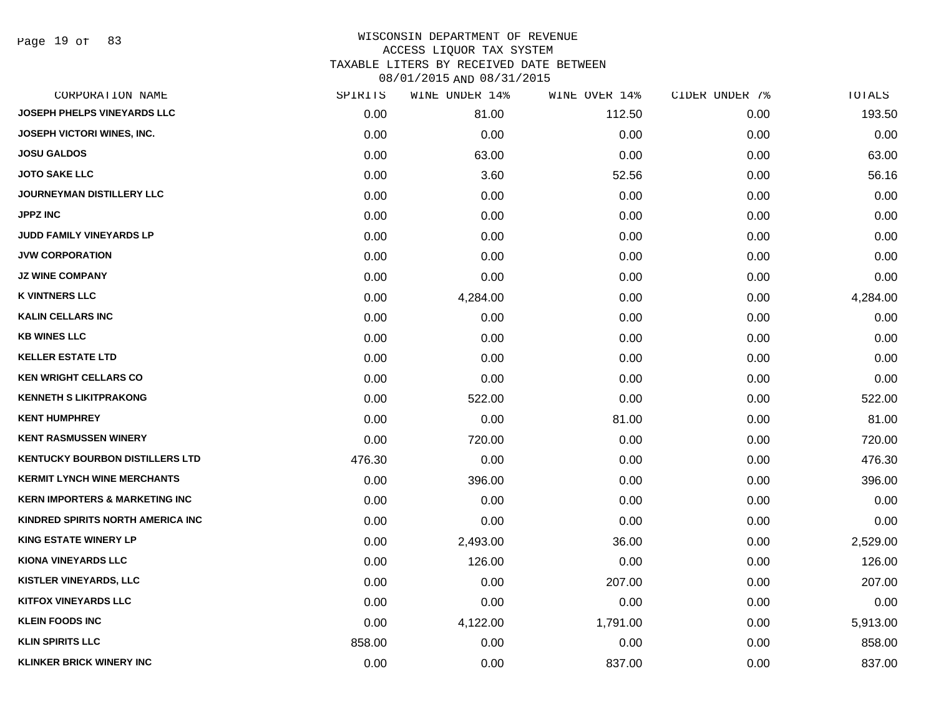Page 19 of 83

## WISCONSIN DEPARTMENT OF REVENUE ACCESS LIQUOR TAX SYSTEM TAXABLE LITERS BY RECEIVED DATE BETWEEN

| CORPORATION NAME                          | SPIRITS | WINE UNDER 14% | WINE OVER 14% | CIDER UNDER 7% | TOTALS   |
|-------------------------------------------|---------|----------------|---------------|----------------|----------|
| JOSEPH PHELPS VINEYARDS LLC               | 0.00    | 81.00          | 112.50        | 0.00           | 193.50   |
| <b>JOSEPH VICTORI WINES, INC.</b>         | 0.00    | 0.00           | 0.00          | 0.00           | 0.00     |
| <b>JOSU GALDOS</b>                        | 0.00    | 63.00          | 0.00          | 0.00           | 63.00    |
| <b>JOTO SAKE LLC</b>                      | 0.00    | 3.60           | 52.56         | 0.00           | 56.16    |
| JOURNEYMAN DISTILLERY LLC                 | 0.00    | 0.00           | 0.00          | 0.00           | 0.00     |
| <b>JPPZ INC</b>                           | 0.00    | 0.00           | 0.00          | 0.00           | 0.00     |
| JUDD FAMILY VINEYARDS LP                  | 0.00    | 0.00           | 0.00          | 0.00           | 0.00     |
| <b>JVW CORPORATION</b>                    | 0.00    | 0.00           | 0.00          | 0.00           | 0.00     |
| <b>JZ WINE COMPANY</b>                    | 0.00    | 0.00           | 0.00          | 0.00           | 0.00     |
| <b>K VINTNERS LLC</b>                     | 0.00    | 4,284.00       | 0.00          | 0.00           | 4,284.00 |
| <b>KALIN CELLARS INC</b>                  | 0.00    | 0.00           | 0.00          | 0.00           | 0.00     |
| <b>KB WINES LLC</b>                       | 0.00    | 0.00           | 0.00          | 0.00           | 0.00     |
| <b>KELLER ESTATE LTD</b>                  | 0.00    | 0.00           | 0.00          | 0.00           | 0.00     |
| <b>KEN WRIGHT CELLARS CO</b>              | 0.00    | 0.00           | 0.00          | 0.00           | 0.00     |
| <b>KENNETH S LIKITPRAKONG</b>             | 0.00    | 522.00         | 0.00          | 0.00           | 522.00   |
| <b>KENT HUMPHREY</b>                      | 0.00    | 0.00           | 81.00         | 0.00           | 81.00    |
| <b>KENT RASMUSSEN WINERY</b>              | 0.00    | 720.00         | 0.00          | 0.00           | 720.00   |
| <b>KENTUCKY BOURBON DISTILLERS LTD</b>    | 476.30  | 0.00           | 0.00          | 0.00           | 476.30   |
| <b>KERMIT LYNCH WINE MERCHANTS</b>        | 0.00    | 396.00         | 0.00          | 0.00           | 396.00   |
| <b>KERN IMPORTERS &amp; MARKETING INC</b> | 0.00    | 0.00           | 0.00          | 0.00           | 0.00     |
| KINDRED SPIRITS NORTH AMERICA INC         | 0.00    | 0.00           | 0.00          | 0.00           | 0.00     |
| <b>KING ESTATE WINERY LP</b>              | 0.00    | 2,493.00       | 36.00         | 0.00           | 2,529.00 |
| <b>KIONA VINEYARDS LLC</b>                | 0.00    | 126.00         | 0.00          | 0.00           | 126.00   |
| <b>KISTLER VINEYARDS, LLC</b>             | 0.00    | 0.00           | 207.00        | 0.00           | 207.00   |
| <b>KITFOX VINEYARDS LLC</b>               | 0.00    | 0.00           | 0.00          | 0.00           | 0.00     |
| <b>KLEIN FOODS INC</b>                    | 0.00    | 4,122.00       | 1,791.00      | 0.00           | 5,913.00 |
| <b>KLIN SPIRITS LLC</b>                   | 858.00  | 0.00           | 0.00          | 0.00           | 858.00   |
| <b>KLINKER BRICK WINERY INC</b>           | 0.00    | 0.00           | 837.00        | 0.00           | 837.00   |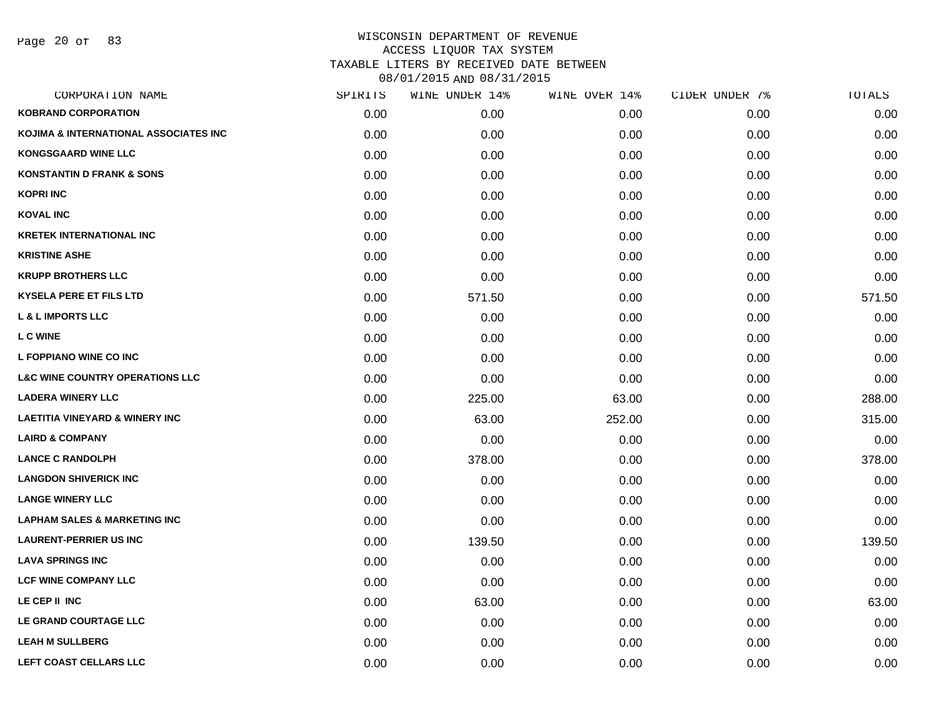Page 20 of 83

| CORPORATION NAME                           | SPIRITS | WINE UNDER 14% | WINE OVER 14% | CIDER UNDER 7% | TOTALS |
|--------------------------------------------|---------|----------------|---------------|----------------|--------|
| <b>KOBRAND CORPORATION</b>                 | 0.00    | 0.00           | 0.00          | 0.00           | 0.00   |
| KOJIMA & INTERNATIONAL ASSOCIATES INC      | 0.00    | 0.00           | 0.00          | 0.00           | 0.00   |
| <b>KONGSGAARD WINE LLC</b>                 | 0.00    | 0.00           | 0.00          | 0.00           | 0.00   |
| <b>KONSTANTIN D FRANK &amp; SONS</b>       | 0.00    | 0.00           | 0.00          | 0.00           | 0.00   |
| <b>KOPRI INC</b>                           | 0.00    | 0.00           | 0.00          | 0.00           | 0.00   |
| <b>KOVAL INC</b>                           | 0.00    | 0.00           | 0.00          | 0.00           | 0.00   |
| <b>KRETEK INTERNATIONAL INC</b>            | 0.00    | 0.00           | 0.00          | 0.00           | 0.00   |
| <b>KRISTINE ASHE</b>                       | 0.00    | 0.00           | 0.00          | 0.00           | 0.00   |
| <b>KRUPP BROTHERS LLC</b>                  | 0.00    | 0.00           | 0.00          | 0.00           | 0.00   |
| <b>KYSELA PERE ET FILS LTD</b>             | 0.00    | 571.50         | 0.00          | 0.00           | 571.50 |
| <b>L &amp; L IMPORTS LLC</b>               | 0.00    | 0.00           | 0.00          | 0.00           | 0.00   |
| <b>LC WINE</b>                             | 0.00    | 0.00           | 0.00          | 0.00           | 0.00   |
| L FOPPIANO WINE CO INC                     | 0.00    | 0.00           | 0.00          | 0.00           | 0.00   |
| <b>L&amp;C WINE COUNTRY OPERATIONS LLC</b> | 0.00    | 0.00           | 0.00          | 0.00           | 0.00   |
| <b>LADERA WINERY LLC</b>                   | 0.00    | 225.00         | 63.00         | 0.00           | 288.00 |
| <b>LAETITIA VINEYARD &amp; WINERY INC</b>  | 0.00    | 63.00          | 252.00        | 0.00           | 315.00 |
| <b>LAIRD &amp; COMPANY</b>                 | 0.00    | 0.00           | 0.00          | 0.00           | 0.00   |
| <b>LANCE C RANDOLPH</b>                    | 0.00    | 378.00         | 0.00          | 0.00           | 378.00 |
| <b>LANGDON SHIVERICK INC</b>               | 0.00    | 0.00           | 0.00          | 0.00           | 0.00   |
| <b>LANGE WINERY LLC</b>                    | 0.00    | 0.00           | 0.00          | 0.00           | 0.00   |
| <b>LAPHAM SALES &amp; MARKETING INC</b>    | 0.00    | 0.00           | 0.00          | 0.00           | 0.00   |
| <b>LAURENT-PERRIER US INC</b>              | 0.00    | 139.50         | 0.00          | 0.00           | 139.50 |
| <b>LAVA SPRINGS INC</b>                    | 0.00    | 0.00           | 0.00          | 0.00           | 0.00   |
| <b>LCF WINE COMPANY LLC</b>                | 0.00    | 0.00           | 0.00          | 0.00           | 0.00   |
| LE CEP II INC                              | 0.00    | 63.00          | 0.00          | 0.00           | 63.00  |
| LE GRAND COURTAGE LLC                      | 0.00    | 0.00           | 0.00          | 0.00           | 0.00   |
| <b>LEAH M SULLBERG</b>                     | 0.00    | 0.00           | 0.00          | 0.00           | 0.00   |
| <b>LEFT COAST CELLARS LLC</b>              | 0.00    | 0.00           | 0.00          | 0.00           | 0.00   |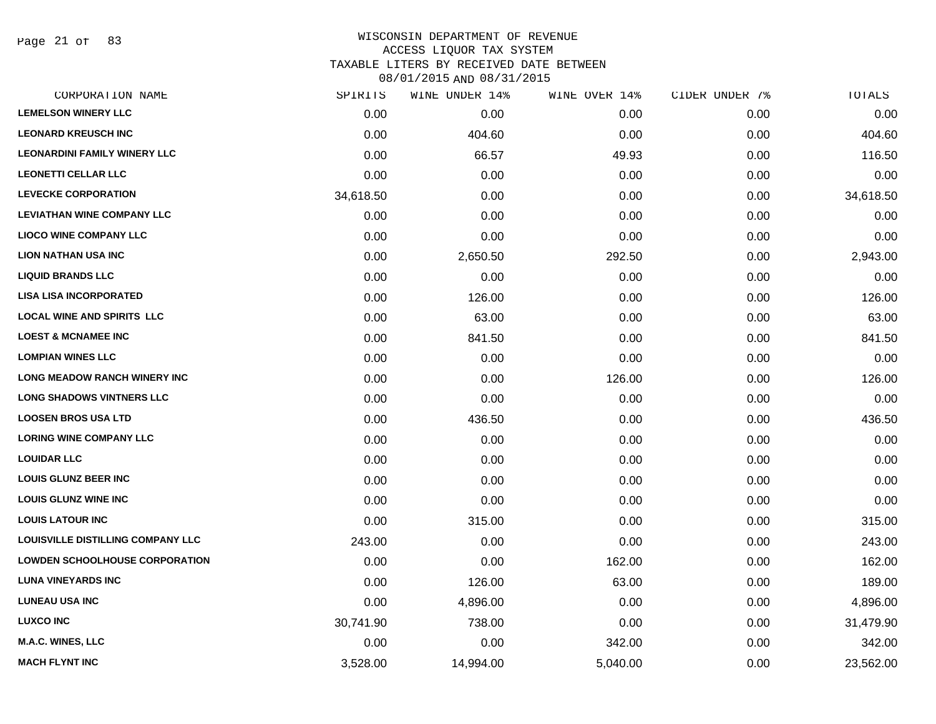Page 21 of 83

#### WISCONSIN DEPARTMENT OF REVENUE ACCESS LIQUOR TAX SYSTEM

TAXABLE LITERS BY RECEIVED DATE BETWEEN

| CORPORATION NAME                      | SPIRITS   | WINE UNDER 14% | WINE OVER 14% | CIDER UNDER 7% | TOTALS    |
|---------------------------------------|-----------|----------------|---------------|----------------|-----------|
| <b>LEMELSON WINERY LLC</b>            | 0.00      | 0.00           | 0.00          | 0.00           | 0.00      |
| <b>LEONARD KREUSCH INC</b>            | 0.00      | 404.60         | 0.00          | 0.00           | 404.60    |
| <b>LEONARDINI FAMILY WINERY LLC</b>   | 0.00      | 66.57          | 49.93         | 0.00           | 116.50    |
| <b>LEONETTI CELLAR LLC</b>            | 0.00      | 0.00           | 0.00          | 0.00           | 0.00      |
| <b>LEVECKE CORPORATION</b>            | 34,618.50 | 0.00           | 0.00          | 0.00           | 34,618.50 |
| <b>LEVIATHAN WINE COMPANY LLC</b>     | 0.00      | 0.00           | 0.00          | 0.00           | 0.00      |
| <b>LIOCO WINE COMPANY LLC</b>         | 0.00      | 0.00           | 0.00          | 0.00           | 0.00      |
| <b>LION NATHAN USA INC</b>            | 0.00      | 2,650.50       | 292.50        | 0.00           | 2,943.00  |
| <b>LIQUID BRANDS LLC</b>              | 0.00      | 0.00           | 0.00          | 0.00           | 0.00      |
| <b>LISA LISA INCORPORATED</b>         | 0.00      | 126.00         | 0.00          | 0.00           | 126.00    |
| <b>LOCAL WINE AND SPIRITS LLC</b>     | 0.00      | 63.00          | 0.00          | 0.00           | 63.00     |
| <b>LOEST &amp; MCNAMEE INC</b>        | 0.00      | 841.50         | 0.00          | 0.00           | 841.50    |
| <b>LOMPIAN WINES LLC</b>              | 0.00      | 0.00           | 0.00          | 0.00           | 0.00      |
| <b>LONG MEADOW RANCH WINERY INC</b>   | 0.00      | 0.00           | 126.00        | 0.00           | 126.00    |
| <b>LONG SHADOWS VINTNERS LLC</b>      | 0.00      | 0.00           | 0.00          | 0.00           | 0.00      |
| <b>LOOSEN BROS USA LTD</b>            | 0.00      | 436.50         | 0.00          | 0.00           | 436.50    |
| <b>LORING WINE COMPANY LLC</b>        | 0.00      | 0.00           | 0.00          | 0.00           | 0.00      |
| <b>LOUIDAR LLC</b>                    | 0.00      | 0.00           | 0.00          | 0.00           | 0.00      |
| <b>LOUIS GLUNZ BEER INC</b>           | 0.00      | 0.00           | 0.00          | 0.00           | 0.00      |
| <b>LOUIS GLUNZ WINE INC</b>           | 0.00      | 0.00           | 0.00          | 0.00           | 0.00      |
| <b>LOUIS LATOUR INC</b>               | 0.00      | 315.00         | 0.00          | 0.00           | 315.00    |
| LOUISVILLE DISTILLING COMPANY LLC     | 243.00    | 0.00           | 0.00          | 0.00           | 243.00    |
| <b>LOWDEN SCHOOLHOUSE CORPORATION</b> | 0.00      | 0.00           | 162.00        | 0.00           | 162.00    |
| <b>LUNA VINEYARDS INC</b>             | 0.00      | 126.00         | 63.00         | 0.00           | 189.00    |
| <b>LUNEAU USA INC</b>                 | 0.00      | 4,896.00       | 0.00          | 0.00           | 4,896.00  |
| <b>LUXCO INC</b>                      | 30,741.90 | 738.00         | 0.00          | 0.00           | 31,479.90 |
| M.A.C. WINES, LLC                     | 0.00      | 0.00           | 342.00        | 0.00           | 342.00    |
| <b>MACH FLYNT INC</b>                 | 3,528.00  | 14,994.00      | 5,040.00      | 0.00           | 23,562.00 |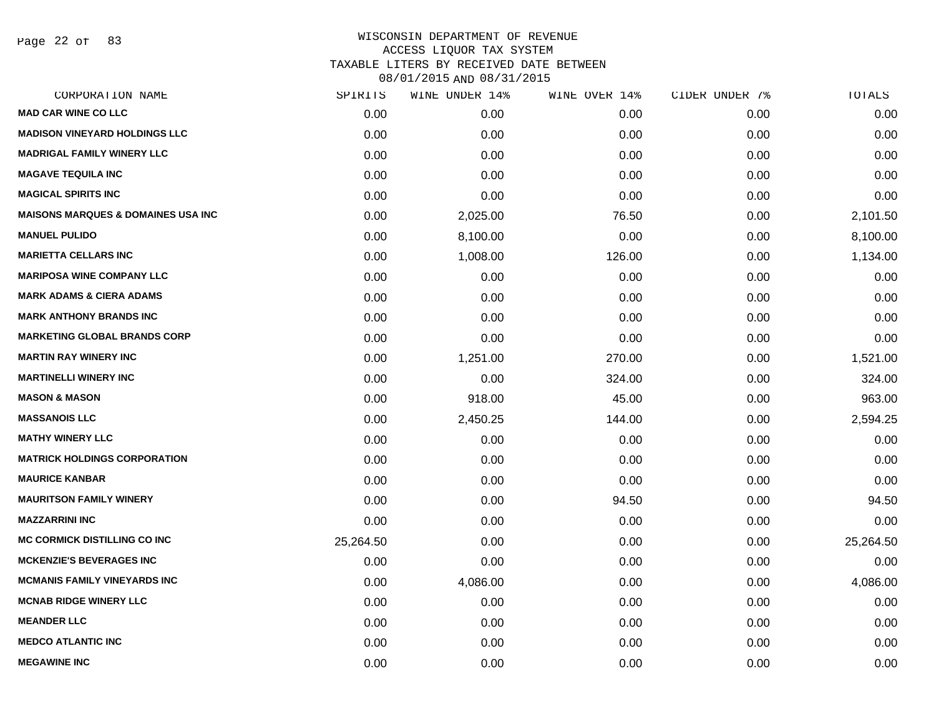Page 22 of 83

### WISCONSIN DEPARTMENT OF REVENUE ACCESS LIQUOR TAX SYSTEM TAXABLE LITERS BY RECEIVED DATE BETWEEN

| CORPORATION NAME                              | SPIRITS   | WINE UNDER 14% | WINE OVER 14% | CIDER UNDER 7% | TOTALS    |
|-----------------------------------------------|-----------|----------------|---------------|----------------|-----------|
| <b>MAD CAR WINE CO LLC</b>                    | 0.00      | 0.00           | 0.00          | 0.00           | 0.00      |
| <b>MADISON VINEYARD HOLDINGS LLC</b>          | 0.00      | 0.00           | 0.00          | 0.00           | 0.00      |
| <b>MADRIGAL FAMILY WINERY LLC</b>             | 0.00      | 0.00           | 0.00          | 0.00           | 0.00      |
| <b>MAGAVE TEQUILA INC</b>                     | 0.00      | 0.00           | 0.00          | 0.00           | 0.00      |
| <b>MAGICAL SPIRITS INC</b>                    | 0.00      | 0.00           | 0.00          | 0.00           | 0.00      |
| <b>MAISONS MARQUES &amp; DOMAINES USA INC</b> | 0.00      | 2,025.00       | 76.50         | 0.00           | 2,101.50  |
| <b>MANUEL PULIDO</b>                          | 0.00      | 8,100.00       | 0.00          | 0.00           | 8,100.00  |
| <b>MARIETTA CELLARS INC</b>                   | 0.00      | 1,008.00       | 126.00        | 0.00           | 1,134.00  |
| <b>MARIPOSA WINE COMPANY LLC</b>              | 0.00      | 0.00           | 0.00          | 0.00           | 0.00      |
| <b>MARK ADAMS &amp; CIERA ADAMS</b>           | 0.00      | 0.00           | 0.00          | 0.00           | 0.00      |
| <b>MARK ANTHONY BRANDS INC</b>                | 0.00      | 0.00           | 0.00          | 0.00           | 0.00      |
| <b>MARKETING GLOBAL BRANDS CORP</b>           | 0.00      | 0.00           | 0.00          | 0.00           | 0.00      |
| <b>MARTIN RAY WINERY INC</b>                  | 0.00      | 1,251.00       | 270.00        | 0.00           | 1,521.00  |
| <b>MARTINELLI WINERY INC</b>                  | 0.00      | 0.00           | 324.00        | 0.00           | 324.00    |
| <b>MASON &amp; MASON</b>                      | 0.00      | 918.00         | 45.00         | 0.00           | 963.00    |
| <b>MASSANOIS LLC</b>                          | 0.00      | 2,450.25       | 144.00        | 0.00           | 2,594.25  |
| <b>MATHY WINERY LLC</b>                       | 0.00      | 0.00           | 0.00          | 0.00           | 0.00      |
| <b>MATRICK HOLDINGS CORPORATION</b>           | 0.00      | 0.00           | 0.00          | 0.00           | 0.00      |
| <b>MAURICE KANBAR</b>                         | 0.00      | 0.00           | 0.00          | 0.00           | 0.00      |
| <b>MAURITSON FAMILY WINERY</b>                | 0.00      | 0.00           | 94.50         | 0.00           | 94.50     |
| <b>MAZZARRINI INC</b>                         | 0.00      | 0.00           | 0.00          | 0.00           | 0.00      |
| <b>MC CORMICK DISTILLING CO INC</b>           | 25,264.50 | 0.00           | 0.00          | 0.00           | 25,264.50 |
| <b>MCKENZIE'S BEVERAGES INC</b>               | 0.00      | 0.00           | 0.00          | 0.00           | 0.00      |
| <b>MCMANIS FAMILY VINEYARDS INC</b>           | 0.00      | 4,086.00       | 0.00          | 0.00           | 4,086.00  |
| <b>MCNAB RIDGE WINERY LLC</b>                 | 0.00      | 0.00           | 0.00          | 0.00           | 0.00      |
| <b>MEANDER LLC</b>                            | 0.00      | 0.00           | 0.00          | 0.00           | 0.00      |
| <b>MEDCO ATLANTIC INC</b>                     | 0.00      | 0.00           | 0.00          | 0.00           | 0.00      |
| <b>MEGAWINE INC</b>                           | 0.00      | 0.00           | 0.00          | 0.00           | 0.00      |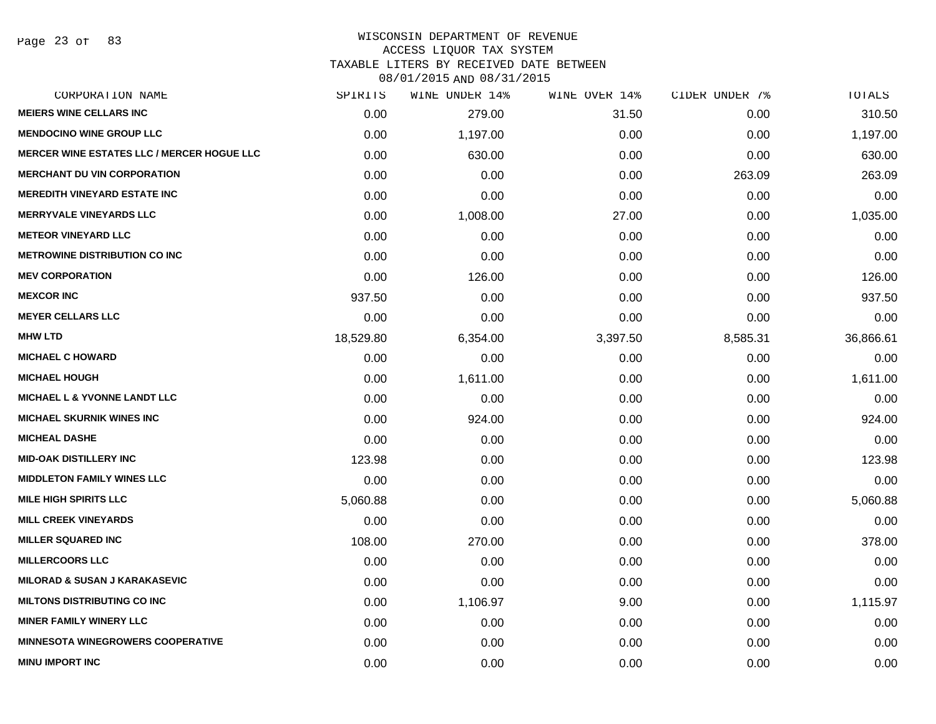# WISCONSIN DEPARTMENT OF REVENUE

# ACCESS LIQUOR TAX SYSTEM

TAXABLE LITERS BY RECEIVED DATE BETWEEN

| CORPORATION NAME                                  | SPIRITS   | WINE UNDER 14% | WINE OVER 14% | CIDER UNDER 7% | TOTALS    |
|---------------------------------------------------|-----------|----------------|---------------|----------------|-----------|
| <b>MEIERS WINE CELLARS INC</b>                    | 0.00      | 279.00         | 31.50         | 0.00           | 310.50    |
| <b>MENDOCINO WINE GROUP LLC</b>                   | 0.00      | 1,197.00       | 0.00          | 0.00           | 1,197.00  |
| <b>MERCER WINE ESTATES LLC / MERCER HOGUE LLC</b> | 0.00      | 630.00         | 0.00          | 0.00           | 630.00    |
| <b>MERCHANT DU VIN CORPORATION</b>                | 0.00      | 0.00           | 0.00          | 263.09         | 263.09    |
| <b>MEREDITH VINEYARD ESTATE INC</b>               | 0.00      | 0.00           | 0.00          | 0.00           | 0.00      |
| <b>MERRYVALE VINEYARDS LLC</b>                    | 0.00      | 1,008.00       | 27.00         | 0.00           | 1,035.00  |
| <b>METEOR VINEYARD LLC</b>                        | 0.00      | 0.00           | 0.00          | 0.00           | 0.00      |
| <b>METROWINE DISTRIBUTION CO INC</b>              | 0.00      | 0.00           | 0.00          | 0.00           | 0.00      |
| <b>MEV CORPORATION</b>                            | 0.00      | 126.00         | 0.00          | 0.00           | 126.00    |
| <b>MEXCOR INC</b>                                 | 937.50    | 0.00           | 0.00          | 0.00           | 937.50    |
| <b>MEYER CELLARS LLC</b>                          | 0.00      | 0.00           | 0.00          | 0.00           | 0.00      |
| <b>MHW LTD</b>                                    | 18,529.80 | 6,354.00       | 3,397.50      | 8,585.31       | 36,866.61 |
| <b>MICHAEL C HOWARD</b>                           | 0.00      | 0.00           | 0.00          | 0.00           | 0.00      |
| <b>MICHAEL HOUGH</b>                              | 0.00      | 1,611.00       | 0.00          | 0.00           | 1,611.00  |
| <b>MICHAEL L &amp; YVONNE LANDT LLC</b>           | 0.00      | 0.00           | 0.00          | 0.00           | 0.00      |
| <b>MICHAEL SKURNIK WINES INC</b>                  | 0.00      | 924.00         | 0.00          | 0.00           | 924.00    |
| <b>MICHEAL DASHE</b>                              | 0.00      | 0.00           | 0.00          | 0.00           | 0.00      |
| <b>MID-OAK DISTILLERY INC</b>                     | 123.98    | 0.00           | 0.00          | 0.00           | 123.98    |
| <b>MIDDLETON FAMILY WINES LLC</b>                 | 0.00      | 0.00           | 0.00          | 0.00           | 0.00      |
| <b>MILE HIGH SPIRITS LLC</b>                      | 5,060.88  | 0.00           | 0.00          | 0.00           | 5,060.88  |
| <b>MILL CREEK VINEYARDS</b>                       | 0.00      | 0.00           | 0.00          | 0.00           | 0.00      |
| <b>MILLER SQUARED INC</b>                         | 108.00    | 270.00         | 0.00          | 0.00           | 378.00    |
| <b>MILLERCOORS LLC</b>                            | 0.00      | 0.00           | 0.00          | 0.00           | 0.00      |
| <b>MILORAD &amp; SUSAN J KARAKASEVIC</b>          | 0.00      | 0.00           | 0.00          | 0.00           | 0.00      |
| <b>MILTONS DISTRIBUTING CO INC</b>                | 0.00      | 1,106.97       | 9.00          | 0.00           | 1,115.97  |
| <b>MINER FAMILY WINERY LLC</b>                    | 0.00      | 0.00           | 0.00          | 0.00           | 0.00      |
| <b>MINNESOTA WINEGROWERS COOPERATIVE</b>          | 0.00      | 0.00           | 0.00          | 0.00           | 0.00      |
| <b>MINU IMPORT INC</b>                            | 0.00      | 0.00           | 0.00          | 0.00           | 0.00      |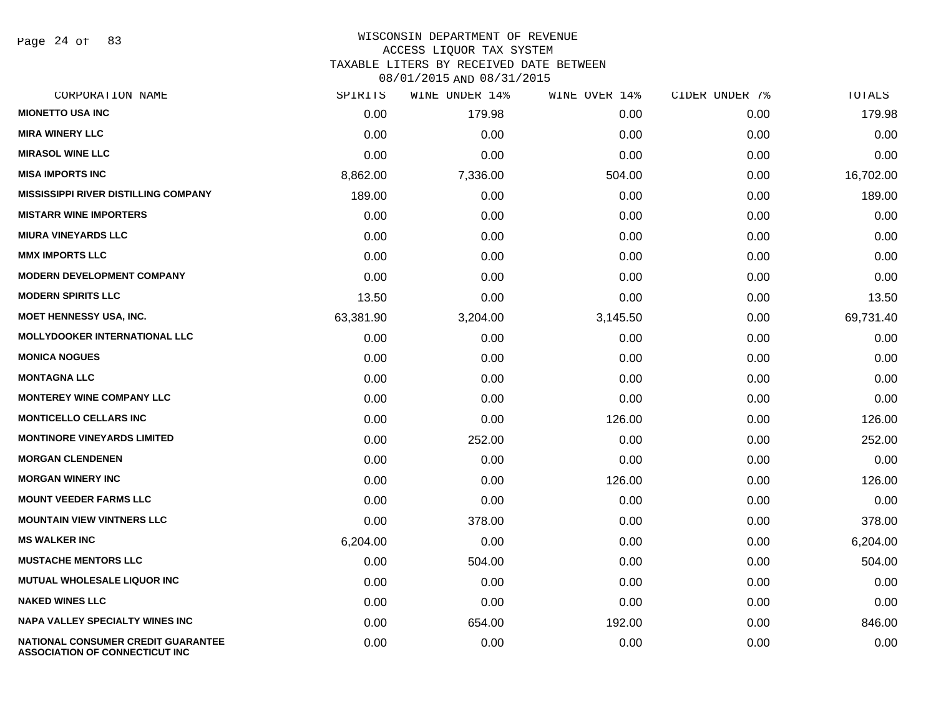Page 24 of 83

#### WISCONSIN DEPARTMENT OF REVENUE ACCESS LIQUOR TAX SYSTEM

TAXABLE LITERS BY RECEIVED DATE BETWEEN

| CORPORATION NAME                                                            | SPIRITS   | WINE UNDER 14% | WINE OVER 14% | CIDER UNDER 7% | TOTALS    |
|-----------------------------------------------------------------------------|-----------|----------------|---------------|----------------|-----------|
| <b>MIONETTO USA INC</b>                                                     | 0.00      | 179.98         | 0.00          | 0.00           | 179.98    |
| <b>MIRA WINERY LLC</b>                                                      | 0.00      | 0.00           | 0.00          | 0.00           | 0.00      |
| <b>MIRASOL WINE LLC</b>                                                     | 0.00      | 0.00           | 0.00          | 0.00           | 0.00      |
| <b>MISA IMPORTS INC</b>                                                     | 8,862.00  | 7,336.00       | 504.00        | 0.00           | 16,702.00 |
| <b>MISSISSIPPI RIVER DISTILLING COMPANY</b>                                 | 189.00    | 0.00           | 0.00          | 0.00           | 189.00    |
| <b>MISTARR WINE IMPORTERS</b>                                               | 0.00      | 0.00           | 0.00          | 0.00           | 0.00      |
| <b>MIURA VINEYARDS LLC</b>                                                  | 0.00      | 0.00           | 0.00          | 0.00           | 0.00      |
| <b>MMX IMPORTS LLC</b>                                                      | 0.00      | 0.00           | 0.00          | 0.00           | 0.00      |
| <b>MODERN DEVELOPMENT COMPANY</b>                                           | 0.00      | 0.00           | 0.00          | 0.00           | 0.00      |
| <b>MODERN SPIRITS LLC</b>                                                   | 13.50     | 0.00           | 0.00          | 0.00           | 13.50     |
| MOET HENNESSY USA, INC.                                                     | 63,381.90 | 3,204.00       | 3,145.50      | 0.00           | 69,731.40 |
| <b>MOLLYDOOKER INTERNATIONAL LLC</b>                                        | 0.00      | 0.00           | 0.00          | 0.00           | 0.00      |
| <b>MONICA NOGUES</b>                                                        | 0.00      | 0.00           | 0.00          | 0.00           | 0.00      |
| <b>MONTAGNA LLC</b>                                                         | 0.00      | 0.00           | 0.00          | 0.00           | 0.00      |
| <b>MONTEREY WINE COMPANY LLC</b>                                            | 0.00      | 0.00           | 0.00          | 0.00           | 0.00      |
| <b>MONTICELLO CELLARS INC</b>                                               | 0.00      | 0.00           | 126.00        | 0.00           | 126.00    |
| <b>MONTINORE VINEYARDS LIMITED</b>                                          | 0.00      | 252.00         | 0.00          | 0.00           | 252.00    |
| <b>MORGAN CLENDENEN</b>                                                     | 0.00      | 0.00           | 0.00          | 0.00           | 0.00      |
| <b>MORGAN WINERY INC</b>                                                    | 0.00      | 0.00           | 126.00        | 0.00           | 126.00    |
| <b>MOUNT VEEDER FARMS LLC</b>                                               | 0.00      | 0.00           | 0.00          | 0.00           | 0.00      |
| <b>MOUNTAIN VIEW VINTNERS LLC</b>                                           | 0.00      | 378.00         | 0.00          | 0.00           | 378.00    |
| <b>MS WALKER INC</b>                                                        | 6,204.00  | 0.00           | 0.00          | 0.00           | 6,204.00  |
| <b>MUSTACHE MENTORS LLC</b>                                                 | 0.00      | 504.00         | 0.00          | 0.00           | 504.00    |
| <b>MUTUAL WHOLESALE LIQUOR INC</b>                                          | 0.00      | 0.00           | 0.00          | 0.00           | 0.00      |
| <b>NAKED WINES LLC</b>                                                      | 0.00      | 0.00           | 0.00          | 0.00           | 0.00      |
| <b>NAPA VALLEY SPECIALTY WINES INC</b>                                      | 0.00      | 654.00         | 192.00        | 0.00           | 846.00    |
| NATIONAL CONSUMER CREDIT GUARANTEE<br><b>ASSOCIATION OF CONNECTICUT INC</b> | 0.00      | 0.00           | 0.00          | 0.00           | 0.00      |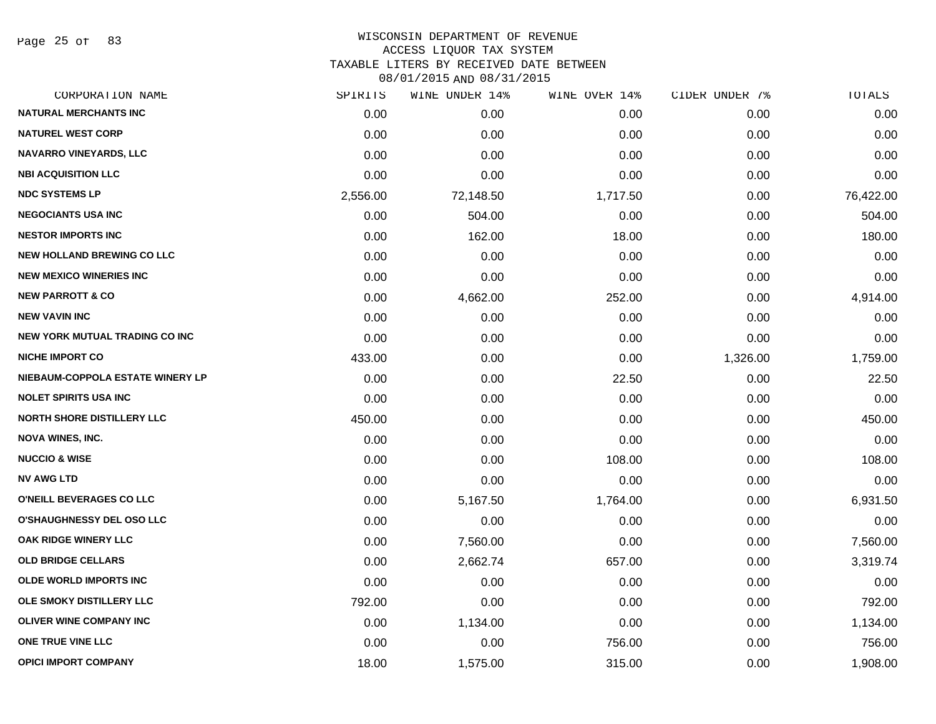Page 25 of 83

### WISCONSIN DEPARTMENT OF REVENUE ACCESS LIQUOR TAX SYSTEM TAXABLE LITERS BY RECEIVED DATE BETWEEN

| CORPORATION NAME                      | SPIRITS  | <b>WINE UNDER 14%</b> | WINE OVER 14% | CIDER UNDER 7% | TOTALS    |
|---------------------------------------|----------|-----------------------|---------------|----------------|-----------|
| <b>NATURAL MERCHANTS INC</b>          | 0.00     | 0.00                  | 0.00          | 0.00           | 0.00      |
| <b>NATUREL WEST CORP</b>              | 0.00     | 0.00                  | 0.00          | 0.00           | 0.00      |
| NAVARRO VINEYARDS, LLC                | 0.00     | 0.00                  | 0.00          | 0.00           | 0.00      |
| <b>NBI ACQUISITION LLC</b>            | 0.00     | 0.00                  | 0.00          | 0.00           | 0.00      |
| <b>NDC SYSTEMS LP</b>                 | 2,556.00 | 72,148.50             | 1,717.50      | 0.00           | 76,422.00 |
| <b>NEGOCIANTS USA INC</b>             | 0.00     | 504.00                | 0.00          | 0.00           | 504.00    |
| <b>NESTOR IMPORTS INC</b>             | 0.00     | 162.00                | 18.00         | 0.00           | 180.00    |
| <b>NEW HOLLAND BREWING CO LLC</b>     | 0.00     | 0.00                  | 0.00          | 0.00           | 0.00      |
| <b>NEW MEXICO WINERIES INC</b>        | 0.00     | 0.00                  | 0.00          | 0.00           | 0.00      |
| <b>NEW PARROTT &amp; CO</b>           | 0.00     | 4,662.00              | 252.00        | 0.00           | 4,914.00  |
| <b>NEW VAVIN INC</b>                  | 0.00     | 0.00                  | 0.00          | 0.00           | 0.00      |
| <b>NEW YORK MUTUAL TRADING CO INC</b> | 0.00     | 0.00                  | 0.00          | 0.00           | 0.00      |
| <b>NICHE IMPORT CO</b>                | 433.00   | 0.00                  | 0.00          | 1,326.00       | 1,759.00  |
| NIEBAUM-COPPOLA ESTATE WINERY LP      | 0.00     | 0.00                  | 22.50         | 0.00           | 22.50     |
| <b>NOLET SPIRITS USA INC</b>          | 0.00     | 0.00                  | 0.00          | 0.00           | 0.00      |
| <b>NORTH SHORE DISTILLERY LLC</b>     | 450.00   | 0.00                  | 0.00          | 0.00           | 450.00    |
| <b>NOVA WINES, INC.</b>               | 0.00     | 0.00                  | 0.00          | 0.00           | 0.00      |
| <b>NUCCIO &amp; WISE</b>              | 0.00     | 0.00                  | 108.00        | 0.00           | 108.00    |
| <b>NV AWG LTD</b>                     | 0.00     | 0.00                  | 0.00          | 0.00           | 0.00      |
| O'NEILL BEVERAGES CO LLC              | 0.00     | 5,167.50              | 1,764.00      | 0.00           | 6,931.50  |
| O'SHAUGHNESSY DEL OSO LLC             | 0.00     | 0.00                  | 0.00          | 0.00           | 0.00      |
| OAK RIDGE WINERY LLC                  | 0.00     | 7,560.00              | 0.00          | 0.00           | 7,560.00  |
| <b>OLD BRIDGE CELLARS</b>             | 0.00     | 2,662.74              | 657.00        | 0.00           | 3,319.74  |
| <b>OLDE WORLD IMPORTS INC</b>         | 0.00     | 0.00                  | 0.00          | 0.00           | 0.00      |
| OLE SMOKY DISTILLERY LLC              | 792.00   | 0.00                  | 0.00          | 0.00           | 792.00    |
| <b>OLIVER WINE COMPANY INC</b>        | 0.00     | 1,134.00              | 0.00          | 0.00           | 1,134.00  |
| ONE TRUE VINE LLC                     | 0.00     | 0.00                  | 756.00        | 0.00           | 756.00    |
| <b>OPICI IMPORT COMPANY</b>           | 18.00    | 1,575.00              | 315.00        | 0.00           | 1,908.00  |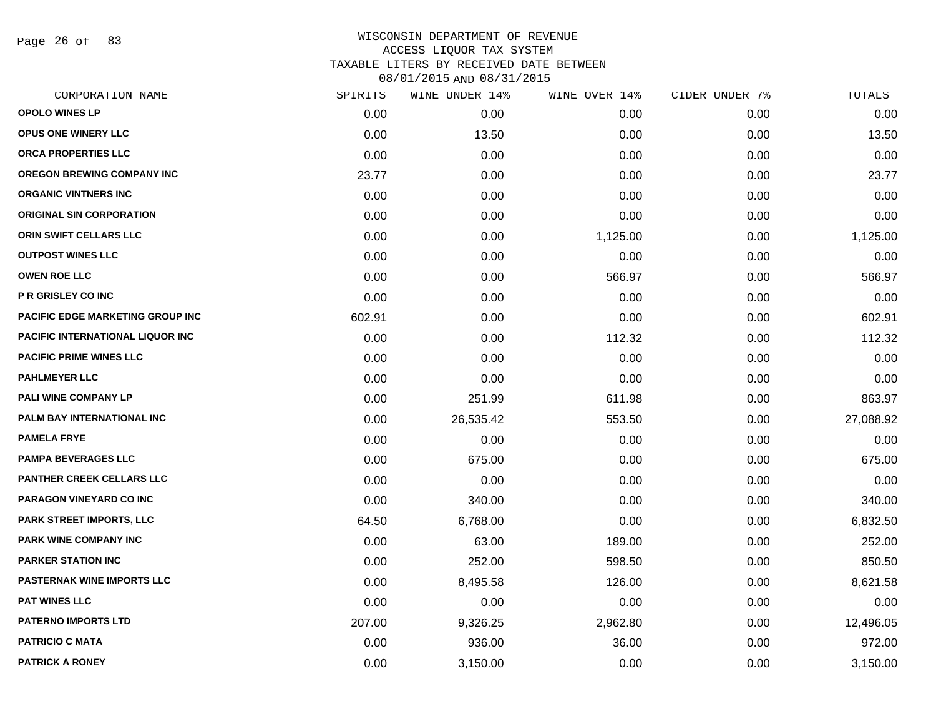Page 26 of 83

| CORPORATION NAME                        | SPIRITS | WINE UNDER 14% | WINE OVER 14% | CIDER UNDER 7% | TOTALS    |
|-----------------------------------------|---------|----------------|---------------|----------------|-----------|
| <b>OPOLO WINES LP</b>                   | 0.00    | 0.00           | 0.00          | 0.00           | 0.00      |
| OPUS ONE WINERY LLC                     | 0.00    | 13.50          | 0.00          | 0.00           | 13.50     |
| ORCA PROPERTIES LLC                     | 0.00    | 0.00           | 0.00          | 0.00           | 0.00      |
| OREGON BREWING COMPANY INC              | 23.77   | 0.00           | 0.00          | 0.00           | 23.77     |
| <b>ORGANIC VINTNERS INC</b>             | 0.00    | 0.00           | 0.00          | 0.00           | 0.00      |
| <b>ORIGINAL SIN CORPORATION</b>         | 0.00    | 0.00           | 0.00          | 0.00           | 0.00      |
| ORIN SWIFT CELLARS LLC                  | 0.00    | 0.00           | 1,125.00      | 0.00           | 1,125.00  |
| <b>OUTPOST WINES LLC</b>                | 0.00    | 0.00           | 0.00          | 0.00           | 0.00      |
| <b>OWEN ROE LLC</b>                     | 0.00    | 0.00           | 566.97        | 0.00           | 566.97    |
| P R GRISLEY CO INC                      | 0.00    | 0.00           | 0.00          | 0.00           | 0.00      |
| <b>PACIFIC EDGE MARKETING GROUP INC</b> | 602.91  | 0.00           | 0.00          | 0.00           | 602.91    |
| PACIFIC INTERNATIONAL LIQUOR INC        | 0.00    | 0.00           | 112.32        | 0.00           | 112.32    |
| <b>PACIFIC PRIME WINES LLC</b>          | 0.00    | 0.00           | 0.00          | 0.00           | 0.00      |
| <b>PAHLMEYER LLC</b>                    | 0.00    | 0.00           | 0.00          | 0.00           | 0.00      |
| <b>PALI WINE COMPANY LP</b>             | 0.00    | 251.99         | 611.98        | 0.00           | 863.97    |
| PALM BAY INTERNATIONAL INC              | 0.00    | 26,535.42      | 553.50        | 0.00           | 27,088.92 |
| <b>PAMELA FRYE</b>                      | 0.00    | 0.00           | 0.00          | 0.00           | 0.00      |
| <b>PAMPA BEVERAGES LLC</b>              | 0.00    | 675.00         | 0.00          | 0.00           | 675.00    |
| <b>PANTHER CREEK CELLARS LLC</b>        | 0.00    | 0.00           | 0.00          | 0.00           | 0.00      |
| PARAGON VINEYARD CO INC                 | 0.00    | 340.00         | 0.00          | 0.00           | 340.00    |
| PARK STREET IMPORTS, LLC                | 64.50   | 6,768.00       | 0.00          | 0.00           | 6,832.50  |
| PARK WINE COMPANY INC                   | 0.00    | 63.00          | 189.00        | 0.00           | 252.00    |
| <b>PARKER STATION INC</b>               | 0.00    | 252.00         | 598.50        | 0.00           | 850.50    |
| <b>PASTERNAK WINE IMPORTS LLC</b>       | 0.00    | 8,495.58       | 126.00        | 0.00           | 8,621.58  |
| <b>PAT WINES LLC</b>                    | 0.00    | 0.00           | 0.00          | 0.00           | 0.00      |
| <b>PATERNO IMPORTS LTD</b>              | 207.00  | 9,326.25       | 2,962.80      | 0.00           | 12,496.05 |
| <b>PATRICIO C MATA</b>                  | 0.00    | 936.00         | 36.00         | 0.00           | 972.00    |
| <b>PATRICK A RONEY</b>                  | 0.00    | 3,150.00       | 0.00          | 0.00           | 3,150.00  |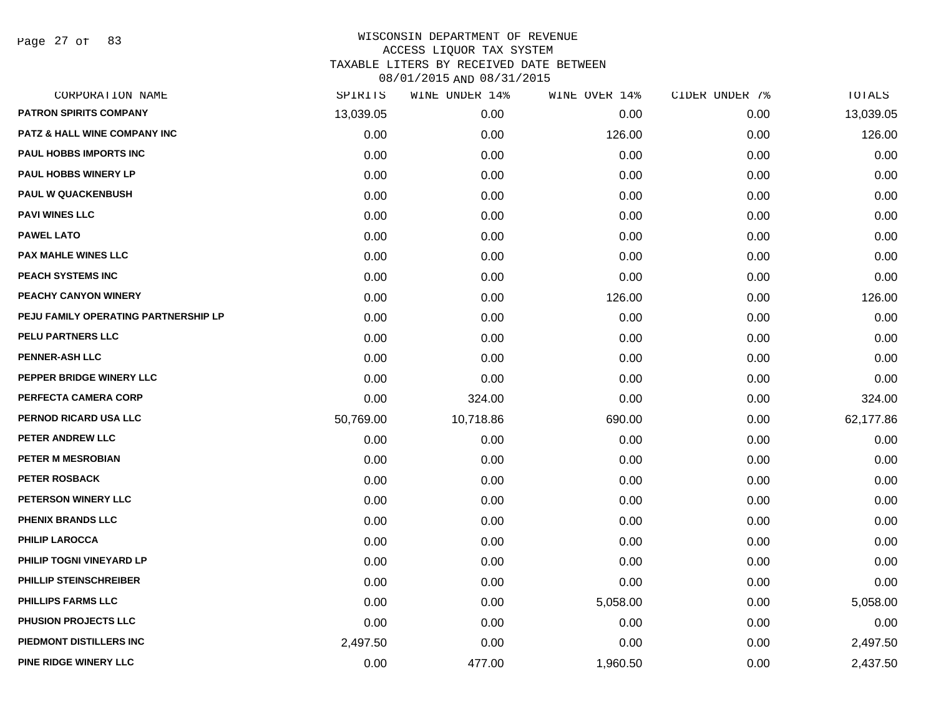Page 27 of 83

| CORPORATION NAME                        | SPIRITS   | WINE UNDER 14% | WINE OVER 14% | CIDER UNDER 7% | TOTALS    |
|-----------------------------------------|-----------|----------------|---------------|----------------|-----------|
| <b>PATRON SPIRITS COMPANY</b>           | 13,039.05 | 0.00           | 0.00          | 0.00           | 13,039.05 |
| <b>PATZ &amp; HALL WINE COMPANY INC</b> | 0.00      | 0.00           | 126.00        | 0.00           | 126.00    |
| <b>PAUL HOBBS IMPORTS INC</b>           | 0.00      | 0.00           | 0.00          | 0.00           | 0.00      |
| <b>PAUL HOBBS WINERY LP</b>             | 0.00      | 0.00           | 0.00          | 0.00           | 0.00      |
| <b>PAUL W QUACKENBUSH</b>               | 0.00      | 0.00           | 0.00          | 0.00           | 0.00      |
| <b>PAVI WINES LLC</b>                   | 0.00      | 0.00           | 0.00          | 0.00           | 0.00      |
| <b>PAWEL LATO</b>                       | 0.00      | 0.00           | 0.00          | 0.00           | 0.00      |
| <b>PAX MAHLE WINES LLC</b>              | 0.00      | 0.00           | 0.00          | 0.00           | 0.00      |
| PEACH SYSTEMS INC                       | 0.00      | 0.00           | 0.00          | 0.00           | 0.00      |
| PEACHY CANYON WINERY                    | 0.00      | 0.00           | 126.00        | 0.00           | 126.00    |
| PEJU FAMILY OPERATING PARTNERSHIP LP    | 0.00      | 0.00           | 0.00          | 0.00           | 0.00      |
| PELU PARTNERS LLC                       | 0.00      | 0.00           | 0.00          | 0.00           | 0.00      |
| <b>PENNER-ASH LLC</b>                   | 0.00      | 0.00           | 0.00          | 0.00           | 0.00      |
| PEPPER BRIDGE WINERY LLC                | 0.00      | 0.00           | 0.00          | 0.00           | 0.00      |
| PERFECTA CAMERA CORP                    | 0.00      | 324.00         | 0.00          | 0.00           | 324.00    |
| PERNOD RICARD USA LLC                   | 50,769.00 | 10,718.86      | 690.00        | 0.00           | 62,177.86 |
| PETER ANDREW LLC                        | 0.00      | 0.00           | 0.00          | 0.00           | 0.00      |
| PETER M MESROBIAN                       | 0.00      | 0.00           | 0.00          | 0.00           | 0.00      |
| PETER ROSBACK                           | 0.00      | 0.00           | 0.00          | 0.00           | 0.00      |
| PETERSON WINERY LLC                     | 0.00      | 0.00           | 0.00          | 0.00           | 0.00      |
| <b>PHENIX BRANDS LLC</b>                | 0.00      | 0.00           | 0.00          | 0.00           | 0.00      |
| <b>PHILIP LAROCCA</b>                   | 0.00      | 0.00           | 0.00          | 0.00           | 0.00      |
| PHILIP TOGNI VINEYARD LP                | 0.00      | 0.00           | 0.00          | 0.00           | 0.00      |
| PHILLIP STEINSCHREIBER                  | 0.00      | 0.00           | 0.00          | 0.00           | 0.00      |
| PHILLIPS FARMS LLC                      | 0.00      | 0.00           | 5,058.00      | 0.00           | 5,058.00  |
| PHUSION PROJECTS LLC                    | 0.00      | 0.00           | 0.00          | 0.00           | 0.00      |
| PIEDMONT DISTILLERS INC                 | 2,497.50  | 0.00           | 0.00          | 0.00           | 2,497.50  |
| PINE RIDGE WINERY LLC                   | 0.00      | 477.00         | 1,960.50      | 0.00           | 2,437.50  |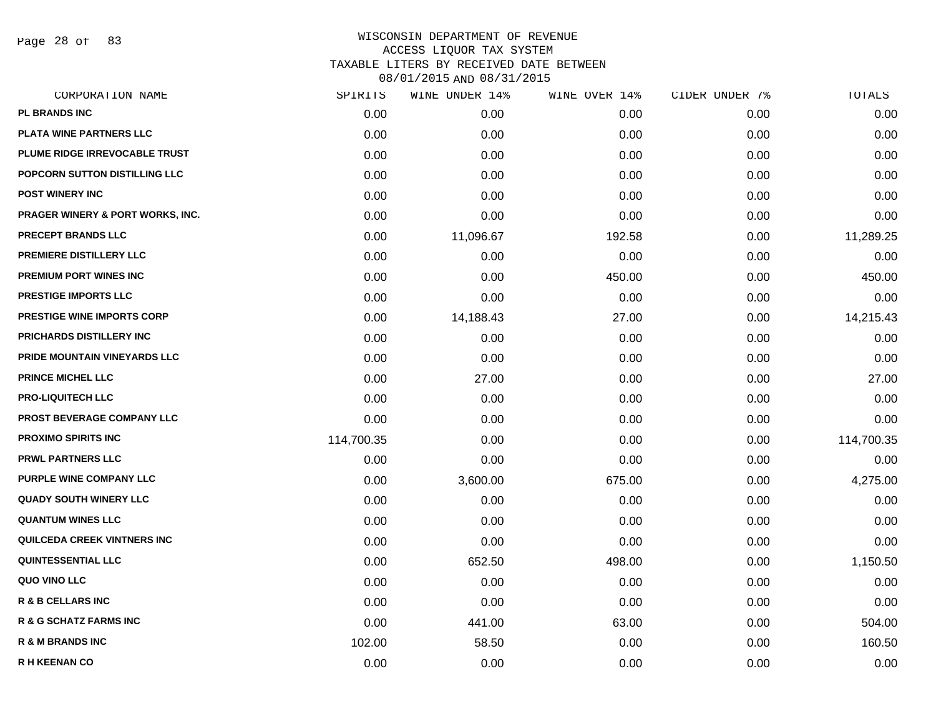Page 28 of 83

| CORPORATION NAME                   | SPIRITS    | WINE UNDER 14% | WINE OVER 14% | CIDER UNDER 7% | TOTALS     |
|------------------------------------|------------|----------------|---------------|----------------|------------|
| PL BRANDS INC                      | 0.00       | 0.00           | 0.00          | 0.00           | 0.00       |
| PLATA WINE PARTNERS LLC            | 0.00       | 0.00           | 0.00          | 0.00           | 0.00       |
| PLUME RIDGE IRREVOCABLE TRUST      | 0.00       | 0.00           | 0.00          | 0.00           | 0.00       |
| POPCORN SUTTON DISTILLING LLC      | 0.00       | 0.00           | 0.00          | 0.00           | 0.00       |
| <b>POST WINERY INC</b>             | 0.00       | 0.00           | 0.00          | 0.00           | 0.00       |
| PRAGER WINERY & PORT WORKS, INC.   | 0.00       | 0.00           | 0.00          | 0.00           | 0.00       |
| PRECEPT BRANDS LLC                 | 0.00       | 11,096.67      | 192.58        | 0.00           | 11,289.25  |
| PREMIERE DISTILLERY LLC            | 0.00       | 0.00           | 0.00          | 0.00           | 0.00       |
| PREMIUM PORT WINES INC             | 0.00       | 0.00           | 450.00        | 0.00           | 450.00     |
| <b>PRESTIGE IMPORTS LLC</b>        | 0.00       | 0.00           | 0.00          | 0.00           | 0.00       |
| <b>PRESTIGE WINE IMPORTS CORP</b>  | 0.00       | 14,188.43      | 27.00         | 0.00           | 14,215.43  |
| PRICHARDS DISTILLERY INC           | 0.00       | 0.00           | 0.00          | 0.00           | 0.00       |
| PRIDE MOUNTAIN VINEYARDS LLC       | 0.00       | 0.00           | 0.00          | 0.00           | 0.00       |
| <b>PRINCE MICHEL LLC</b>           | 0.00       | 27.00          | 0.00          | 0.00           | 27.00      |
| <b>PRO-LIQUITECH LLC</b>           | 0.00       | 0.00           | 0.00          | 0.00           | 0.00       |
| <b>PROST BEVERAGE COMPANY LLC</b>  | 0.00       | 0.00           | 0.00          | 0.00           | 0.00       |
| <b>PROXIMO SPIRITS INC</b>         | 114,700.35 | 0.00           | 0.00          | 0.00           | 114,700.35 |
| <b>PRWL PARTNERS LLC</b>           | 0.00       | 0.00           | 0.00          | 0.00           | 0.00       |
| PURPLE WINE COMPANY LLC            | 0.00       | 3,600.00       | 675.00        | 0.00           | 4,275.00   |
| <b>QUADY SOUTH WINERY LLC</b>      | 0.00       | 0.00           | 0.00          | 0.00           | 0.00       |
| <b>QUANTUM WINES LLC</b>           | 0.00       | 0.00           | 0.00          | 0.00           | 0.00       |
| <b>QUILCEDA CREEK VINTNERS INC</b> | 0.00       | 0.00           | 0.00          | 0.00           | 0.00       |
| <b>QUINTESSENTIAL LLC</b>          | 0.00       | 652.50         | 498.00        | 0.00           | 1,150.50   |
| QUO VINO LLC                       | 0.00       | 0.00           | 0.00          | 0.00           | 0.00       |
| R & B CELLARS INC                  | 0.00       | 0.00           | 0.00          | 0.00           | 0.00       |
| R & G SCHATZ FARMS INC             | 0.00       | 441.00         | 63.00         | 0.00           | 504.00     |
| R & M BRANDS INC                   | 102.00     | 58.50          | 0.00          | 0.00           | 160.50     |
| <b>R H KEENAN CO</b>               | 0.00       | 0.00           | 0.00          | 0.00           | 0.00       |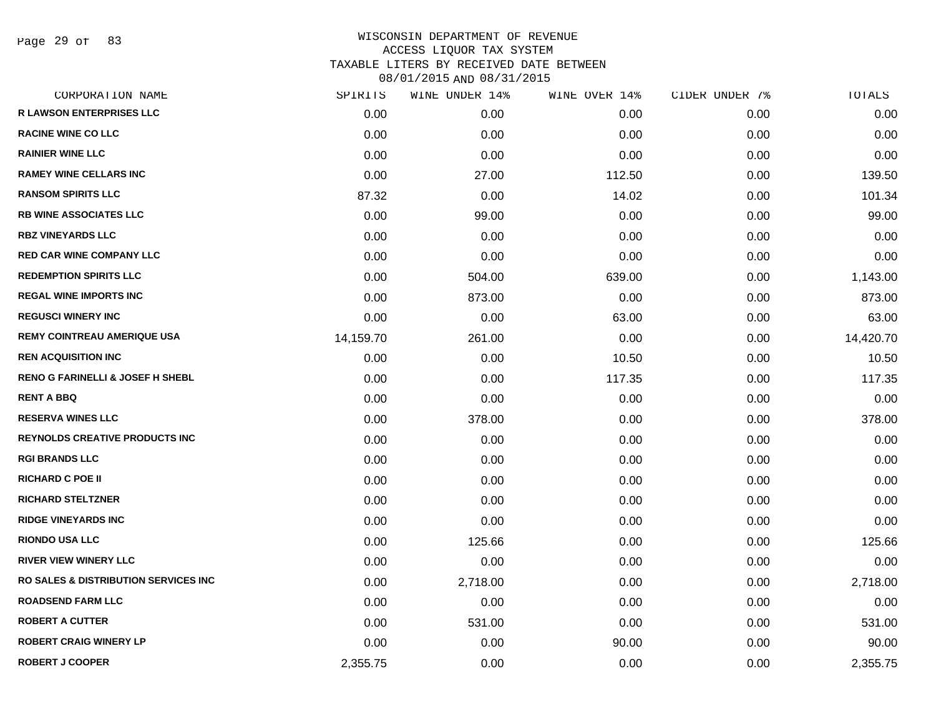Page 29 of 83

| CORPORATION NAME                                 | SPIRITS   | WINE UNDER 14% | WINE OVER 14% | CIDER UNDER 7% | TOTALS    |
|--------------------------------------------------|-----------|----------------|---------------|----------------|-----------|
| <b>R LAWSON ENTERPRISES LLC</b>                  | 0.00      | 0.00           | 0.00          | 0.00           | 0.00      |
| <b>RACINE WINE CO LLC</b>                        | 0.00      | 0.00           | 0.00          | 0.00           | 0.00      |
| <b>RAINIER WINE LLC</b>                          | 0.00      | 0.00           | 0.00          | 0.00           | 0.00      |
| <b>RAMEY WINE CELLARS INC</b>                    | 0.00      | 27.00          | 112.50        | 0.00           | 139.50    |
| <b>RANSOM SPIRITS LLC</b>                        | 87.32     | 0.00           | 14.02         | 0.00           | 101.34    |
| <b>RB WINE ASSOCIATES LLC</b>                    | 0.00      | 99.00          | 0.00          | 0.00           | 99.00     |
| <b>RBZ VINEYARDS LLC</b>                         | 0.00      | 0.00           | 0.00          | 0.00           | 0.00      |
| <b>RED CAR WINE COMPANY LLC</b>                  | 0.00      | 0.00           | 0.00          | 0.00           | 0.00      |
| <b>REDEMPTION SPIRITS LLC</b>                    | 0.00      | 504.00         | 639.00        | 0.00           | 1,143.00  |
| <b>REGAL WINE IMPORTS INC</b>                    | 0.00      | 873.00         | 0.00          | 0.00           | 873.00    |
| <b>REGUSCI WINERY INC</b>                        | 0.00      | 0.00           | 63.00         | 0.00           | 63.00     |
| <b>REMY COINTREAU AMERIQUE USA</b>               | 14,159.70 | 261.00         | 0.00          | 0.00           | 14,420.70 |
| <b>REN ACQUISITION INC</b>                       | 0.00      | 0.00           | 10.50         | 0.00           | 10.50     |
| <b>RENO G FARINELLI &amp; JOSEF H SHEBL</b>      | 0.00      | 0.00           | 117.35        | 0.00           | 117.35    |
| <b>RENT A BBQ</b>                                | 0.00      | 0.00           | 0.00          | 0.00           | 0.00      |
| <b>RESERVA WINES LLC</b>                         | 0.00      | 378.00         | 0.00          | 0.00           | 378.00    |
| <b>REYNOLDS CREATIVE PRODUCTS INC</b>            | 0.00      | 0.00           | 0.00          | 0.00           | 0.00      |
| <b>RGI BRANDS LLC</b>                            | 0.00      | 0.00           | 0.00          | 0.00           | 0.00      |
| <b>RICHARD C POE II</b>                          | 0.00      | 0.00           | 0.00          | 0.00           | 0.00      |
| <b>RICHARD STELTZNER</b>                         | 0.00      | 0.00           | 0.00          | 0.00           | 0.00      |
| <b>RIDGE VINEYARDS INC</b>                       | 0.00      | 0.00           | 0.00          | 0.00           | 0.00      |
| <b>RIONDO USA LLC</b>                            | 0.00      | 125.66         | 0.00          | 0.00           | 125.66    |
| <b>RIVER VIEW WINERY LLC</b>                     | 0.00      | 0.00           | 0.00          | 0.00           | 0.00      |
| <b>RO SALES &amp; DISTRIBUTION SERVICES INC.</b> | 0.00      | 2,718.00       | 0.00          | 0.00           | 2,718.00  |
| <b>ROADSEND FARM LLC</b>                         | 0.00      | 0.00           | 0.00          | 0.00           | 0.00      |
| <b>ROBERT A CUTTER</b>                           | 0.00      | 531.00         | 0.00          | 0.00           | 531.00    |
| <b>ROBERT CRAIG WINERY LP</b>                    | 0.00      | 0.00           | 90.00         | 0.00           | 90.00     |
| <b>ROBERT J COOPER</b>                           | 2,355.75  | 0.00           | 0.00          | 0.00           | 2,355.75  |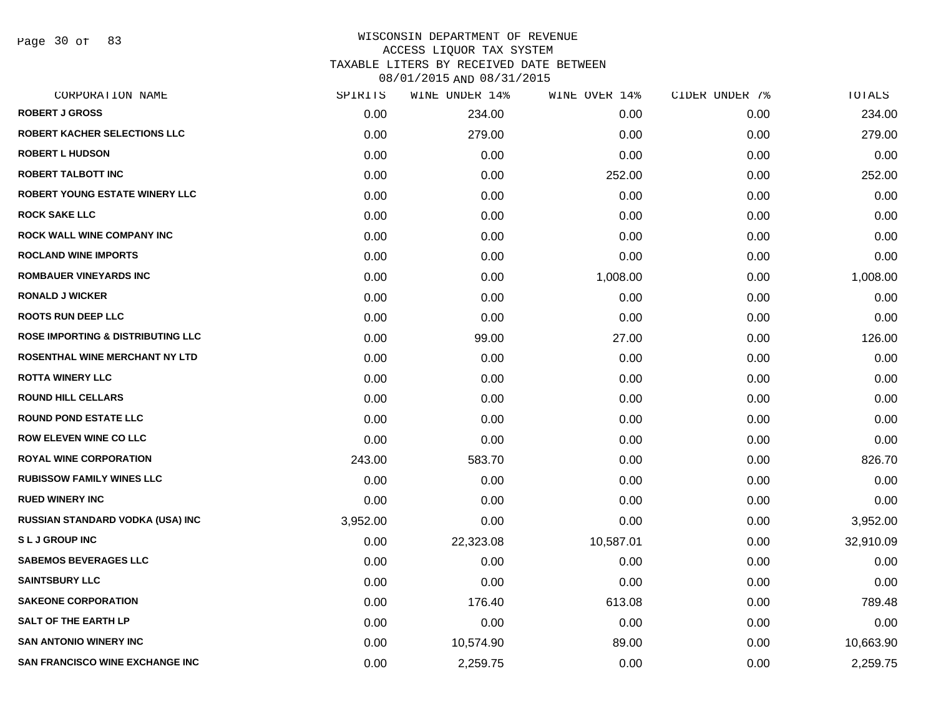Page 30 of 83

### WISCONSIN DEPARTMENT OF REVENUE ACCESS LIQUOR TAX SYSTEM TAXABLE LITERS BY RECEIVED DATE BETWEEN

| CORPORATION NAME                             | SPIRITS  | WINE UNDER 14% | WINE OVER 14% | CIDER UNDER 7% | TOTALS    |
|----------------------------------------------|----------|----------------|---------------|----------------|-----------|
| <b>ROBERT J GROSS</b>                        | 0.00     | 234.00         | 0.00          | 0.00           | 234.00    |
| ROBERT KACHER SELECTIONS LLC                 | 0.00     | 279.00         | 0.00          | 0.00           | 279.00    |
| <b>ROBERT L HUDSON</b>                       | 0.00     | 0.00           | 0.00          | 0.00           | 0.00      |
| <b>ROBERT TALBOTT INC</b>                    | 0.00     | 0.00           | 252.00        | 0.00           | 252.00    |
| ROBERT YOUNG ESTATE WINERY LLC               | 0.00     | 0.00           | 0.00          | 0.00           | 0.00      |
| <b>ROCK SAKE LLC</b>                         | 0.00     | 0.00           | 0.00          | 0.00           | 0.00      |
| ROCK WALL WINE COMPANY INC                   | 0.00     | 0.00           | 0.00          | 0.00           | 0.00      |
| <b>ROCLAND WINE IMPORTS</b>                  | 0.00     | 0.00           | 0.00          | 0.00           | 0.00      |
| ROMBAUER VINEYARDS INC                       | 0.00     | 0.00           | 1,008.00      | 0.00           | 1,008.00  |
| <b>RONALD J WICKER</b>                       | 0.00     | 0.00           | 0.00          | 0.00           | 0.00      |
| <b>ROOTS RUN DEEP LLC</b>                    | 0.00     | 0.00           | 0.00          | 0.00           | 0.00      |
| <b>ROSE IMPORTING &amp; DISTRIBUTING LLC</b> | 0.00     | 99.00          | 27.00         | 0.00           | 126.00    |
| ROSENTHAL WINE MERCHANT NY LTD               | 0.00     | 0.00           | 0.00          | 0.00           | 0.00      |
| <b>ROTTA WINERY LLC</b>                      | 0.00     | 0.00           | 0.00          | 0.00           | 0.00      |
| <b>ROUND HILL CELLARS</b>                    | 0.00     | 0.00           | 0.00          | 0.00           | 0.00      |
| <b>ROUND POND ESTATE LLC</b>                 | 0.00     | 0.00           | 0.00          | 0.00           | 0.00      |
| <b>ROW ELEVEN WINE CO LLC</b>                | 0.00     | 0.00           | 0.00          | 0.00           | 0.00      |
| <b>ROYAL WINE CORPORATION</b>                | 243.00   | 583.70         | 0.00          | 0.00           | 826.70    |
| <b>RUBISSOW FAMILY WINES LLC</b>             | 0.00     | 0.00           | 0.00          | 0.00           | 0.00      |
| <b>RUED WINERY INC</b>                       | 0.00     | 0.00           | 0.00          | 0.00           | 0.00      |
| RUSSIAN STANDARD VODKA (USA) INC             | 3,952.00 | 0.00           | 0.00          | 0.00           | 3,952.00  |
| <b>SLJGROUPINC</b>                           | 0.00     | 22,323.08      | 10,587.01     | 0.00           | 32,910.09 |
| <b>SABEMOS BEVERAGES LLC</b>                 | 0.00     | 0.00           | 0.00          | 0.00           | 0.00      |
| <b>SAINTSBURY LLC</b>                        | 0.00     | 0.00           | 0.00          | 0.00           | 0.00      |
| <b>SAKEONE CORPORATION</b>                   | 0.00     | 176.40         | 613.08        | 0.00           | 789.48    |
| <b>SALT OF THE EARTH LP</b>                  | 0.00     | 0.00           | 0.00          | 0.00           | 0.00      |
| <b>SAN ANTONIO WINERY INC</b>                | 0.00     | 10,574.90      | 89.00         | 0.00           | 10,663.90 |
| <b>SAN FRANCISCO WINE EXCHANGE INC</b>       | 0.00     | 2,259.75       | 0.00          | 0.00           | 2,259.75  |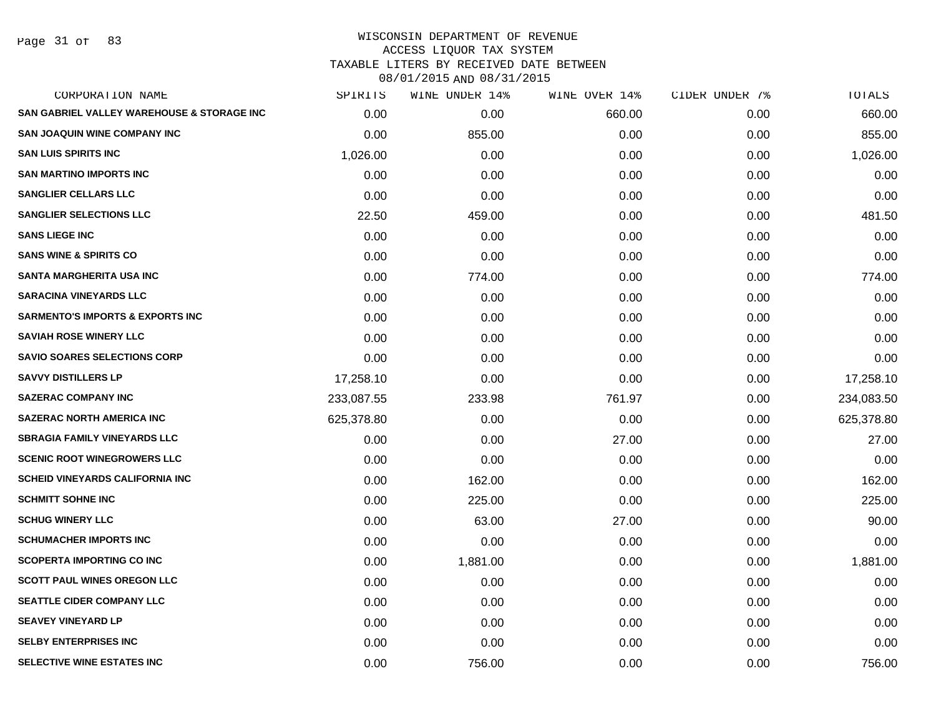Page 31 of 83

### WISCONSIN DEPARTMENT OF REVENUE ACCESS LIQUOR TAX SYSTEM TAXABLE LITERS BY RECEIVED DATE BETWEEN

| CORPORATION NAME                            | SPIRITS    | WINE UNDER 14% | WINE OVER 14% | CIDER UNDER 7% | TOTALS     |
|---------------------------------------------|------------|----------------|---------------|----------------|------------|
| SAN GABRIEL VALLEY WAREHOUSE & STORAGE INC  | 0.00       | 0.00           | 660.00        | 0.00           | 660.00     |
| <b>SAN JOAQUIN WINE COMPANY INC</b>         | 0.00       | 855.00         | 0.00          | 0.00           | 855.00     |
| <b>SAN LUIS SPIRITS INC</b>                 | 1,026.00   | 0.00           | 0.00          | 0.00           | 1,026.00   |
| <b>SAN MARTINO IMPORTS INC</b>              | 0.00       | 0.00           | 0.00          | 0.00           | 0.00       |
| <b>SANGLIER CELLARS LLC</b>                 | 0.00       | 0.00           | 0.00          | 0.00           | 0.00       |
| <b>SANGLIER SELECTIONS LLC</b>              | 22.50      | 459.00         | 0.00          | 0.00           | 481.50     |
| <b>SANS LIEGE INC</b>                       | 0.00       | 0.00           | 0.00          | 0.00           | 0.00       |
| <b>SANS WINE &amp; SPIRITS CO</b>           | 0.00       | 0.00           | 0.00          | 0.00           | 0.00       |
| <b>SANTA MARGHERITA USA INC</b>             | 0.00       | 774.00         | 0.00          | 0.00           | 774.00     |
| <b>SARACINA VINEYARDS LLC</b>               | 0.00       | 0.00           | 0.00          | 0.00           | 0.00       |
| <b>SARMENTO'S IMPORTS &amp; EXPORTS INC</b> | 0.00       | 0.00           | 0.00          | 0.00           | 0.00       |
| <b>SAVIAH ROSE WINERY LLC</b>               | 0.00       | 0.00           | 0.00          | 0.00           | 0.00       |
| <b>SAVIO SOARES SELECTIONS CORP</b>         | 0.00       | 0.00           | 0.00          | 0.00           | 0.00       |
| <b>SAVVY DISTILLERS LP</b>                  | 17,258.10  | 0.00           | 0.00          | 0.00           | 17,258.10  |
| <b>SAZERAC COMPANY INC</b>                  | 233,087.55 | 233.98         | 761.97        | 0.00           | 234,083.50 |
| <b>SAZERAC NORTH AMERICA INC</b>            | 625,378.80 | 0.00           | 0.00          | 0.00           | 625,378.80 |
| <b>SBRAGIA FAMILY VINEYARDS LLC</b>         | 0.00       | 0.00           | 27.00         | 0.00           | 27.00      |
| <b>SCENIC ROOT WINEGROWERS LLC</b>          | 0.00       | 0.00           | 0.00          | 0.00           | 0.00       |
| <b>SCHEID VINEYARDS CALIFORNIA INC</b>      | 0.00       | 162.00         | 0.00          | 0.00           | 162.00     |
| <b>SCHMITT SOHNE INC</b>                    | 0.00       | 225.00         | 0.00          | 0.00           | 225.00     |
| <b>SCHUG WINERY LLC</b>                     | 0.00       | 63.00          | 27.00         | 0.00           | 90.00      |
| <b>SCHUMACHER IMPORTS INC</b>               | 0.00       | 0.00           | 0.00          | 0.00           | 0.00       |
| <b>SCOPERTA IMPORTING CO INC</b>            | 0.00       | 1,881.00       | 0.00          | 0.00           | 1,881.00   |
| <b>SCOTT PAUL WINES OREGON LLC</b>          | 0.00       | 0.00           | 0.00          | 0.00           | 0.00       |
| <b>SEATTLE CIDER COMPANY LLC</b>            | 0.00       | 0.00           | 0.00          | 0.00           | 0.00       |
| <b>SEAVEY VINEYARD LP</b>                   | 0.00       | 0.00           | 0.00          | 0.00           | 0.00       |
| <b>SELBY ENTERPRISES INC</b>                | 0.00       | 0.00           | 0.00          | 0.00           | 0.00       |
| SELECTIVE WINE ESTATES INC                  | 0.00       | 756.00         | 0.00          | 0.00           | 756.00     |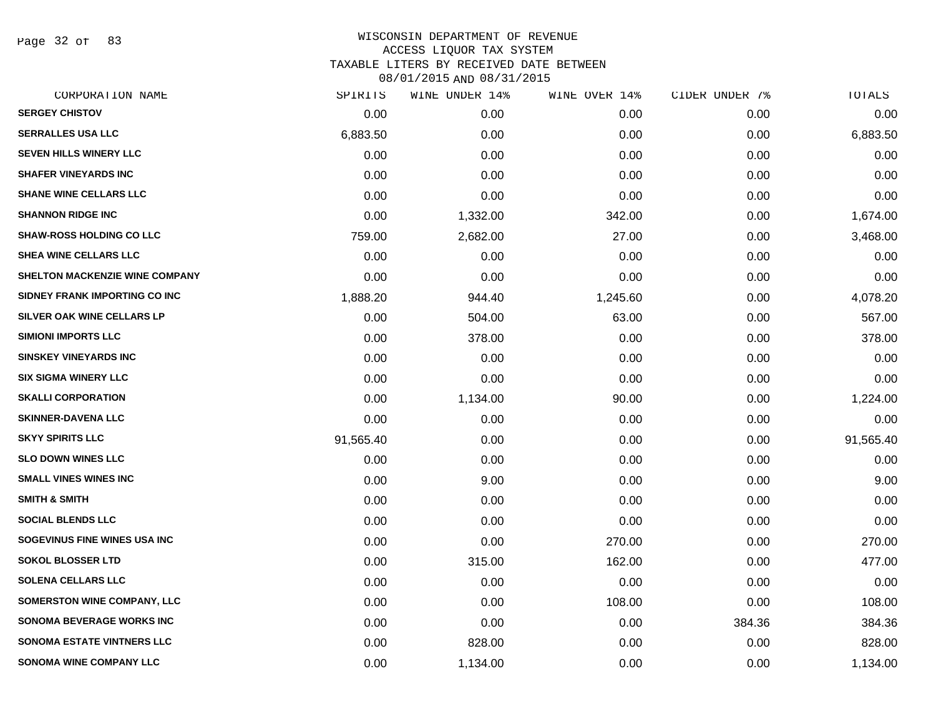Page 32 of 83

# WISCONSIN DEPARTMENT OF REVENUE ACCESS LIQUOR TAX SYSTEM TAXABLE LITERS BY RECEIVED DATE BETWEEN

| CORPORATION NAME                      | SPIRITS   | WINE UNDER 14% | WINE OVER 14% | CIDER UNDER 7% | TOTALS    |
|---------------------------------------|-----------|----------------|---------------|----------------|-----------|
| <b>SERGEY CHISTOV</b>                 | 0.00      | 0.00           | 0.00          | 0.00           | 0.00      |
| <b>SERRALLES USA LLC</b>              | 6,883.50  | 0.00           | 0.00          | 0.00           | 6,883.50  |
| <b>SEVEN HILLS WINERY LLC</b>         | 0.00      | 0.00           | 0.00          | 0.00           | 0.00      |
| <b>SHAFER VINEYARDS INC</b>           | 0.00      | 0.00           | 0.00          | 0.00           | 0.00      |
| <b>SHANE WINE CELLARS LLC</b>         | 0.00      | 0.00           | 0.00          | 0.00           | 0.00      |
| <b>SHANNON RIDGE INC</b>              | 0.00      | 1,332.00       | 342.00        | 0.00           | 1,674.00  |
| <b>SHAW-ROSS HOLDING CO LLC</b>       | 759.00    | 2,682.00       | 27.00         | 0.00           | 3,468.00  |
| <b>SHEA WINE CELLARS LLC</b>          | 0.00      | 0.00           | 0.00          | 0.00           | 0.00      |
| <b>SHELTON MACKENZIE WINE COMPANY</b> | 0.00      | 0.00           | 0.00          | 0.00           | 0.00      |
| SIDNEY FRANK IMPORTING CO INC         | 1,888.20  | 944.40         | 1,245.60      | 0.00           | 4,078.20  |
| SILVER OAK WINE CELLARS LP            | 0.00      | 504.00         | 63.00         | 0.00           | 567.00    |
| <b>SIMIONI IMPORTS LLC</b>            | 0.00      | 378.00         | 0.00          | 0.00           | 378.00    |
| <b>SINSKEY VINEYARDS INC</b>          | 0.00      | 0.00           | 0.00          | 0.00           | 0.00      |
| <b>SIX SIGMA WINERY LLC</b>           | 0.00      | 0.00           | 0.00          | 0.00           | 0.00      |
| <b>SKALLI CORPORATION</b>             | 0.00      | 1,134.00       | 90.00         | 0.00           | 1,224.00  |
| <b>SKINNER-DAVENA LLC</b>             | 0.00      | 0.00           | 0.00          | 0.00           | 0.00      |
| <b>SKYY SPIRITS LLC</b>               | 91,565.40 | 0.00           | 0.00          | 0.00           | 91,565.40 |
| <b>SLO DOWN WINES LLC</b>             | 0.00      | 0.00           | 0.00          | 0.00           | 0.00      |
| <b>SMALL VINES WINES INC</b>          | 0.00      | 9.00           | 0.00          | 0.00           | 9.00      |
| <b>SMITH &amp; SMITH</b>              | 0.00      | 0.00           | 0.00          | 0.00           | 0.00      |
| <b>SOCIAL BLENDS LLC</b>              | 0.00      | 0.00           | 0.00          | 0.00           | 0.00      |
| SOGEVINUS FINE WINES USA INC          | 0.00      | 0.00           | 270.00        | 0.00           | 270.00    |
| <b>SOKOL BLOSSER LTD</b>              | 0.00      | 315.00         | 162.00        | 0.00           | 477.00    |
| <b>SOLENA CELLARS LLC</b>             | 0.00      | 0.00           | 0.00          | 0.00           | 0.00      |
| SOMERSTON WINE COMPANY, LLC           | 0.00      | 0.00           | 108.00        | 0.00           | 108.00    |
| <b>SONOMA BEVERAGE WORKS INC</b>      | 0.00      | 0.00           | 0.00          | 384.36         | 384.36    |
| <b>SONOMA ESTATE VINTNERS LLC</b>     | 0.00      | 828.00         | 0.00          | 0.00           | 828.00    |
| <b>SONOMA WINE COMPANY LLC</b>        | 0.00      | 1,134.00       | 0.00          | 0.00           | 1,134.00  |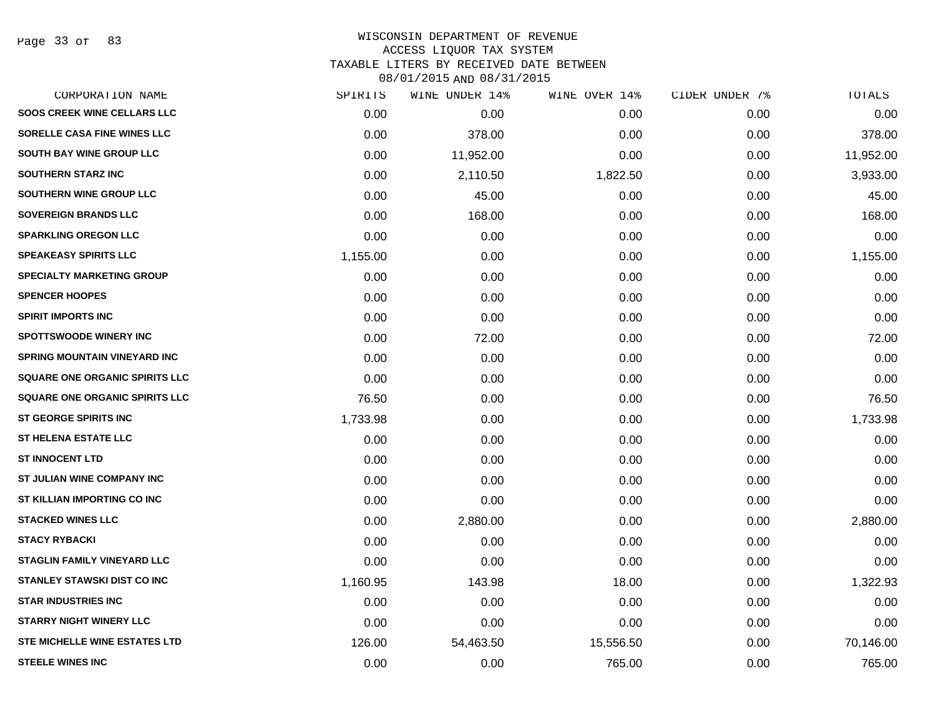Page 33 of 83

#### WISCONSIN DEPARTMENT OF REVENUE ACCESS LIQUOR TAX SYSTEM

TAXABLE LITERS BY RECEIVED DATE BETWEEN

| CORPORATION NAME                      | SPIRITS  | WINE UNDER 14% | WINE OVER 14% | CIDER UNDER 7% | TOTALS    |
|---------------------------------------|----------|----------------|---------------|----------------|-----------|
| <b>SOOS CREEK WINE CELLARS LLC</b>    | 0.00     | 0.00           | 0.00          | 0.00           | 0.00      |
| SORELLE CASA FINE WINES LLC           | 0.00     | 378.00         | 0.00          | 0.00           | 378.00    |
| SOUTH BAY WINE GROUP LLC              | 0.00     | 11,952.00      | 0.00          | 0.00           | 11,952.00 |
| <b>SOUTHERN STARZ INC</b>             | 0.00     | 2,110.50       | 1,822.50      | 0.00           | 3,933.00  |
| <b>SOUTHERN WINE GROUP LLC</b>        | 0.00     | 45.00          | 0.00          | 0.00           | 45.00     |
| <b>SOVEREIGN BRANDS LLC</b>           | 0.00     | 168.00         | 0.00          | 0.00           | 168.00    |
| <b>SPARKLING OREGON LLC</b>           | 0.00     | 0.00           | 0.00          | 0.00           | 0.00      |
| <b>SPEAKEASY SPIRITS LLC</b>          | 1,155.00 | 0.00           | 0.00          | 0.00           | 1,155.00  |
| <b>SPECIALTY MARKETING GROUP</b>      | 0.00     | 0.00           | 0.00          | 0.00           | 0.00      |
| <b>SPENCER HOOPES</b>                 | 0.00     | 0.00           | 0.00          | 0.00           | 0.00      |
| <b>SPIRIT IMPORTS INC</b>             | 0.00     | 0.00           | 0.00          | 0.00           | 0.00      |
| <b>SPOTTSWOODE WINERY INC</b>         | 0.00     | 72.00          | 0.00          | 0.00           | 72.00     |
| SPRING MOUNTAIN VINEYARD INC          | 0.00     | 0.00           | 0.00          | 0.00           | 0.00      |
| <b>SQUARE ONE ORGANIC SPIRITS LLC</b> | 0.00     | 0.00           | 0.00          | 0.00           | 0.00      |
| <b>SQUARE ONE ORGANIC SPIRITS LLC</b> | 76.50    | 0.00           | 0.00          | 0.00           | 76.50     |
| ST GEORGE SPIRITS INC                 | 1,733.98 | 0.00           | 0.00          | 0.00           | 1,733.98  |
| <b>ST HELENA ESTATE LLC</b>           | 0.00     | 0.00           | 0.00          | 0.00           | 0.00      |
| <b>ST INNOCENT LTD</b>                | 0.00     | 0.00           | 0.00          | 0.00           | 0.00      |
| ST JULIAN WINE COMPANY INC            | 0.00     | 0.00           | 0.00          | 0.00           | 0.00      |
| ST KILLIAN IMPORTING CO INC           | 0.00     | 0.00           | 0.00          | 0.00           | 0.00      |
| <b>STACKED WINES LLC</b>              | 0.00     | 2,880.00       | 0.00          | 0.00           | 2,880.00  |
| <b>STACY RYBACKI</b>                  | 0.00     | 0.00           | 0.00          | 0.00           | 0.00      |
| <b>STAGLIN FAMILY VINEYARD LLC</b>    | 0.00     | 0.00           | 0.00          | 0.00           | 0.00      |
| STANLEY STAWSKI DIST CO INC           | 1,160.95 | 143.98         | 18.00         | 0.00           | 1,322.93  |
| <b>STAR INDUSTRIES INC</b>            | 0.00     | 0.00           | 0.00          | 0.00           | 0.00      |
| <b>STARRY NIGHT WINERY LLC</b>        | 0.00     | 0.00           | 0.00          | 0.00           | 0.00      |
| <b>STE MICHELLE WINE ESTATES LTD</b>  | 126.00   | 54,463.50      | 15,556.50     | 0.00           | 70,146.00 |
| <b>STEELE WINES INC</b>               | 0.00     | 0.00           | 765.00        | 0.00           | 765.00    |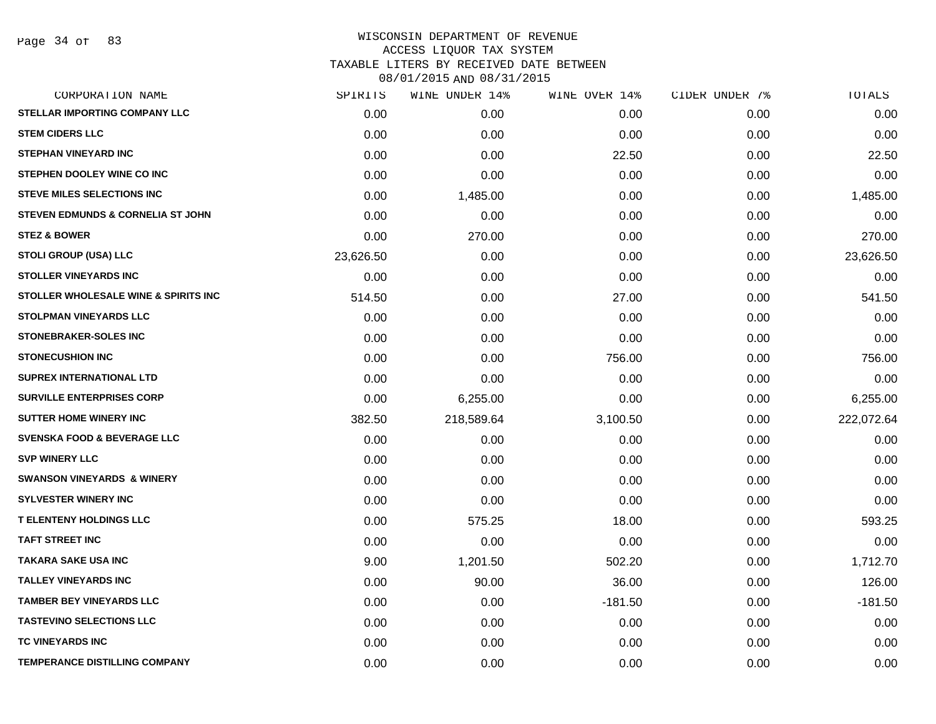## WISCONSIN DEPARTMENT OF REVENUE ACCESS LIQUOR TAX SYSTEM TAXABLE LITERS BY RECEIVED DATE BETWEEN

| CORPORATION NAME                       | SPIRITS   | WINE UNDER 14% | WINE OVER 14% | CIDER UNDER 7% | TOTALS     |
|----------------------------------------|-----------|----------------|---------------|----------------|------------|
| STELLAR IMPORTING COMPANY LLC          | 0.00      | 0.00           | 0.00          | 0.00           | 0.00       |
| <b>STEM CIDERS LLC</b>                 | 0.00      | 0.00           | 0.00          | 0.00           | 0.00       |
| <b>STEPHAN VINEYARD INC</b>            | 0.00      | 0.00           | 22.50         | 0.00           | 22.50      |
| STEPHEN DOOLEY WINE CO INC             | 0.00      | 0.00           | 0.00          | 0.00           | 0.00       |
| <b>STEVE MILES SELECTIONS INC</b>      | 0.00      | 1,485.00       | 0.00          | 0.00           | 1,485.00   |
| STEVEN EDMUNDS & CORNELIA ST JOHN      | 0.00      | 0.00           | 0.00          | 0.00           | 0.00       |
| <b>STEZ &amp; BOWER</b>                | 0.00      | 270.00         | 0.00          | 0.00           | 270.00     |
| <b>STOLI GROUP (USA) LLC</b>           | 23,626.50 | 0.00           | 0.00          | 0.00           | 23,626.50  |
| <b>STOLLER VINEYARDS INC</b>           | 0.00      | 0.00           | 0.00          | 0.00           | 0.00       |
| STOLLER WHOLESALE WINE & SPIRITS INC   | 514.50    | 0.00           | 27.00         | 0.00           | 541.50     |
| STOLPMAN VINEYARDS LLC                 | 0.00      | 0.00           | 0.00          | 0.00           | 0.00       |
| STONEBRAKER-SOLES INC                  | 0.00      | 0.00           | 0.00          | 0.00           | 0.00       |
| <b>STONECUSHION INC</b>                | 0.00      | 0.00           | 756.00        | 0.00           | 756.00     |
| <b>SUPREX INTERNATIONAL LTD</b>        | 0.00      | 0.00           | 0.00          | 0.00           | 0.00       |
| <b>SURVILLE ENTERPRISES CORP</b>       | 0.00      | 6,255.00       | 0.00          | 0.00           | 6,255.00   |
| <b>SUTTER HOME WINERY INC</b>          | 382.50    | 218,589.64     | 3,100.50      | 0.00           | 222,072.64 |
| <b>SVENSKA FOOD &amp; BEVERAGE LLC</b> | 0.00      | 0.00           | 0.00          | 0.00           | 0.00       |
| <b>SVP WINERY LLC</b>                  | 0.00      | 0.00           | 0.00          | 0.00           | 0.00       |
| <b>SWANSON VINEYARDS &amp; WINERY</b>  | 0.00      | 0.00           | 0.00          | 0.00           | 0.00       |
| <b>SYLVESTER WINERY INC</b>            | 0.00      | 0.00           | 0.00          | 0.00           | 0.00       |
| <b>T ELENTENY HOLDINGS LLC</b>         | 0.00      | 575.25         | 18.00         | 0.00           | 593.25     |
| <b>TAFT STREET INC</b>                 | 0.00      | 0.00           | 0.00          | 0.00           | 0.00       |
| <b>TAKARA SAKE USA INC</b>             | 9.00      | 1,201.50       | 502.20        | 0.00           | 1,712.70   |
| <b>TALLEY VINEYARDS INC</b>            | 0.00      | 90.00          | 36.00         | 0.00           | 126.00     |
| <b>TAMBER BEY VINEYARDS LLC</b>        | 0.00      | 0.00           | $-181.50$     | 0.00           | $-181.50$  |
| <b>TASTEVINO SELECTIONS LLC</b>        | 0.00      | 0.00           | 0.00          | 0.00           | 0.00       |
| <b>TC VINEYARDS INC</b>                | 0.00      | 0.00           | 0.00          | 0.00           | 0.00       |
| <b>TEMPERANCE DISTILLING COMPANY</b>   | 0.00      | 0.00           | 0.00          | 0.00           | 0.00       |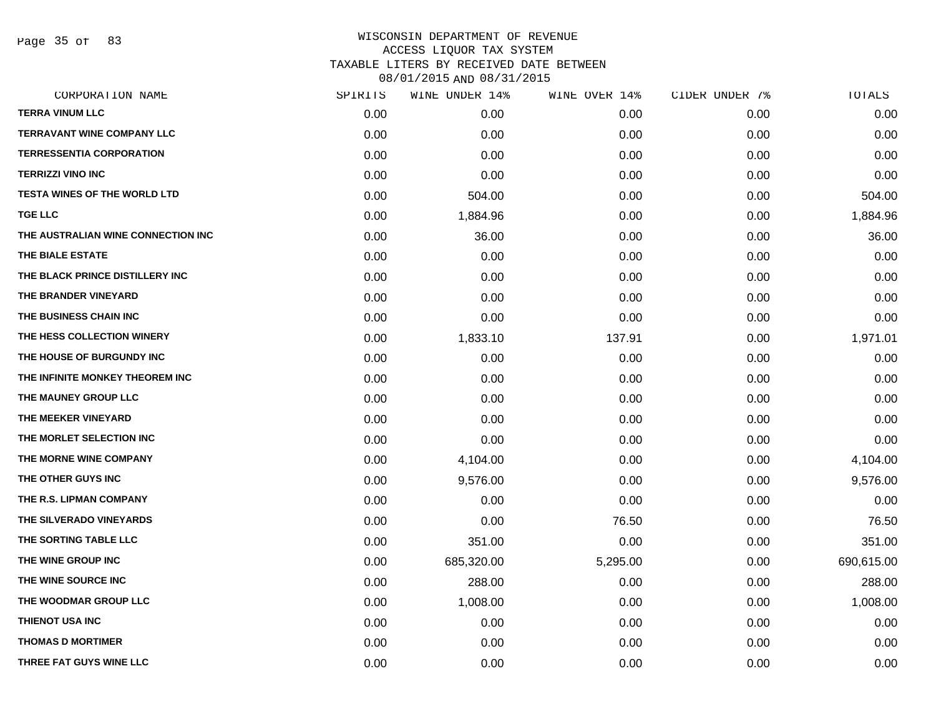Page 35 of 83

### WISCONSIN DEPARTMENT OF REVENUE ACCESS LIQUOR TAX SYSTEM TAXABLE LITERS BY RECEIVED DATE BETWEEN

| CORPORATION NAME                    | SPIRITS | WINE UNDER 14% | WINE OVER 14% | CIDER UNDER 7% | TOTALS     |
|-------------------------------------|---------|----------------|---------------|----------------|------------|
| <b>TERRA VINUM LLC</b>              | 0.00    | 0.00           | 0.00          | 0.00           | 0.00       |
| <b>TERRAVANT WINE COMPANY LLC</b>   | 0.00    | 0.00           | 0.00          | 0.00           | 0.00       |
| <b>TERRESSENTIA CORPORATION</b>     | 0.00    | 0.00           | 0.00          | 0.00           | 0.00       |
| <b>TERRIZZI VINO INC</b>            | 0.00    | 0.00           | 0.00          | 0.00           | 0.00       |
| <b>TESTA WINES OF THE WORLD LTD</b> | 0.00    | 504.00         | 0.00          | 0.00           | 504.00     |
| <b>TGE LLC</b>                      | 0.00    | 1,884.96       | 0.00          | 0.00           | 1,884.96   |
| THE AUSTRALIAN WINE CONNECTION INC  | 0.00    | 36.00          | 0.00          | 0.00           | 36.00      |
| THE BIALE ESTATE                    | 0.00    | 0.00           | 0.00          | 0.00           | 0.00       |
| THE BLACK PRINCE DISTILLERY INC     | 0.00    | 0.00           | 0.00          | 0.00           | 0.00       |
| THE BRANDER VINEYARD                | 0.00    | 0.00           | 0.00          | 0.00           | 0.00       |
| THE BUSINESS CHAIN INC              | 0.00    | 0.00           | 0.00          | 0.00           | 0.00       |
| THE HESS COLLECTION WINERY          | 0.00    | 1,833.10       | 137.91        | 0.00           | 1,971.01   |
| THE HOUSE OF BURGUNDY INC           | 0.00    | 0.00           | 0.00          | 0.00           | 0.00       |
| THE INFINITE MONKEY THEOREM INC     | 0.00    | 0.00           | 0.00          | 0.00           | 0.00       |
| THE MAUNEY GROUP LLC                | 0.00    | 0.00           | 0.00          | 0.00           | 0.00       |
| THE MEEKER VINEYARD                 | 0.00    | 0.00           | 0.00          | 0.00           | 0.00       |
| THE MORLET SELECTION INC            | 0.00    | 0.00           | 0.00          | 0.00           | 0.00       |
| THE MORNE WINE COMPANY              | 0.00    | 4,104.00       | 0.00          | 0.00           | 4,104.00   |
| THE OTHER GUYS INC                  | 0.00    | 9,576.00       | 0.00          | 0.00           | 9,576.00   |
| THE R.S. LIPMAN COMPANY             | 0.00    | 0.00           | 0.00          | 0.00           | 0.00       |
| THE SILVERADO VINEYARDS             | 0.00    | 0.00           | 76.50         | 0.00           | 76.50      |
| THE SORTING TABLE LLC               | 0.00    | 351.00         | 0.00          | 0.00           | 351.00     |
| THE WINE GROUP INC                  | 0.00    | 685,320.00     | 5,295.00      | 0.00           | 690,615.00 |
| THE WINE SOURCE INC                 | 0.00    | 288.00         | 0.00          | 0.00           | 288.00     |
| THE WOODMAR GROUP LLC               | 0.00    | 1,008.00       | 0.00          | 0.00           | 1,008.00   |
| THIENOT USA INC                     | 0.00    | 0.00           | 0.00          | 0.00           | 0.00       |
| <b>THOMAS D MORTIMER</b>            | 0.00    | 0.00           | 0.00          | 0.00           | 0.00       |
| THREE FAT GUYS WINE LLC             | 0.00    | 0.00           | 0.00          | 0.00           | 0.00       |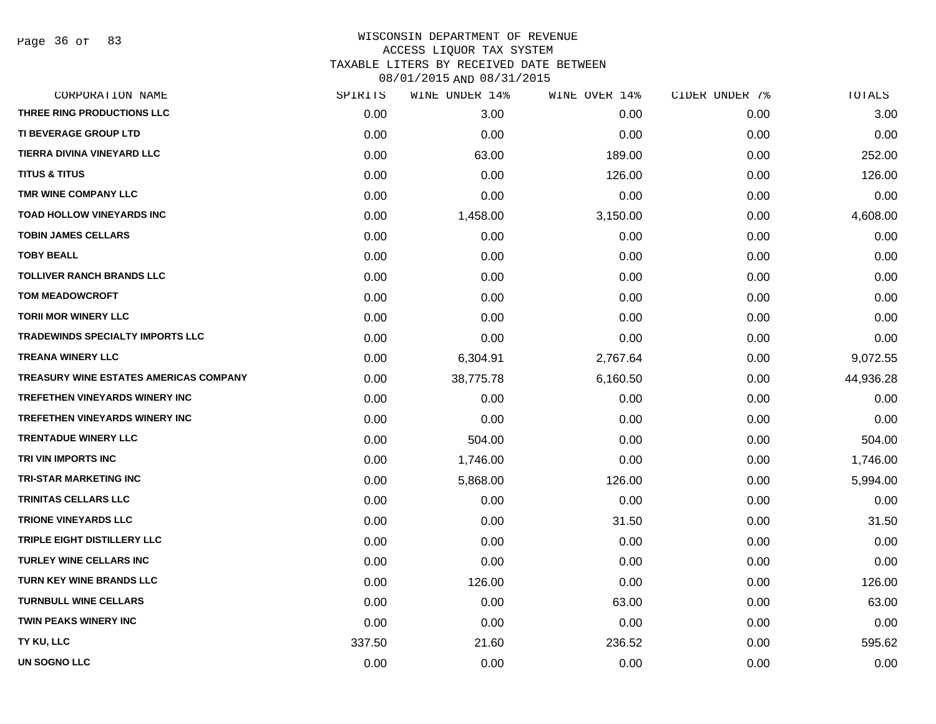Page 36 of 83

## WISCONSIN DEPARTMENT OF REVENUE ACCESS LIQUOR TAX SYSTEM TAXABLE LITERS BY RECEIVED DATE BETWEEN

| CORPORATION NAME                       | SPIRITS | WINE UNDER 14% | WINE OVER 14% | CIDER UNDER 7% | TOTALS    |
|----------------------------------------|---------|----------------|---------------|----------------|-----------|
| THREE RING PRODUCTIONS LLC             | 0.00    | 3.00           | 0.00          | 0.00           | 3.00      |
| <b>TI BEVERAGE GROUP LTD</b>           | 0.00    | 0.00           | 0.00          | 0.00           | 0.00      |
| TIERRA DIVINA VINEYARD LLC             | 0.00    | 63.00          | 189.00        | 0.00           | 252.00    |
| <b>TITUS &amp; TITUS</b>               | 0.00    | 0.00           | 126.00        | 0.00           | 126.00    |
| TMR WINE COMPANY LLC                   | 0.00    | 0.00           | 0.00          | 0.00           | 0.00      |
| TOAD HOLLOW VINEYARDS INC              | 0.00    | 1,458.00       | 3,150.00      | 0.00           | 4,608.00  |
| <b>TOBIN JAMES CELLARS</b>             | 0.00    | 0.00           | 0.00          | 0.00           | 0.00      |
| <b>TOBY BEALL</b>                      | 0.00    | 0.00           | 0.00          | 0.00           | 0.00      |
| <b>TOLLIVER RANCH BRANDS LLC</b>       | 0.00    | 0.00           | 0.00          | 0.00           | 0.00      |
| <b>TOM MEADOWCROFT</b>                 | 0.00    | 0.00           | 0.00          | 0.00           | 0.00      |
| <b>TORII MOR WINERY LLC</b>            | 0.00    | 0.00           | 0.00          | 0.00           | 0.00      |
| TRADEWINDS SPECIALTY IMPORTS LLC       | 0.00    | 0.00           | 0.00          | 0.00           | 0.00      |
| <b>TREANA WINERY LLC</b>               | 0.00    | 6,304.91       | 2,767.64      | 0.00           | 9,072.55  |
| TREASURY WINE ESTATES AMERICAS COMPANY | 0.00    | 38,775.78      | 6,160.50      | 0.00           | 44,936.28 |
| <b>TREFETHEN VINEYARDS WINERY INC</b>  | 0.00    | 0.00           | 0.00          | 0.00           | 0.00      |
| <b>TREFETHEN VINEYARDS WINERY INC</b>  | 0.00    | 0.00           | 0.00          | 0.00           | 0.00      |
| <b>TRENTADUE WINERY LLC</b>            | 0.00    | 504.00         | 0.00          | 0.00           | 504.00    |
| TRI VIN IMPORTS INC                    | 0.00    | 1,746.00       | 0.00          | 0.00           | 1,746.00  |
| <b>TRI-STAR MARKETING INC</b>          | 0.00    | 5,868.00       | 126.00        | 0.00           | 5,994.00  |
| <b>TRINITAS CELLARS LLC</b>            | 0.00    | 0.00           | 0.00          | 0.00           | 0.00      |
| <b>TRIONE VINEYARDS LLC</b>            | 0.00    | 0.00           | 31.50         | 0.00           | 31.50     |
| TRIPLE EIGHT DISTILLERY LLC            | 0.00    | 0.00           | 0.00          | 0.00           | 0.00      |
| <b>TURLEY WINE CELLARS INC</b>         | 0.00    | 0.00           | 0.00          | 0.00           | 0.00      |
| <b>TURN KEY WINE BRANDS LLC</b>        | 0.00    | 126.00         | 0.00          | 0.00           | 126.00    |
| <b>TURNBULL WINE CELLARS</b>           | 0.00    | 0.00           | 63.00         | 0.00           | 63.00     |
| <b>TWIN PEAKS WINERY INC</b>           | 0.00    | 0.00           | 0.00          | 0.00           | 0.00      |
| TY KU, LLC                             | 337.50  | 21.60          | 236.52        | 0.00           | 595.62    |
| <b>UN SOGNO LLC</b>                    | 0.00    | 0.00           | 0.00          | 0.00           | 0.00      |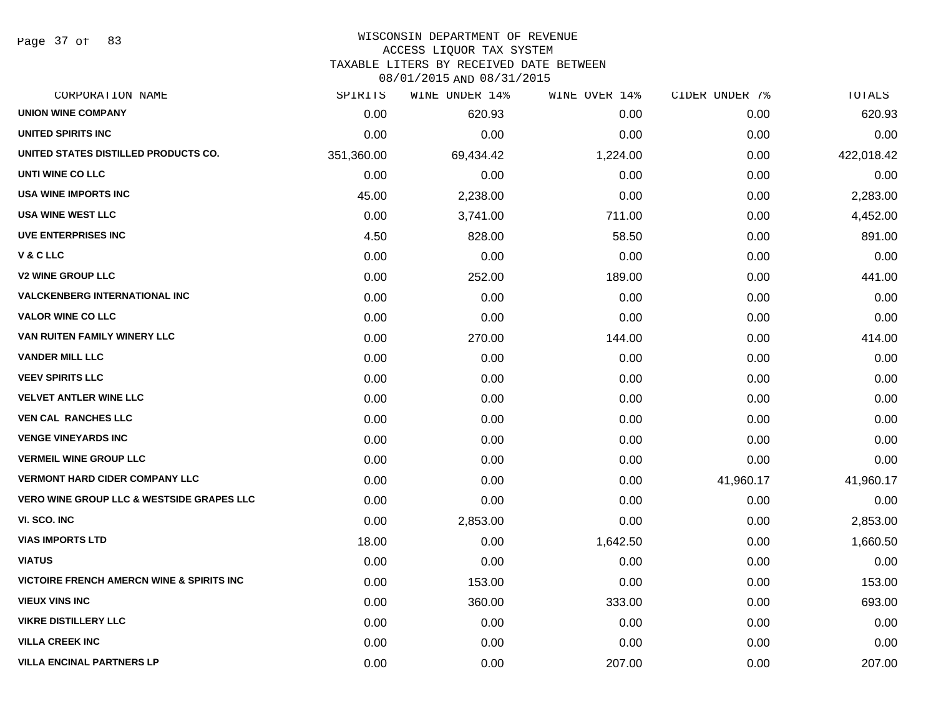Page 37 of 83

#### WISCONSIN DEPARTMENT OF REVENUE ACCESS LIQUOR TAX SYSTEM

TAXABLE LITERS BY RECEIVED DATE BETWEEN

| CORPORATION NAME                                     | SPIRITS    | WINE UNDER 14% | WINE OVER 14% | CIDER UNDER 7% | TOTALS     |
|------------------------------------------------------|------------|----------------|---------------|----------------|------------|
| <b>UNION WINE COMPANY</b>                            | 0.00       | 620.93         | 0.00          | 0.00           | 620.93     |
| UNITED SPIRITS INC                                   | 0.00       | 0.00           | 0.00          | 0.00           | 0.00       |
| UNITED STATES DISTILLED PRODUCTS CO.                 | 351,360.00 | 69,434.42      | 1,224.00      | 0.00           | 422,018.42 |
| UNTI WINE CO LLC                                     | 0.00       | 0.00           | 0.00          | 0.00           | 0.00       |
| <b>USA WINE IMPORTS INC</b>                          | 45.00      | 2,238.00       | 0.00          | 0.00           | 2,283.00   |
| <b>USA WINE WEST LLC</b>                             | 0.00       | 3,741.00       | 711.00        | 0.00           | 4,452.00   |
| <b>UVE ENTERPRISES INC</b>                           | 4.50       | 828.00         | 58.50         | 0.00           | 891.00     |
| V&CLLC                                               | 0.00       | 0.00           | 0.00          | 0.00           | 0.00       |
| <b>V2 WINE GROUP LLC</b>                             | 0.00       | 252.00         | 189.00        | 0.00           | 441.00     |
| <b>VALCKENBERG INTERNATIONAL INC</b>                 | 0.00       | 0.00           | 0.00          | 0.00           | 0.00       |
| <b>VALOR WINE CO LLC</b>                             | 0.00       | 0.00           | 0.00          | 0.00           | 0.00       |
| VAN RUITEN FAMILY WINERY LLC                         | 0.00       | 270.00         | 144.00        | 0.00           | 414.00     |
| <b>VANDER MILL LLC</b>                               | 0.00       | 0.00           | 0.00          | 0.00           | 0.00       |
| <b>VEEV SPIRITS LLC</b>                              | 0.00       | 0.00           | 0.00          | 0.00           | 0.00       |
| <b>VELVET ANTLER WINE LLC</b>                        | 0.00       | 0.00           | 0.00          | 0.00           | 0.00       |
| <b>VEN CAL RANCHES LLC</b>                           | 0.00       | 0.00           | 0.00          | 0.00           | 0.00       |
| <b>VENGE VINEYARDS INC</b>                           | 0.00       | 0.00           | 0.00          | 0.00           | 0.00       |
| <b>VERMEIL WINE GROUP LLC</b>                        | 0.00       | 0.00           | 0.00          | 0.00           | 0.00       |
| <b>VERMONT HARD CIDER COMPANY LLC</b>                | 0.00       | 0.00           | 0.00          | 41,960.17      | 41,960.17  |
| <b>VERO WINE GROUP LLC &amp; WESTSIDE GRAPES LLC</b> | 0.00       | 0.00           | 0.00          | 0.00           | 0.00       |
| VI. SCO. INC                                         | 0.00       | 2,853.00       | 0.00          | 0.00           | 2,853.00   |
| <b>VIAS IMPORTS LTD</b>                              | 18.00      | 0.00           | 1,642.50      | 0.00           | 1,660.50   |
| <b>VIATUS</b>                                        | 0.00       | 0.00           | 0.00          | 0.00           | 0.00       |
| <b>VICTOIRE FRENCH AMERCN WINE &amp; SPIRITS INC</b> | 0.00       | 153.00         | 0.00          | 0.00           | 153.00     |
| <b>VIEUX VINS INC</b>                                | 0.00       | 360.00         | 333.00        | 0.00           | 693.00     |
| <b>VIKRE DISTILLERY LLC</b>                          | 0.00       | 0.00           | 0.00          | 0.00           | 0.00       |
| <b>VILLA CREEK INC</b>                               | 0.00       | 0.00           | 0.00          | 0.00           | 0.00       |
| <b>VILLA ENCINAL PARTNERS LP</b>                     | 0.00       | 0.00           | 207.00        | 0.00           | 207.00     |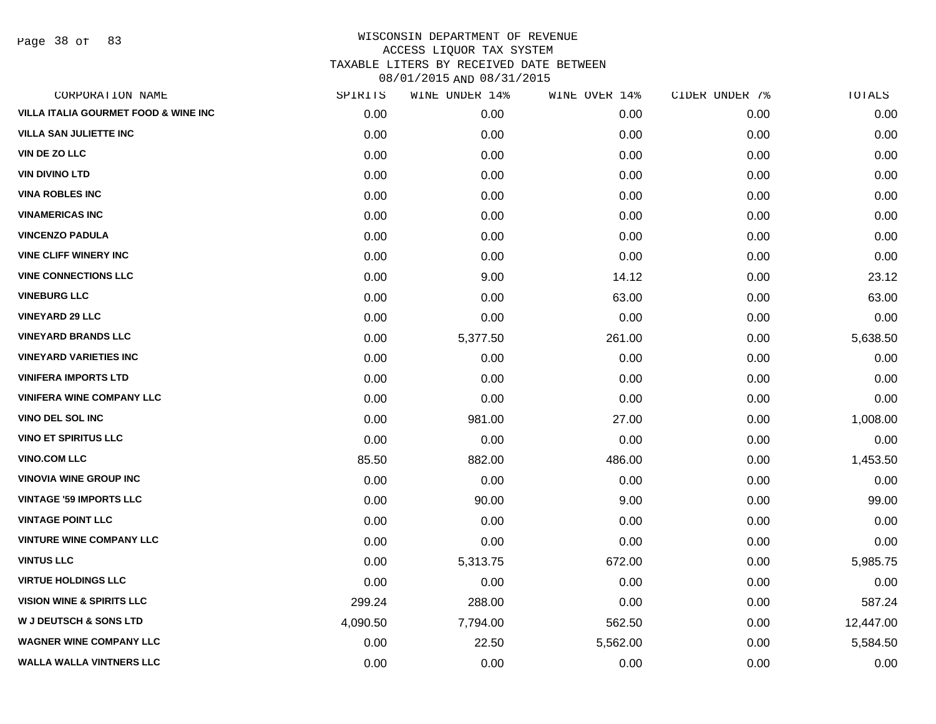Page 38 of 83

| CORPORATION NAME                                | SPIRITS  | WINE UNDER 14% | WINE OVER 14% | CIDER UNDER 7% | TOTALS    |
|-------------------------------------------------|----------|----------------|---------------|----------------|-----------|
| <b>VILLA ITALIA GOURMET FOOD &amp; WINE INC</b> | 0.00     | 0.00           | 0.00          | 0.00           | 0.00      |
| <b>VILLA SAN JULIETTE INC</b>                   | 0.00     | 0.00           | 0.00          | 0.00           | 0.00      |
| VIN DE ZO LLC                                   | 0.00     | 0.00           | 0.00          | 0.00           | 0.00      |
| <b>VIN DIVINO LTD</b>                           | 0.00     | 0.00           | 0.00          | 0.00           | 0.00      |
| <b>VINA ROBLES INC</b>                          | 0.00     | 0.00           | 0.00          | 0.00           | 0.00      |
| <b>VINAMERICAS INC</b>                          | 0.00     | 0.00           | 0.00          | 0.00           | 0.00      |
| <b>VINCENZO PADULA</b>                          | 0.00     | 0.00           | 0.00          | 0.00           | 0.00      |
| <b>VINE CLIFF WINERY INC</b>                    | 0.00     | 0.00           | 0.00          | 0.00           | 0.00      |
| <b>VINE CONNECTIONS LLC</b>                     | 0.00     | 9.00           | 14.12         | 0.00           | 23.12     |
| <b>VINEBURG LLC</b>                             | 0.00     | 0.00           | 63.00         | 0.00           | 63.00     |
| <b>VINEYARD 29 LLC</b>                          | 0.00     | 0.00           | 0.00          | 0.00           | 0.00      |
| <b>VINEYARD BRANDS LLC</b>                      | 0.00     | 5,377.50       | 261.00        | 0.00           | 5,638.50  |
| <b>VINEYARD VARIETIES INC</b>                   | 0.00     | 0.00           | 0.00          | 0.00           | 0.00      |
| <b>VINIFERA IMPORTS LTD</b>                     | 0.00     | 0.00           | 0.00          | 0.00           | 0.00      |
| <b>VINIFERA WINE COMPANY LLC</b>                | 0.00     | 0.00           | 0.00          | 0.00           | 0.00      |
| <b>VINO DEL SOL INC</b>                         | 0.00     | 981.00         | 27.00         | 0.00           | 1,008.00  |
| <b>VINO ET SPIRITUS LLC</b>                     | 0.00     | 0.00           | 0.00          | 0.00           | 0.00      |
| <b>VINO.COM LLC</b>                             | 85.50    | 882.00         | 486.00        | 0.00           | 1,453.50  |
| <b>VINOVIA WINE GROUP INC</b>                   | 0.00     | 0.00           | 0.00          | 0.00           | 0.00      |
| <b>VINTAGE '59 IMPORTS LLC</b>                  | 0.00     | 90.00          | 9.00          | 0.00           | 99.00     |
| <b>VINTAGE POINT LLC</b>                        | 0.00     | 0.00           | 0.00          | 0.00           | 0.00      |
| <b>VINTURE WINE COMPANY LLC</b>                 | 0.00     | 0.00           | 0.00          | 0.00           | 0.00      |
| <b>VINTUS LLC</b>                               | 0.00     | 5,313.75       | 672.00        | 0.00           | 5,985.75  |
| <b>VIRTUE HOLDINGS LLC</b>                      | 0.00     | 0.00           | 0.00          | 0.00           | 0.00      |
| <b>VISION WINE &amp; SPIRITS LLC</b>            | 299.24   | 288.00         | 0.00          | 0.00           | 587.24    |
| <b>W J DEUTSCH &amp; SONS LTD</b>               | 4,090.50 | 7,794.00       | 562.50        | 0.00           | 12,447.00 |
| <b>WAGNER WINE COMPANY LLC</b>                  | 0.00     | 22.50          | 5,562.00      | 0.00           | 5,584.50  |
| <b>WALLA WALLA VINTNERS LLC</b>                 | 0.00     | 0.00           | 0.00          | 0.00           | 0.00      |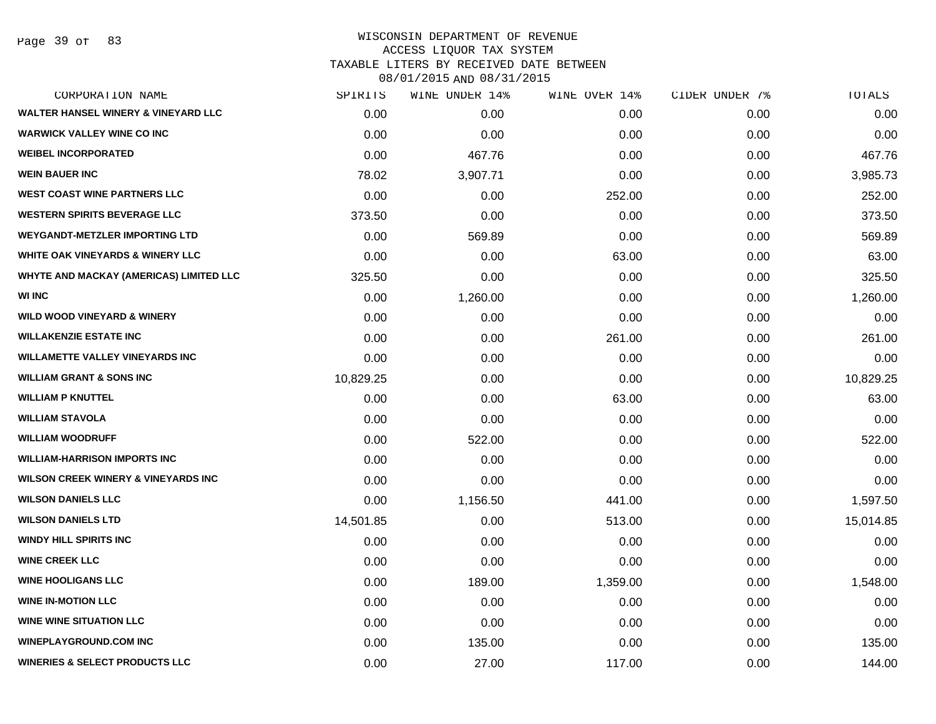Page 39 of 83

| CORPORATION NAME                               | SPIRITS   | WINE UNDER 14% | WINE OVER 14% | CIDER UNDER 7% | TOTALS    |
|------------------------------------------------|-----------|----------------|---------------|----------------|-----------|
| WALTER HANSEL WINERY & VINEYARD LLC            | 0.00      | 0.00           | 0.00          | 0.00           | 0.00      |
| <b>WARWICK VALLEY WINE CO INC</b>              | 0.00      | 0.00           | 0.00          | 0.00           | 0.00      |
| <b>WEIBEL INCORPORATED</b>                     | 0.00      | 467.76         | 0.00          | 0.00           | 467.76    |
| <b>WEIN BAUER INC</b>                          | 78.02     | 3,907.71       | 0.00          | 0.00           | 3,985.73  |
| <b>WEST COAST WINE PARTNERS LLC</b>            | 0.00      | 0.00           | 252.00        | 0.00           | 252.00    |
| <b>WESTERN SPIRITS BEVERAGE LLC</b>            | 373.50    | 0.00           | 0.00          | 0.00           | 373.50    |
| <b>WEYGANDT-METZLER IMPORTING LTD</b>          | 0.00      | 569.89         | 0.00          | 0.00           | 569.89    |
| <b>WHITE OAK VINEYARDS &amp; WINERY LLC</b>    | 0.00      | 0.00           | 63.00         | 0.00           | 63.00     |
| WHYTE AND MACKAY (AMERICAS) LIMITED LLC        | 325.50    | 0.00           | 0.00          | 0.00           | 325.50    |
| <b>WI INC</b>                                  | 0.00      | 1,260.00       | 0.00          | 0.00           | 1,260.00  |
| <b>WILD WOOD VINEYARD &amp; WINERY</b>         | 0.00      | 0.00           | 0.00          | 0.00           | 0.00      |
| <b>WILLAKENZIE ESTATE INC</b>                  | 0.00      | 0.00           | 261.00        | 0.00           | 261.00    |
| <b>WILLAMETTE VALLEY VINEYARDS INC</b>         | 0.00      | 0.00           | 0.00          | 0.00           | 0.00      |
| <b>WILLIAM GRANT &amp; SONS INC</b>            | 10,829.25 | 0.00           | 0.00          | 0.00           | 10,829.25 |
| <b>WILLIAM P KNUTTEL</b>                       | 0.00      | 0.00           | 63.00         | 0.00           | 63.00     |
| <b>WILLIAM STAVOLA</b>                         | 0.00      | 0.00           | 0.00          | 0.00           | 0.00      |
| <b>WILLIAM WOODRUFF</b>                        | 0.00      | 522.00         | 0.00          | 0.00           | 522.00    |
| <b>WILLIAM-HARRISON IMPORTS INC</b>            | 0.00      | 0.00           | 0.00          | 0.00           | 0.00      |
| <b>WILSON CREEK WINERY &amp; VINEYARDS INC</b> | 0.00      | 0.00           | 0.00          | 0.00           | 0.00      |
| <b>WILSON DANIELS LLC</b>                      | 0.00      | 1,156.50       | 441.00        | 0.00           | 1,597.50  |
| <b>WILSON DANIELS LTD</b>                      | 14,501.85 | 0.00           | 513.00        | 0.00           | 15,014.85 |
| <b>WINDY HILL SPIRITS INC</b>                  | 0.00      | 0.00           | 0.00          | 0.00           | 0.00      |
| <b>WINE CREEK LLC</b>                          | 0.00      | 0.00           | 0.00          | 0.00           | 0.00      |
| <b>WINE HOOLIGANS LLC</b>                      | 0.00      | 189.00         | 1,359.00      | 0.00           | 1,548.00  |
| <b>WINE IN-MOTION LLC</b>                      | 0.00      | 0.00           | 0.00          | 0.00           | 0.00      |
| <b>WINE WINE SITUATION LLC</b>                 | 0.00      | 0.00           | 0.00          | 0.00           | 0.00      |
| <b>WINEPLAYGROUND.COM INC</b>                  | 0.00      | 135.00         | 0.00          | 0.00           | 135.00    |
| <b>WINERIES &amp; SELECT PRODUCTS LLC</b>      | 0.00      | 27.00          | 117.00        | 0.00           | 144.00    |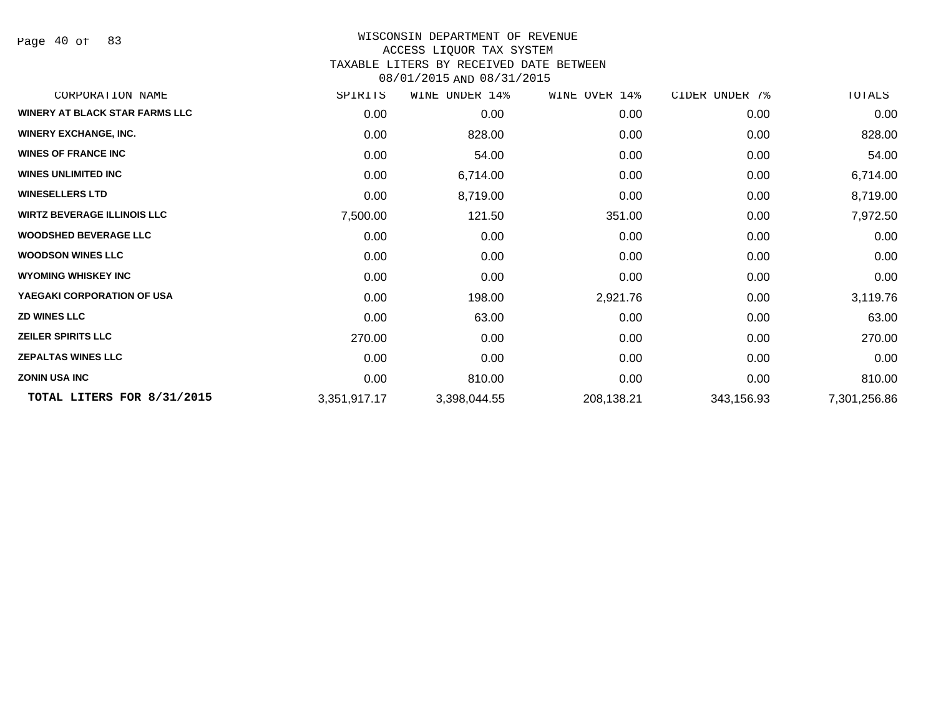Page 40 of 83

#### WISCONSIN DEPARTMENT OF REVENUE ACCESS LIQUOR TAX SYSTEM TAXABLE LITERS BY RECEIVED DATE BETWEEN

| CORPORATION NAME                      | SPIRITS      | WINE UNDER 14% | WINE OVER 14% | CIDER UNDER 7% | TOTALS       |
|---------------------------------------|--------------|----------------|---------------|----------------|--------------|
| <b>WINERY AT BLACK STAR FARMS LLC</b> | 0.00         | 0.00           | 0.00          | 0.00           | 0.00         |
| <b>WINERY EXCHANGE, INC.</b>          | 0.00         | 828.00         | 0.00          | 0.00           | 828.00       |
| <b>WINES OF FRANCE INC</b>            | 0.00         | 54.00          | 0.00          | 0.00           | 54.00        |
| <b>WINES UNLIMITED INC</b>            | 0.00         | 6,714.00       | 0.00          | 0.00           | 6,714.00     |
| <b>WINESELLERS LTD</b>                | 0.00         | 8,719.00       | 0.00          | 0.00           | 8,719.00     |
| <b>WIRTZ BEVERAGE ILLINOIS LLC</b>    | 7,500.00     | 121.50         | 351.00        | 0.00           | 7,972.50     |
| <b>WOODSHED BEVERAGE LLC</b>          | 0.00         | 0.00           | 0.00          | 0.00           | 0.00         |
| <b>WOODSON WINES LLC</b>              | 0.00         | 0.00           | 0.00          | 0.00           | 0.00         |
| <b>WYOMING WHISKEY INC</b>            | 0.00         | 0.00           | 0.00          | 0.00           | 0.00         |
| YAEGAKI CORPORATION OF USA            | 0.00         | 198.00         | 2,921.76      | 0.00           | 3,119.76     |
| <b>ZD WINES LLC</b>                   | 0.00         | 63.00          | 0.00          | 0.00           | 63.00        |
| <b>ZEILER SPIRITS LLC</b>             | 270.00       | 0.00           | 0.00          | 0.00           | 270.00       |
| <b>ZEPALTAS WINES LLC</b>             | 0.00         | 0.00           | 0.00          | 0.00           | 0.00         |
| <b>ZONIN USA INC</b>                  | 0.00         | 810.00         | 0.00          | 0.00           | 810.00       |
| TOTAL LITERS FOR 8/31/2015            | 3,351,917.17 | 3,398,044.55   | 208,138.21    | 343,156.93     | 7,301,256.86 |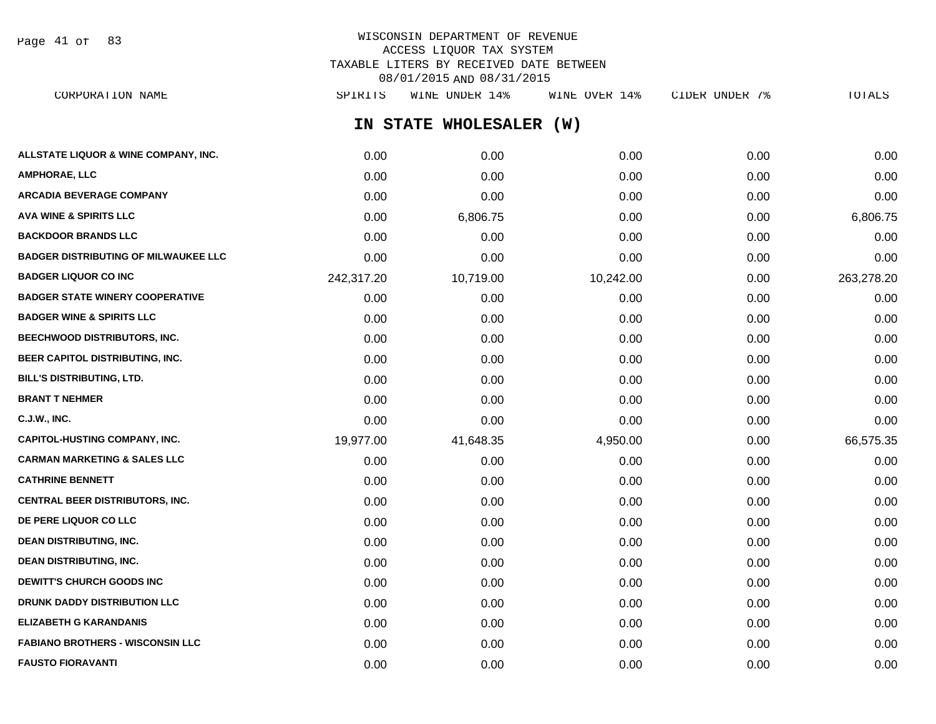Page 41 of 83

## WISCONSIN DEPARTMENT OF REVENUE ACCESS LIQUOR TAX SYSTEM TAXABLE LITERS BY RECEIVED DATE BETWEEN 08/01/2015 AND 08/31/2015

| CORPORATION NAME                            | SPIRITS    | WINE UNDER 14%          | WINE OVER 14% | CIDER UNDER 7% | TOTALS     |
|---------------------------------------------|------------|-------------------------|---------------|----------------|------------|
|                                             |            | IN STATE WHOLESALER (W) |               |                |            |
| ALLSTATE LIQUOR & WINE COMPANY, INC.        | 0.00       | 0.00                    | 0.00          | 0.00           | 0.00       |
| AMPHORAE, LLC                               | 0.00       | 0.00                    | 0.00          | 0.00           | 0.00       |
| ARCADIA BEVERAGE COMPANY                    | 0.00       | 0.00                    | 0.00          | 0.00           | 0.00       |
| <b>AVA WINE &amp; SPIRITS LLC</b>           | 0.00       | 6,806.75                | 0.00          | 0.00           | 6,806.75   |
| <b>BACKDOOR BRANDS LLC</b>                  | 0.00       | 0.00                    | 0.00          | 0.00           | 0.00       |
| <b>BADGER DISTRIBUTING OF MILWAUKEE LLC</b> | 0.00       | 0.00                    | 0.00          | 0.00           | 0.00       |
| <b>BADGER LIQUOR CO INC</b>                 | 242,317.20 | 10,719.00               | 10,242.00     | 0.00           | 263,278.20 |
| <b>BADGER STATE WINERY COOPERATIVE</b>      | 0.00       | 0.00                    | 0.00          | 0.00           | 0.00       |
| <b>BADGER WINE &amp; SPIRITS LLC</b>        | 0.00       | 0.00                    | 0.00          | 0.00           | 0.00       |
| BEECHWOOD DISTRIBUTORS, INC.                | 0.00       | 0.00                    | 0.00          | 0.00           | 0.00       |
| <b>BEER CAPITOL DISTRIBUTING, INC.</b>      | 0.00       | 0.00                    | 0.00          | 0.00           | 0.00       |
| BILL'S DISTRIBUTING, LTD.                   | 0.00       | 0.00                    | 0.00          | 0.00           | 0.00       |
| <b>BRANT T NEHMER</b>                       | 0.00       | 0.00                    | 0.00          | 0.00           | 0.00       |
| C.J.W., INC.                                | 0.00       | 0.00                    | 0.00          | 0.00           | 0.00       |
| CAPITOL-HUSTING COMPANY, INC.               | 19,977.00  | 41,648.35               | 4,950.00      | 0.00           | 66,575.35  |
| <b>CARMAN MARKETING &amp; SALES LLC</b>     | 0.00       | 0.00                    | 0.00          | 0.00           | 0.00       |
| <b>CATHRINE BENNETT</b>                     | 0.00       | 0.00                    | 0.00          | 0.00           | 0.00       |
| CENTRAL BEER DISTRIBUTORS, INC.             | 0.00       | 0.00                    | 0.00          | 0.00           | 0.00       |
| <b>DE PERE LIQUOR CO LLC</b>                | 0.00       | 0.00                    | 0.00          | 0.00           | 0.00       |
| <b>DEAN DISTRIBUTING, INC.</b>              | 0.00       | 0.00                    | 0.00          | 0.00           | 0.00       |
| <b>DEAN DISTRIBUTING, INC.</b>              | 0.00       | 0.00                    | 0.00          | 0.00           | 0.00       |
| <b>DEWITT'S CHURCH GOODS INC</b>            | 0.00       | 0.00                    | 0.00          | 0.00           | 0.00       |
| <b>DRUNK DADDY DISTRIBUTION LLC</b>         | 0.00       | 0.00                    | 0.00          | 0.00           | 0.00       |
| ELIZABETH G KARANDANIS                      | 0.00       | 0.00                    | 0.00          | 0.00           | 0.00       |
| <b>FABIANO BROTHERS - WISCONSIN LLC</b>     | 0.00       | 0.00                    | 0.00          | 0.00           | 0.00       |

**FAUSTO FIORAVANTI** 0.00 0.00 0.00 0.00 0.00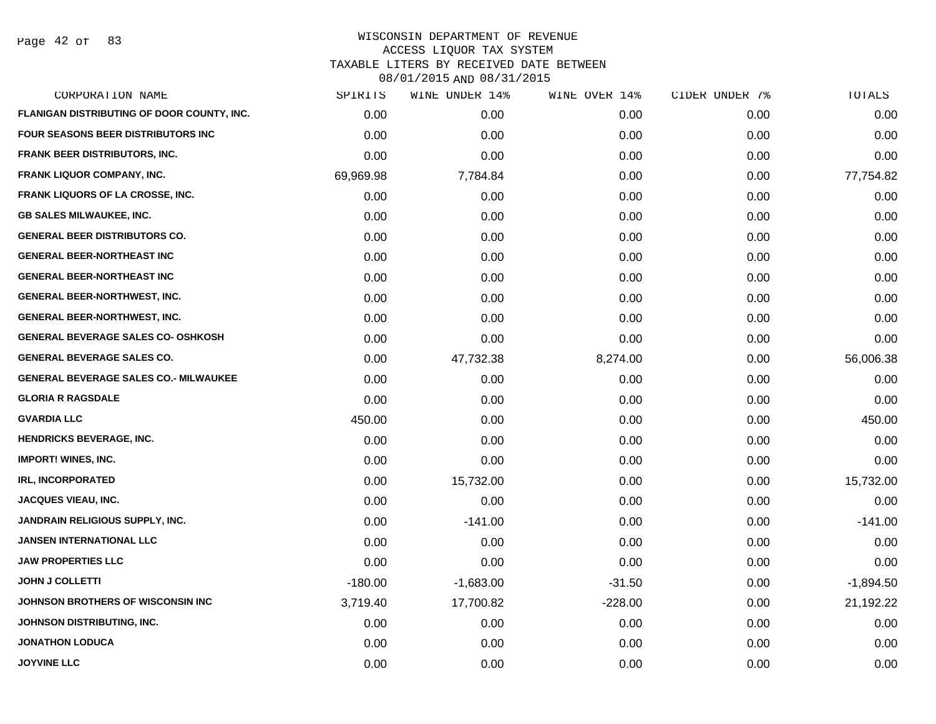Page 42 of 83

| CORPORATION NAME                             | SPIRITS   | WINE UNDER 14% | WINE OVER 14% | CIDER UNDER 7% | TOTALS      |
|----------------------------------------------|-----------|----------------|---------------|----------------|-------------|
| FLANIGAN DISTRIBUTING OF DOOR COUNTY, INC.   | 0.00      | 0.00           | 0.00          | 0.00           | 0.00        |
| <b>FOUR SEASONS BEER DISTRIBUTORS INC</b>    | 0.00      | 0.00           | 0.00          | 0.00           | 0.00        |
| FRANK BEER DISTRIBUTORS, INC.                | 0.00      | 0.00           | 0.00          | 0.00           | 0.00        |
| <b>FRANK LIQUOR COMPANY, INC.</b>            | 69,969.98 | 7,784.84       | 0.00          | 0.00           | 77,754.82   |
| <b>FRANK LIQUORS OF LA CROSSE, INC.</b>      | 0.00      | 0.00           | 0.00          | 0.00           | 0.00        |
| <b>GB SALES MILWAUKEE, INC.</b>              | 0.00      | 0.00           | 0.00          | 0.00           | 0.00        |
| <b>GENERAL BEER DISTRIBUTORS CO.</b>         | 0.00      | 0.00           | 0.00          | 0.00           | 0.00        |
| <b>GENERAL BEER-NORTHEAST INC</b>            | 0.00      | 0.00           | 0.00          | 0.00           | 0.00        |
| <b>GENERAL BEER-NORTHEAST INC</b>            | 0.00      | 0.00           | 0.00          | 0.00           | 0.00        |
| <b>GENERAL BEER-NORTHWEST, INC.</b>          | 0.00      | 0.00           | 0.00          | 0.00           | 0.00        |
| <b>GENERAL BEER-NORTHWEST, INC.</b>          | 0.00      | 0.00           | 0.00          | 0.00           | 0.00        |
| <b>GENERAL BEVERAGE SALES CO- OSHKOSH</b>    | 0.00      | 0.00           | 0.00          | 0.00           | 0.00        |
| <b>GENERAL BEVERAGE SALES CO.</b>            | 0.00      | 47,732.38      | 8,274.00      | 0.00           | 56,006.38   |
| <b>GENERAL BEVERAGE SALES CO.- MILWAUKEE</b> | 0.00      | 0.00           | 0.00          | 0.00           | 0.00        |
| <b>GLORIA R RAGSDALE</b>                     | 0.00      | 0.00           | 0.00          | 0.00           | 0.00        |
| <b>GVARDIA LLC</b>                           | 450.00    | 0.00           | 0.00          | 0.00           | 450.00      |
| <b>HENDRICKS BEVERAGE, INC.</b>              | 0.00      | 0.00           | 0.00          | 0.00           | 0.00        |
| <b>IMPORT! WINES, INC.</b>                   | 0.00      | 0.00           | 0.00          | 0.00           | 0.00        |
| <b>IRL, INCORPORATED</b>                     | 0.00      | 15,732.00      | 0.00          | 0.00           | 15,732.00   |
| <b>JACQUES VIEAU, INC.</b>                   | 0.00      | 0.00           | 0.00          | 0.00           | 0.00        |
| JANDRAIN RELIGIOUS SUPPLY, INC.              | 0.00      | $-141.00$      | 0.00          | 0.00           | $-141.00$   |
| <b>JANSEN INTERNATIONAL LLC</b>              | 0.00      | 0.00           | 0.00          | 0.00           | 0.00        |
| <b>JAW PROPERTIES LLC</b>                    | 0.00      | 0.00           | 0.00          | 0.00           | 0.00        |
| <b>JOHN J COLLETTI</b>                       | $-180.00$ | $-1,683.00$    | $-31.50$      | 0.00           | $-1,894.50$ |
| JOHNSON BROTHERS OF WISCONSIN INC            | 3,719.40  | 17,700.82      | $-228.00$     | 0.00           | 21,192.22   |
| JOHNSON DISTRIBUTING, INC.                   | 0.00      | 0.00           | 0.00          | 0.00           | 0.00        |
| <b>JONATHON LODUCA</b>                       | 0.00      | 0.00           | 0.00          | 0.00           | 0.00        |
| <b>JOYVINE LLC</b>                           | 0.00      | 0.00           | 0.00          | 0.00           | 0.00        |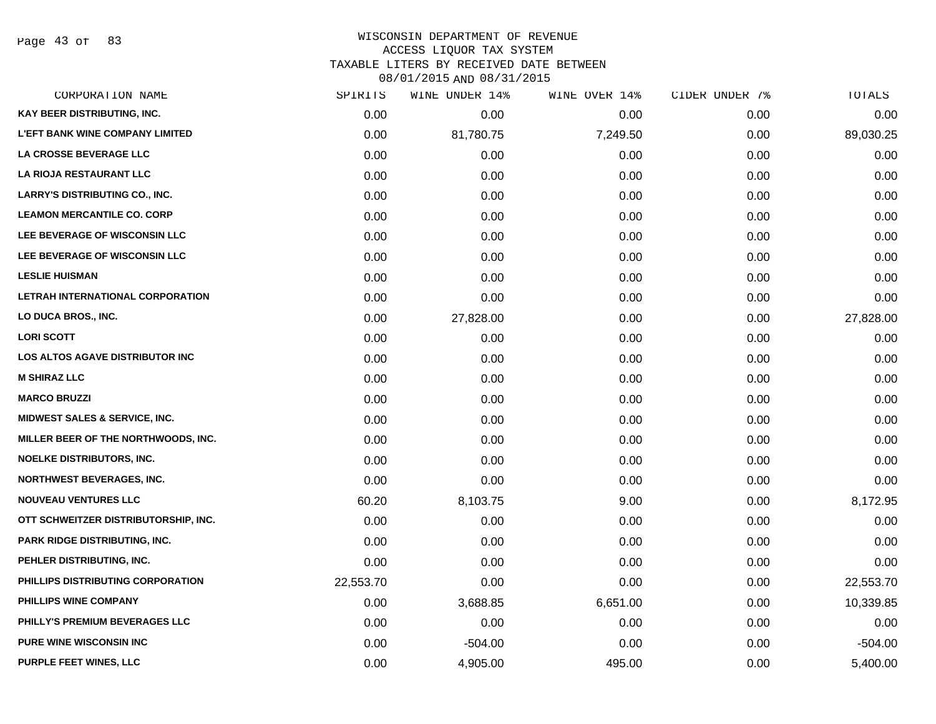Page 43 of 83

#### WISCONSIN DEPARTMENT OF REVENUE ACCESS LIQUOR TAX SYSTEM

TAXABLE LITERS BY RECEIVED DATE BETWEEN

| CORPORATION NAME                       | SPIRITS   | WINE UNDER 14% | WINE OVER 14% | CIDER UNDER 7% | TOTALS    |
|----------------------------------------|-----------|----------------|---------------|----------------|-----------|
| KAY BEER DISTRIBUTING, INC.            | 0.00      | 0.00           | 0.00          | 0.00           | 0.00      |
| <b>L'EFT BANK WINE COMPANY LIMITED</b> | 0.00      | 81,780.75      | 7,249.50      | 0.00           | 89,030.25 |
| LA CROSSE BEVERAGE LLC                 | 0.00      | 0.00           | 0.00          | 0.00           | 0.00      |
| LA RIOJA RESTAURANT LLC                | 0.00      | 0.00           | 0.00          | 0.00           | 0.00      |
| <b>LARRY'S DISTRIBUTING CO., INC.</b>  | 0.00      | 0.00           | 0.00          | 0.00           | 0.00      |
| <b>LEAMON MERCANTILE CO. CORP</b>      | 0.00      | 0.00           | 0.00          | 0.00           | 0.00      |
| LEE BEVERAGE OF WISCONSIN LLC          | 0.00      | 0.00           | 0.00          | 0.00           | 0.00      |
| LEE BEVERAGE OF WISCONSIN LLC          | 0.00      | 0.00           | 0.00          | 0.00           | 0.00      |
| <b>LESLIE HUISMAN</b>                  | 0.00      | 0.00           | 0.00          | 0.00           | 0.00      |
| LETRAH INTERNATIONAL CORPORATION       | 0.00      | 0.00           | 0.00          | 0.00           | 0.00      |
| LO DUCA BROS., INC.                    | 0.00      | 27,828.00      | 0.00          | 0.00           | 27,828.00 |
| <b>LORI SCOTT</b>                      | 0.00      | 0.00           | 0.00          | 0.00           | 0.00      |
| <b>LOS ALTOS AGAVE DISTRIBUTOR INC</b> | 0.00      | 0.00           | 0.00          | 0.00           | 0.00      |
| <b>M SHIRAZ LLC</b>                    | 0.00      | 0.00           | 0.00          | 0.00           | 0.00      |
| <b>MARCO BRUZZI</b>                    | 0.00      | 0.00           | 0.00          | 0.00           | 0.00      |
| MIDWEST SALES & SERVICE, INC.          | 0.00      | 0.00           | 0.00          | 0.00           | 0.00      |
| MILLER BEER OF THE NORTHWOODS, INC.    | 0.00      | 0.00           | 0.00          | 0.00           | 0.00      |
| <b>NOELKE DISTRIBUTORS, INC.</b>       | 0.00      | 0.00           | 0.00          | 0.00           | 0.00      |
| <b>NORTHWEST BEVERAGES, INC.</b>       | 0.00      | 0.00           | 0.00          | 0.00           | 0.00      |
| <b>NOUVEAU VENTURES LLC</b>            | 60.20     | 8,103.75       | 9.00          | 0.00           | 8,172.95  |
| OTT SCHWEITZER DISTRIBUTORSHIP, INC.   | 0.00      | 0.00           | 0.00          | 0.00           | 0.00      |
| <b>PARK RIDGE DISTRIBUTING, INC.</b>   | 0.00      | 0.00           | 0.00          | 0.00           | 0.00      |
| PEHLER DISTRIBUTING, INC.              | 0.00      | 0.00           | 0.00          | 0.00           | 0.00      |
| PHILLIPS DISTRIBUTING CORPORATION      | 22,553.70 | 0.00           | 0.00          | 0.00           | 22,553.70 |
| PHILLIPS WINE COMPANY                  | 0.00      | 3,688.85       | 6,651.00      | 0.00           | 10,339.85 |
| PHILLY'S PREMIUM BEVERAGES LLC         | 0.00      | 0.00           | 0.00          | 0.00           | 0.00      |
| <b>PURE WINE WISCONSIN INC</b>         | 0.00      | $-504.00$      | 0.00          | 0.00           | $-504.00$ |
| PURPLE FEET WINES, LLC                 | 0.00      | 4,905.00       | 495.00        | 0.00           | 5,400.00  |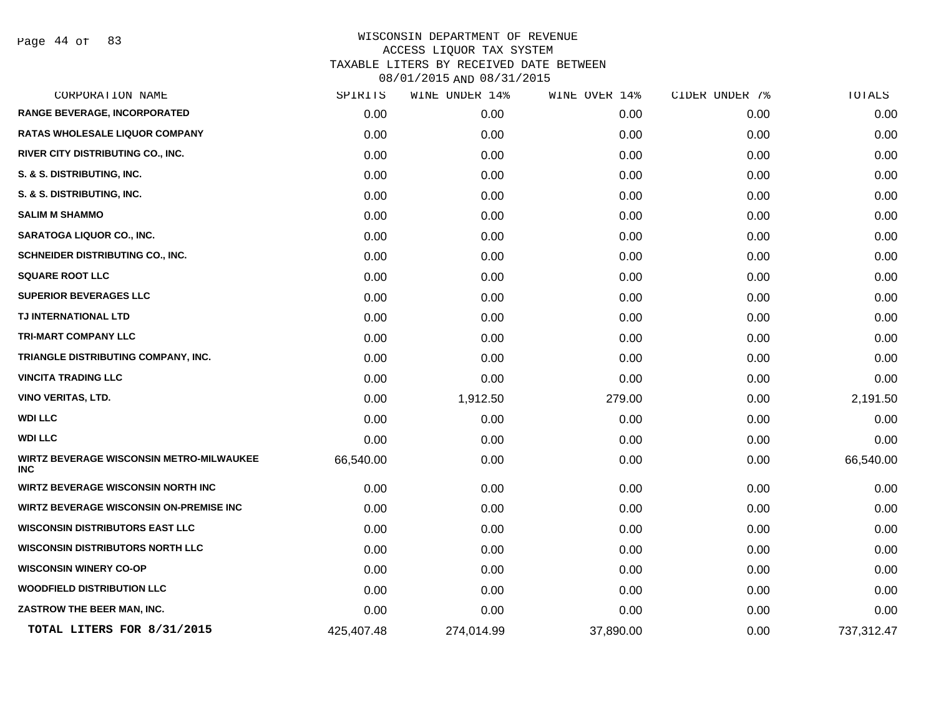Page 44 of 83

|            |            |           | CIDER UNDER 7% | TOTALS     |
|------------|------------|-----------|----------------|------------|
| 0.00       | 0.00       | 0.00      | 0.00           | 0.00       |
| 0.00       | 0.00       | 0.00      | 0.00           | 0.00       |
| 0.00       | 0.00       | 0.00      | 0.00           | 0.00       |
| 0.00       | 0.00       | 0.00      | 0.00           | 0.00       |
| 0.00       | 0.00       | 0.00      | 0.00           | 0.00       |
| 0.00       | 0.00       | 0.00      | 0.00           | 0.00       |
| 0.00       | 0.00       | 0.00      | 0.00           | 0.00       |
| 0.00       | 0.00       | 0.00      | 0.00           | 0.00       |
| 0.00       | 0.00       | 0.00      | 0.00           | 0.00       |
| 0.00       | 0.00       | 0.00      | 0.00           | 0.00       |
| 0.00       | 0.00       | 0.00      | 0.00           | 0.00       |
| 0.00       | 0.00       | 0.00      | 0.00           | 0.00       |
| 0.00       | 0.00       | 0.00      | 0.00           | 0.00       |
| 0.00       | 0.00       | 0.00      | 0.00           | 0.00       |
| 0.00       | 1,912.50   | 279.00    | 0.00           | 2,191.50   |
| 0.00       | 0.00       | 0.00      | 0.00           | 0.00       |
| 0.00       | 0.00       | 0.00      | 0.00           | 0.00       |
| 66,540.00  | 0.00       | 0.00      | 0.00           | 66,540.00  |
| 0.00       | 0.00       | 0.00      | 0.00           | 0.00       |
| 0.00       | 0.00       | 0.00      | 0.00           | 0.00       |
| 0.00       | 0.00       | 0.00      | 0.00           | 0.00       |
| 0.00       | 0.00       | 0.00      | 0.00           | 0.00       |
| 0.00       | 0.00       | 0.00      | 0.00           | 0.00       |
| 0.00       | 0.00       | 0.00      | 0.00           | 0.00       |
| 0.00       | 0.00       | 0.00      | 0.00           | 0.00       |
| 425,407.48 | 274,014.99 | 37,890.00 | 0.00           | 737,312.47 |
|            |            |           |                |            |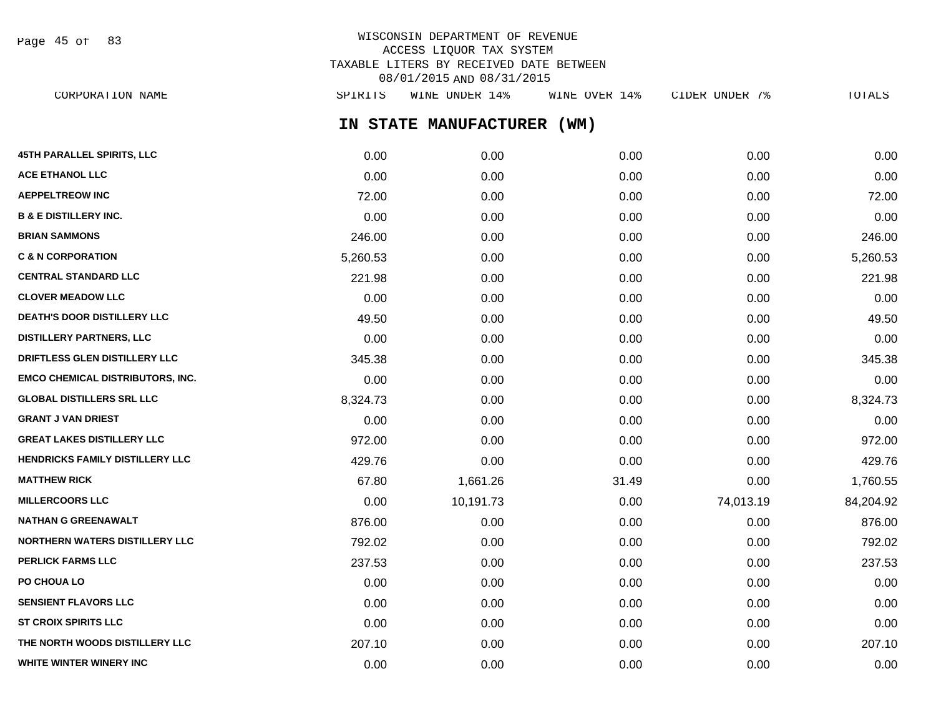Page 45 of 83

## WISCONSIN DEPARTMENT OF REVENUE ACCESS LIQUOR TAX SYSTEM TAXABLE LITERS BY RECEIVED DATE BETWEEN 08/01/2015 AND 08/31/2015

**IN STATE MANUFACTURER (WM) 45TH PARALLEL SPIRITS, LLC** 0.00 0.00 0.00 0.00 0.00 **ACE ETHANOL LLC** 0.00 0.00 0.00 0.00 0.00 **AEPPELTREOW INC** 72.00 0.00 0.00 0.00 72.00 **B & E DISTILLERY INC.** 0.00 0.00 0.00 0.00 0.00 **BRIAN SAMMONS** 246.00 0.00 0.00 0.00 246.00 **C & N CORPORATION** 5,260.53 0.00 0.00 0.00 5,260.53 **CENTRAL STANDARD LLC** 221.98 0.00 0.00 0.00 221.98 **CLOVER MEADOW LLC** 0.00 0.00 0.00 0.00 0.00 **DEATH'S DOOR DISTILLERY LLC** 49.50 0.00 0.00 0.00 49.50 **DISTILLERY PARTNERS, LLC** 0.00 0.00 0.00 0.00 0.00 **DRIFTLESS GLEN DISTILLERY LLC** 345.38 0.00 0.00 0.00 345.38 **EMCO CHEMICAL DISTRIBUTORS, INC.** 0.00 0.00 0.00 0.00 0.00 **GLOBAL DISTILLERS SRL LLC** 8,324.73 0.00 0.00 0.00 8,324.73 **GRANT J VAN DRIEST** 0.00 0.00 0.00 0.00 0.00 **GREAT LAKES DISTILLERY LLC** 972.00 0.00 0.00 0.00 972.00 **HENDRICKS FAMILY DISTILLERY LLC** 429.76 429.76 0.00 0.00 0.00 0.00 0.00 0.00 0.00 429.76 **MATTHEW RICK** 67.80 1,661.26 31.49 0.00 1,760.55 **MILLERCOORS LLC** 0.00 10,191.73 0.00 74,013.19 84,204.92 **NATHAN G GREENAWALT** 876.00 0.00 0.00 0.00 876.00 **NORTHERN WATERS DISTILLERY LLC** 792.02 0.00 0.00 0.00 792.02 **PERLICK FARMS LLC** 237.53 0.00 0.00 0.00 237.53 **PO CHOUA LO** 0.00 0.00 0.00 0.00 0.00 **SENSIENT FLAVORS LLC** 0.00 0.00 0.00 0.00 0.00 **ST CROIX SPIRITS LLC** 0.00 0.00 0.00 0.00 0.00 **THE NORTH WOODS DISTILLERY LLC** 207.10 207.10 0.00 0.00 0.00 0.00 0.00 0.00 207.10 CORPORATION NAME SPIRITS WINE UNDER 14% WINE OVER 14% CIDER UNDER 7% TOTALS

**WHITE WINTER WINERY INC** 0.00 0.00 0.00 0.00 0.00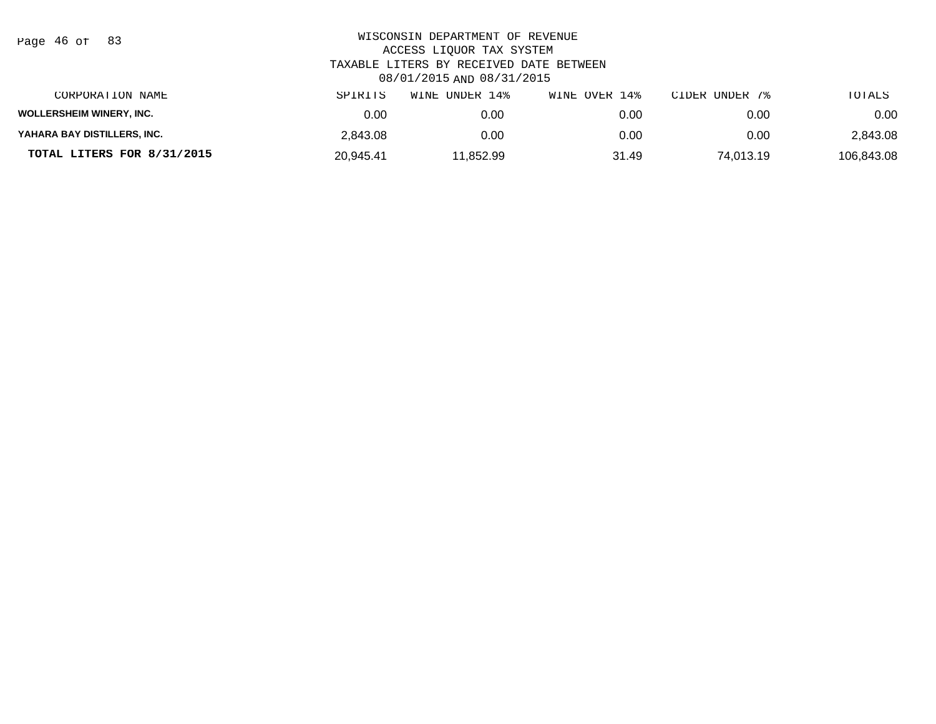| Page 46 of |  |  | 83 |
|------------|--|--|----|
|------------|--|--|----|

| CORPORATION NAME                | SPIRITS   | UNDER 14%<br>WINE | WINE OVER 14% | CIDER UNDER 7% | TOTALS     |
|---------------------------------|-----------|-------------------|---------------|----------------|------------|
| <b>WOLLERSHEIM WINERY, INC.</b> | 0.00      | 0.00              | 0.00          | 0.00           | 0.00       |
| YAHARA BAY DISTILLERS, INC.     | 2,843.08  | 0.00              | 0.00          | 0.00           | 2,843.08   |
| TOTAL LITERS FOR 8/31/2015      | 20.945.41 | 11.852.99         | 31.49         | 74.013.19      | 106.843.08 |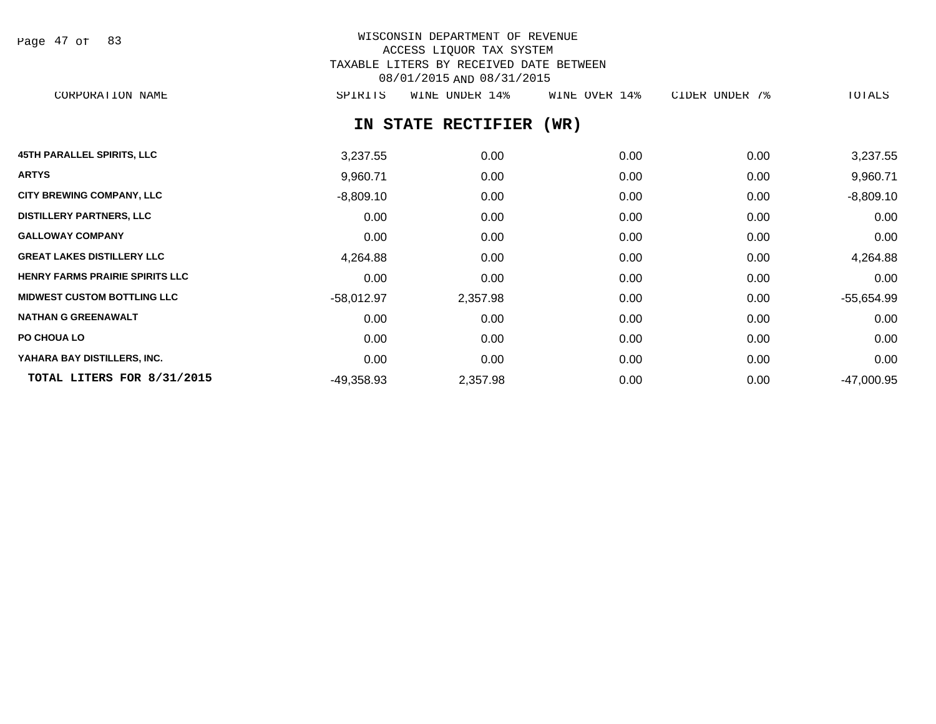Page 47 of 83

# WISCONSIN DEPARTMENT OF REVENUE ACCESS LIQUOR TAX SYSTEM TAXABLE LITERS BY RECEIVED DATE BETWEEN 08/01/2015 AND 08/31/2015

CORPORATION NAME SPIRITS WINE UNDER 14% WINE OVER 14% CIDER UNDER 7% TOTALS

## **IN STATE RECTIFIER (WR)**

| <b>45TH PARALLEL SPIRITS, LLC</b>      | 3,237.55     | 0.00     | 0.00 | 0.00 | 3,237.55     |
|----------------------------------------|--------------|----------|------|------|--------------|
| <b>ARTYS</b>                           | 9,960.71     | 0.00     | 0.00 | 0.00 | 9,960.71     |
| <b>CITY BREWING COMPANY, LLC</b>       | $-8,809.10$  | 0.00     | 0.00 | 0.00 | $-8,809.10$  |
| <b>DISTILLERY PARTNERS, LLC</b>        | 0.00         | 0.00     | 0.00 | 0.00 | 0.00         |
| <b>GALLOWAY COMPANY</b>                | 0.00         | 0.00     | 0.00 | 0.00 | 0.00         |
| <b>GREAT LAKES DISTILLERY LLC</b>      | 4,264.88     | 0.00     | 0.00 | 0.00 | 4,264.88     |
| <b>HENRY FARMS PRAIRIE SPIRITS LLC</b> | 0.00         | 0.00     | 0.00 | 0.00 | 0.00         |
| <b>MIDWEST CUSTOM BOTTLING LLC</b>     | $-58,012.97$ | 2,357.98 | 0.00 | 0.00 | $-55,654.99$ |
| <b>NATHAN G GREENAWALT</b>             | 0.00         | 0.00     | 0.00 | 0.00 | 0.00         |
| PO CHOUA LO                            | 0.00         | 0.00     | 0.00 | 0.00 | 0.00         |
| YAHARA BAY DISTILLERS, INC.            | 0.00         | 0.00     | 0.00 | 0.00 | 0.00         |
| TOTAL LITERS FOR 8/31/2015             | $-49,358.93$ | 2,357.98 | 0.00 | 0.00 | $-47,000.95$ |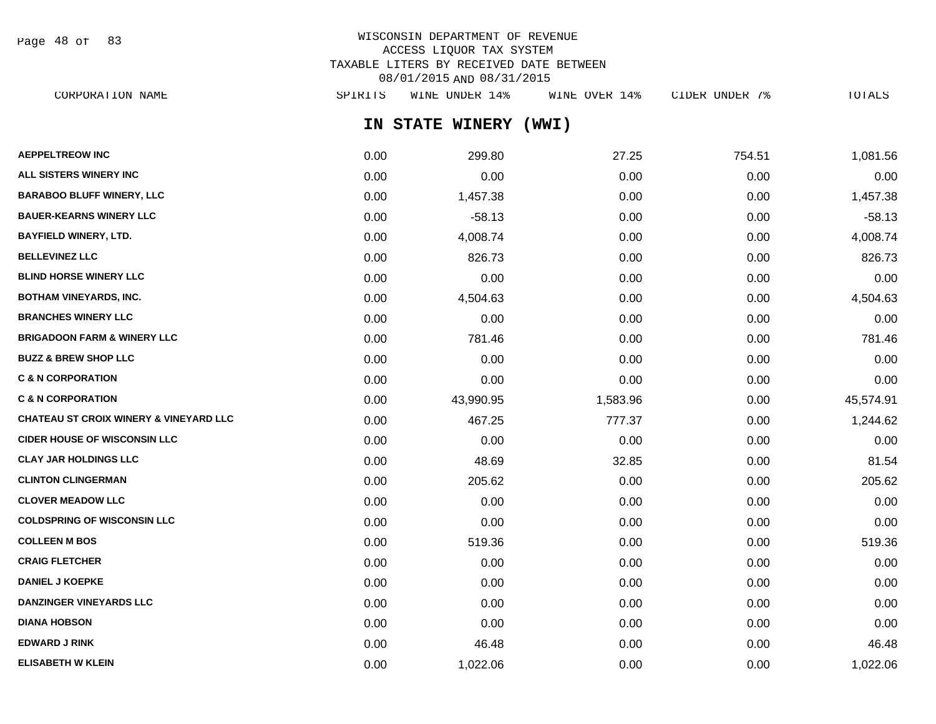Page 48 of 83

## WISCONSIN DEPARTMENT OF REVENUE ACCESS LIQUOR TAX SYSTEM TAXABLE LITERS BY RECEIVED DATE BETWEEN 08/01/2015 AND 08/31/2015

| SPIRITS | WINE UNDER 14% | WINE OVER 14%                                   | CIDER UNDER 7% | TOTALS   |
|---------|----------------|-------------------------------------------------|----------------|----------|
|         |                | (WWI)                                           |                |          |
| 0.00    | 299.80         | 27.25                                           | 754.51         | 1,081.56 |
| 0.00    | 0.00           | 0.00                                            | 0.00           | 0.00     |
|         | ,457.38        | 0.00                                            | 0.00           | 1,457.38 |
|         | $-58.13$       | 0.00                                            | 0.00           | $-58.13$ |
|         | 4,008.74       | 0.00                                            | 0.00           | 4,008.74 |
|         | 826.73         | 0.00                                            | 0.00           | 826.73   |
| 0.00    | 0.00           | 0.00                                            | 0.00           | 0.00     |
|         |                | IN STATE WINERY<br>0.00<br>0.00<br>0.00<br>0.00 |                |          |

| DLIND NURJE WINERT LLU                            | <b>U.UU</b> | <b>U.UU</b> | <b>U.UU</b> | <b>U.UU</b> | <u>v.vu</u> |
|---------------------------------------------------|-------------|-------------|-------------|-------------|-------------|
| <b>BOTHAM VINEYARDS, INC.</b>                     | 0.00        | 4,504.63    | 0.00        | 0.00        | 4,504.63    |
| <b>BRANCHES WINERY LLC</b>                        | 0.00        | 0.00        | 0.00        | 0.00        | 0.00        |
| <b>BRIGADOON FARM &amp; WINERY LLC</b>            | 0.00        | 781.46      | 0.00        | 0.00        | 781.46      |
| <b>BUZZ &amp; BREW SHOP LLC</b>                   | 0.00        | 0.00        | 0.00        | 0.00        | 0.00        |
| <b>C &amp; N CORPORATION</b>                      | 0.00        | 0.00        | 0.00        | 0.00        | 0.00        |
| <b>C &amp; N CORPORATION</b>                      | 0.00        | 43,990.95   | 1,583.96    | 0.00        | 45,574.91   |
| <b>CHATEAU ST CROIX WINERY &amp; VINEYARD LLC</b> | 0.00        | 467.25      | 777.37      | 0.00        | 1,244.62    |
| <b>CIDER HOUSE OF WISCONSIN LLC</b>               | 0.00        | 0.00        | 0.00        | 0.00        | 0.00        |
| <b>CLAY JAR HOLDINGS LLC</b>                      | 0.00        | 48.69       | 32.85       | 0.00        | 81.54       |
| <b>CLINTON CLINGERMAN</b>                         | 0.00        | 205.62      | 0.00        | 0.00        | 205.62      |
| <b>CLOVER MEADOW LLC</b>                          | 0.00        | 0.00        | 0.00        | 0.00        | 0.00        |
| <b>COLDSPRING OF WISCONSIN LLC</b>                | 0.00        | 0.00        | 0.00        | 0.00        | 0.00        |
| <b>COLLEEN M BOS</b>                              | 0.00        | 519.36      | 0.00        | 0.00        | 519.36      |
| <b>CRAIG FLETCHER</b>                             | 0.00        | 0.00        | 0.00        | 0.00        | 0.00        |
|                                                   |             |             |             |             |             |

**DANIEL J KOEPKE** 0.00 0.00 0.00 0.00 0.00 **DANZINGER VINEYARDS LLC** 0.00 0.00 0.00 0.00 0.00 **DIANA HOBSON** 0.00 0.00 0.00 0.00 0.00 **EDWARD J RINK** 0.00 46.48 0.00 0.00 46.48 **ELISABETH W KLEIN** 0.00 1,022.06 0.00 0.00 1,022.06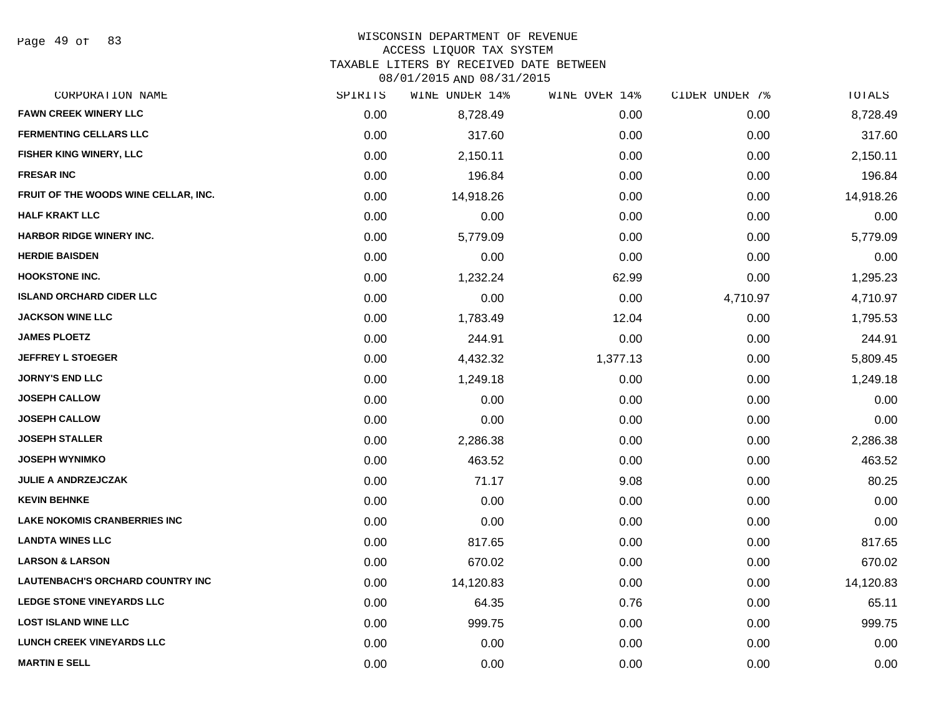#### WISCONSIN DEPARTMENT OF REVENUE

#### ACCESS LIQUOR TAX SYSTEM

TAXABLE LITERS BY RECEIVED DATE BETWEEN

| CORPORATION NAME                        | SPIRITS | WINE UNDER 14% | WINE OVER 14% | CIDER UNDER 7% | TOTALS    |
|-----------------------------------------|---------|----------------|---------------|----------------|-----------|
| <b>FAWN CREEK WINERY LLC</b>            | 0.00    | 8,728.49       | 0.00          | 0.00           | 8,728.49  |
| <b>FERMENTING CELLARS LLC</b>           | 0.00    | 317.60         | 0.00          | 0.00           | 317.60    |
| FISHER KING WINERY, LLC                 | 0.00    | 2,150.11       | 0.00          | 0.00           | 2,150.11  |
| <b>FRESAR INC</b>                       | 0.00    | 196.84         | 0.00          | 0.00           | 196.84    |
| FRUIT OF THE WOODS WINE CELLAR, INC.    | 0.00    | 14,918.26      | 0.00          | 0.00           | 14,918.26 |
| <b>HALF KRAKT LLC</b>                   | 0.00    | 0.00           | 0.00          | 0.00           | 0.00      |
| HARBOR RIDGE WINERY INC.                | 0.00    | 5,779.09       | 0.00          | 0.00           | 5,779.09  |
| <b>HERDIE BAISDEN</b>                   | 0.00    | 0.00           | 0.00          | 0.00           | 0.00      |
| <b>HOOKSTONE INC.</b>                   | 0.00    | 1,232.24       | 62.99         | 0.00           | 1,295.23  |
| <b>ISLAND ORCHARD CIDER LLC</b>         | 0.00    | 0.00           | 0.00          | 4,710.97       | 4,710.97  |
| <b>JACKSON WINE LLC</b>                 | 0.00    | 1,783.49       | 12.04         | 0.00           | 1,795.53  |
| <b>JAMES PLOETZ</b>                     | 0.00    | 244.91         | 0.00          | 0.00           | 244.91    |
| <b>JEFFREY L STOEGER</b>                | 0.00    | 4,432.32       | 1,377.13      | 0.00           | 5,809.45  |
| <b>JORNY'S END LLC</b>                  | 0.00    | 1,249.18       | 0.00          | 0.00           | 1,249.18  |
| <b>JOSEPH CALLOW</b>                    | 0.00    | 0.00           | 0.00          | 0.00           | 0.00      |
| <b>JOSEPH CALLOW</b>                    | 0.00    | 0.00           | 0.00          | 0.00           | 0.00      |
| <b>JOSEPH STALLER</b>                   | 0.00    | 2,286.38       | 0.00          | 0.00           | 2,286.38  |
| <b>JOSEPH WYNIMKO</b>                   | 0.00    | 463.52         | 0.00          | 0.00           | 463.52    |
| <b>JULIE A ANDRZEJCZAK</b>              | 0.00    | 71.17          | 9.08          | 0.00           | 80.25     |
| <b>KEVIN BEHNKE</b>                     | 0.00    | 0.00           | 0.00          | 0.00           | 0.00      |
| <b>LAKE NOKOMIS CRANBERRIES INC</b>     | 0.00    | 0.00           | 0.00          | 0.00           | 0.00      |
| <b>LANDTA WINES LLC</b>                 | 0.00    | 817.65         | 0.00          | 0.00           | 817.65    |
| <b>LARSON &amp; LARSON</b>              | 0.00    | 670.02         | 0.00          | 0.00           | 670.02    |
| <b>LAUTENBACH'S ORCHARD COUNTRY INC</b> | 0.00    | 14,120.83      | 0.00          | 0.00           | 14,120.83 |
| <b>LEDGE STONE VINEYARDS LLC</b>        | 0.00    | 64.35          | 0.76          | 0.00           | 65.11     |
| <b>LOST ISLAND WINE LLC</b>             | 0.00    | 999.75         | 0.00          | 0.00           | 999.75    |
| <b>LUNCH CREEK VINEYARDS LLC</b>        | 0.00    | 0.00           | 0.00          | 0.00           | 0.00      |
| <b>MARTIN E SELL</b>                    | 0.00    | 0.00           | 0.00          | 0.00           | 0.00      |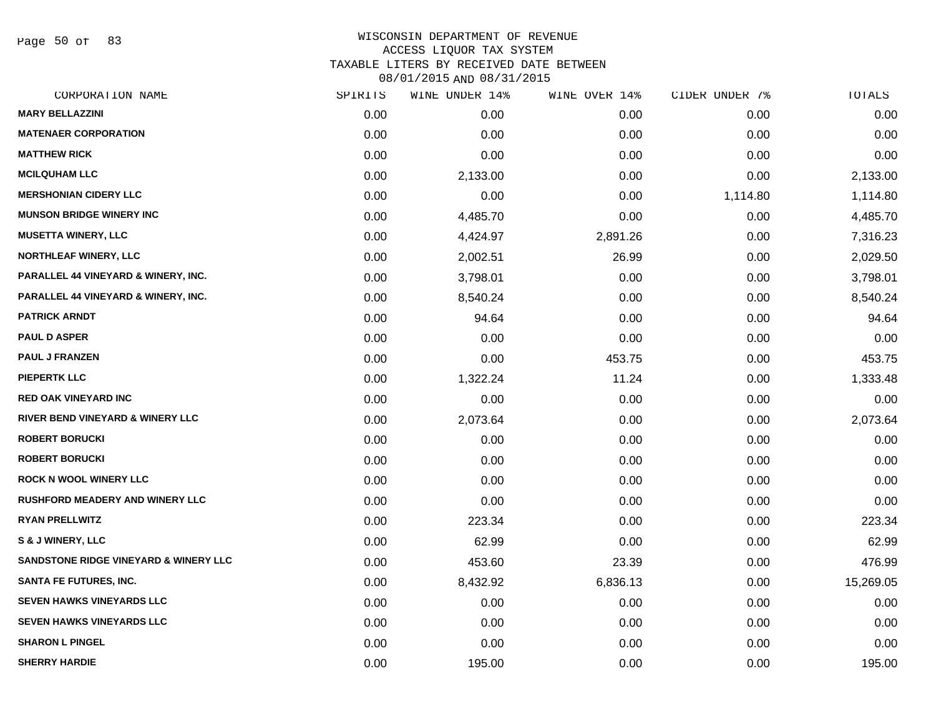Page 50 of 83

# WISCONSIN DEPARTMENT OF REVENUE ACCESS LIQUOR TAX SYSTEM TAXABLE LITERS BY RECEIVED DATE BETWEEN

| CORPORATION NAME                               | SPIRITS | WINE UNDER 14% | WINE OVER 14% | CIDER UNDER 7% | TOTALS    |
|------------------------------------------------|---------|----------------|---------------|----------------|-----------|
| <b>MARY BELLAZZINI</b>                         | 0.00    | 0.00           | 0.00          | 0.00           | 0.00      |
| <b>MATENAER CORPORATION</b>                    | 0.00    | 0.00           | 0.00          | 0.00           | 0.00      |
| <b>MATTHEW RICK</b>                            | 0.00    | 0.00           | 0.00          | 0.00           | 0.00      |
| <b>MCILQUHAM LLC</b>                           | 0.00    | 2,133.00       | 0.00          | 0.00           | 2,133.00  |
| <b>MERSHONIAN CIDERY LLC</b>                   | 0.00    | 0.00           | 0.00          | 1,114.80       | 1,114.80  |
| <b>MUNSON BRIDGE WINERY INC</b>                | 0.00    | 4,485.70       | 0.00          | 0.00           | 4,485.70  |
| <b>MUSETTA WINERY, LLC</b>                     | 0.00    | 4,424.97       | 2,891.26      | 0.00           | 7,316.23  |
| <b>NORTHLEAF WINERY, LLC</b>                   | 0.00    | 2,002.51       | 26.99         | 0.00           | 2,029.50  |
| <b>PARALLEL 44 VINEYARD &amp; WINERY, INC.</b> | 0.00    | 3,798.01       | 0.00          | 0.00           | 3,798.01  |
| <b>PARALLEL 44 VINEYARD &amp; WINERY, INC.</b> | 0.00    | 8,540.24       | 0.00          | 0.00           | 8,540.24  |
| <b>PATRICK ARNDT</b>                           | 0.00    | 94.64          | 0.00          | 0.00           | 94.64     |
| <b>PAUL D ASPER</b>                            | 0.00    | 0.00           | 0.00          | 0.00           | 0.00      |
| <b>PAUL J FRANZEN</b>                          | 0.00    | 0.00           | 453.75        | 0.00           | 453.75    |
| <b>PIEPERTK LLC</b>                            | 0.00    | 1,322.24       | 11.24         | 0.00           | 1,333.48  |
| <b>RED OAK VINEYARD INC</b>                    | 0.00    | 0.00           | 0.00          | 0.00           | 0.00      |
| <b>RIVER BEND VINEYARD &amp; WINERY LLC</b>    | 0.00    | 2,073.64       | 0.00          | 0.00           | 2,073.64  |
| <b>ROBERT BORUCKI</b>                          | 0.00    | 0.00           | 0.00          | 0.00           | 0.00      |
| <b>ROBERT BORUCKI</b>                          | 0.00    | 0.00           | 0.00          | 0.00           | 0.00      |
| <b>ROCK N WOOL WINERY LLC</b>                  | 0.00    | 0.00           | 0.00          | 0.00           | 0.00      |
| <b>RUSHFORD MEADERY AND WINERY LLC</b>         | 0.00    | 0.00           | 0.00          | 0.00           | 0.00      |
| <b>RYAN PRELLWITZ</b>                          | 0.00    | 223.34         | 0.00          | 0.00           | 223.34    |
| S & J WINERY, LLC                              | 0.00    | 62.99          | 0.00          | 0.00           | 62.99     |
| SANDSTONE RIDGE VINEYARD & WINERY LLC          | 0.00    | 453.60         | 23.39         | 0.00           | 476.99    |
| SANTA FE FUTURES, INC.                         | 0.00    | 8,432.92       | 6,836.13      | 0.00           | 15,269.05 |
| <b>SEVEN HAWKS VINEYARDS LLC</b>               | 0.00    | 0.00           | 0.00          | 0.00           | 0.00      |
| <b>SEVEN HAWKS VINEYARDS LLC</b>               | 0.00    | 0.00           | 0.00          | 0.00           | 0.00      |
| <b>SHARON L PINGEL</b>                         | 0.00    | 0.00           | 0.00          | 0.00           | 0.00      |
| <b>SHERRY HARDIE</b>                           | 0.00    | 195.00         | 0.00          | 0.00           | 195.00    |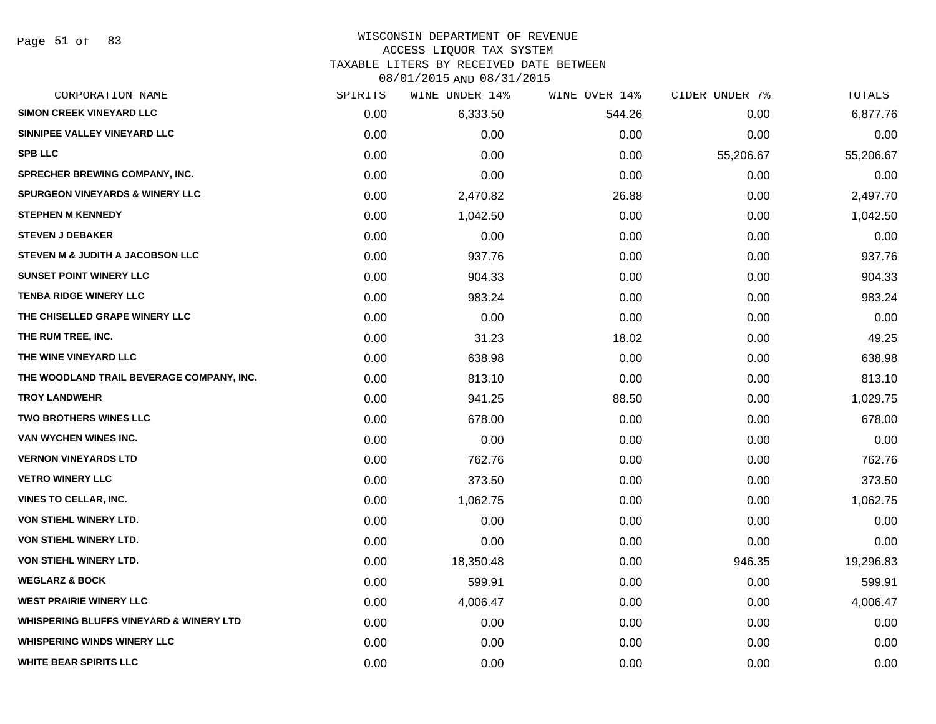#### WISCONSIN DEPARTMENT OF REVENUE

#### ACCESS LIQUOR TAX SYSTEM

TAXABLE LITERS BY RECEIVED DATE BETWEEN

| CORPORATION NAME                                   | SPIRITS | WINE UNDER 14% | WINE OVER 14% | CIDER UNDER 7% | TOTALS    |
|----------------------------------------------------|---------|----------------|---------------|----------------|-----------|
| <b>SIMON CREEK VINEYARD LLC</b>                    | 0.00    | 6,333.50       | 544.26        | 0.00           | 6,877.76  |
| SINNIPEE VALLEY VINEYARD LLC                       | 0.00    | 0.00           | 0.00          | 0.00           | 0.00      |
| <b>SPB LLC</b>                                     | 0.00    | 0.00           | 0.00          | 55,206.67      | 55,206.67 |
| <b>SPRECHER BREWING COMPANY, INC.</b>              | 0.00    | 0.00           | 0.00          | 0.00           | 0.00      |
| <b>SPURGEON VINEYARDS &amp; WINERY LLC</b>         | 0.00    | 2,470.82       | 26.88         | 0.00           | 2,497.70  |
| <b>STEPHEN M KENNEDY</b>                           | 0.00    | 1,042.50       | 0.00          | 0.00           | 1,042.50  |
| <b>STEVEN J DEBAKER</b>                            | 0.00    | 0.00           | 0.00          | 0.00           | 0.00      |
| STEVEN M & JUDITH A JACOBSON LLC                   | 0.00    | 937.76         | 0.00          | 0.00           | 937.76    |
| <b>SUNSET POINT WINERY LLC</b>                     | 0.00    | 904.33         | 0.00          | 0.00           | 904.33    |
| <b>TENBA RIDGE WINERY LLC</b>                      | 0.00    | 983.24         | 0.00          | 0.00           | 983.24    |
| THE CHISELLED GRAPE WINERY LLC                     | 0.00    | 0.00           | 0.00          | 0.00           | 0.00      |
| THE RUM TREE, INC.                                 | 0.00    | 31.23          | 18.02         | 0.00           | 49.25     |
| THE WINE VINEYARD LLC                              | 0.00    | 638.98         | 0.00          | 0.00           | 638.98    |
| THE WOODLAND TRAIL BEVERAGE COMPANY, INC.          | 0.00    | 813.10         | 0.00          | 0.00           | 813.10    |
| <b>TROY LANDWEHR</b>                               | 0.00    | 941.25         | 88.50         | 0.00           | 1,029.75  |
| TWO BROTHERS WINES LLC                             | 0.00    | 678.00         | 0.00          | 0.00           | 678.00    |
| VAN WYCHEN WINES INC.                              | 0.00    | 0.00           | 0.00          | 0.00           | 0.00      |
| <b>VERNON VINEYARDS LTD</b>                        | 0.00    | 762.76         | 0.00          | 0.00           | 762.76    |
| <b>VETRO WINERY LLC</b>                            | 0.00    | 373.50         | 0.00          | 0.00           | 373.50    |
| VINES TO CELLAR, INC.                              | 0.00    | 1,062.75       | 0.00          | 0.00           | 1,062.75  |
| <b>VON STIEHL WINERY LTD.</b>                      | 0.00    | 0.00           | 0.00          | 0.00           | 0.00      |
| VON STIEHL WINERY LTD.                             | 0.00    | 0.00           | 0.00          | 0.00           | 0.00      |
| VON STIEHL WINERY LTD.                             | 0.00    | 18,350.48      | 0.00          | 946.35         | 19,296.83 |
| <b>WEGLARZ &amp; BOCK</b>                          | 0.00    | 599.91         | 0.00          | 0.00           | 599.91    |
| <b>WEST PRAIRIE WINERY LLC</b>                     | 0.00    | 4,006.47       | 0.00          | 0.00           | 4,006.47  |
| <b>WHISPERING BLUFFS VINEYARD &amp; WINERY LTD</b> | 0.00    | 0.00           | 0.00          | 0.00           | 0.00      |
| <b>WHISPERING WINDS WINERY LLC</b>                 | 0.00    | 0.00           | 0.00          | 0.00           | 0.00      |
| <b>WHITE BEAR SPIRITS LLC</b>                      | 0.00    | 0.00           | 0.00          | 0.00           | 0.00      |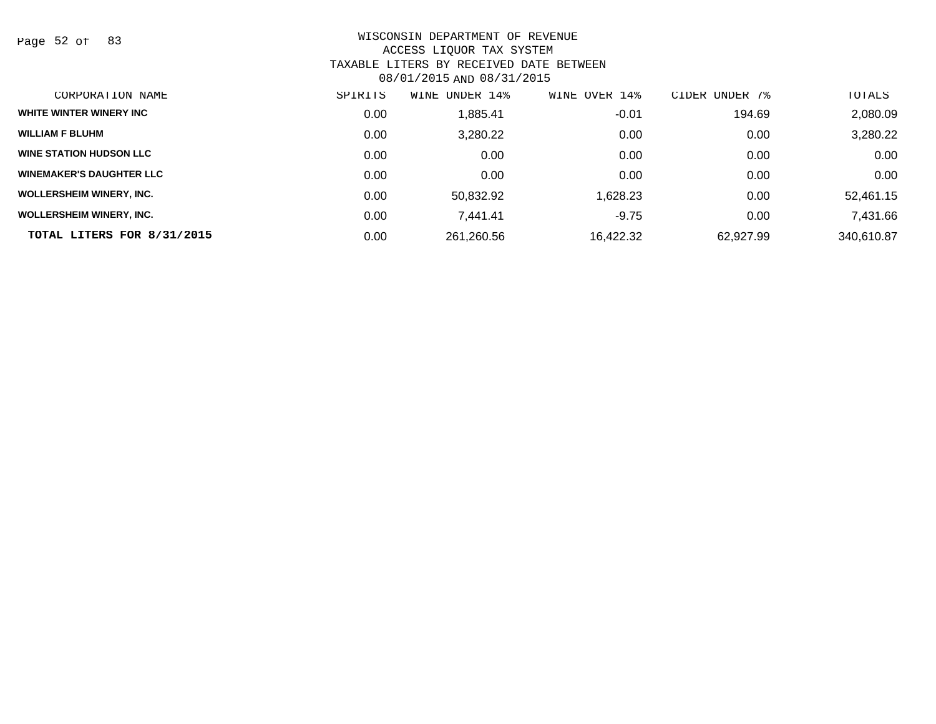Page 52 of 83

| CORPORATION NAME                | SPIRITS | UNDER 14%<br>WINE | OVER 14%<br>WINE | UNDER 7%<br>CIDER | TOTALS     |
|---------------------------------|---------|-------------------|------------------|-------------------|------------|
| WHITE WINTER WINERY INC         | 0.00    | 885.41,           | $-0.01$          | 194.69            | 2,080.09   |
| <b>WILLIAM F BLUHM</b>          | 0.00    | 3,280.22          | 0.00             | 0.00              | 3,280.22   |
| <b>WINE STATION HUDSON LLC</b>  | 0.00    | 0.00              | 0.00             | 0.00              | 0.00       |
| <b>WINEMAKER'S DAUGHTER LLC</b> | 0.00    | 0.00              | 0.00             | 0.00              | 0.00       |
| <b>WOLLERSHEIM WINERY, INC.</b> | 0.00    | 50.832.92         | 1,628.23         | 0.00              | 52,461.15  |
| <b>WOLLERSHEIM WINERY, INC.</b> | 0.00    | 7.441.41          | $-9.75$          | 0.00              | 7,431.66   |
| TOTAL LITERS FOR 8/31/2015      | 0.00    | 261,260.56        | 16,422.32        | 62.927.99         | 340,610.87 |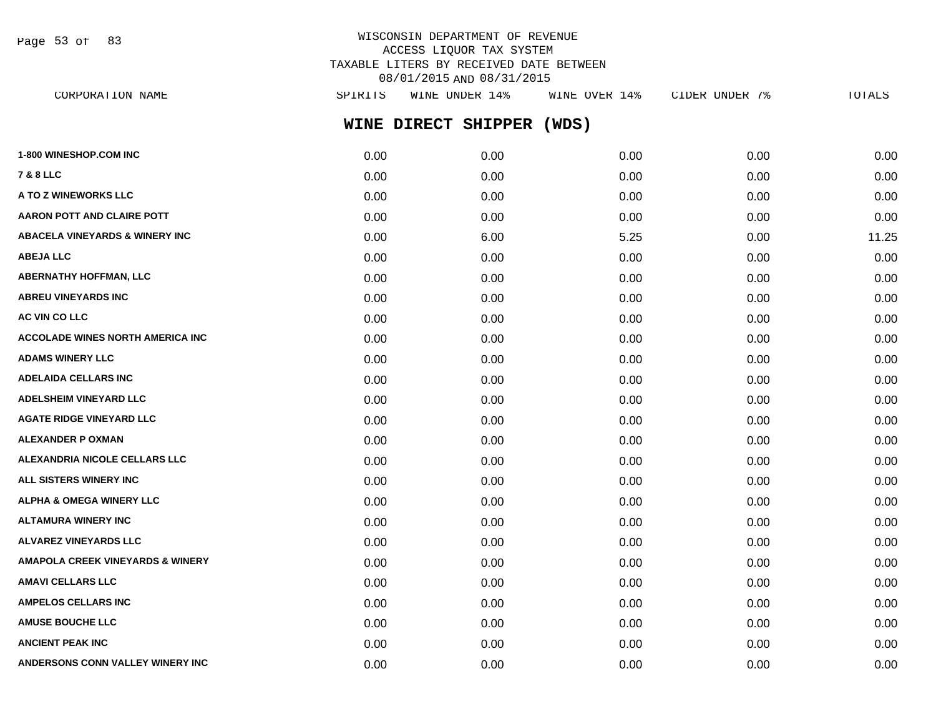Page 53 of 83

## WISCONSIN DEPARTMENT OF REVENUE ACCESS LIQUOR TAX SYSTEM TAXABLE LITERS BY RECEIVED DATE BETWEEN 08/01/2015 AND 08/31/2015

**WINE DIRECT SHIPPER (WDS) 1-800 WINESHOP.COM INC** 0.00 0.00 0.00 0.00 0.00 **7 & 8 LLC** 0.00 0.00 0.00 0.00 0.00 **A TO Z WINEWORKS LLC** 0.00 0.00 0.00 0.00 0.00 **AARON POTT AND CLAIRE POTT**  $0.00$   $0.00$   $0.00$   $0.00$   $0.00$   $0.00$   $0.00$   $0.00$   $0.00$   $0.00$   $0.00$   $0.00$   $0.00$ **ABACELA VINEYARDS & WINERY INC** 0.00 6.00 5.25 0.00 11.25 **ABEJA LLC** 0.00 0.00 0.00 0.00 0.00 **ABERNATHY HOFFMAN, LLC** 0.00 0.00 0.00 0.00 0.00 **ABREU VINEYARDS INC** 0.00 0.00 0.00 0.00 0.00 **AC VIN CO LLC** 0.00 0.00 0.00 0.00 0.00 **ACCOLADE WINES NORTH AMERICA INC**  $0.00$   $0.00$   $0.00$   $0.00$   $0.00$   $0.00$   $0.00$   $0.00$   $0.00$   $0.00$   $0.00$   $0.00$ **ADAMS WINERY LLC** 0.00 0.00 0.00 0.00 0.00 **ADELAIDA CELLARS INC** 0.00 0.00 0.00 0.00 0.00 **ADELSHEIM VINEYARD LLC** 0.00 0.00 0.00 0.00 0.00 **AGATE RIDGE VINEYARD LLC** 0.00 0.00 0.00 0.00 0.00 **ALEXANDER P OXMAN** 0.00 0.00 0.00 0.00 0.00 **ALEXANDRIA NICOLE CELLARS LLC** 0.00 0.00 0.00 0.00 0.00 **ALL SISTERS WINERY INC** 0.00 0.00 0.00 0.00 0.00 **ALPHA & OMEGA WINERY LLC** 0.00 0.00 0.00 0.00 0.00 **ALTAMURA WINERY INC** 0.00 0.00 0.00 0.00 0.00 **ALVAREZ VINEYARDS LLC** 0.00 0.00 0.00 0.00 0.00 **AMAPOLA CREEK VINEYARDS & WINERY** 0.00 0.00 0.00 0.00 0.00 **AMAVI CELLARS LLC** 0.00 0.00 0.00 0.00 0.00 **AMPELOS CELLARS INC** 0.00 0.00 0.00 0.00 0.00 **AMUSE BOUCHE LLC** 0.00 0.00 0.00 0.00 0.00 **ANCIENT PEAK INC** 0.00 0.00 0.00 0.00 0.00 CORPORATION NAME SPIRITS WINE UNDER 14% WINE OVER 14% CIDER UNDER 7% TOTALS

**ANDERSONS CONN VALLEY WINERY INC** 0.00 0.00 0.00 0.00 0.00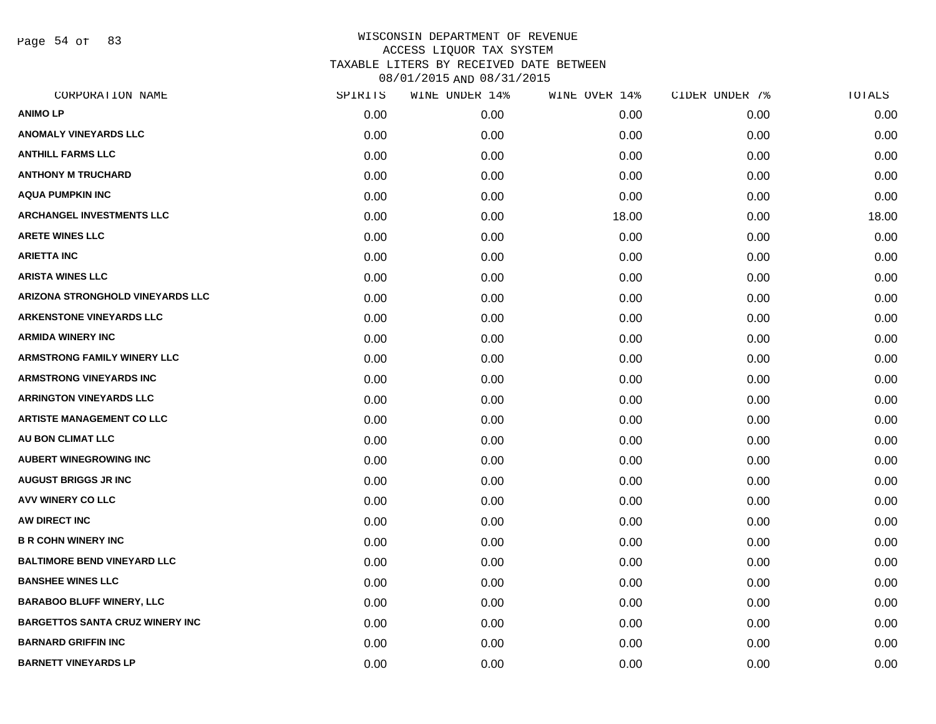Page 54 of 83

| CORPORATION NAME                        | SPIRITS | WINE UNDER 14% | WINE OVER 14% | CIDER UNDER 7% | TOTALS |
|-----------------------------------------|---------|----------------|---------------|----------------|--------|
| <b>ANIMO LP</b>                         | 0.00    | 0.00           | 0.00          | 0.00           | 0.00   |
| <b>ANOMALY VINEYARDS LLC</b>            | 0.00    | 0.00           | 0.00          | 0.00           | 0.00   |
| <b>ANTHILL FARMS LLC</b>                | 0.00    | 0.00           | 0.00          | 0.00           | 0.00   |
| <b>ANTHONY M TRUCHARD</b>               | 0.00    | 0.00           | 0.00          | 0.00           | 0.00   |
| AQUA PUMPKIN INC                        | 0.00    | 0.00           | 0.00          | 0.00           | 0.00   |
| <b>ARCHANGEL INVESTMENTS LLC</b>        | 0.00    | 0.00           | 18.00         | 0.00           | 18.00  |
| <b>ARETE WINES LLC</b>                  | 0.00    | 0.00           | 0.00          | 0.00           | 0.00   |
| <b>ARIETTA INC</b>                      | 0.00    | 0.00           | 0.00          | 0.00           | 0.00   |
| <b>ARISTA WINES LLC</b>                 | 0.00    | 0.00           | 0.00          | 0.00           | 0.00   |
| <b>ARIZONA STRONGHOLD VINEYARDS LLC</b> | 0.00    | 0.00           | 0.00          | 0.00           | 0.00   |
| <b>ARKENSTONE VINEYARDS LLC</b>         | 0.00    | 0.00           | 0.00          | 0.00           | 0.00   |
| ARMIDA WINERY INC                       | 0.00    | 0.00           | 0.00          | 0.00           | 0.00   |
| <b>ARMSTRONG FAMILY WINERY LLC</b>      | 0.00    | 0.00           | 0.00          | 0.00           | 0.00   |
| <b>ARMSTRONG VINEYARDS INC</b>          | 0.00    | 0.00           | 0.00          | 0.00           | 0.00   |
| <b>ARRINGTON VINEYARDS LLC</b>          | 0.00    | 0.00           | 0.00          | 0.00           | 0.00   |
| <b>ARTISTE MANAGEMENT CO LLC</b>        | 0.00    | 0.00           | 0.00          | 0.00           | 0.00   |
| <b>AU BON CLIMAT LLC</b>                | 0.00    | 0.00           | 0.00          | 0.00           | 0.00   |
| <b>AUBERT WINEGROWING INC</b>           | 0.00    | 0.00           | 0.00          | 0.00           | 0.00   |
| <b>AUGUST BRIGGS JR INC</b>             | 0.00    | 0.00           | 0.00          | 0.00           | 0.00   |
| <b>AVV WINERY CO LLC</b>                | 0.00    | 0.00           | 0.00          | 0.00           | 0.00   |
| AW DIRECT INC                           | 0.00    | 0.00           | 0.00          | 0.00           | 0.00   |
| <b>B R COHN WINERY INC</b>              | 0.00    | 0.00           | 0.00          | 0.00           | 0.00   |
| <b>BALTIMORE BEND VINEYARD LLC</b>      | 0.00    | 0.00           | 0.00          | 0.00           | 0.00   |
| <b>BANSHEE WINES LLC</b>                | 0.00    | 0.00           | 0.00          | 0.00           | 0.00   |
| <b>BARABOO BLUFF WINERY, LLC</b>        | 0.00    | 0.00           | 0.00          | 0.00           | 0.00   |
| <b>BARGETTOS SANTA CRUZ WINERY INC</b>  | 0.00    | 0.00           | 0.00          | 0.00           | 0.00   |
| <b>BARNARD GRIFFIN INC</b>              | 0.00    | 0.00           | 0.00          | 0.00           | 0.00   |
| <b>BARNETT VINEYARDS LP</b>             | 0.00    | 0.00           | 0.00          | 0.00           | 0.00   |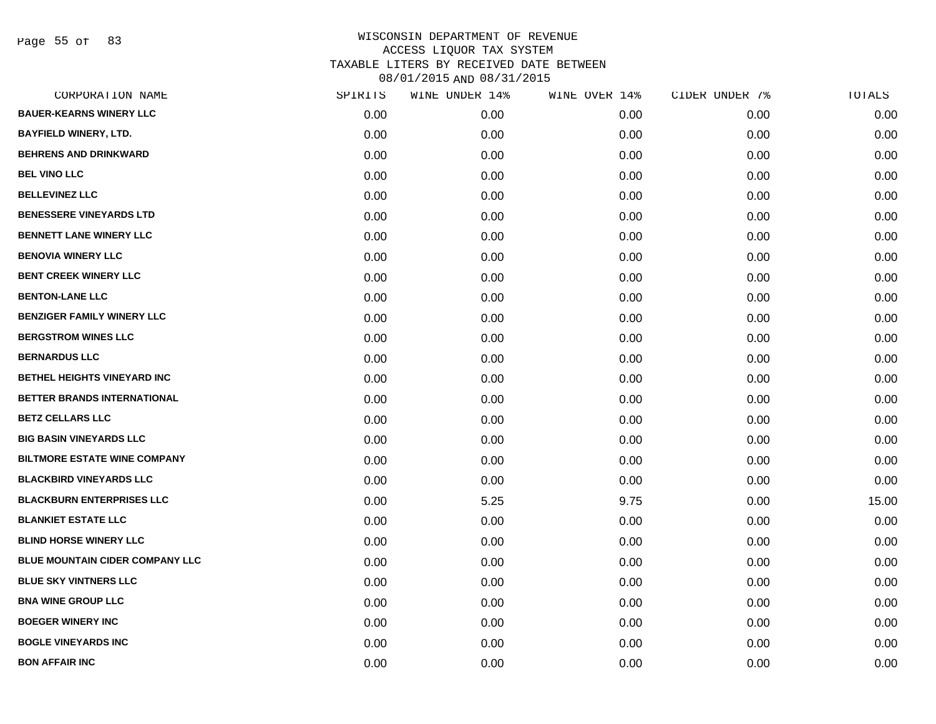Page 55 of 83

| CORPORATION NAME                       | SPIRITS | WINE UNDER 14% | WINE OVER 14% | CIDER UNDER 7% | TOTALS |
|----------------------------------------|---------|----------------|---------------|----------------|--------|
| <b>BAUER-KEARNS WINERY LLC</b>         | 0.00    | 0.00           | 0.00          | 0.00           | 0.00   |
| <b>BAYFIELD WINERY, LTD.</b>           | 0.00    | 0.00           | 0.00          | 0.00           | 0.00   |
| <b>BEHRENS AND DRINKWARD</b>           | 0.00    | 0.00           | 0.00          | 0.00           | 0.00   |
| <b>BEL VINO LLC</b>                    | 0.00    | 0.00           | 0.00          | 0.00           | 0.00   |
| <b>BELLEVINEZ LLC</b>                  | 0.00    | 0.00           | 0.00          | 0.00           | 0.00   |
| <b>BENESSERE VINEYARDS LTD</b>         | 0.00    | 0.00           | 0.00          | 0.00           | 0.00   |
| <b>BENNETT LANE WINERY LLC</b>         | 0.00    | 0.00           | 0.00          | 0.00           | 0.00   |
| <b>BENOVIA WINERY LLC</b>              | 0.00    | 0.00           | 0.00          | 0.00           | 0.00   |
| <b>BENT CREEK WINERY LLC</b>           | 0.00    | 0.00           | 0.00          | 0.00           | 0.00   |
| <b>BENTON-LANE LLC</b>                 | 0.00    | 0.00           | 0.00          | 0.00           | 0.00   |
| <b>BENZIGER FAMILY WINERY LLC</b>      | 0.00    | 0.00           | 0.00          | 0.00           | 0.00   |
| <b>BERGSTROM WINES LLC</b>             | 0.00    | 0.00           | 0.00          | 0.00           | 0.00   |
| <b>BERNARDUS LLC</b>                   | 0.00    | 0.00           | 0.00          | 0.00           | 0.00   |
| BETHEL HEIGHTS VINEYARD INC            | 0.00    | 0.00           | 0.00          | 0.00           | 0.00   |
| BETTER BRANDS INTERNATIONAL            | 0.00    | 0.00           | 0.00          | 0.00           | 0.00   |
| <b>BETZ CELLARS LLC</b>                | 0.00    | 0.00           | 0.00          | 0.00           | 0.00   |
| <b>BIG BASIN VINEYARDS LLC</b>         | 0.00    | 0.00           | 0.00          | 0.00           | 0.00   |
| <b>BILTMORE ESTATE WINE COMPANY</b>    | 0.00    | 0.00           | 0.00          | 0.00           | 0.00   |
| <b>BLACKBIRD VINEYARDS LLC</b>         | 0.00    | 0.00           | 0.00          | 0.00           | 0.00   |
| <b>BLACKBURN ENTERPRISES LLC</b>       | 0.00    | 5.25           | 9.75          | 0.00           | 15.00  |
| <b>BLANKIET ESTATE LLC</b>             | 0.00    | 0.00           | 0.00          | 0.00           | 0.00   |
| <b>BLIND HORSE WINERY LLC</b>          | 0.00    | 0.00           | 0.00          | 0.00           | 0.00   |
| <b>BLUE MOUNTAIN CIDER COMPANY LLC</b> | 0.00    | 0.00           | 0.00          | 0.00           | 0.00   |
| <b>BLUE SKY VINTNERS LLC</b>           | 0.00    | 0.00           | 0.00          | 0.00           | 0.00   |
| <b>BNA WINE GROUP LLC</b>              | 0.00    | 0.00           | 0.00          | 0.00           | 0.00   |
| <b>BOEGER WINERY INC</b>               | 0.00    | 0.00           | 0.00          | 0.00           | 0.00   |
| <b>BOGLE VINEYARDS INC</b>             | 0.00    | 0.00           | 0.00          | 0.00           | 0.00   |
| <b>BON AFFAIR INC</b>                  | 0.00    | 0.00           | 0.00          | 0.00           | 0.00   |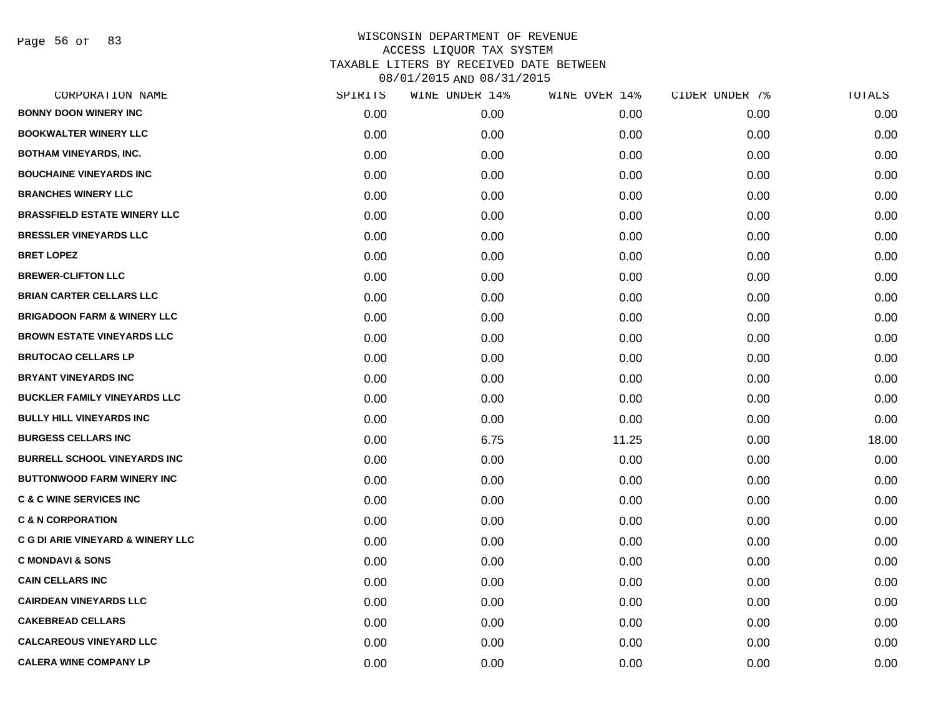Page 56 of 83

| CORPORATION NAME                             | SPIRITS | WINE UNDER 14% | WINE OVER 14% | CIDER UNDER 7% | TOTALS |
|----------------------------------------------|---------|----------------|---------------|----------------|--------|
| <b>BONNY DOON WINERY INC</b>                 | 0.00    | 0.00           | 0.00          | 0.00           | 0.00   |
| <b>BOOKWALTER WINERY LLC</b>                 | 0.00    | 0.00           | 0.00          | 0.00           | 0.00   |
| <b>BOTHAM VINEYARDS, INC.</b>                | 0.00    | 0.00           | 0.00          | 0.00           | 0.00   |
| <b>BOUCHAINE VINEYARDS INC</b>               | 0.00    | 0.00           | 0.00          | 0.00           | 0.00   |
| <b>BRANCHES WINERY LLC</b>                   | 0.00    | 0.00           | 0.00          | 0.00           | 0.00   |
| <b>BRASSFIELD ESTATE WINERY LLC</b>          | 0.00    | 0.00           | 0.00          | 0.00           | 0.00   |
| <b>BRESSLER VINEYARDS LLC</b>                | 0.00    | 0.00           | 0.00          | 0.00           | 0.00   |
| <b>BRET LOPEZ</b>                            | 0.00    | 0.00           | 0.00          | 0.00           | 0.00   |
| <b>BREWER-CLIFTON LLC</b>                    | 0.00    | 0.00           | 0.00          | 0.00           | 0.00   |
| <b>BRIAN CARTER CELLARS LLC</b>              | 0.00    | 0.00           | 0.00          | 0.00           | 0.00   |
| <b>BRIGADOON FARM &amp; WINERY LLC</b>       | 0.00    | 0.00           | 0.00          | 0.00           | 0.00   |
| <b>BROWN ESTATE VINEYARDS LLC</b>            | 0.00    | 0.00           | 0.00          | 0.00           | 0.00   |
| <b>BRUTOCAO CELLARS LP</b>                   | 0.00    | 0.00           | 0.00          | 0.00           | 0.00   |
| <b>BRYANT VINEYARDS INC</b>                  | 0.00    | 0.00           | 0.00          | 0.00           | 0.00   |
| <b>BUCKLER FAMILY VINEYARDS LLC</b>          | 0.00    | 0.00           | 0.00          | 0.00           | 0.00   |
| <b>BULLY HILL VINEYARDS INC</b>              | 0.00    | 0.00           | 0.00          | 0.00           | 0.00   |
| <b>BURGESS CELLARS INC</b>                   | 0.00    | 6.75           | 11.25         | 0.00           | 18.00  |
| <b>BURRELL SCHOOL VINEYARDS INC</b>          | 0.00    | 0.00           | 0.00          | 0.00           | 0.00   |
| <b>BUTTONWOOD FARM WINERY INC</b>            | 0.00    | 0.00           | 0.00          | 0.00           | 0.00   |
| <b>C &amp; C WINE SERVICES INC</b>           | 0.00    | 0.00           | 0.00          | 0.00           | 0.00   |
| <b>C &amp; N CORPORATION</b>                 | 0.00    | 0.00           | 0.00          | 0.00           | 0.00   |
| <b>C G DI ARIE VINEYARD &amp; WINERY LLC</b> | 0.00    | 0.00           | 0.00          | 0.00           | 0.00   |
| <b>C MONDAVI &amp; SONS</b>                  | 0.00    | 0.00           | 0.00          | 0.00           | 0.00   |
| <b>CAIN CELLARS INC</b>                      | 0.00    | 0.00           | 0.00          | 0.00           | 0.00   |
| <b>CAIRDEAN VINEYARDS LLC</b>                | 0.00    | 0.00           | 0.00          | 0.00           | 0.00   |
| <b>CAKEBREAD CELLARS</b>                     | 0.00    | 0.00           | 0.00          | 0.00           | 0.00   |
| <b>CALCAREOUS VINEYARD LLC</b>               | 0.00    | 0.00           | 0.00          | 0.00           | 0.00   |
| <b>CALERA WINE COMPANY LP</b>                | 0.00    | 0.00           | 0.00          | 0.00           | 0.00   |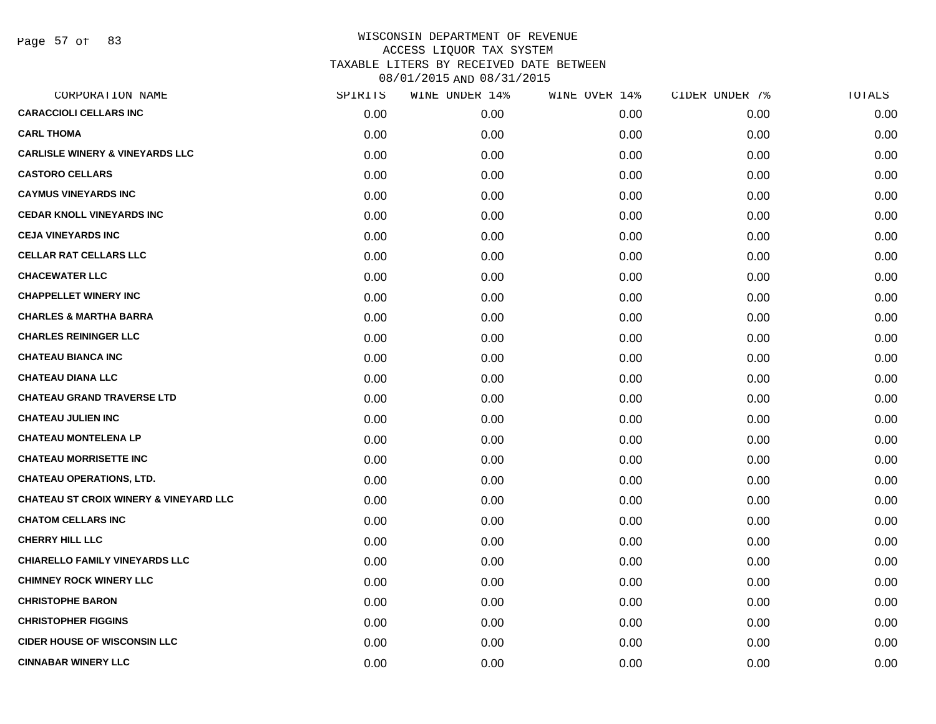Page 57 of 83

| CORPORATION NAME                                  | SPIRITS | WINE UNDER 14% | WINE OVER 14% | CIDER UNDER 7% | TOTALS |
|---------------------------------------------------|---------|----------------|---------------|----------------|--------|
| <b>CARACCIOLI CELLARS INC</b>                     | 0.00    | 0.00           | 0.00          | 0.00           | 0.00   |
| <b>CARL THOMA</b>                                 | 0.00    | 0.00           | 0.00          | 0.00           | 0.00   |
| <b>CARLISLE WINERY &amp; VINEYARDS LLC</b>        | 0.00    | 0.00           | 0.00          | 0.00           | 0.00   |
| <b>CASTORO CELLARS</b>                            | 0.00    | 0.00           | 0.00          | 0.00           | 0.00   |
| <b>CAYMUS VINEYARDS INC</b>                       | 0.00    | 0.00           | 0.00          | 0.00           | 0.00   |
| <b>CEDAR KNOLL VINEYARDS INC</b>                  | 0.00    | 0.00           | 0.00          | 0.00           | 0.00   |
| <b>CEJA VINEYARDS INC</b>                         | 0.00    | 0.00           | 0.00          | 0.00           | 0.00   |
| <b>CELLAR RAT CELLARS LLC</b>                     | 0.00    | 0.00           | 0.00          | 0.00           | 0.00   |
| <b>CHACEWATER LLC</b>                             | 0.00    | 0.00           | 0.00          | 0.00           | 0.00   |
| <b>CHAPPELLET WINERY INC</b>                      | 0.00    | 0.00           | 0.00          | 0.00           | 0.00   |
| <b>CHARLES &amp; MARTHA BARRA</b>                 | 0.00    | 0.00           | 0.00          | 0.00           | 0.00   |
| <b>CHARLES REININGER LLC</b>                      | 0.00    | 0.00           | 0.00          | 0.00           | 0.00   |
| <b>CHATEAU BIANCA INC</b>                         | 0.00    | 0.00           | 0.00          | 0.00           | 0.00   |
| <b>CHATEAU DIANA LLC</b>                          | 0.00    | 0.00           | 0.00          | 0.00           | 0.00   |
| <b>CHATEAU GRAND TRAVERSE LTD</b>                 | 0.00    | 0.00           | 0.00          | 0.00           | 0.00   |
| <b>CHATEAU JULIEN INC</b>                         | 0.00    | 0.00           | 0.00          | 0.00           | 0.00   |
| <b>CHATEAU MONTELENA LP</b>                       | 0.00    | 0.00           | 0.00          | 0.00           | 0.00   |
| <b>CHATEAU MORRISETTE INC</b>                     | 0.00    | 0.00           | 0.00          | 0.00           | 0.00   |
| <b>CHATEAU OPERATIONS, LTD.</b>                   | 0.00    | 0.00           | 0.00          | 0.00           | 0.00   |
| <b>CHATEAU ST CROIX WINERY &amp; VINEYARD LLC</b> | 0.00    | 0.00           | 0.00          | 0.00           | 0.00   |
| <b>CHATOM CELLARS INC</b>                         | 0.00    | 0.00           | 0.00          | 0.00           | 0.00   |
| <b>CHERRY HILL LLC</b>                            | 0.00    | 0.00           | 0.00          | 0.00           | 0.00   |
| <b>CHIARELLO FAMILY VINEYARDS LLC</b>             | 0.00    | 0.00           | 0.00          | 0.00           | 0.00   |
| <b>CHIMNEY ROCK WINERY LLC</b>                    | 0.00    | 0.00           | 0.00          | 0.00           | 0.00   |
| <b>CHRISTOPHE BARON</b>                           | 0.00    | 0.00           | 0.00          | 0.00           | 0.00   |
| <b>CHRISTOPHER FIGGINS</b>                        | 0.00    | 0.00           | 0.00          | 0.00           | 0.00   |
| <b>CIDER HOUSE OF WISCONSIN LLC</b>               | 0.00    | 0.00           | 0.00          | 0.00           | 0.00   |
| <b>CINNABAR WINERY LLC</b>                        | 0.00    | 0.00           | 0.00          | 0.00           | 0.00   |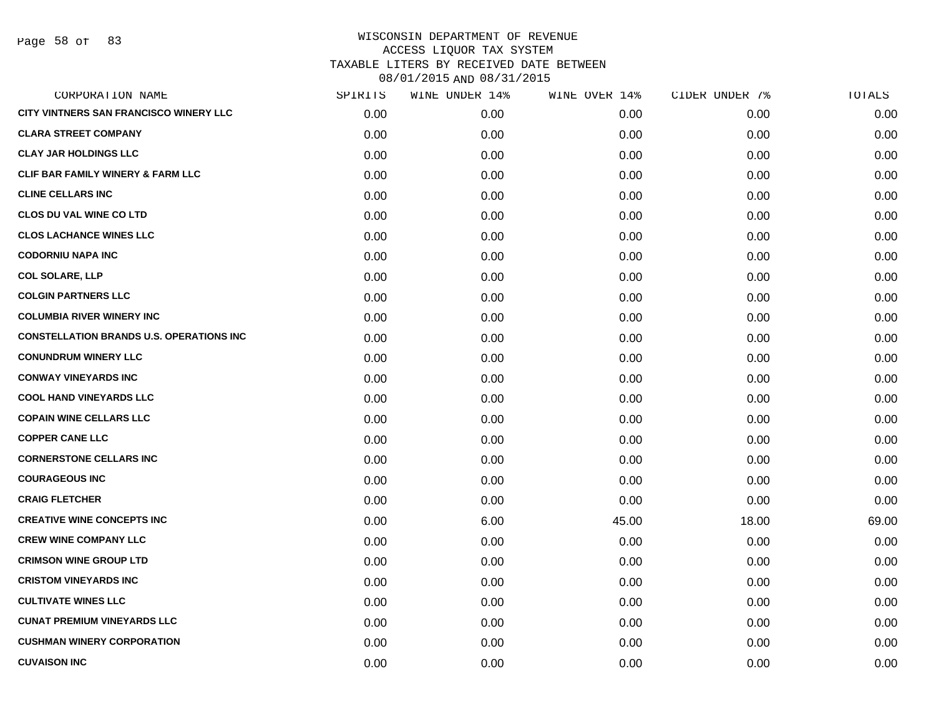Page 58 of 83

| CORPORATION NAME                                | SPIRITS | WINE UNDER 14% | WINE OVER 14% | CIDER UNDER 7% | TOTALS |
|-------------------------------------------------|---------|----------------|---------------|----------------|--------|
| CITY VINTNERS SAN FRANCISCO WINERY LLC          | 0.00    | 0.00           | 0.00          | 0.00           | 0.00   |
| <b>CLARA STREET COMPANY</b>                     | 0.00    | 0.00           | 0.00          | 0.00           | 0.00   |
| <b>CLAY JAR HOLDINGS LLC</b>                    | 0.00    | 0.00           | 0.00          | 0.00           | 0.00   |
| <b>CLIF BAR FAMILY WINERY &amp; FARM LLC</b>    | 0.00    | 0.00           | 0.00          | 0.00           | 0.00   |
| <b>CLINE CELLARS INC</b>                        | 0.00    | 0.00           | 0.00          | 0.00           | 0.00   |
| <b>CLOS DU VAL WINE CO LTD</b>                  | 0.00    | 0.00           | 0.00          | 0.00           | 0.00   |
| <b>CLOS LACHANCE WINES LLC</b>                  | 0.00    | 0.00           | 0.00          | 0.00           | 0.00   |
| <b>CODORNIU NAPA INC</b>                        | 0.00    | 0.00           | 0.00          | 0.00           | 0.00   |
| <b>COL SOLARE, LLP</b>                          | 0.00    | 0.00           | 0.00          | 0.00           | 0.00   |
| <b>COLGIN PARTNERS LLC</b>                      | 0.00    | 0.00           | 0.00          | 0.00           | 0.00   |
| <b>COLUMBIA RIVER WINERY INC</b>                | 0.00    | 0.00           | 0.00          | 0.00           | 0.00   |
| <b>CONSTELLATION BRANDS U.S. OPERATIONS INC</b> | 0.00    | 0.00           | 0.00          | 0.00           | 0.00   |
| <b>CONUNDRUM WINERY LLC</b>                     | 0.00    | 0.00           | 0.00          | 0.00           | 0.00   |
| <b>CONWAY VINEYARDS INC</b>                     | 0.00    | 0.00           | 0.00          | 0.00           | 0.00   |
| <b>COOL HAND VINEYARDS LLC</b>                  | 0.00    | 0.00           | 0.00          | 0.00           | 0.00   |
| <b>COPAIN WINE CELLARS LLC</b>                  | 0.00    | 0.00           | 0.00          | 0.00           | 0.00   |
| <b>COPPER CANE LLC</b>                          | 0.00    | 0.00           | 0.00          | 0.00           | 0.00   |
| <b>CORNERSTONE CELLARS INC</b>                  | 0.00    | 0.00           | 0.00          | 0.00           | 0.00   |
| <b>COURAGEOUS INC</b>                           | 0.00    | 0.00           | 0.00          | 0.00           | 0.00   |
| <b>CRAIG FLETCHER</b>                           | 0.00    | 0.00           | 0.00          | 0.00           | 0.00   |
| <b>CREATIVE WINE CONCEPTS INC</b>               | 0.00    | 6.00           | 45.00         | 18.00          | 69.00  |
| <b>CREW WINE COMPANY LLC</b>                    | 0.00    | 0.00           | 0.00          | 0.00           | 0.00   |
| <b>CRIMSON WINE GROUP LTD</b>                   | 0.00    | 0.00           | 0.00          | 0.00           | 0.00   |
| <b>CRISTOM VINEYARDS INC</b>                    | 0.00    | 0.00           | 0.00          | 0.00           | 0.00   |
| <b>CULTIVATE WINES LLC</b>                      | 0.00    | 0.00           | 0.00          | 0.00           | 0.00   |
| <b>CUNAT PREMIUM VINEYARDS LLC</b>              | 0.00    | 0.00           | 0.00          | 0.00           | 0.00   |
| <b>CUSHMAN WINERY CORPORATION</b>               | 0.00    | 0.00           | 0.00          | 0.00           | 0.00   |
| <b>CUVAISON INC</b>                             | 0.00    | 0.00           | 0.00          | 0.00           | 0.00   |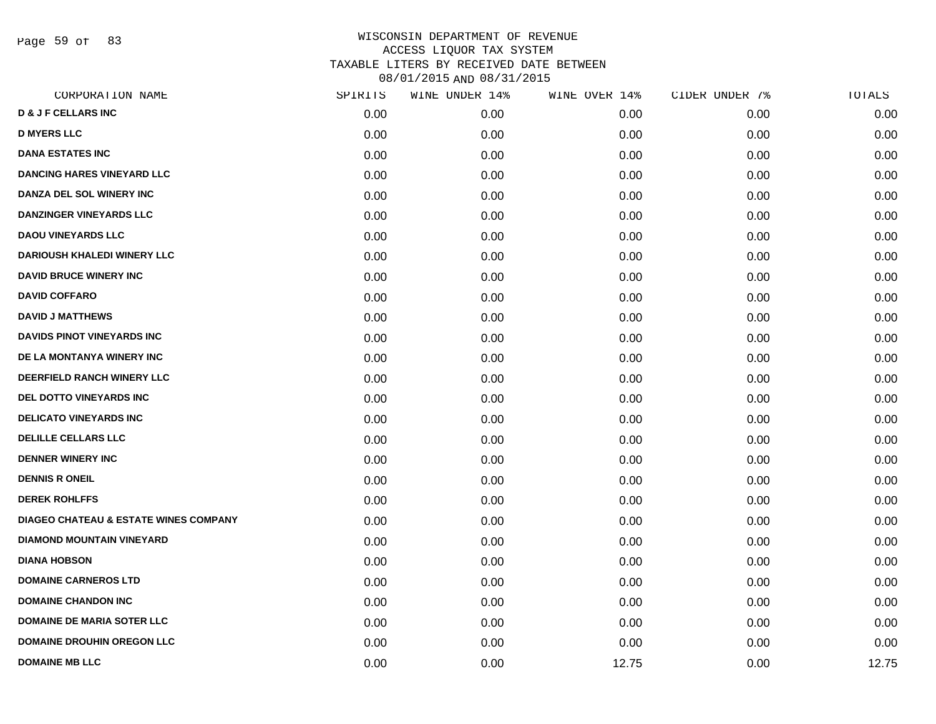Page 59 of 83

| CORPORATION NAME                                 | SPIRITS | WINE UNDER 14% | WINE OVER 14% | CIDER UNDER 7% | TOTALS |
|--------------------------------------------------|---------|----------------|---------------|----------------|--------|
| <b>D &amp; J F CELLARS INC</b>                   | 0.00    | 0.00           | 0.00          | 0.00           | 0.00   |
| <b>D MYERS LLC</b>                               | 0.00    | 0.00           | 0.00          | 0.00           | 0.00   |
| <b>DANA ESTATES INC</b>                          | 0.00    | 0.00           | 0.00          | 0.00           | 0.00   |
| <b>DANCING HARES VINEYARD LLC</b>                | 0.00    | 0.00           | 0.00          | 0.00           | 0.00   |
| DANZA DEL SOL WINERY INC                         | 0.00    | 0.00           | 0.00          | 0.00           | 0.00   |
| <b>DANZINGER VINEYARDS LLC</b>                   | 0.00    | 0.00           | 0.00          | 0.00           | 0.00   |
| <b>DAOU VINEYARDS LLC</b>                        | 0.00    | 0.00           | 0.00          | 0.00           | 0.00   |
| <b>DARIOUSH KHALEDI WINERY LLC</b>               | 0.00    | 0.00           | 0.00          | 0.00           | 0.00   |
| <b>DAVID BRUCE WINERY INC</b>                    | 0.00    | 0.00           | 0.00          | 0.00           | 0.00   |
| <b>DAVID COFFARO</b>                             | 0.00    | 0.00           | 0.00          | 0.00           | 0.00   |
| <b>DAVID J MATTHEWS</b>                          | 0.00    | 0.00           | 0.00          | 0.00           | 0.00   |
| <b>DAVIDS PINOT VINEYARDS INC</b>                | 0.00    | 0.00           | 0.00          | 0.00           | 0.00   |
| DE LA MONTANYA WINERY INC                        | 0.00    | 0.00           | 0.00          | 0.00           | 0.00   |
| DEERFIELD RANCH WINERY LLC                       | 0.00    | 0.00           | 0.00          | 0.00           | 0.00   |
| <b>DEL DOTTO VINEYARDS INC</b>                   | 0.00    | 0.00           | 0.00          | 0.00           | 0.00   |
| <b>DELICATO VINEYARDS INC</b>                    | 0.00    | 0.00           | 0.00          | 0.00           | 0.00   |
| <b>DELILLE CELLARS LLC</b>                       | 0.00    | 0.00           | 0.00          | 0.00           | 0.00   |
| <b>DENNER WINERY INC</b>                         | 0.00    | 0.00           | 0.00          | 0.00           | 0.00   |
| <b>DENNIS R ONEIL</b>                            | 0.00    | 0.00           | 0.00          | 0.00           | 0.00   |
| <b>DEREK ROHLFFS</b>                             | 0.00    | 0.00           | 0.00          | 0.00           | 0.00   |
| <b>DIAGEO CHATEAU &amp; ESTATE WINES COMPANY</b> | 0.00    | 0.00           | 0.00          | 0.00           | 0.00   |
| <b>DIAMOND MOUNTAIN VINEYARD</b>                 | 0.00    | 0.00           | 0.00          | 0.00           | 0.00   |
| <b>DIANA HOBSON</b>                              | 0.00    | 0.00           | 0.00          | 0.00           | 0.00   |
| <b>DOMAINE CARNEROS LTD</b>                      | 0.00    | 0.00           | 0.00          | 0.00           | 0.00   |
| <b>DOMAINE CHANDON INC</b>                       | 0.00    | 0.00           | 0.00          | 0.00           | 0.00   |
| <b>DOMAINE DE MARIA SOTER LLC</b>                | 0.00    | 0.00           | 0.00          | 0.00           | 0.00   |
| <b>DOMAINE DROUHIN OREGON LLC</b>                | 0.00    | 0.00           | 0.00          | 0.00           | 0.00   |
| <b>DOMAINE MB LLC</b>                            | 0.00    | 0.00           | 12.75         | 0.00           | 12.75  |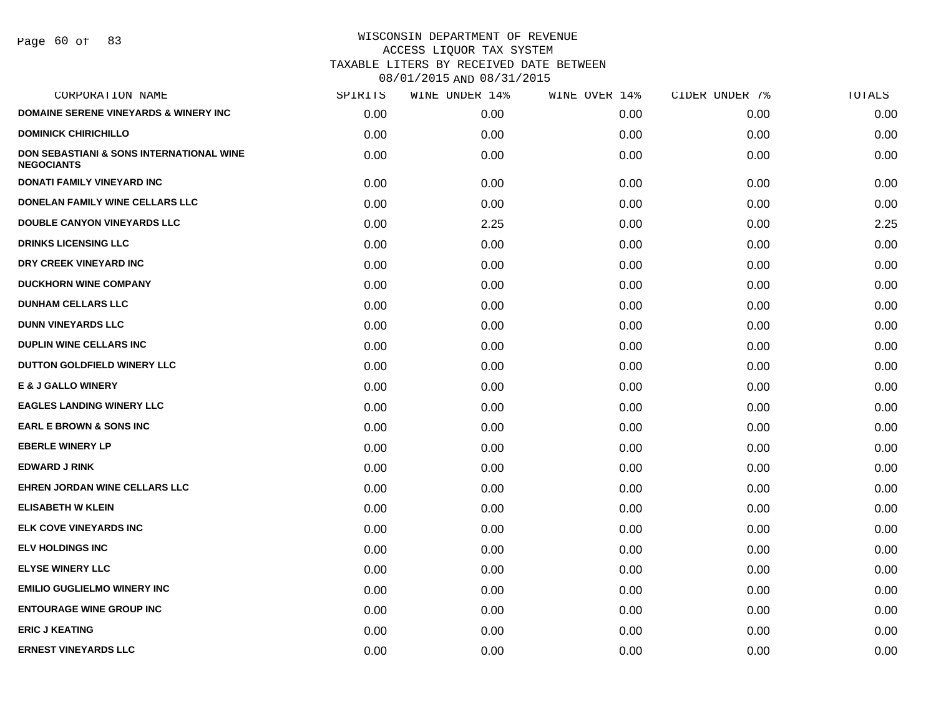Page 60 of 83

| CORPORATION NAME                                              | SPIRITS | WINE UNDER 14% | WINE OVER 14% | CIDER UNDER 7% | TOTALS |
|---------------------------------------------------------------|---------|----------------|---------------|----------------|--------|
| <b>DOMAINE SERENE VINEYARDS &amp; WINERY INC</b>              | 0.00    | 0.00           | 0.00          | 0.00           | 0.00   |
| <b>DOMINICK CHIRICHILLO</b>                                   | 0.00    | 0.00           | 0.00          | 0.00           | 0.00   |
| DON SEBASTIANI & SONS INTERNATIONAL WINE<br><b>NEGOCIANTS</b> | 0.00    | 0.00           | 0.00          | 0.00           | 0.00   |
| <b>DONATI FAMILY VINEYARD INC</b>                             | 0.00    | 0.00           | 0.00          | 0.00           | 0.00   |
| DONELAN FAMILY WINE CELLARS LLC                               | 0.00    | 0.00           | 0.00          | 0.00           | 0.00   |
| <b>DOUBLE CANYON VINEYARDS LLC</b>                            | 0.00    | 2.25           | 0.00          | 0.00           | 2.25   |
| <b>DRINKS LICENSING LLC</b>                                   | 0.00    | 0.00           | 0.00          | 0.00           | 0.00   |
| DRY CREEK VINEYARD INC                                        | 0.00    | 0.00           | 0.00          | 0.00           | 0.00   |
| <b>DUCKHORN WINE COMPANY</b>                                  | 0.00    | 0.00           | 0.00          | 0.00           | 0.00   |
| <b>DUNHAM CELLARS LLC</b>                                     | 0.00    | 0.00           | 0.00          | 0.00           | 0.00   |
| <b>DUNN VINEYARDS LLC</b>                                     | 0.00    | 0.00           | 0.00          | 0.00           | 0.00   |
| <b>DUPLIN WINE CELLARS INC</b>                                | 0.00    | 0.00           | 0.00          | 0.00           | 0.00   |
| DUTTON GOLDFIELD WINERY LLC                                   | 0.00    | 0.00           | 0.00          | 0.00           | 0.00   |
| <b>E &amp; J GALLO WINERY</b>                                 | 0.00    | 0.00           | 0.00          | 0.00           | 0.00   |
| <b>EAGLES LANDING WINERY LLC</b>                              | 0.00    | 0.00           | 0.00          | 0.00           | 0.00   |
| <b>EARL E BROWN &amp; SONS INC</b>                            | 0.00    | 0.00           | 0.00          | 0.00           | 0.00   |
| <b>EBERLE WINERY LP</b>                                       | 0.00    | 0.00           | 0.00          | 0.00           | 0.00   |
| <b>EDWARD J RINK</b>                                          | 0.00    | 0.00           | 0.00          | 0.00           | 0.00   |
| <b>EHREN JORDAN WINE CELLARS LLC</b>                          | 0.00    | 0.00           | 0.00          | 0.00           | 0.00   |
| <b>ELISABETH W KLEIN</b>                                      | 0.00    | 0.00           | 0.00          | 0.00           | 0.00   |
| ELK COVE VINEYARDS INC                                        | 0.00    | 0.00           | 0.00          | 0.00           | 0.00   |
| <b>ELV HOLDINGS INC</b>                                       | 0.00    | 0.00           | 0.00          | 0.00           | 0.00   |
| <b>ELYSE WINERY LLC</b>                                       | 0.00    | 0.00           | 0.00          | 0.00           | 0.00   |
| <b>EMILIO GUGLIELMO WINERY INC</b>                            | 0.00    | 0.00           | 0.00          | 0.00           | 0.00   |
| <b>ENTOURAGE WINE GROUP INC</b>                               | 0.00    | 0.00           | 0.00          | 0.00           | 0.00   |
| <b>ERIC J KEATING</b>                                         | 0.00    | 0.00           | 0.00          | 0.00           | 0.00   |
| <b>ERNEST VINEYARDS LLC</b>                                   | 0.00    | 0.00           | 0.00          | 0.00           | 0.00   |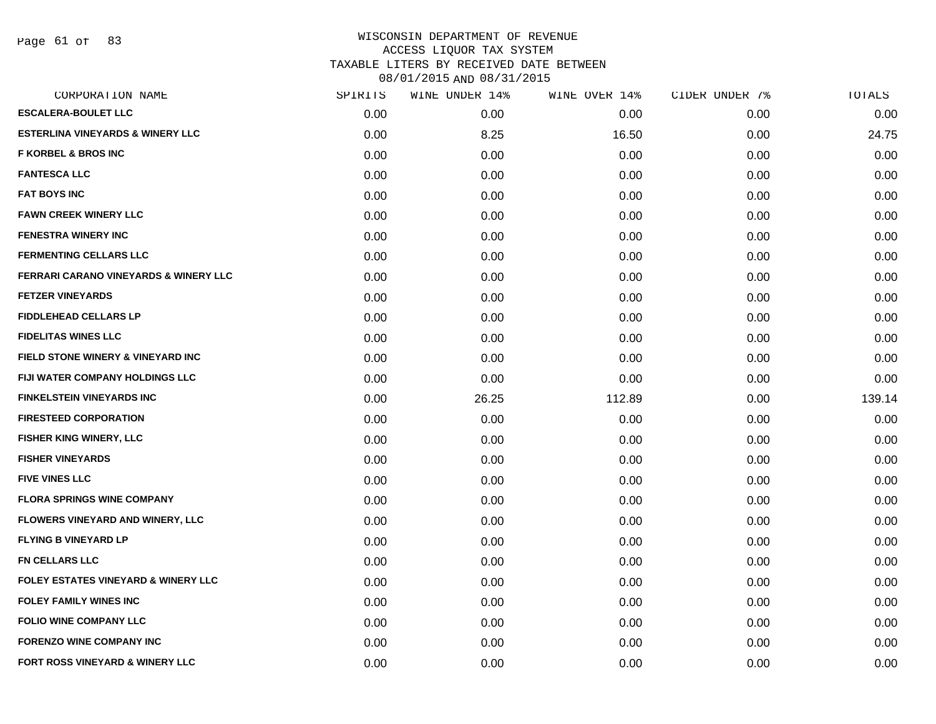Page 61 of 83

| CORPORATION NAME                                 | SPIRITS | WINE UNDER 14% | WINE OVER 14% | CIDER UNDER 7% | TOTALS |
|--------------------------------------------------|---------|----------------|---------------|----------------|--------|
| <b>ESCALERA-BOULET LLC</b>                       | 0.00    | 0.00           | 0.00          | 0.00           | 0.00   |
| <b>ESTERLINA VINEYARDS &amp; WINERY LLC</b>      | 0.00    | 8.25           | 16.50         | 0.00           | 24.75  |
| <b>F KORBEL &amp; BROS INC</b>                   | 0.00    | 0.00           | 0.00          | 0.00           | 0.00   |
| <b>FANTESCA LLC</b>                              | 0.00    | 0.00           | 0.00          | 0.00           | 0.00   |
| <b>FAT BOYS INC</b>                              | 0.00    | 0.00           | 0.00          | 0.00           | 0.00   |
| <b>FAWN CREEK WINERY LLC</b>                     | 0.00    | 0.00           | 0.00          | 0.00           | 0.00   |
| <b>FENESTRA WINERY INC</b>                       | 0.00    | 0.00           | 0.00          | 0.00           | 0.00   |
| <b>FERMENTING CELLARS LLC</b>                    | 0.00    | 0.00           | 0.00          | 0.00           | 0.00   |
| <b>FERRARI CARANO VINEYARDS &amp; WINERY LLC</b> | 0.00    | 0.00           | 0.00          | 0.00           | 0.00   |
| <b>FETZER VINEYARDS</b>                          | 0.00    | 0.00           | 0.00          | 0.00           | 0.00   |
| FIDDLEHEAD CELLARS LP                            | 0.00    | 0.00           | 0.00          | 0.00           | 0.00   |
| <b>FIDELITAS WINES LLC</b>                       | 0.00    | 0.00           | 0.00          | 0.00           | 0.00   |
| FIELD STONE WINERY & VINEYARD INC                | 0.00    | 0.00           | 0.00          | 0.00           | 0.00   |
| <b>FIJI WATER COMPANY HOLDINGS LLC</b>           | 0.00    | 0.00           | 0.00          | 0.00           | 0.00   |
| <b>FINKELSTEIN VINEYARDS INC</b>                 | 0.00    | 26.25          | 112.89        | 0.00           | 139.14 |
| <b>FIRESTEED CORPORATION</b>                     | 0.00    | 0.00           | 0.00          | 0.00           | 0.00   |
| FISHER KING WINERY, LLC                          | 0.00    | 0.00           | 0.00          | 0.00           | 0.00   |
| <b>FISHER VINEYARDS</b>                          | 0.00    | 0.00           | 0.00          | 0.00           | 0.00   |
| <b>FIVE VINES LLC</b>                            | 0.00    | 0.00           | 0.00          | 0.00           | 0.00   |
| <b>FLORA SPRINGS WINE COMPANY</b>                | 0.00    | 0.00           | 0.00          | 0.00           | 0.00   |
| FLOWERS VINEYARD AND WINERY, LLC                 | 0.00    | 0.00           | 0.00          | 0.00           | 0.00   |
| <b>FLYING B VINEYARD LP</b>                      | 0.00    | 0.00           | 0.00          | 0.00           | 0.00   |
| <b>FN CELLARS LLC</b>                            | 0.00    | 0.00           | 0.00          | 0.00           | 0.00   |
| <b>FOLEY ESTATES VINEYARD &amp; WINERY LLC</b>   | 0.00    | 0.00           | 0.00          | 0.00           | 0.00   |
| <b>FOLEY FAMILY WINES INC</b>                    | 0.00    | 0.00           | 0.00          | 0.00           | 0.00   |
| <b>FOLIO WINE COMPANY LLC</b>                    | 0.00    | 0.00           | 0.00          | 0.00           | 0.00   |
| <b>FORENZO WINE COMPANY INC</b>                  | 0.00    | 0.00           | 0.00          | 0.00           | 0.00   |
| FORT ROSS VINEYARD & WINERY LLC                  | 0.00    | 0.00           | 0.00          | 0.00           | 0.00   |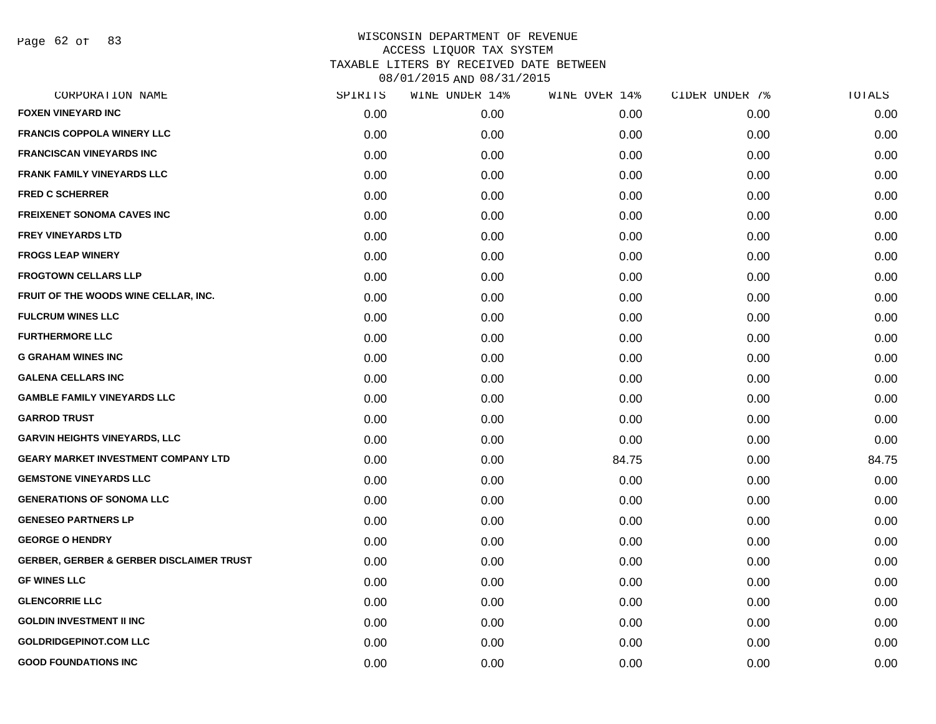Page 62 of 83

| CORPORATION NAME                                    | SPIRITS | WINE UNDER 14% | WINE OVER 14% | CIDER UNDER 7% | TOTALS |
|-----------------------------------------------------|---------|----------------|---------------|----------------|--------|
| <b>FOXEN VINEYARD INC</b>                           | 0.00    | 0.00           | 0.00          | 0.00           | 0.00   |
| <b>FRANCIS COPPOLA WINERY LLC</b>                   | 0.00    | 0.00           | 0.00          | 0.00           | 0.00   |
| <b>FRANCISCAN VINEYARDS INC</b>                     | 0.00    | 0.00           | 0.00          | 0.00           | 0.00   |
| <b>FRANK FAMILY VINEYARDS LLC</b>                   | 0.00    | 0.00           | 0.00          | 0.00           | 0.00   |
| <b>FRED C SCHERRER</b>                              | 0.00    | 0.00           | 0.00          | 0.00           | 0.00   |
| <b>FREIXENET SONOMA CAVES INC</b>                   | 0.00    | 0.00           | 0.00          | 0.00           | 0.00   |
| <b>FREY VINEYARDS LTD</b>                           | 0.00    | 0.00           | 0.00          | 0.00           | 0.00   |
| <b>FROGS LEAP WINERY</b>                            | 0.00    | 0.00           | 0.00          | 0.00           | 0.00   |
| <b>FROGTOWN CELLARS LLP</b>                         | 0.00    | 0.00           | 0.00          | 0.00           | 0.00   |
| FRUIT OF THE WOODS WINE CELLAR, INC.                | 0.00    | 0.00           | 0.00          | 0.00           | 0.00   |
| <b>FULCRUM WINES LLC</b>                            | 0.00    | 0.00           | 0.00          | 0.00           | 0.00   |
| <b>FURTHERMORE LLC</b>                              | 0.00    | 0.00           | 0.00          | 0.00           | 0.00   |
| <b>G GRAHAM WINES INC</b>                           | 0.00    | 0.00           | 0.00          | 0.00           | 0.00   |
| <b>GALENA CELLARS INC</b>                           | 0.00    | 0.00           | 0.00          | 0.00           | 0.00   |
| <b>GAMBLE FAMILY VINEYARDS LLC</b>                  | 0.00    | 0.00           | 0.00          | 0.00           | 0.00   |
| <b>GARROD TRUST</b>                                 | 0.00    | 0.00           | 0.00          | 0.00           | 0.00   |
| <b>GARVIN HEIGHTS VINEYARDS, LLC</b>                | 0.00    | 0.00           | 0.00          | 0.00           | 0.00   |
| <b>GEARY MARKET INVESTMENT COMPANY LTD</b>          | 0.00    | 0.00           | 84.75         | 0.00           | 84.75  |
| <b>GEMSTONE VINEYARDS LLC</b>                       | 0.00    | 0.00           | 0.00          | 0.00           | 0.00   |
| <b>GENERATIONS OF SONOMA LLC</b>                    | 0.00    | 0.00           | 0.00          | 0.00           | 0.00   |
| <b>GENESEO PARTNERS LP</b>                          | 0.00    | 0.00           | 0.00          | 0.00           | 0.00   |
| <b>GEORGE O HENDRY</b>                              | 0.00    | 0.00           | 0.00          | 0.00           | 0.00   |
| <b>GERBER, GERBER &amp; GERBER DISCLAIMER TRUST</b> | 0.00    | 0.00           | 0.00          | 0.00           | 0.00   |
| <b>GF WINES LLC</b>                                 | 0.00    | 0.00           | 0.00          | 0.00           | 0.00   |
| <b>GLENCORRIE LLC</b>                               | 0.00    | 0.00           | 0.00          | 0.00           | 0.00   |
| <b>GOLDIN INVESTMENT II INC</b>                     | 0.00    | 0.00           | 0.00          | 0.00           | 0.00   |
| <b>GOLDRIDGEPINOT.COM LLC</b>                       | 0.00    | 0.00           | 0.00          | 0.00           | 0.00   |
| <b>GOOD FOUNDATIONS INC</b>                         | 0.00    | 0.00           | 0.00          | 0.00           | 0.00   |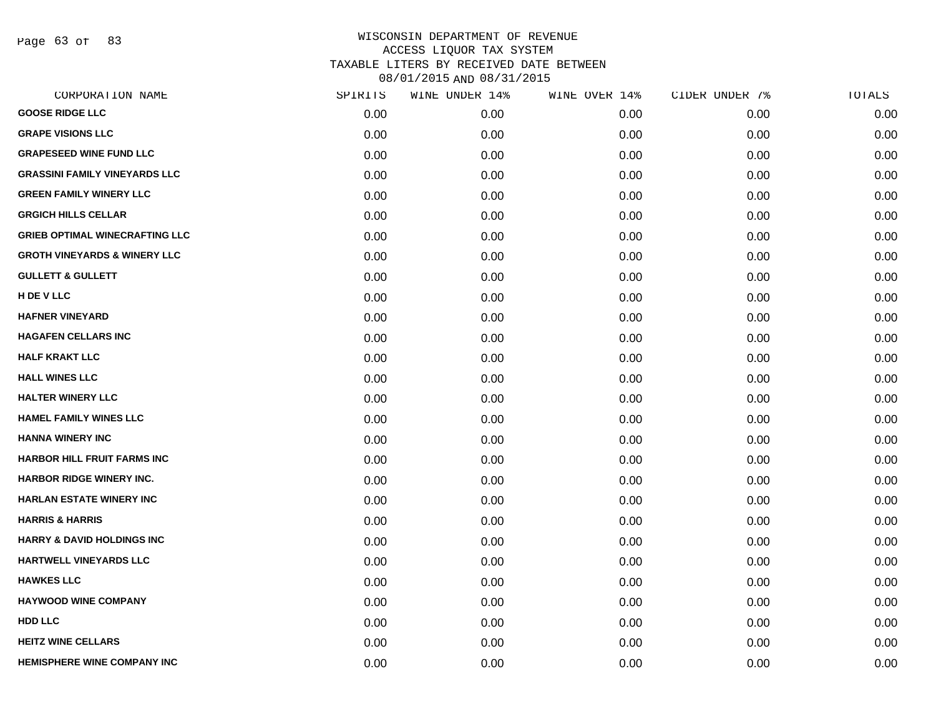Page 63 of 83

| SPIRITS | WINE UNDER 14% | WINE OVER 14% | CIDER UNDER 7% | TOTALS |
|---------|----------------|---------------|----------------|--------|
| 0.00    | 0.00           | 0.00          | 0.00           | 0.00   |
| 0.00    | 0.00           | 0.00          | 0.00           | 0.00   |
| 0.00    | 0.00           | 0.00          | 0.00           | 0.00   |
| 0.00    | 0.00           | 0.00          | 0.00           | 0.00   |
| 0.00    | 0.00           | 0.00          | 0.00           | 0.00   |
| 0.00    | 0.00           | 0.00          | 0.00           | 0.00   |
| 0.00    | 0.00           | 0.00          | 0.00           | 0.00   |
| 0.00    | 0.00           | 0.00          | 0.00           | 0.00   |
| 0.00    | 0.00           | 0.00          | 0.00           | 0.00   |
| 0.00    | 0.00           | 0.00          | 0.00           | 0.00   |
| 0.00    | 0.00           | 0.00          | 0.00           | 0.00   |
| 0.00    | 0.00           | 0.00          | 0.00           | 0.00   |
| 0.00    | 0.00           | 0.00          | 0.00           | 0.00   |
| 0.00    | 0.00           | 0.00          | 0.00           | 0.00   |
| 0.00    | 0.00           | 0.00          | 0.00           | 0.00   |
| 0.00    | 0.00           | 0.00          | 0.00           | 0.00   |
| 0.00    | 0.00           | 0.00          | 0.00           | 0.00   |
| 0.00    | 0.00           | 0.00          | 0.00           | 0.00   |
| 0.00    | 0.00           | 0.00          | 0.00           | 0.00   |
| 0.00    | 0.00           | 0.00          | 0.00           | 0.00   |
| 0.00    | 0.00           | 0.00          | 0.00           | 0.00   |
| 0.00    | 0.00           | 0.00          | 0.00           | 0.00   |
| 0.00    | 0.00           | 0.00          | 0.00           | 0.00   |
| 0.00    | 0.00           | 0.00          | 0.00           | 0.00   |
| 0.00    | 0.00           | 0.00          | 0.00           | 0.00   |
| 0.00    | 0.00           | 0.00          | 0.00           | 0.00   |
| 0.00    | 0.00           | 0.00          | 0.00           | 0.00   |
| 0.00    | 0.00           | 0.00          | 0.00           | 0.00   |
|         |                |               |                |        |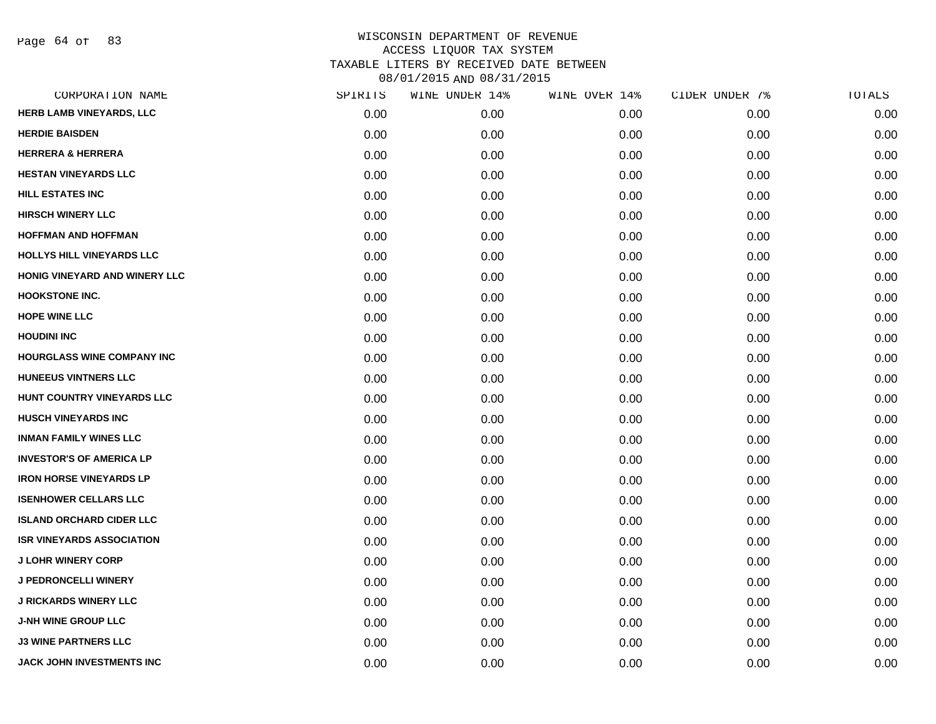Page 64 of 83

| CORPORATION NAME                 | SPIRITS | WINE UNDER 14% | WINE OVER 14% | CIDER UNDER 7% | TOTALS |
|----------------------------------|---------|----------------|---------------|----------------|--------|
| HERB LAMB VINEYARDS, LLC         | 0.00    | 0.00           | 0.00          | 0.00           | 0.00   |
| <b>HERDIE BAISDEN</b>            | 0.00    | 0.00           | 0.00          | 0.00           | 0.00   |
| <b>HERRERA &amp; HERRERA</b>     | 0.00    | 0.00           | 0.00          | 0.00           | 0.00   |
| <b>HESTAN VINEYARDS LLC</b>      | 0.00    | 0.00           | 0.00          | 0.00           | 0.00   |
| <b>HILL ESTATES INC</b>          | 0.00    | 0.00           | 0.00          | 0.00           | 0.00   |
| <b>HIRSCH WINERY LLC</b>         | 0.00    | 0.00           | 0.00          | 0.00           | 0.00   |
| <b>HOFFMAN AND HOFFMAN</b>       | 0.00    | 0.00           | 0.00          | 0.00           | 0.00   |
| HOLLYS HILL VINEYARDS LLC        | 0.00    | 0.00           | 0.00          | 0.00           | 0.00   |
| HONIG VINEYARD AND WINERY LLC    | 0.00    | 0.00           | 0.00          | 0.00           | 0.00   |
| <b>HOOKSTONE INC.</b>            | 0.00    | 0.00           | 0.00          | 0.00           | 0.00   |
| <b>HOPE WINE LLC</b>             | 0.00    | 0.00           | 0.00          | 0.00           | 0.00   |
| <b>HOUDINI INC</b>               | 0.00    | 0.00           | 0.00          | 0.00           | 0.00   |
| HOURGLASS WINE COMPANY INC       | 0.00    | 0.00           | 0.00          | 0.00           | 0.00   |
| HUNEEUS VINTNERS LLC             | 0.00    | 0.00           | 0.00          | 0.00           | 0.00   |
| HUNT COUNTRY VINEYARDS LLC       | 0.00    | 0.00           | 0.00          | 0.00           | 0.00   |
| <b>HUSCH VINEYARDS INC</b>       | 0.00    | 0.00           | 0.00          | 0.00           | 0.00   |
| <b>INMAN FAMILY WINES LLC</b>    | 0.00    | 0.00           | 0.00          | 0.00           | 0.00   |
| <b>INVESTOR'S OF AMERICA LP</b>  | 0.00    | 0.00           | 0.00          | 0.00           | 0.00   |
| <b>IRON HORSE VINEYARDS LP</b>   | 0.00    | 0.00           | 0.00          | 0.00           | 0.00   |
| <b>ISENHOWER CELLARS LLC</b>     | 0.00    | 0.00           | 0.00          | 0.00           | 0.00   |
| <b>ISLAND ORCHARD CIDER LLC</b>  | 0.00    | 0.00           | 0.00          | 0.00           | 0.00   |
| <b>ISR VINEYARDS ASSOCIATION</b> | 0.00    | 0.00           | 0.00          | 0.00           | 0.00   |
| <b>J LOHR WINERY CORP</b>        | 0.00    | 0.00           | 0.00          | 0.00           | 0.00   |
| <b>J PEDRONCELLI WINERY</b>      | 0.00    | 0.00           | 0.00          | 0.00           | 0.00   |
| <b>J RICKARDS WINERY LLC</b>     | 0.00    | 0.00           | 0.00          | 0.00           | 0.00   |
| <b>J-NH WINE GROUP LLC</b>       | 0.00    | 0.00           | 0.00          | 0.00           | 0.00   |
| <b>J3 WINE PARTNERS LLC</b>      | 0.00    | 0.00           | 0.00          | 0.00           | 0.00   |
| <b>JACK JOHN INVESTMENTS INC</b> | 0.00    | 0.00           | 0.00          | 0.00           | 0.00   |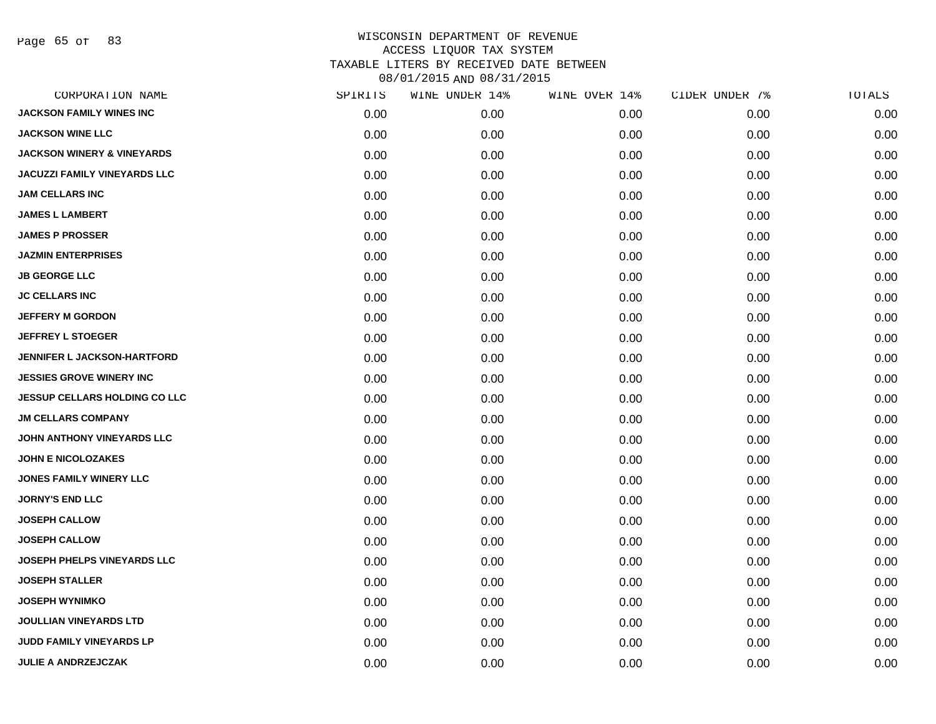Page 65 of 83

| CORPORATION NAME                      | SPIRITS | WINE UNDER 14% | WINE OVER 14% | CIDER UNDER 7% | TOTALS |
|---------------------------------------|---------|----------------|---------------|----------------|--------|
| <b>JACKSON FAMILY WINES INC</b>       | 0.00    | 0.00           | 0.00          | 0.00           | 0.00   |
| <b>JACKSON WINE LLC</b>               | 0.00    | 0.00           | 0.00          | 0.00           | 0.00   |
| <b>JACKSON WINERY &amp; VINEYARDS</b> | 0.00    | 0.00           | 0.00          | 0.00           | 0.00   |
| <b>JACUZZI FAMILY VINEYARDS LLC</b>   | 0.00    | 0.00           | 0.00          | 0.00           | 0.00   |
| <b>JAM CELLARS INC</b>                | 0.00    | 0.00           | 0.00          | 0.00           | 0.00   |
| <b>JAMES L LAMBERT</b>                | 0.00    | 0.00           | 0.00          | 0.00           | 0.00   |
| <b>JAMES P PROSSER</b>                | 0.00    | 0.00           | 0.00          | 0.00           | 0.00   |
| <b>JAZMIN ENTERPRISES</b>             | 0.00    | 0.00           | 0.00          | 0.00           | 0.00   |
| <b>JB GEORGE LLC</b>                  | 0.00    | 0.00           | 0.00          | 0.00           | 0.00   |
| <b>JC CELLARS INC</b>                 | 0.00    | 0.00           | 0.00          | 0.00           | 0.00   |
| <b>JEFFERY M GORDON</b>               | 0.00    | 0.00           | 0.00          | 0.00           | 0.00   |
| <b>JEFFREY L STOEGER</b>              | 0.00    | 0.00           | 0.00          | 0.00           | 0.00   |
| <b>JENNIFER L JACKSON-HARTFORD</b>    | 0.00    | 0.00           | 0.00          | 0.00           | 0.00   |
| <b>JESSIES GROVE WINERY INC</b>       | 0.00    | 0.00           | 0.00          | 0.00           | 0.00   |
| <b>JESSUP CELLARS HOLDING CO LLC</b>  | 0.00    | 0.00           | 0.00          | 0.00           | 0.00   |
| <b>JM CELLARS COMPANY</b>             | 0.00    | 0.00           | 0.00          | 0.00           | 0.00   |
| JOHN ANTHONY VINEYARDS LLC            | 0.00    | 0.00           | 0.00          | 0.00           | 0.00   |
| <b>JOHN E NICOLOZAKES</b>             | 0.00    | 0.00           | 0.00          | 0.00           | 0.00   |
| <b>JONES FAMILY WINERY LLC</b>        | 0.00    | 0.00           | 0.00          | 0.00           | 0.00   |
| <b>JORNY'S END LLC</b>                | 0.00    | 0.00           | 0.00          | 0.00           | 0.00   |
| <b>JOSEPH CALLOW</b>                  | 0.00    | 0.00           | 0.00          | 0.00           | 0.00   |
| <b>JOSEPH CALLOW</b>                  | 0.00    | 0.00           | 0.00          | 0.00           | 0.00   |
| JOSEPH PHELPS VINEYARDS LLC           | 0.00    | 0.00           | 0.00          | 0.00           | 0.00   |
| <b>JOSEPH STALLER</b>                 | 0.00    | 0.00           | 0.00          | 0.00           | 0.00   |
| <b>JOSEPH WYNIMKO</b>                 | 0.00    | 0.00           | 0.00          | 0.00           | 0.00   |
| <b>JOULLIAN VINEYARDS LTD</b>         | 0.00    | 0.00           | 0.00          | 0.00           | 0.00   |
| <b>JUDD FAMILY VINEYARDS LP</b>       | 0.00    | 0.00           | 0.00          | 0.00           | 0.00   |
| <b>JULIE A ANDRZEJCZAK</b>            | 0.00    | 0.00           | 0.00          | 0.00           | 0.00   |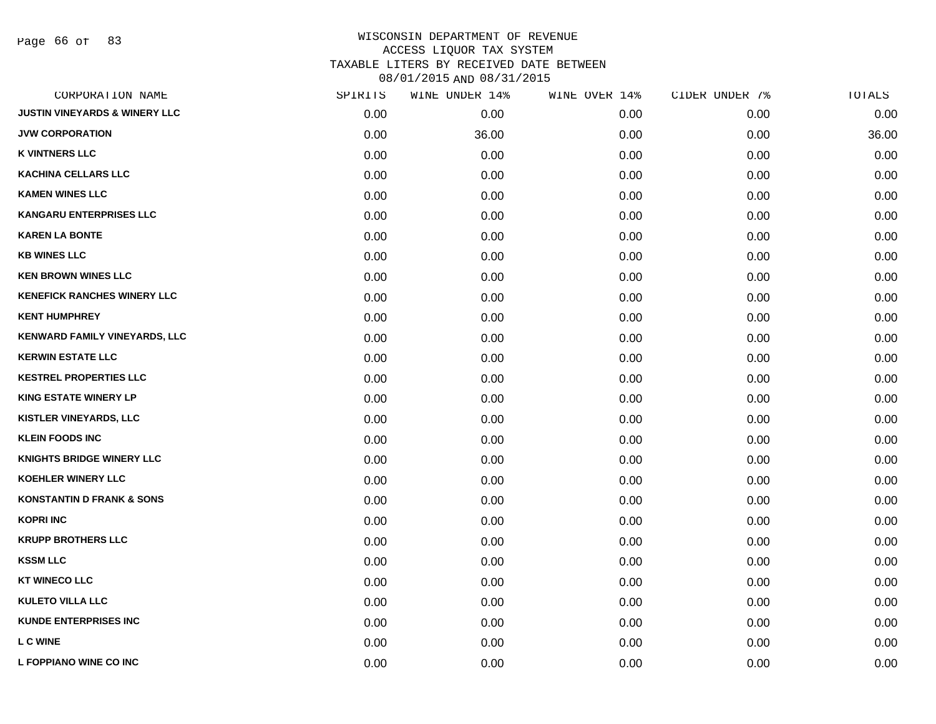Page 66 of 83

| CORPORATION NAME                         | SPIRITS | WINE UNDER 14% | WINE OVER 14% | CIDER UNDER 7% | TOTALS |
|------------------------------------------|---------|----------------|---------------|----------------|--------|
| <b>JUSTIN VINEYARDS &amp; WINERY LLC</b> | 0.00    | 0.00           | 0.00          | 0.00           | 0.00   |
| <b>JVW CORPORATION</b>                   | 0.00    | 36.00          | 0.00          | 0.00           | 36.00  |
| <b>K VINTNERS LLC</b>                    | 0.00    | 0.00           | 0.00          | 0.00           | 0.00   |
| <b>KACHINA CELLARS LLC</b>               | 0.00    | 0.00           | 0.00          | 0.00           | 0.00   |
| <b>KAMEN WINES LLC</b>                   | 0.00    | 0.00           | 0.00          | 0.00           | 0.00   |
| <b>KANGARU ENTERPRISES LLC</b>           | 0.00    | 0.00           | 0.00          | 0.00           | 0.00   |
| <b>KAREN LA BONTE</b>                    | 0.00    | 0.00           | 0.00          | 0.00           | 0.00   |
| <b>KB WINES LLC</b>                      | 0.00    | 0.00           | 0.00          | 0.00           | 0.00   |
| <b>KEN BROWN WINES LLC</b>               | 0.00    | 0.00           | 0.00          | 0.00           | 0.00   |
| <b>KENEFICK RANCHES WINERY LLC</b>       | 0.00    | 0.00           | 0.00          | 0.00           | 0.00   |
| <b>KENT HUMPHREY</b>                     | 0.00    | 0.00           | 0.00          | 0.00           | 0.00   |
| <b>KENWARD FAMILY VINEYARDS, LLC</b>     | 0.00    | 0.00           | 0.00          | 0.00           | 0.00   |
| <b>KERWIN ESTATE LLC</b>                 | 0.00    | 0.00           | 0.00          | 0.00           | 0.00   |
| <b>KESTREL PROPERTIES LLC</b>            | 0.00    | 0.00           | 0.00          | 0.00           | 0.00   |
| <b>KING ESTATE WINERY LP</b>             | 0.00    | 0.00           | 0.00          | 0.00           | 0.00   |
| KISTLER VINEYARDS, LLC                   | 0.00    | 0.00           | 0.00          | 0.00           | 0.00   |
| <b>KLEIN FOODS INC</b>                   | 0.00    | 0.00           | 0.00          | 0.00           | 0.00   |
| <b>KNIGHTS BRIDGE WINERY LLC</b>         | 0.00    | 0.00           | 0.00          | 0.00           | 0.00   |
| <b>KOEHLER WINERY LLC</b>                | 0.00    | 0.00           | 0.00          | 0.00           | 0.00   |
| <b>KONSTANTIN D FRANK &amp; SONS</b>     | 0.00    | 0.00           | 0.00          | 0.00           | 0.00   |
| <b>KOPRI INC</b>                         | 0.00    | 0.00           | 0.00          | 0.00           | 0.00   |
| <b>KRUPP BROTHERS LLC</b>                | 0.00    | 0.00           | 0.00          | 0.00           | 0.00   |
| <b>KSSM LLC</b>                          | 0.00    | 0.00           | 0.00          | 0.00           | 0.00   |
| <b>KT WINECO LLC</b>                     | 0.00    | 0.00           | 0.00          | 0.00           | 0.00   |
| <b>KULETO VILLA LLC</b>                  | 0.00    | 0.00           | 0.00          | 0.00           | 0.00   |
| <b>KUNDE ENTERPRISES INC</b>             | 0.00    | 0.00           | 0.00          | 0.00           | 0.00   |
| <b>L C WINE</b>                          | 0.00    | 0.00           | 0.00          | 0.00           | 0.00   |
| L FOPPIANO WINE CO INC                   | 0.00    | 0.00           | 0.00          | 0.00           | 0.00   |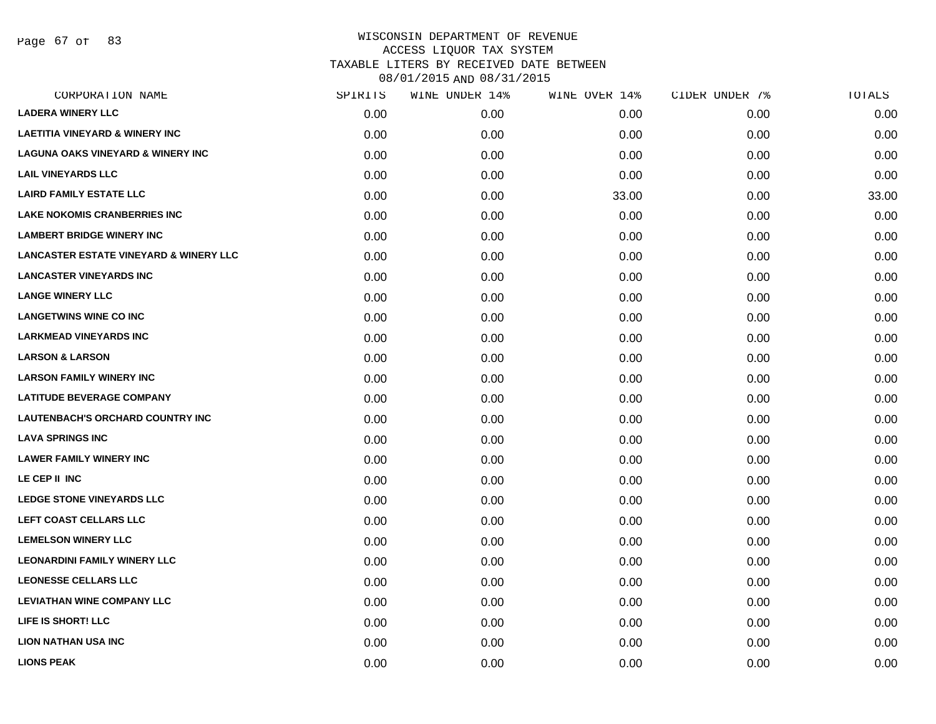Page 67 of 83

| CORPORATION NAME                                  | SPIRITS | WINE UNDER 14% | WINE OVER 14% | CIDER UNDER 7% | TOTALS |
|---------------------------------------------------|---------|----------------|---------------|----------------|--------|
| <b>LADERA WINERY LLC</b>                          | 0.00    | 0.00           | 0.00          | 0.00           | 0.00   |
| <b>LAETITIA VINEYARD &amp; WINERY INC</b>         | 0.00    | 0.00           | 0.00          | 0.00           | 0.00   |
| <b>LAGUNA OAKS VINEYARD &amp; WINERY INC</b>      | 0.00    | 0.00           | 0.00          | 0.00           | 0.00   |
| <b>LAIL VINEYARDS LLC</b>                         | 0.00    | 0.00           | 0.00          | 0.00           | 0.00   |
| <b>LAIRD FAMILY ESTATE LLC</b>                    | 0.00    | 0.00           | 33.00         | 0.00           | 33.00  |
| <b>LAKE NOKOMIS CRANBERRIES INC</b>               | 0.00    | 0.00           | 0.00          | 0.00           | 0.00   |
| <b>LAMBERT BRIDGE WINERY INC</b>                  | 0.00    | 0.00           | 0.00          | 0.00           | 0.00   |
| <b>LANCASTER ESTATE VINEYARD &amp; WINERY LLC</b> | 0.00    | 0.00           | 0.00          | 0.00           | 0.00   |
| <b>LANCASTER VINEYARDS INC</b>                    | 0.00    | 0.00           | 0.00          | 0.00           | 0.00   |
| <b>LANGE WINERY LLC</b>                           | 0.00    | 0.00           | 0.00          | 0.00           | 0.00   |
| <b>LANGETWINS WINE CO INC</b>                     | 0.00    | 0.00           | 0.00          | 0.00           | 0.00   |
| <b>LARKMEAD VINEYARDS INC</b>                     | 0.00    | 0.00           | 0.00          | 0.00           | 0.00   |
| <b>LARSON &amp; LARSON</b>                        | 0.00    | 0.00           | 0.00          | 0.00           | 0.00   |
| <b>LARSON FAMILY WINERY INC</b>                   | 0.00    | 0.00           | 0.00          | 0.00           | 0.00   |
| <b>LATITUDE BEVERAGE COMPANY</b>                  | 0.00    | 0.00           | 0.00          | 0.00           | 0.00   |
| LAUTENBACH'S ORCHARD COUNTRY INC                  | 0.00    | 0.00           | 0.00          | 0.00           | 0.00   |
| <b>LAVA SPRINGS INC</b>                           | 0.00    | 0.00           | 0.00          | 0.00           | 0.00   |
| <b>LAWER FAMILY WINERY INC</b>                    | 0.00    | 0.00           | 0.00          | 0.00           | 0.00   |
| LE CEP II INC                                     | 0.00    | 0.00           | 0.00          | 0.00           | 0.00   |
| <b>LEDGE STONE VINEYARDS LLC</b>                  | 0.00    | 0.00           | 0.00          | 0.00           | 0.00   |
| LEFT COAST CELLARS LLC                            | 0.00    | 0.00           | 0.00          | 0.00           | 0.00   |
| <b>LEMELSON WINERY LLC</b>                        | 0.00    | 0.00           | 0.00          | 0.00           | 0.00   |
| <b>LEONARDINI FAMILY WINERY LLC</b>               | 0.00    | 0.00           | 0.00          | 0.00           | 0.00   |
| <b>LEONESSE CELLARS LLC</b>                       | 0.00    | 0.00           | 0.00          | 0.00           | 0.00   |
| <b>LEVIATHAN WINE COMPANY LLC</b>                 | 0.00    | 0.00           | 0.00          | 0.00           | 0.00   |
| LIFE IS SHORT! LLC                                | 0.00    | 0.00           | 0.00          | 0.00           | 0.00   |
| <b>LION NATHAN USA INC</b>                        | 0.00    | 0.00           | 0.00          | 0.00           | 0.00   |
| <b>LIONS PEAK</b>                                 | 0.00    | 0.00           | 0.00          | 0.00           | 0.00   |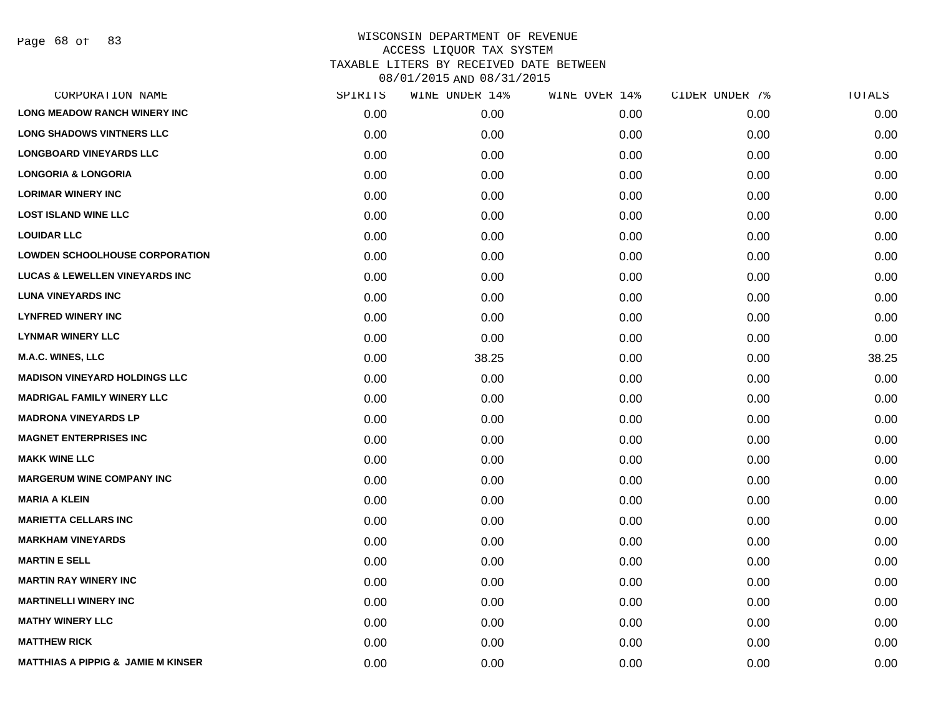Page 68 of 83

| CORPORATION NAME                              | SPIRITS | WINE UNDER 14% | WINE OVER 14% | CIDER UNDER 7% | TOTALS |
|-----------------------------------------------|---------|----------------|---------------|----------------|--------|
| <b>LONG MEADOW RANCH WINERY INC</b>           | 0.00    | 0.00           | 0.00          | 0.00           | 0.00   |
| <b>LONG SHADOWS VINTNERS LLC</b>              | 0.00    | 0.00           | 0.00          | 0.00           | 0.00   |
| <b>LONGBOARD VINEYARDS LLC</b>                | 0.00    | 0.00           | 0.00          | 0.00           | 0.00   |
| <b>LONGORIA &amp; LONGORIA</b>                | 0.00    | 0.00           | 0.00          | 0.00           | 0.00   |
| <b>LORIMAR WINERY INC</b>                     | 0.00    | 0.00           | 0.00          | 0.00           | 0.00   |
| <b>LOST ISLAND WINE LLC</b>                   | 0.00    | 0.00           | 0.00          | 0.00           | 0.00   |
| <b>LOUIDAR LLC</b>                            | 0.00    | 0.00           | 0.00          | 0.00           | 0.00   |
| <b>LOWDEN SCHOOLHOUSE CORPORATION</b>         | 0.00    | 0.00           | 0.00          | 0.00           | 0.00   |
| <b>LUCAS &amp; LEWELLEN VINEYARDS INC</b>     | 0.00    | 0.00           | 0.00          | 0.00           | 0.00   |
| <b>LUNA VINEYARDS INC</b>                     | 0.00    | 0.00           | 0.00          | 0.00           | 0.00   |
| <b>LYNFRED WINERY INC</b>                     | 0.00    | 0.00           | 0.00          | 0.00           | 0.00   |
| <b>LYNMAR WINERY LLC</b>                      | 0.00    | 0.00           | 0.00          | 0.00           | 0.00   |
| <b>M.A.C. WINES, LLC</b>                      | 0.00    | 38.25          | 0.00          | 0.00           | 38.25  |
| <b>MADISON VINEYARD HOLDINGS LLC</b>          | 0.00    | 0.00           | 0.00          | 0.00           | 0.00   |
| <b>MADRIGAL FAMILY WINERY LLC</b>             | 0.00    | 0.00           | 0.00          | 0.00           | 0.00   |
| <b>MADRONA VINEYARDS LP</b>                   | 0.00    | 0.00           | 0.00          | 0.00           | 0.00   |
| <b>MAGNET ENTERPRISES INC</b>                 | 0.00    | 0.00           | 0.00          | 0.00           | 0.00   |
| <b>MAKK WINE LLC</b>                          | 0.00    | 0.00           | 0.00          | 0.00           | 0.00   |
| <b>MARGERUM WINE COMPANY INC</b>              | 0.00    | 0.00           | 0.00          | 0.00           | 0.00   |
| <b>MARIA A KLEIN</b>                          | 0.00    | 0.00           | 0.00          | 0.00           | 0.00   |
| <b>MARIETTA CELLARS INC</b>                   | 0.00    | 0.00           | 0.00          | 0.00           | 0.00   |
| <b>MARKHAM VINEYARDS</b>                      | 0.00    | 0.00           | 0.00          | 0.00           | 0.00   |
| <b>MARTIN E SELL</b>                          | 0.00    | 0.00           | 0.00          | 0.00           | 0.00   |
| <b>MARTIN RAY WINERY INC</b>                  | 0.00    | 0.00           | 0.00          | 0.00           | 0.00   |
| <b>MARTINELLI WINERY INC</b>                  | 0.00    | 0.00           | 0.00          | 0.00           | 0.00   |
| <b>MATHY WINERY LLC</b>                       | 0.00    | 0.00           | 0.00          | 0.00           | 0.00   |
| <b>MATTHEW RICK</b>                           | 0.00    | 0.00           | 0.00          | 0.00           | 0.00   |
| <b>MATTHIAS A PIPPIG &amp; JAMIE M KINSER</b> | 0.00    | 0.00           | 0.00          | 0.00           | 0.00   |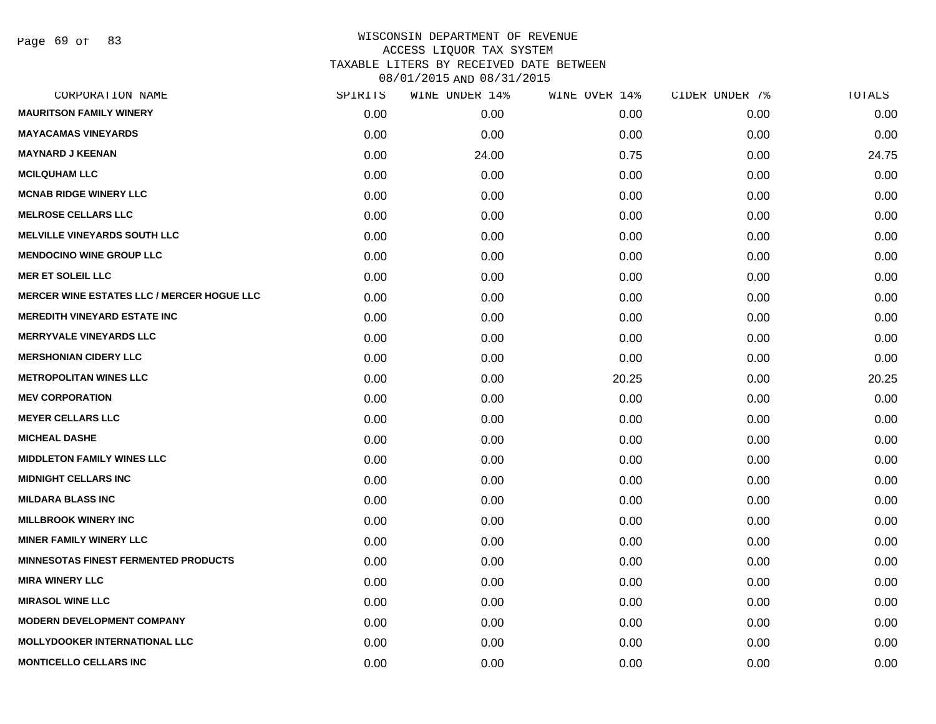Page 69 of 83

| CORPORATION NAME                                  | SPIRITS | WINE UNDER 14% | WINE OVER 14% | CIDER UNDER 7% | TOTALS |
|---------------------------------------------------|---------|----------------|---------------|----------------|--------|
| <b>MAURITSON FAMILY WINERY</b>                    | 0.00    | 0.00           | 0.00          | 0.00           | 0.00   |
| <b>MAYACAMAS VINEYARDS</b>                        | 0.00    | 0.00           | 0.00          | 0.00           | 0.00   |
| <b>MAYNARD J KEENAN</b>                           | 0.00    | 24.00          | 0.75          | 0.00           | 24.75  |
| <b>MCILQUHAM LLC</b>                              | 0.00    | 0.00           | 0.00          | 0.00           | 0.00   |
| <b>MCNAB RIDGE WINERY LLC</b>                     | 0.00    | 0.00           | 0.00          | 0.00           | 0.00   |
| <b>MELROSE CELLARS LLC</b>                        | 0.00    | 0.00           | 0.00          | 0.00           | 0.00   |
| <b>MELVILLE VINEYARDS SOUTH LLC</b>               | 0.00    | 0.00           | 0.00          | 0.00           | 0.00   |
| <b>MENDOCINO WINE GROUP LLC</b>                   | 0.00    | 0.00           | 0.00          | 0.00           | 0.00   |
| <b>MER ET SOLEIL LLC</b>                          | 0.00    | 0.00           | 0.00          | 0.00           | 0.00   |
| <b>MERCER WINE ESTATES LLC / MERCER HOGUE LLC</b> | 0.00    | 0.00           | 0.00          | 0.00           | 0.00   |
| <b>MEREDITH VINEYARD ESTATE INC</b>               | 0.00    | 0.00           | 0.00          | 0.00           | 0.00   |
| <b>MERRYVALE VINEYARDS LLC</b>                    | 0.00    | 0.00           | 0.00          | 0.00           | 0.00   |
| <b>MERSHONIAN CIDERY LLC</b>                      | 0.00    | 0.00           | 0.00          | 0.00           | 0.00   |
| <b>METROPOLITAN WINES LLC</b>                     | 0.00    | 0.00           | 20.25         | 0.00           | 20.25  |
| <b>MEV CORPORATION</b>                            | 0.00    | 0.00           | 0.00          | 0.00           | 0.00   |
| <b>MEYER CELLARS LLC</b>                          | 0.00    | 0.00           | 0.00          | 0.00           | 0.00   |
| <b>MICHEAL DASHE</b>                              | 0.00    | 0.00           | 0.00          | 0.00           | 0.00   |
| <b>MIDDLETON FAMILY WINES LLC</b>                 | 0.00    | 0.00           | 0.00          | 0.00           | 0.00   |
| <b>MIDNIGHT CELLARS INC</b>                       | 0.00    | 0.00           | 0.00          | 0.00           | 0.00   |
| <b>MILDARA BLASS INC</b>                          | 0.00    | 0.00           | 0.00          | 0.00           | 0.00   |
| <b>MILLBROOK WINERY INC</b>                       | 0.00    | 0.00           | 0.00          | 0.00           | 0.00   |
| <b>MINER FAMILY WINERY LLC</b>                    | 0.00    | 0.00           | 0.00          | 0.00           | 0.00   |
| <b>MINNESOTAS FINEST FERMENTED PRODUCTS</b>       | 0.00    | 0.00           | 0.00          | 0.00           | 0.00   |
| <b>MIRA WINERY LLC</b>                            | 0.00    | 0.00           | 0.00          | 0.00           | 0.00   |
| <b>MIRASOL WINE LLC</b>                           | 0.00    | 0.00           | 0.00          | 0.00           | 0.00   |
| <b>MODERN DEVELOPMENT COMPANY</b>                 | 0.00    | 0.00           | 0.00          | 0.00           | 0.00   |
| <b>MOLLYDOOKER INTERNATIONAL LLC</b>              | 0.00    | 0.00           | 0.00          | 0.00           | 0.00   |
| <b>MONTICELLO CELLARS INC</b>                     | 0.00    | 0.00           | 0.00          | 0.00           | 0.00   |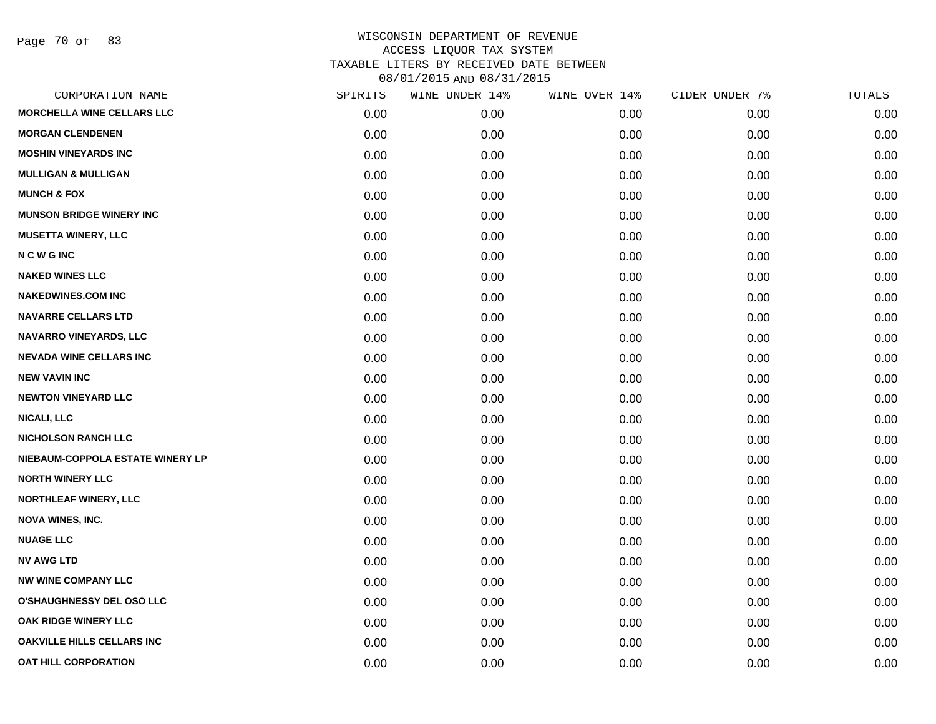Page 70 of 83

| SPIRITS | WINE UNDER 14% | WINE OVER 14% | CIDER UNDER 7% | TOTALS |
|---------|----------------|---------------|----------------|--------|
| 0.00    | 0.00           | 0.00          | 0.00           | 0.00   |
| 0.00    | 0.00           | 0.00          | 0.00           | 0.00   |
| 0.00    | 0.00           | 0.00          | 0.00           | 0.00   |
| 0.00    | 0.00           | 0.00          | 0.00           | 0.00   |
| 0.00    | 0.00           | 0.00          | 0.00           | 0.00   |
| 0.00    | 0.00           | 0.00          | 0.00           | 0.00   |
| 0.00    | 0.00           | 0.00          | 0.00           | 0.00   |
| 0.00    | 0.00           | 0.00          | 0.00           | 0.00   |
| 0.00    | 0.00           | 0.00          | 0.00           | 0.00   |
| 0.00    | 0.00           | 0.00          | 0.00           | 0.00   |
| 0.00    | 0.00           | 0.00          | 0.00           | 0.00   |
| 0.00    | 0.00           | 0.00          | 0.00           | 0.00   |
| 0.00    | 0.00           | 0.00          | 0.00           | 0.00   |
| 0.00    | 0.00           | 0.00          | 0.00           | 0.00   |
| 0.00    | 0.00           | 0.00          | 0.00           | 0.00   |
| 0.00    | 0.00           | 0.00          | 0.00           | 0.00   |
| 0.00    | 0.00           | 0.00          | 0.00           | 0.00   |
| 0.00    | 0.00           | 0.00          | 0.00           | 0.00   |
| 0.00    | 0.00           | 0.00          | 0.00           | 0.00   |
| 0.00    | 0.00           | 0.00          | 0.00           | 0.00   |
| 0.00    | 0.00           | 0.00          | 0.00           | 0.00   |
| 0.00    | 0.00           | 0.00          | 0.00           | 0.00   |
| 0.00    | 0.00           | 0.00          | 0.00           | 0.00   |
| 0.00    | 0.00           | 0.00          | 0.00           | 0.00   |
| 0.00    | 0.00           | 0.00          | 0.00           | 0.00   |
| 0.00    | 0.00           | 0.00          | 0.00           | 0.00   |
| 0.00    | 0.00           | 0.00          | 0.00           | 0.00   |
| 0.00    | 0.00           | 0.00          | 0.00           | 0.00   |
|         |                |               |                |        |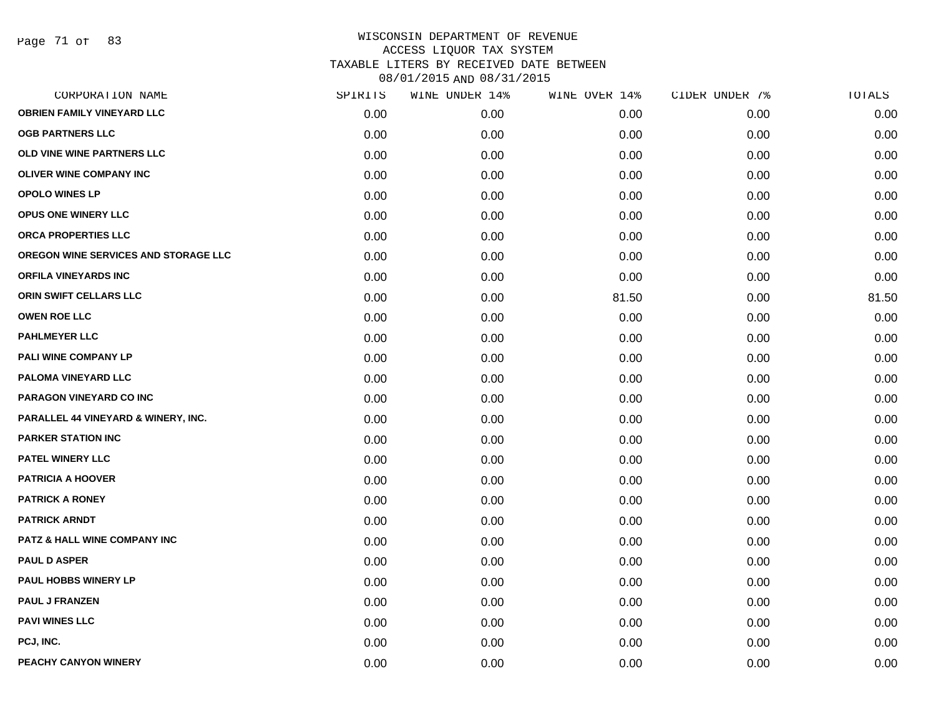Page 71 of 83

| CORPORATION NAME                     | SPIRITS | WINE UNDER 14% | WINE OVER 14% | CIDER UNDER 7% | TOTALS |
|--------------------------------------|---------|----------------|---------------|----------------|--------|
| <b>OBRIEN FAMILY VINEYARD LLC</b>    | 0.00    | 0.00           | 0.00          | 0.00           | 0.00   |
| <b>OGB PARTNERS LLC</b>              | 0.00    | 0.00           | 0.00          | 0.00           | 0.00   |
| OLD VINE WINE PARTNERS LLC           | 0.00    | 0.00           | 0.00          | 0.00           | 0.00   |
| <b>OLIVER WINE COMPANY INC</b>       | 0.00    | 0.00           | 0.00          | 0.00           | 0.00   |
| <b>OPOLO WINES LP</b>                | 0.00    | 0.00           | 0.00          | 0.00           | 0.00   |
| OPUS ONE WINERY LLC                  | 0.00    | 0.00           | 0.00          | 0.00           | 0.00   |
| <b>ORCA PROPERTIES LLC</b>           | 0.00    | 0.00           | 0.00          | 0.00           | 0.00   |
| OREGON WINE SERVICES AND STORAGE LLC | 0.00    | 0.00           | 0.00          | 0.00           | 0.00   |
| <b>ORFILA VINEYARDS INC</b>          | 0.00    | 0.00           | 0.00          | 0.00           | 0.00   |
| ORIN SWIFT CELLARS LLC               | 0.00    | 0.00           | 81.50         | 0.00           | 81.50  |
| <b>OWEN ROE LLC</b>                  | 0.00    | 0.00           | 0.00          | 0.00           | 0.00   |
| <b>PAHLMEYER LLC</b>                 | 0.00    | 0.00           | 0.00          | 0.00           | 0.00   |
| PALI WINE COMPANY LP                 | 0.00    | 0.00           | 0.00          | 0.00           | 0.00   |
| PALOMA VINEYARD LLC                  | 0.00    | 0.00           | 0.00          | 0.00           | 0.00   |
| PARAGON VINEYARD CO INC              | 0.00    | 0.00           | 0.00          | 0.00           | 0.00   |
| PARALLEL 44 VINEYARD & WINERY, INC.  | 0.00    | 0.00           | 0.00          | 0.00           | 0.00   |
| <b>PARKER STATION INC</b>            | 0.00    | 0.00           | 0.00          | 0.00           | 0.00   |
| <b>PATEL WINERY LLC</b>              | 0.00    | 0.00           | 0.00          | 0.00           | 0.00   |
| <b>PATRICIA A HOOVER</b>             | 0.00    | 0.00           | 0.00          | 0.00           | 0.00   |
| <b>PATRICK A RONEY</b>               | 0.00    | 0.00           | 0.00          | 0.00           | 0.00   |
| <b>PATRICK ARNDT</b>                 | 0.00    | 0.00           | 0.00          | 0.00           | 0.00   |
| PATZ & HALL WINE COMPANY INC         | 0.00    | 0.00           | 0.00          | 0.00           | 0.00   |
| <b>PAUL D ASPER</b>                  | 0.00    | 0.00           | 0.00          | 0.00           | 0.00   |
| PAUL HOBBS WINERY LP                 | 0.00    | 0.00           | 0.00          | 0.00           | 0.00   |
| <b>PAUL J FRANZEN</b>                | 0.00    | 0.00           | 0.00          | 0.00           | 0.00   |
| <b>PAVI WINES LLC</b>                | 0.00    | 0.00           | 0.00          | 0.00           | 0.00   |
| PCJ, INC.                            | 0.00    | 0.00           | 0.00          | 0.00           | 0.00   |
| PEACHY CANYON WINERY                 | 0.00    | 0.00           | 0.00          | 0.00           | 0.00   |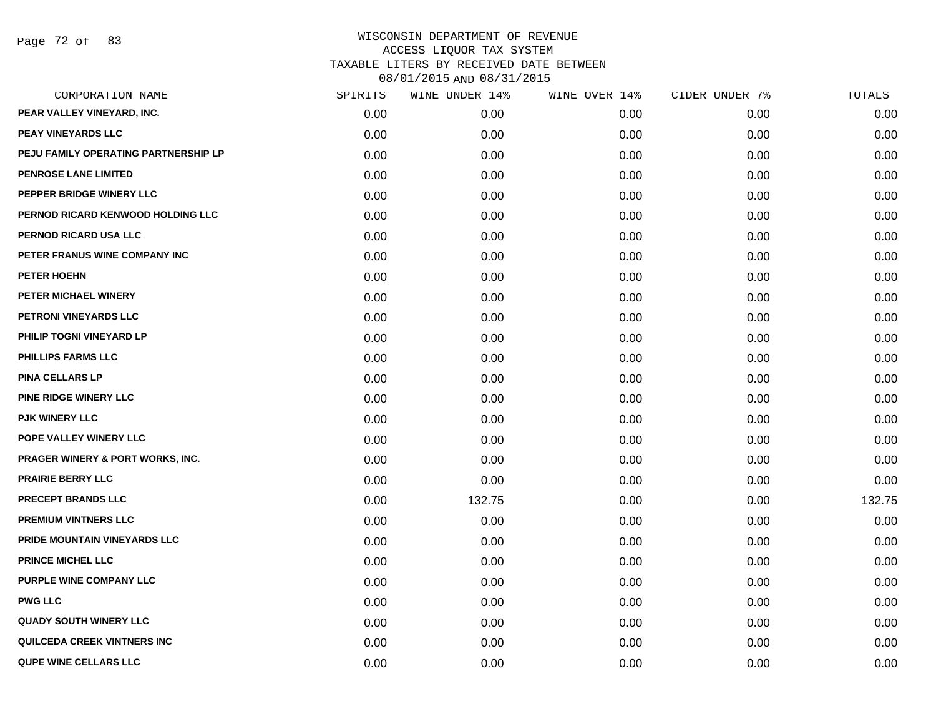| CORPORATION NAME                            | SPIRITS | WINE UNDER 14% | WINE OVER 14% | CIDER UNDER 7% | TOTALS |
|---------------------------------------------|---------|----------------|---------------|----------------|--------|
| PEAR VALLEY VINEYARD, INC.                  | 0.00    | 0.00           | 0.00          | 0.00           | 0.00   |
| PEAY VINEYARDS LLC                          | 0.00    | 0.00           | 0.00          | 0.00           | 0.00   |
| PEJU FAMILY OPERATING PARTNERSHIP LP        | 0.00    | 0.00           | 0.00          | 0.00           | 0.00   |
| <b>PENROSE LANE LIMITED</b>                 | 0.00    | 0.00           | 0.00          | 0.00           | 0.00   |
| PEPPER BRIDGE WINERY LLC                    | 0.00    | 0.00           | 0.00          | 0.00           | 0.00   |
| PERNOD RICARD KENWOOD HOLDING LLC           | 0.00    | 0.00           | 0.00          | 0.00           | 0.00   |
| PERNOD RICARD USA LLC                       | 0.00    | 0.00           | 0.00          | 0.00           | 0.00   |
| PETER FRANUS WINE COMPANY INC               | 0.00    | 0.00           | 0.00          | 0.00           | 0.00   |
| PETER HOEHN                                 | 0.00    | 0.00           | 0.00          | 0.00           | 0.00   |
| PETER MICHAEL WINERY                        | 0.00    | 0.00           | 0.00          | 0.00           | 0.00   |
| PETRONI VINEYARDS LLC                       | 0.00    | 0.00           | 0.00          | 0.00           | 0.00   |
| PHILIP TOGNI VINEYARD LP                    | 0.00    | 0.00           | 0.00          | 0.00           | 0.00   |
| <b>PHILLIPS FARMS LLC</b>                   | 0.00    | 0.00           | 0.00          | 0.00           | 0.00   |
| <b>PINA CELLARS LP</b>                      | 0.00    | 0.00           | 0.00          | 0.00           | 0.00   |
| PINE RIDGE WINERY LLC                       | 0.00    | 0.00           | 0.00          | 0.00           | 0.00   |
| <b>PJK WINERY LLC</b>                       | 0.00    | 0.00           | 0.00          | 0.00           | 0.00   |
| POPE VALLEY WINERY LLC                      | 0.00    | 0.00           | 0.00          | 0.00           | 0.00   |
| <b>PRAGER WINERY &amp; PORT WORKS, INC.</b> | 0.00    | 0.00           | 0.00          | 0.00           | 0.00   |
| <b>PRAIRIE BERRY LLC</b>                    | 0.00    | 0.00           | 0.00          | 0.00           | 0.00   |
| <b>PRECEPT BRANDS LLC</b>                   | 0.00    | 132.75         | 0.00          | 0.00           | 132.75 |
| <b>PREMIUM VINTNERS LLC</b>                 | 0.00    | 0.00           | 0.00          | 0.00           | 0.00   |
| PRIDE MOUNTAIN VINEYARDS LLC                | 0.00    | 0.00           | 0.00          | 0.00           | 0.00   |
| PRINCE MICHEL LLC                           | 0.00    | 0.00           | 0.00          | 0.00           | 0.00   |
| PURPLE WINE COMPANY LLC                     | 0.00    | 0.00           | 0.00          | 0.00           | 0.00   |
| <b>PWG LLC</b>                              | 0.00    | 0.00           | 0.00          | 0.00           | 0.00   |
| <b>QUADY SOUTH WINERY LLC</b>               | 0.00    | 0.00           | 0.00          | 0.00           | 0.00   |
| QUILCEDA CREEK VINTNERS INC                 | 0.00    | 0.00           | 0.00          | 0.00           | 0.00   |
| <b>QUPE WINE CELLARS LLC</b>                | 0.00    | 0.00           | 0.00          | 0.00           | 0.00   |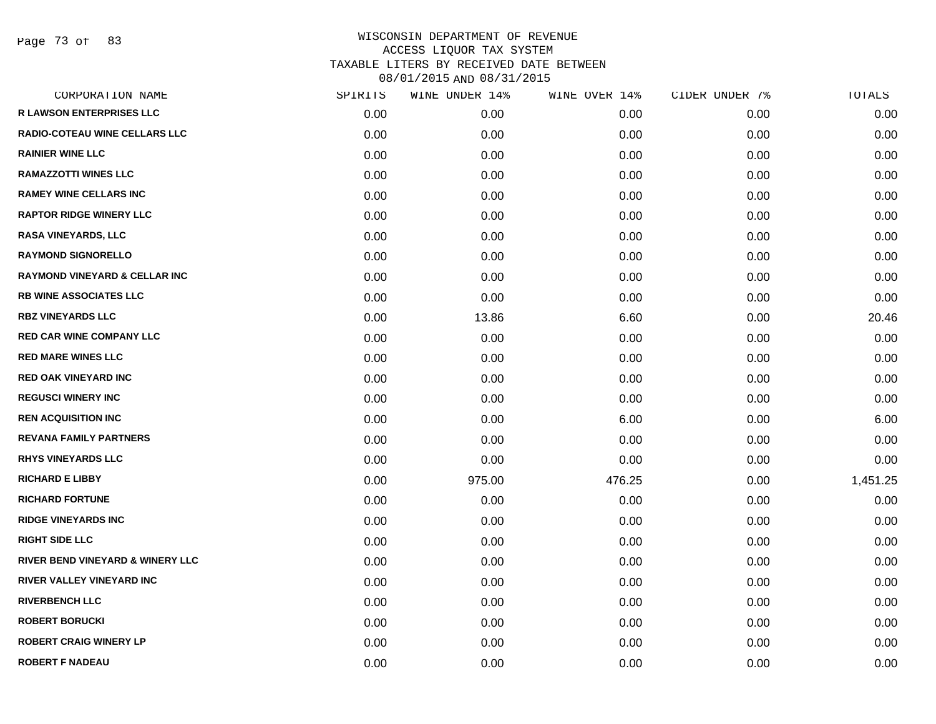Page 73 of 83

| CORPORATION NAME                            | SPIRITS | WINE UNDER 14% | WINE OVER 14% | CIDER UNDER 7% | TOTALS   |
|---------------------------------------------|---------|----------------|---------------|----------------|----------|
| <b>R LAWSON ENTERPRISES LLC</b>             | 0.00    | 0.00           | 0.00          | 0.00           | 0.00     |
| <b>RADIO-COTEAU WINE CELLARS LLC</b>        | 0.00    | 0.00           | 0.00          | 0.00           | 0.00     |
| <b>RAINIER WINE LLC</b>                     | 0.00    | 0.00           | 0.00          | 0.00           | 0.00     |
| <b>RAMAZZOTTI WINES LLC</b>                 | 0.00    | 0.00           | 0.00          | 0.00           | 0.00     |
| <b>RAMEY WINE CELLARS INC</b>               | 0.00    | 0.00           | 0.00          | 0.00           | 0.00     |
| <b>RAPTOR RIDGE WINERY LLC</b>              | 0.00    | 0.00           | 0.00          | 0.00           | 0.00     |
| <b>RASA VINEYARDS, LLC</b>                  | 0.00    | 0.00           | 0.00          | 0.00           | 0.00     |
| <b>RAYMOND SIGNORELLO</b>                   | 0.00    | 0.00           | 0.00          | 0.00           | 0.00     |
| <b>RAYMOND VINEYARD &amp; CELLAR INC</b>    | 0.00    | 0.00           | 0.00          | 0.00           | 0.00     |
| <b>RB WINE ASSOCIATES LLC</b>               | 0.00    | 0.00           | 0.00          | 0.00           | 0.00     |
| <b>RBZ VINEYARDS LLC</b>                    | 0.00    | 13.86          | 6.60          | 0.00           | 20.46    |
| <b>RED CAR WINE COMPANY LLC</b>             | 0.00    | 0.00           | 0.00          | 0.00           | 0.00     |
| <b>RED MARE WINES LLC</b>                   | 0.00    | 0.00           | 0.00          | 0.00           | 0.00     |
| <b>RED OAK VINEYARD INC</b>                 | 0.00    | 0.00           | 0.00          | 0.00           | 0.00     |
| <b>REGUSCI WINERY INC</b>                   | 0.00    | 0.00           | 0.00          | 0.00           | 0.00     |
| <b>REN ACQUISITION INC</b>                  | 0.00    | 0.00           | 6.00          | 0.00           | 6.00     |
| <b>REVANA FAMILY PARTNERS</b>               | 0.00    | 0.00           | 0.00          | 0.00           | 0.00     |
| <b>RHYS VINEYARDS LLC</b>                   | 0.00    | 0.00           | 0.00          | 0.00           | 0.00     |
| <b>RICHARD E LIBBY</b>                      | 0.00    | 975.00         | 476.25        | 0.00           | 1,451.25 |
| <b>RICHARD FORTUNE</b>                      | 0.00    | 0.00           | 0.00          | 0.00           | 0.00     |
| <b>RIDGE VINEYARDS INC</b>                  | 0.00    | 0.00           | 0.00          | 0.00           | 0.00     |
| <b>RIGHT SIDE LLC</b>                       | 0.00    | 0.00           | 0.00          | 0.00           | 0.00     |
| <b>RIVER BEND VINEYARD &amp; WINERY LLC</b> | 0.00    | 0.00           | 0.00          | 0.00           | 0.00     |
| RIVER VALLEY VINEYARD INC                   | 0.00    | 0.00           | 0.00          | 0.00           | 0.00     |
| <b>RIVERBENCH LLC</b>                       | 0.00    | 0.00           | 0.00          | 0.00           | 0.00     |
| <b>ROBERT BORUCKI</b>                       | 0.00    | 0.00           | 0.00          | 0.00           | 0.00     |
| <b>ROBERT CRAIG WINERY LP</b>               | 0.00    | 0.00           | 0.00          | 0.00           | 0.00     |
| <b>ROBERT F NADEAU</b>                      | 0.00    | 0.00           | 0.00          | 0.00           | 0.00     |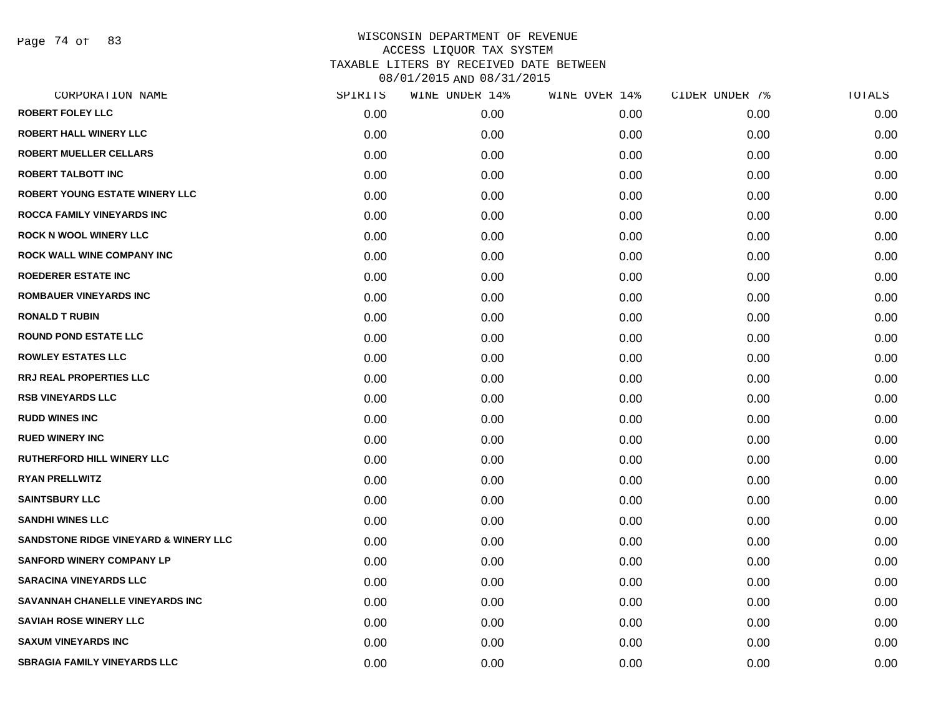Page 74 of 83

| CORPORATION NAME                      | SPIRITS | WINE UNDER 14% | WINE OVER 14% | CIDER UNDER 7% | TOTALS |
|---------------------------------------|---------|----------------|---------------|----------------|--------|
| <b>ROBERT FOLEY LLC</b>               | 0.00    | 0.00           | 0.00          | 0.00           | 0.00   |
| <b>ROBERT HALL WINERY LLC</b>         | 0.00    | 0.00           | 0.00          | 0.00           | 0.00   |
| <b>ROBERT MUELLER CELLARS</b>         | 0.00    | 0.00           | 0.00          | 0.00           | 0.00   |
| <b>ROBERT TALBOTT INC</b>             | 0.00    | 0.00           | 0.00          | 0.00           | 0.00   |
| ROBERT YOUNG ESTATE WINERY LLC        | 0.00    | 0.00           | 0.00          | 0.00           | 0.00   |
| ROCCA FAMILY VINEYARDS INC            | 0.00    | 0.00           | 0.00          | 0.00           | 0.00   |
| <b>ROCK N WOOL WINERY LLC</b>         | 0.00    | 0.00           | 0.00          | 0.00           | 0.00   |
| <b>ROCK WALL WINE COMPANY INC</b>     | 0.00    | 0.00           | 0.00          | 0.00           | 0.00   |
| <b>ROEDERER ESTATE INC</b>            | 0.00    | 0.00           | 0.00          | 0.00           | 0.00   |
| <b>ROMBAUER VINEYARDS INC</b>         | 0.00    | 0.00           | 0.00          | 0.00           | 0.00   |
| <b>RONALD T RUBIN</b>                 | 0.00    | 0.00           | 0.00          | 0.00           | 0.00   |
| <b>ROUND POND ESTATE LLC</b>          | 0.00    | 0.00           | 0.00          | 0.00           | 0.00   |
| <b>ROWLEY ESTATES LLC</b>             | 0.00    | 0.00           | 0.00          | 0.00           | 0.00   |
| <b>RRJ REAL PROPERTIES LLC</b>        | 0.00    | 0.00           | 0.00          | 0.00           | 0.00   |
| <b>RSB VINEYARDS LLC</b>              | 0.00    | 0.00           | 0.00          | 0.00           | 0.00   |
| <b>RUDD WINES INC</b>                 | 0.00    | 0.00           | 0.00          | 0.00           | 0.00   |
| <b>RUED WINERY INC</b>                | 0.00    | 0.00           | 0.00          | 0.00           | 0.00   |
| <b>RUTHERFORD HILL WINERY LLC</b>     | 0.00    | 0.00           | 0.00          | 0.00           | 0.00   |
| <b>RYAN PRELLWITZ</b>                 | 0.00    | 0.00           | 0.00          | 0.00           | 0.00   |
| <b>SAINTSBURY LLC</b>                 | 0.00    | 0.00           | 0.00          | 0.00           | 0.00   |
| <b>SANDHI WINES LLC</b>               | 0.00    | 0.00           | 0.00          | 0.00           | 0.00   |
| SANDSTONE RIDGE VINEYARD & WINERY LLC | 0.00    | 0.00           | 0.00          | 0.00           | 0.00   |
| <b>SANFORD WINERY COMPANY LP</b>      | 0.00    | 0.00           | 0.00          | 0.00           | 0.00   |
| <b>SARACINA VINEYARDS LLC</b>         | 0.00    | 0.00           | 0.00          | 0.00           | 0.00   |
| SAVANNAH CHANELLE VINEYARDS INC       | 0.00    | 0.00           | 0.00          | 0.00           | 0.00   |
| <b>SAVIAH ROSE WINERY LLC</b>         | 0.00    | 0.00           | 0.00          | 0.00           | 0.00   |
| <b>SAXUM VINEYARDS INC</b>            | 0.00    | 0.00           | 0.00          | 0.00           | 0.00   |
| <b>SBRAGIA FAMILY VINEYARDS LLC</b>   | 0.00    | 0.00           | 0.00          | 0.00           | 0.00   |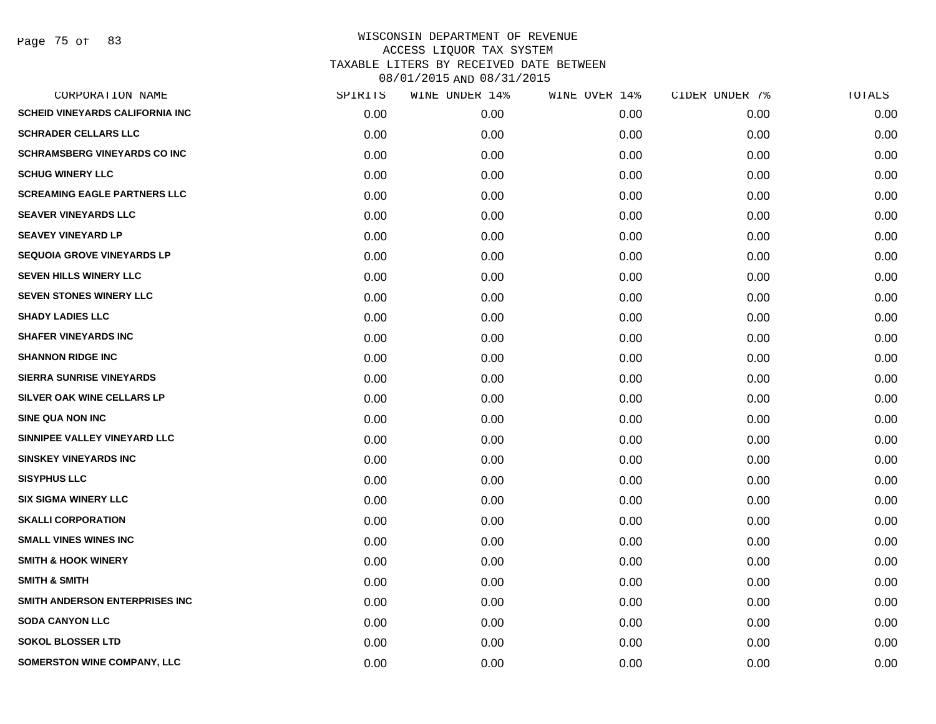Page 75 of 83

| CORPORATION NAME                       | SPIRITS | WINE UNDER 14% | WINE OVER 14% | CIDER UNDER 7% | TOTALS |
|----------------------------------------|---------|----------------|---------------|----------------|--------|
| <b>SCHEID VINEYARDS CALIFORNIA INC</b> | 0.00    | 0.00           | 0.00          | 0.00           | 0.00   |
| <b>SCHRADER CELLARS LLC</b>            | 0.00    | 0.00           | 0.00          | 0.00           | 0.00   |
| <b>SCHRAMSBERG VINEYARDS CO INC</b>    | 0.00    | 0.00           | 0.00          | 0.00           | 0.00   |
| <b>SCHUG WINERY LLC</b>                | 0.00    | 0.00           | 0.00          | 0.00           | 0.00   |
| <b>SCREAMING EAGLE PARTNERS LLC</b>    | 0.00    | 0.00           | 0.00          | 0.00           | 0.00   |
| <b>SEAVER VINEYARDS LLC</b>            | 0.00    | 0.00           | 0.00          | 0.00           | 0.00   |
| <b>SEAVEY VINEYARD LP</b>              | 0.00    | 0.00           | 0.00          | 0.00           | 0.00   |
| <b>SEQUOIA GROVE VINEYARDS LP</b>      | 0.00    | 0.00           | 0.00          | 0.00           | 0.00   |
| SEVEN HILLS WINERY LLC                 | 0.00    | 0.00           | 0.00          | 0.00           | 0.00   |
| SEVEN STONES WINERY LLC                | 0.00    | 0.00           | 0.00          | 0.00           | 0.00   |
| <b>SHADY LADIES LLC</b>                | 0.00    | 0.00           | 0.00          | 0.00           | 0.00   |
| <b>SHAFER VINEYARDS INC</b>            | 0.00    | 0.00           | 0.00          | 0.00           | 0.00   |
| <b>SHANNON RIDGE INC</b>               | 0.00    | 0.00           | 0.00          | 0.00           | 0.00   |
| <b>SIERRA SUNRISE VINEYARDS</b>        | 0.00    | 0.00           | 0.00          | 0.00           | 0.00   |
| <b>SILVER OAK WINE CELLARS LP</b>      | 0.00    | 0.00           | 0.00          | 0.00           | 0.00   |
| <b>SINE QUA NON INC</b>                | 0.00    | 0.00           | 0.00          | 0.00           | 0.00   |
| SINNIPEE VALLEY VINEYARD LLC           | 0.00    | 0.00           | 0.00          | 0.00           | 0.00   |
| <b>SINSKEY VINEYARDS INC</b>           | 0.00    | 0.00           | 0.00          | 0.00           | 0.00   |
| <b>SISYPHUS LLC</b>                    | 0.00    | 0.00           | 0.00          | 0.00           | 0.00   |
| <b>SIX SIGMA WINERY LLC</b>            | 0.00    | 0.00           | 0.00          | 0.00           | 0.00   |
| <b>SKALLI CORPORATION</b>              | 0.00    | 0.00           | 0.00          | 0.00           | 0.00   |
| <b>SMALL VINES WINES INC</b>           | 0.00    | 0.00           | 0.00          | 0.00           | 0.00   |
| <b>SMITH &amp; HOOK WINERY</b>         | 0.00    | 0.00           | 0.00          | 0.00           | 0.00   |
| <b>SMITH &amp; SMITH</b>               | 0.00    | 0.00           | 0.00          | 0.00           | 0.00   |
| SMITH ANDERSON ENTERPRISES INC         | 0.00    | 0.00           | 0.00          | 0.00           | 0.00   |
| <b>SODA CANYON LLC</b>                 | 0.00    | 0.00           | 0.00          | 0.00           | 0.00   |
| <b>SOKOL BLOSSER LTD</b>               | 0.00    | 0.00           | 0.00          | 0.00           | 0.00   |
| SOMERSTON WINE COMPANY, LLC            | 0.00    | 0.00           | 0.00          | 0.00           | 0.00   |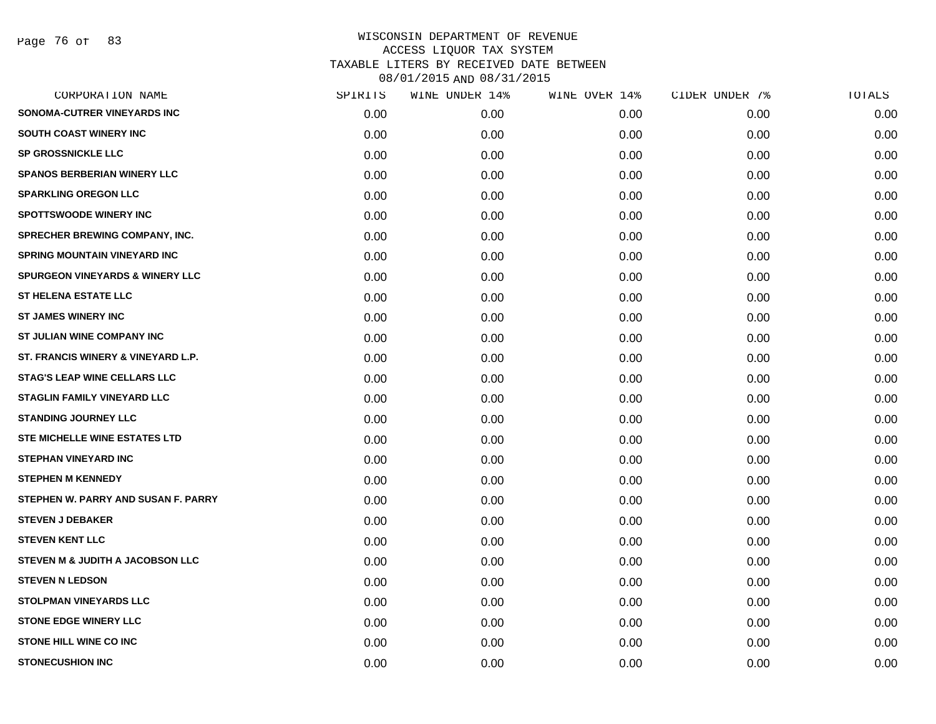Page 76 of 83

| CORPORATION NAME                           | SPIRITS | WINE UNDER 14% | WINE OVER 14% | CIDER UNDER 7% | TOTALS |
|--------------------------------------------|---------|----------------|---------------|----------------|--------|
| SONOMA-CUTRER VINEYARDS INC                | 0.00    | 0.00           | 0.00          | 0.00           | 0.00   |
| <b>SOUTH COAST WINERY INC</b>              | 0.00    | 0.00           | 0.00          | 0.00           | 0.00   |
| <b>SP GROSSNICKLE LLC</b>                  | 0.00    | 0.00           | 0.00          | 0.00           | 0.00   |
| <b>SPANOS BERBERIAN WINERY LLC</b>         | 0.00    | 0.00           | 0.00          | 0.00           | 0.00   |
| <b>SPARKLING OREGON LLC</b>                | 0.00    | 0.00           | 0.00          | 0.00           | 0.00   |
| <b>SPOTTSWOODE WINERY INC</b>              | 0.00    | 0.00           | 0.00          | 0.00           | 0.00   |
| <b>SPRECHER BREWING COMPANY, INC.</b>      | 0.00    | 0.00           | 0.00          | 0.00           | 0.00   |
| <b>SPRING MOUNTAIN VINEYARD INC</b>        | 0.00    | 0.00           | 0.00          | 0.00           | 0.00   |
| <b>SPURGEON VINEYARDS &amp; WINERY LLC</b> | 0.00    | 0.00           | 0.00          | 0.00           | 0.00   |
| <b>ST HELENA ESTATE LLC</b>                | 0.00    | 0.00           | 0.00          | 0.00           | 0.00   |
| <b>ST JAMES WINERY INC</b>                 | 0.00    | 0.00           | 0.00          | 0.00           | 0.00   |
| ST JULIAN WINE COMPANY INC                 | 0.00    | 0.00           | 0.00          | 0.00           | 0.00   |
| ST. FRANCIS WINERY & VINEYARD L.P.         | 0.00    | 0.00           | 0.00          | 0.00           | 0.00   |
| <b>STAG'S LEAP WINE CELLARS LLC</b>        | 0.00    | 0.00           | 0.00          | 0.00           | 0.00   |
| <b>STAGLIN FAMILY VINEYARD LLC</b>         | 0.00    | 0.00           | 0.00          | 0.00           | 0.00   |
| <b>STANDING JOURNEY LLC</b>                | 0.00    | 0.00           | 0.00          | 0.00           | 0.00   |
| <b>STE MICHELLE WINE ESTATES LTD</b>       | 0.00    | 0.00           | 0.00          | 0.00           | 0.00   |
| <b>STEPHAN VINEYARD INC</b>                | 0.00    | 0.00           | 0.00          | 0.00           | 0.00   |
| <b>STEPHEN M KENNEDY</b>                   | 0.00    | 0.00           | 0.00          | 0.00           | 0.00   |
| STEPHEN W. PARRY AND SUSAN F. PARRY        | 0.00    | 0.00           | 0.00          | 0.00           | 0.00   |
| <b>STEVEN J DEBAKER</b>                    | 0.00    | 0.00           | 0.00          | 0.00           | 0.00   |
| <b>STEVEN KENT LLC</b>                     | 0.00    | 0.00           | 0.00          | 0.00           | 0.00   |
| STEVEN M & JUDITH A JACOBSON LLC           | 0.00    | 0.00           | 0.00          | 0.00           | 0.00   |
| <b>STEVEN N LEDSON</b>                     | 0.00    | 0.00           | 0.00          | 0.00           | 0.00   |
| <b>STOLPMAN VINEYARDS LLC</b>              | 0.00    | 0.00           | 0.00          | 0.00           | 0.00   |
| <b>STONE EDGE WINERY LLC</b>               | 0.00    | 0.00           | 0.00          | 0.00           | 0.00   |
| <b>STONE HILL WINE CO INC</b>              | 0.00    | 0.00           | 0.00          | 0.00           | 0.00   |
| <b>STONECUSHION INC</b>                    | 0.00    | 0.00           | 0.00          | 0.00           | 0.00   |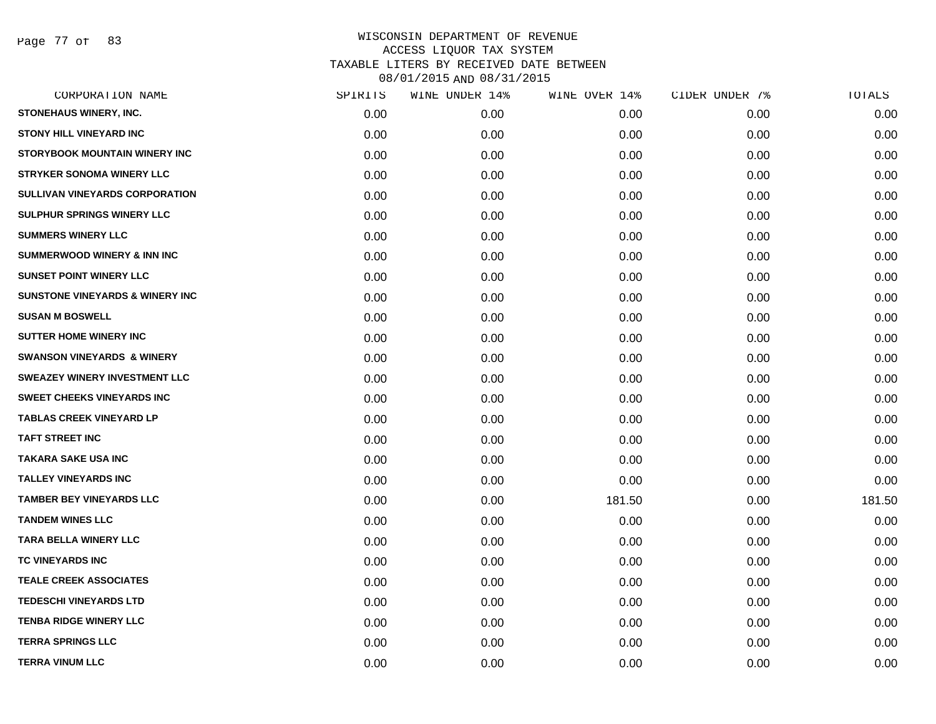Page 77 of 83

| CORPORATION NAME                           | SPIRITS | WINE UNDER 14% | WINE OVER 14% | CIDER UNDER 7% | TOTALS |
|--------------------------------------------|---------|----------------|---------------|----------------|--------|
| STONEHAUS WINERY, INC.                     | 0.00    | 0.00           | 0.00          | 0.00           | 0.00   |
| <b>STONY HILL VINEYARD INC</b>             | 0.00    | 0.00           | 0.00          | 0.00           | 0.00   |
| <b>STORYBOOK MOUNTAIN WINERY INC</b>       | 0.00    | 0.00           | 0.00          | 0.00           | 0.00   |
| <b>STRYKER SONOMA WINERY LLC</b>           | 0.00    | 0.00           | 0.00          | 0.00           | 0.00   |
| <b>SULLIVAN VINEYARDS CORPORATION</b>      | 0.00    | 0.00           | 0.00          | 0.00           | 0.00   |
| SULPHUR SPRINGS WINERY LLC                 | 0.00    | 0.00           | 0.00          | 0.00           | 0.00   |
| <b>SUMMERS WINERY LLC</b>                  | 0.00    | 0.00           | 0.00          | 0.00           | 0.00   |
| <b>SUMMERWOOD WINERY &amp; INN INC</b>     | 0.00    | 0.00           | 0.00          | 0.00           | 0.00   |
| <b>SUNSET POINT WINERY LLC</b>             | 0.00    | 0.00           | 0.00          | 0.00           | 0.00   |
| <b>SUNSTONE VINEYARDS &amp; WINERY INC</b> | 0.00    | 0.00           | 0.00          | 0.00           | 0.00   |
| <b>SUSAN M BOSWELL</b>                     | 0.00    | 0.00           | 0.00          | 0.00           | 0.00   |
| <b>SUTTER HOME WINERY INC</b>              | 0.00    | 0.00           | 0.00          | 0.00           | 0.00   |
| <b>SWANSON VINEYARDS &amp; WINERY</b>      | 0.00    | 0.00           | 0.00          | 0.00           | 0.00   |
| <b>SWEAZEY WINERY INVESTMENT LLC</b>       | 0.00    | 0.00           | 0.00          | 0.00           | 0.00   |
| <b>SWEET CHEEKS VINEYARDS INC</b>          | 0.00    | 0.00           | 0.00          | 0.00           | 0.00   |
| <b>TABLAS CREEK VINEYARD LP</b>            | 0.00    | 0.00           | 0.00          | 0.00           | 0.00   |
| <b>TAFT STREET INC</b>                     | 0.00    | 0.00           | 0.00          | 0.00           | 0.00   |
| <b>TAKARA SAKE USA INC</b>                 | 0.00    | 0.00           | 0.00          | 0.00           | 0.00   |
| <b>TALLEY VINEYARDS INC</b>                | 0.00    | 0.00           | 0.00          | 0.00           | 0.00   |
| <b>TAMBER BEY VINEYARDS LLC</b>            | 0.00    | 0.00           | 181.50        | 0.00           | 181.50 |
| <b>TANDEM WINES LLC</b>                    | 0.00    | 0.00           | 0.00          | 0.00           | 0.00   |
| <b>TARA BELLA WINERY LLC</b>               | 0.00    | 0.00           | 0.00          | 0.00           | 0.00   |
| TC VINEYARDS INC                           | 0.00    | 0.00           | 0.00          | 0.00           | 0.00   |
| <b>TEALE CREEK ASSOCIATES</b>              | 0.00    | 0.00           | 0.00          | 0.00           | 0.00   |
| <b>TEDESCHI VINEYARDS LTD</b>              | 0.00    | 0.00           | 0.00          | 0.00           | 0.00   |
| <b>TENBA RIDGE WINERY LLC</b>              | 0.00    | 0.00           | 0.00          | 0.00           | 0.00   |
| <b>TERRA SPRINGS LLC</b>                   | 0.00    | 0.00           | 0.00          | 0.00           | 0.00   |
| <b>TERRA VINUM LLC</b>                     | 0.00    | 0.00           | 0.00          | 0.00           | 0.00   |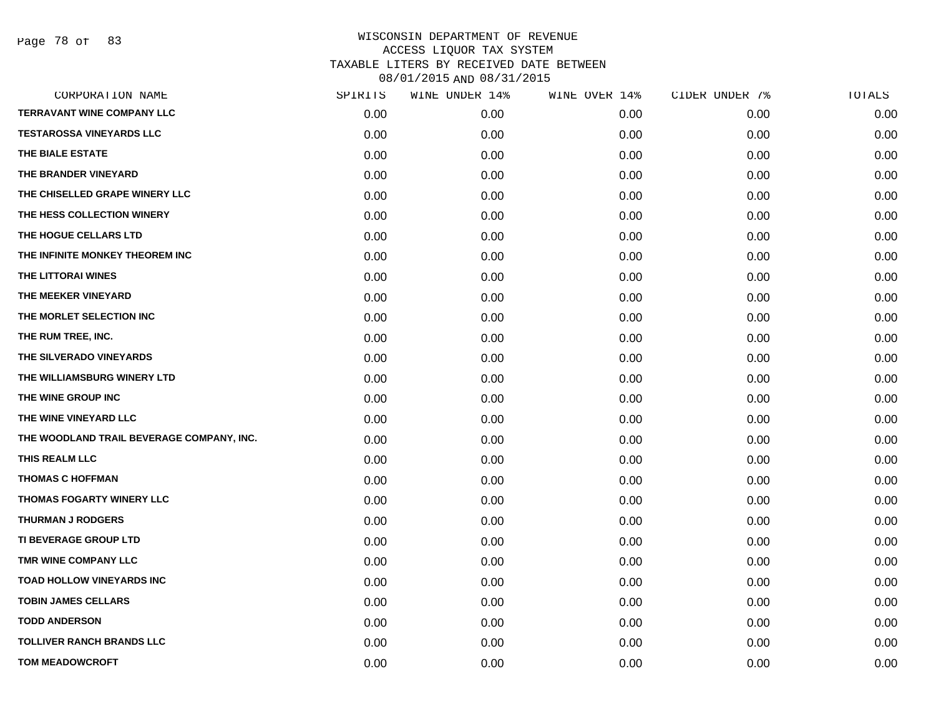Page 78 of 83

| CORPORATION NAME                          | SPIRITS | WINE UNDER 14% | WINE OVER 14% | CIDER UNDER 7% | TOTALS |
|-------------------------------------------|---------|----------------|---------------|----------------|--------|
| <b>TERRAVANT WINE COMPANY LLC</b>         | 0.00    | 0.00           | 0.00          | 0.00           | 0.00   |
| <b>TESTAROSSA VINEYARDS LLC</b>           | 0.00    | 0.00           | 0.00          | 0.00           | 0.00   |
| THE BIALE ESTATE                          | 0.00    | 0.00           | 0.00          | 0.00           | 0.00   |
| THE BRANDER VINEYARD                      | 0.00    | 0.00           | 0.00          | 0.00           | 0.00   |
| THE CHISELLED GRAPE WINERY LLC            | 0.00    | 0.00           | 0.00          | 0.00           | 0.00   |
| THE HESS COLLECTION WINERY                | 0.00    | 0.00           | 0.00          | 0.00           | 0.00   |
| THE HOGUE CELLARS LTD                     | 0.00    | 0.00           | 0.00          | 0.00           | 0.00   |
| THE INFINITE MONKEY THEOREM INC           | 0.00    | 0.00           | 0.00          | 0.00           | 0.00   |
| THE LITTORAI WINES                        | 0.00    | 0.00           | 0.00          | 0.00           | 0.00   |
| THE MEEKER VINEYARD                       | 0.00    | 0.00           | 0.00          | 0.00           | 0.00   |
| THE MORLET SELECTION INC                  | 0.00    | 0.00           | 0.00          | 0.00           | 0.00   |
| THE RUM TREE, INC.                        | 0.00    | 0.00           | 0.00          | 0.00           | 0.00   |
| THE SILVERADO VINEYARDS                   | 0.00    | 0.00           | 0.00          | 0.00           | 0.00   |
| THE WILLIAMSBURG WINERY LTD               | 0.00    | 0.00           | 0.00          | 0.00           | 0.00   |
| THE WINE GROUP INC                        | 0.00    | 0.00           | 0.00          | 0.00           | 0.00   |
| THE WINE VINEYARD LLC                     | 0.00    | 0.00           | 0.00          | 0.00           | 0.00   |
| THE WOODLAND TRAIL BEVERAGE COMPANY, INC. | 0.00    | 0.00           | 0.00          | 0.00           | 0.00   |
| THIS REALM LLC                            | 0.00    | 0.00           | 0.00          | 0.00           | 0.00   |
| <b>THOMAS C HOFFMAN</b>                   | 0.00    | 0.00           | 0.00          | 0.00           | 0.00   |
| <b>THOMAS FOGARTY WINERY LLC</b>          | 0.00    | 0.00           | 0.00          | 0.00           | 0.00   |
| <b>THURMAN J RODGERS</b>                  | 0.00    | 0.00           | 0.00          | 0.00           | 0.00   |
| <b>TI BEVERAGE GROUP LTD</b>              | 0.00    | 0.00           | 0.00          | 0.00           | 0.00   |
| TMR WINE COMPANY LLC                      | 0.00    | 0.00           | 0.00          | 0.00           | 0.00   |
| <b>TOAD HOLLOW VINEYARDS INC</b>          | 0.00    | 0.00           | 0.00          | 0.00           | 0.00   |
| <b>TOBIN JAMES CELLARS</b>                | 0.00    | 0.00           | 0.00          | 0.00           | 0.00   |
| <b>TODD ANDERSON</b>                      | 0.00    | 0.00           | 0.00          | 0.00           | 0.00   |
| <b>TOLLIVER RANCH BRANDS LLC</b>          | 0.00    | 0.00           | 0.00          | 0.00           | 0.00   |
| <b>TOM MEADOWCROFT</b>                    | 0.00    | 0.00           | 0.00          | 0.00           | 0.00   |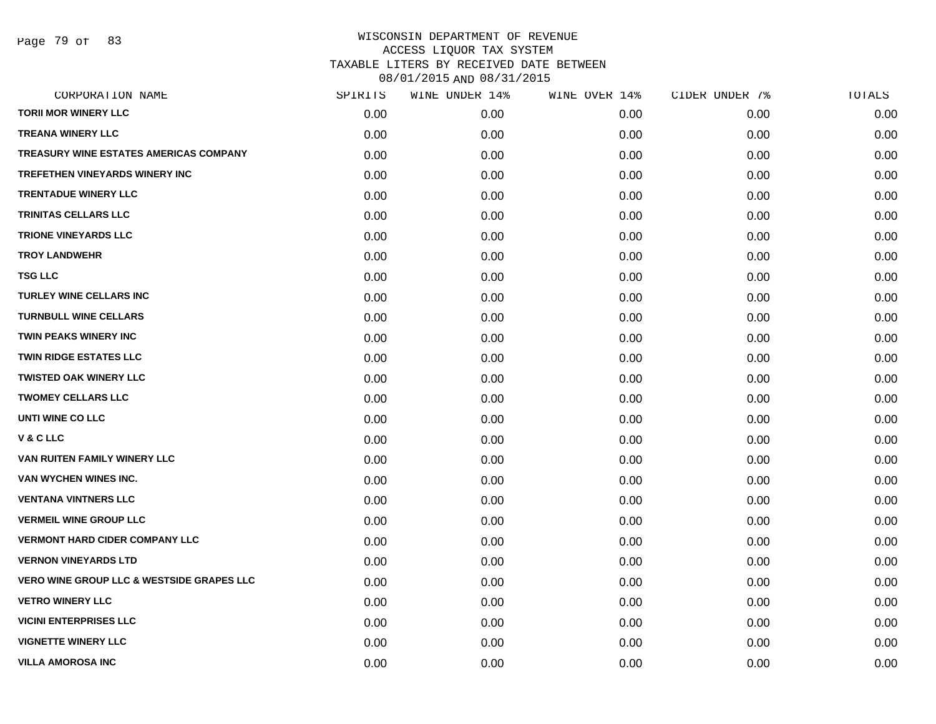| CORPORATION NAME                                     | SPIRITS | WINE UNDER 14% | WINE OVER 14% | CIDER UNDER 7% | <b>TOTALS</b> |
|------------------------------------------------------|---------|----------------|---------------|----------------|---------------|
| <b>TORII MOR WINERY LLC</b>                          | 0.00    | 0.00           | 0.00          | 0.00           | 0.00          |
| <b>TREANA WINERY LLC</b>                             | 0.00    | 0.00           | 0.00          | 0.00           | 0.00          |
| TREASURY WINE ESTATES AMERICAS COMPANY               | 0.00    | 0.00           | 0.00          | 0.00           | 0.00          |
| <b>TREFETHEN VINEYARDS WINERY INC</b>                | 0.00    | 0.00           | 0.00          | 0.00           | 0.00          |
| <b>TRENTADUE WINERY LLC</b>                          | 0.00    | 0.00           | 0.00          | 0.00           | 0.00          |
| <b>TRINITAS CELLARS LLC</b>                          | 0.00    | 0.00           | 0.00          | 0.00           | 0.00          |
| <b>TRIONE VINEYARDS LLC</b>                          | 0.00    | 0.00           | 0.00          | 0.00           | 0.00          |
| <b>TROY LANDWEHR</b>                                 | 0.00    | 0.00           | 0.00          | 0.00           | 0.00          |
| <b>TSG LLC</b>                                       | 0.00    | 0.00           | 0.00          | 0.00           | 0.00          |
| <b>TURLEY WINE CELLARS INC</b>                       | 0.00    | 0.00           | 0.00          | 0.00           | 0.00          |
| <b>TURNBULL WINE CELLARS</b>                         | 0.00    | 0.00           | 0.00          | 0.00           | 0.00          |
| <b>TWIN PEAKS WINERY INC</b>                         | 0.00    | 0.00           | 0.00          | 0.00           | 0.00          |
| <b>TWIN RIDGE ESTATES LLC</b>                        | 0.00    | 0.00           | 0.00          | 0.00           | 0.00          |
| <b>TWISTED OAK WINERY LLC</b>                        | 0.00    | 0.00           | 0.00          | 0.00           | 0.00          |
| <b>TWOMEY CELLARS LLC</b>                            | 0.00    | 0.00           | 0.00          | 0.00           | 0.00          |
| UNTI WINE CO LLC                                     | 0.00    | 0.00           | 0.00          | 0.00           | 0.00          |
| V & C LLC                                            | 0.00    | 0.00           | 0.00          | 0.00           | 0.00          |
| VAN RUITEN FAMILY WINERY LLC                         | 0.00    | 0.00           | 0.00          | 0.00           | 0.00          |
| VAN WYCHEN WINES INC.                                | 0.00    | 0.00           | 0.00          | 0.00           | 0.00          |
| <b>VENTANA VINTNERS LLC</b>                          | 0.00    | 0.00           | 0.00          | 0.00           | 0.00          |
| <b>VERMEIL WINE GROUP LLC</b>                        | 0.00    | 0.00           | 0.00          | 0.00           | 0.00          |
| <b>VERMONT HARD CIDER COMPANY LLC</b>                | 0.00    | 0.00           | 0.00          | 0.00           | 0.00          |
| <b>VERNON VINEYARDS LTD</b>                          | 0.00    | 0.00           | 0.00          | 0.00           | 0.00          |
| <b>VERO WINE GROUP LLC &amp; WESTSIDE GRAPES LLC</b> | 0.00    | 0.00           | 0.00          | 0.00           | 0.00          |
| <b>VETRO WINERY LLC</b>                              | 0.00    | 0.00           | 0.00          | 0.00           | 0.00          |
| <b>VICINI ENTERPRISES LLC</b>                        | 0.00    | 0.00           | 0.00          | 0.00           | 0.00          |
| <b>VIGNETTE WINERY LLC</b>                           | 0.00    | 0.00           | 0.00          | 0.00           | 0.00          |
| <b>VILLA AMOROSA INC</b>                             | 0.00    | 0.00           | 0.00          | 0.00           | 0.00          |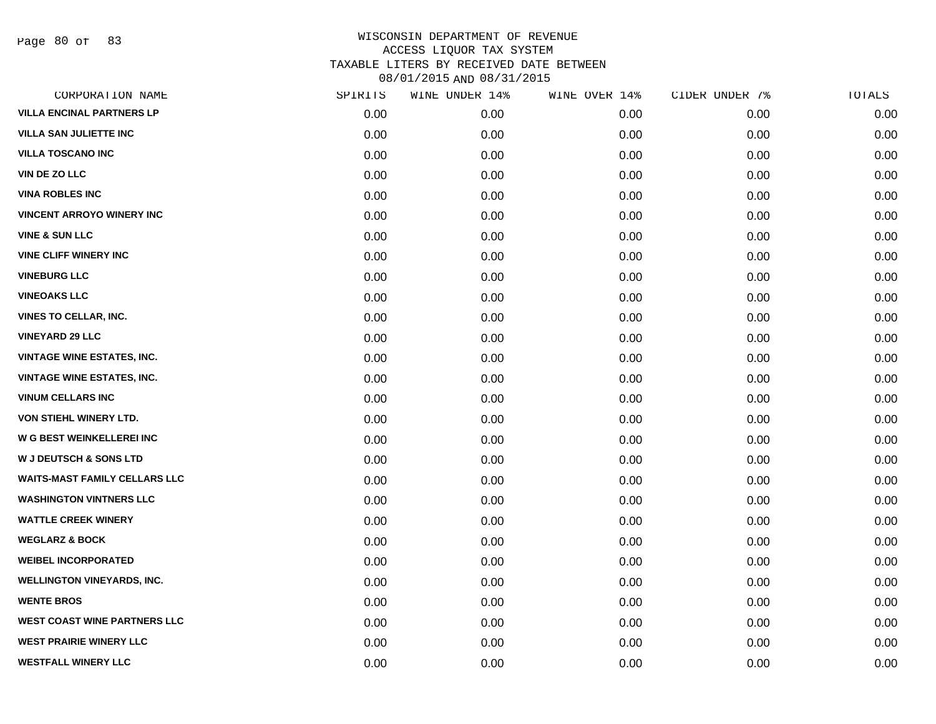Page 80 of 83

| CORPORATION NAME                     | SPIRITS | WINE UNDER 14% | WINE OVER 14% | CIDER UNDER 7% | TOTALS |
|--------------------------------------|---------|----------------|---------------|----------------|--------|
| <b>VILLA ENCINAL PARTNERS LP</b>     | 0.00    | 0.00           | 0.00          | 0.00           | 0.00   |
| <b>VILLA SAN JULIETTE INC</b>        | 0.00    | 0.00           | 0.00          | 0.00           | 0.00   |
| <b>VILLA TOSCANO INC</b>             | 0.00    | 0.00           | 0.00          | 0.00           | 0.00   |
| <b>VIN DE ZO LLC</b>                 | 0.00    | 0.00           | 0.00          | 0.00           | 0.00   |
| <b>VINA ROBLES INC</b>               | 0.00    | 0.00           | 0.00          | 0.00           | 0.00   |
| <b>VINCENT ARROYO WINERY INC</b>     | 0.00    | 0.00           | 0.00          | 0.00           | 0.00   |
| <b>VINE &amp; SUN LLC</b>            | 0.00    | 0.00           | 0.00          | 0.00           | 0.00   |
| <b>VINE CLIFF WINERY INC</b>         | 0.00    | 0.00           | 0.00          | 0.00           | 0.00   |
| <b>VINEBURG LLC</b>                  | 0.00    | 0.00           | 0.00          | 0.00           | 0.00   |
| <b>VINEOAKS LLC</b>                  | 0.00    | 0.00           | 0.00          | 0.00           | 0.00   |
| <b>VINES TO CELLAR, INC.</b>         | 0.00    | 0.00           | 0.00          | 0.00           | 0.00   |
| <b>VINEYARD 29 LLC</b>               | 0.00    | 0.00           | 0.00          | 0.00           | 0.00   |
| <b>VINTAGE WINE ESTATES, INC.</b>    | 0.00    | 0.00           | 0.00          | 0.00           | 0.00   |
| <b>VINTAGE WINE ESTATES, INC.</b>    | 0.00    | 0.00           | 0.00          | 0.00           | 0.00   |
| <b>VINUM CELLARS INC</b>             | 0.00    | 0.00           | 0.00          | 0.00           | 0.00   |
| VON STIEHL WINERY LTD.               | 0.00    | 0.00           | 0.00          | 0.00           | 0.00   |
| <b>W G BEST WEINKELLEREI INC</b>     | 0.00    | 0.00           | 0.00          | 0.00           | 0.00   |
| <b>W J DEUTSCH &amp; SONS LTD</b>    | 0.00    | 0.00           | 0.00          | 0.00           | 0.00   |
| <b>WAITS-MAST FAMILY CELLARS LLC</b> | 0.00    | 0.00           | 0.00          | 0.00           | 0.00   |
| <b>WASHINGTON VINTNERS LLC</b>       | 0.00    | 0.00           | 0.00          | 0.00           | 0.00   |
| <b>WATTLE CREEK WINERY</b>           | 0.00    | 0.00           | 0.00          | 0.00           | 0.00   |
| <b>WEGLARZ &amp; BOCK</b>            | 0.00    | 0.00           | 0.00          | 0.00           | 0.00   |
| <b>WEIBEL INCORPORATED</b>           | 0.00    | 0.00           | 0.00          | 0.00           | 0.00   |
| <b>WELLINGTON VINEYARDS, INC.</b>    | 0.00    | 0.00           | 0.00          | 0.00           | 0.00   |
| <b>WENTE BROS</b>                    | 0.00    | 0.00           | 0.00          | 0.00           | 0.00   |
| <b>WEST COAST WINE PARTNERS LLC</b>  | 0.00    | 0.00           | 0.00          | 0.00           | 0.00   |
| <b>WEST PRAIRIE WINERY LLC</b>       | 0.00    | 0.00           | 0.00          | 0.00           | 0.00   |
| <b>WESTFALL WINERY LLC</b>           | 0.00    | 0.00           | 0.00          | 0.00           | 0.00   |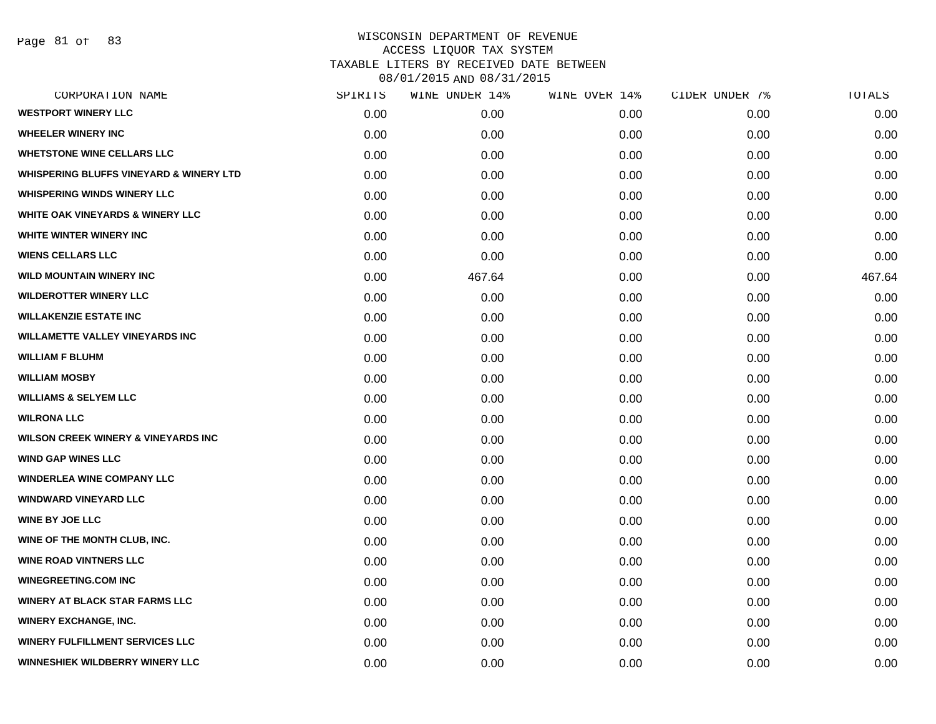| CORPORATION NAME                                   | SPIRITS | WINE UNDER 14% | WINE OVER 14% | CIDER UNDER 7% | TOTALS |
|----------------------------------------------------|---------|----------------|---------------|----------------|--------|
| <b>WESTPORT WINERY LLC</b>                         | 0.00    | 0.00           | 0.00          | 0.00           | 0.00   |
| <b>WHEELER WINERY INC</b>                          | 0.00    | 0.00           | 0.00          | 0.00           | 0.00   |
| <b>WHETSTONE WINE CELLARS LLC</b>                  | 0.00    | 0.00           | 0.00          | 0.00           | 0.00   |
| <b>WHISPERING BLUFFS VINEYARD &amp; WINERY LTD</b> | 0.00    | 0.00           | 0.00          | 0.00           | 0.00   |
| <b>WHISPERING WINDS WINERY LLC</b>                 | 0.00    | 0.00           | 0.00          | 0.00           | 0.00   |
| <b>WHITE OAK VINEYARDS &amp; WINERY LLC</b>        | 0.00    | 0.00           | 0.00          | 0.00           | 0.00   |
| WHITE WINTER WINERY INC                            | 0.00    | 0.00           | 0.00          | 0.00           | 0.00   |
| <b>WIENS CELLARS LLC</b>                           | 0.00    | 0.00           | 0.00          | 0.00           | 0.00   |
| <b>WILD MOUNTAIN WINERY INC</b>                    | 0.00    | 467.64         | 0.00          | 0.00           | 467.64 |
| <b>WILDEROTTER WINERY LLC</b>                      | 0.00    | 0.00           | 0.00          | 0.00           | 0.00   |
| <b>WILLAKENZIE ESTATE INC</b>                      | 0.00    | 0.00           | 0.00          | 0.00           | 0.00   |
| <b>WILLAMETTE VALLEY VINEYARDS INC</b>             | 0.00    | 0.00           | 0.00          | 0.00           | 0.00   |
| <b>WILLIAM F BLUHM</b>                             | 0.00    | 0.00           | 0.00          | 0.00           | 0.00   |
| <b>WILLIAM MOSBY</b>                               | 0.00    | 0.00           | 0.00          | 0.00           | 0.00   |
| <b>WILLIAMS &amp; SELYEM LLC</b>                   | 0.00    | 0.00           | 0.00          | 0.00           | 0.00   |
| <b>WILRONA LLC</b>                                 | 0.00    | 0.00           | 0.00          | 0.00           | 0.00   |
| <b>WILSON CREEK WINERY &amp; VINEYARDS INC</b>     | 0.00    | 0.00           | 0.00          | 0.00           | 0.00   |
| <b>WIND GAP WINES LLC</b>                          | 0.00    | 0.00           | 0.00          | 0.00           | 0.00   |
| <b>WINDERLEA WINE COMPANY LLC</b>                  | 0.00    | 0.00           | 0.00          | 0.00           | 0.00   |
| <b>WINDWARD VINEYARD LLC</b>                       | 0.00    | 0.00           | 0.00          | 0.00           | 0.00   |
| <b>WINE BY JOE LLC</b>                             | 0.00    | 0.00           | 0.00          | 0.00           | 0.00   |
| WINE OF THE MONTH CLUB, INC.                       | 0.00    | 0.00           | 0.00          | 0.00           | 0.00   |
| <b>WINE ROAD VINTNERS LLC</b>                      | 0.00    | 0.00           | 0.00          | 0.00           | 0.00   |
| <b>WINEGREETING.COM INC</b>                        | 0.00    | 0.00           | 0.00          | 0.00           | 0.00   |
| <b>WINERY AT BLACK STAR FARMS LLC</b>              | 0.00    | 0.00           | 0.00          | 0.00           | 0.00   |
| <b>WINERY EXCHANGE, INC.</b>                       | 0.00    | 0.00           | 0.00          | 0.00           | 0.00   |
| <b>WINERY FULFILLMENT SERVICES LLC</b>             | 0.00    | 0.00           | 0.00          | 0.00           | 0.00   |
| <b>WINNESHIEK WILDBERRY WINERY LLC</b>             | 0.00    | 0.00           | 0.00          | 0.00           | 0.00   |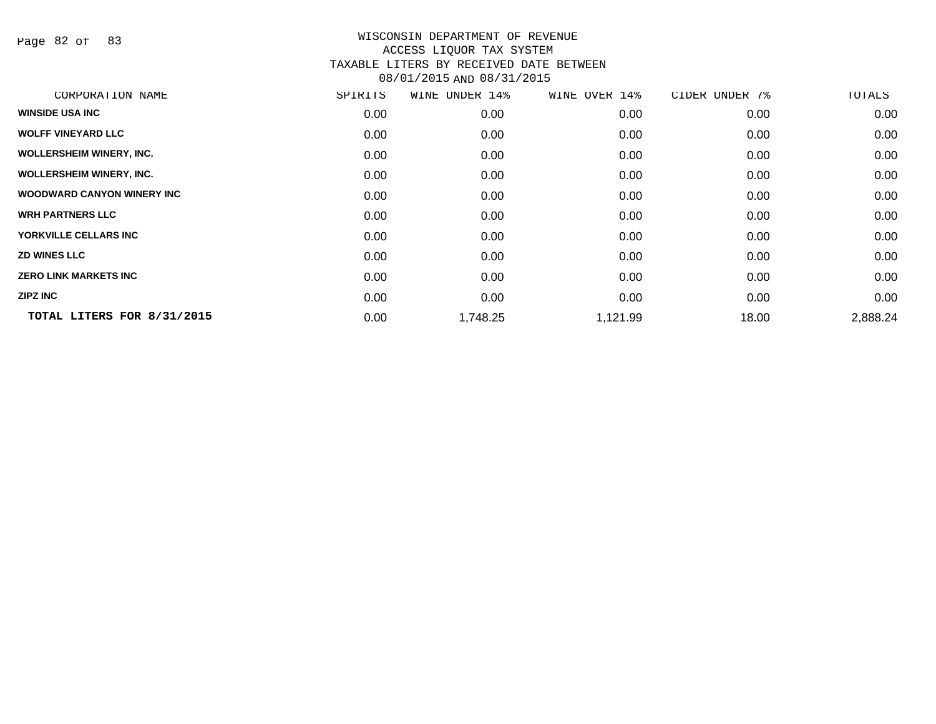Page 82 of 83

| CORPORATION NAME                   | SPIRITS | WINE UNDER 14% | WINE OVER 14% | CIDER UNDER 7% | TOTALS   |
|------------------------------------|---------|----------------|---------------|----------------|----------|
| <b>WINSIDE USA INC</b>             | 0.00    | 0.00           | 0.00          | 0.00           | 0.00     |
| <b>WOLFF VINEYARD LLC</b>          | 0.00    | 0.00           | 0.00          | 0.00           | 0.00     |
| <b>WOLLERSHEIM WINERY, INC.</b>    | 0.00    | 0.00           | 0.00          | 0.00           | 0.00     |
| <b>WOLLERSHEIM WINERY, INC.</b>    | 0.00    | 0.00           | 0.00          | 0.00           | 0.00     |
| <b>WOODWARD CANYON WINERY INC.</b> | 0.00    | 0.00           | 0.00          | 0.00           | 0.00     |
| <b>WRH PARTNERS LLC</b>            | 0.00    | 0.00           | 0.00          | 0.00           | 0.00     |
| YORKVILLE CELLARS INC              | 0.00    | 0.00           | 0.00          | 0.00           | 0.00     |
| <b>ZD WINES LLC</b>                | 0.00    | 0.00           | 0.00          | 0.00           | 0.00     |
| <b>ZERO LINK MARKETS INC</b>       | 0.00    | 0.00           | 0.00          | 0.00           | 0.00     |
| <b>ZIPZ INC</b>                    | 0.00    | 0.00           | 0.00          | 0.00           | 0.00     |
| TOTAL LITERS FOR 8/31/2015         | 0.00    | 1,748.25       | 1,121.99      | 18.00          | 2,888.24 |